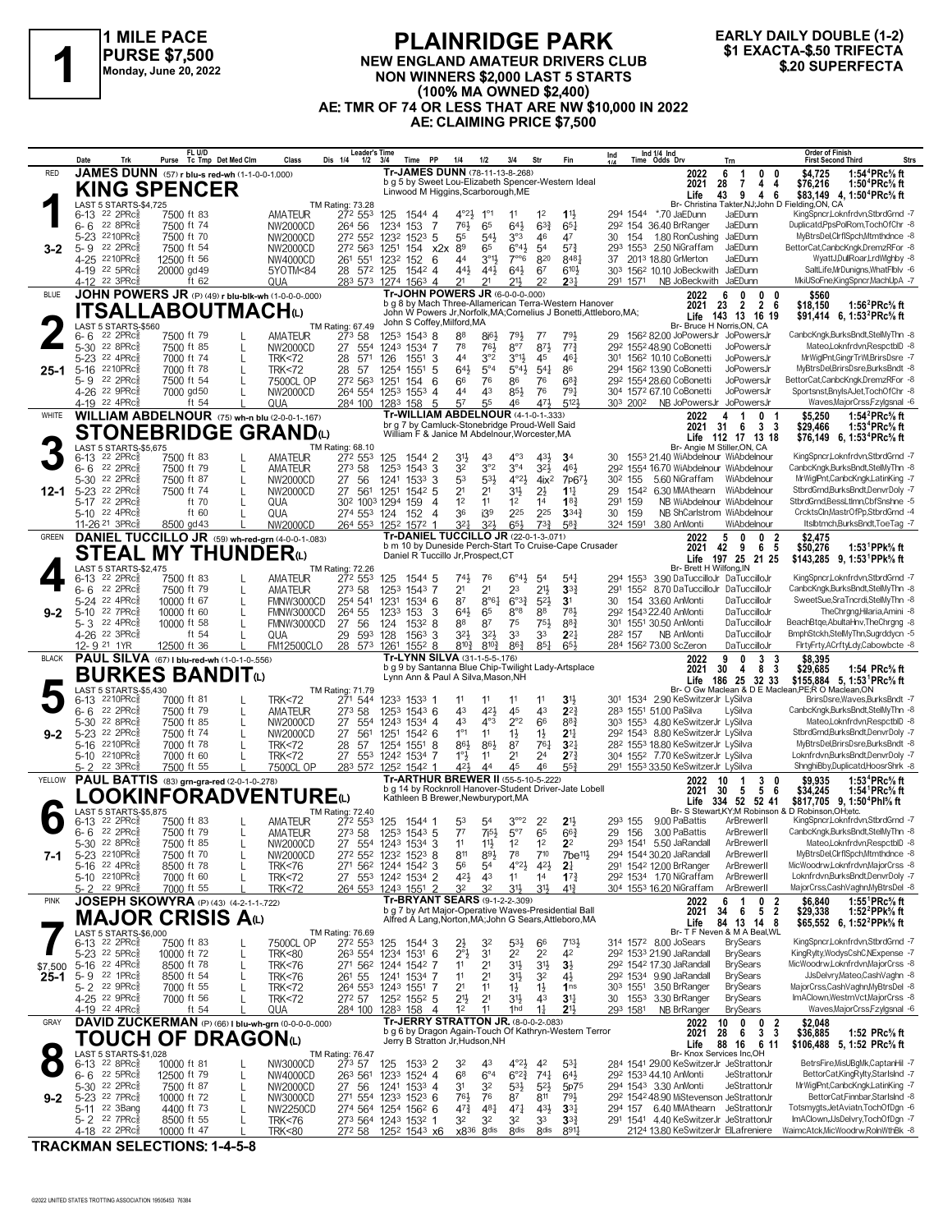

## **PLAINRIDGE PARK** NEW ENGLAND AMATEUR DRIVERS CLUB NON WINNERS \$2,000 LAST 5 STARTS (100% MA OWNED \$2,400) AE: TMR OF 74 OR LESS THAT ARE NW \$10,000 IN 2022 AE: CLAIMING PRICE \$7,500

### **EARLY DAILY DOUBLE (1-2)** \$1 EXACTA-\$.50 TRIFECTA \$.20 SUPERFECTA

|              | Date                                                 | Trk                   |                           | FL U/D<br>Purse Tc Tmp Det Med Clm                           | Class                                | <b>Leader's Time</b><br>Dis 1/4<br>$1/2$ $3/4$                 |                                 | Time PP                  | 1/4                                                           | 1/2                                       | 3/4                                     | Str                               | Fin                                                                | Ind                 |          | Ind 1/4 Ind<br>Time Odds Drv                                                        |                                        | Trn                                                                 | Order of Finish<br><b>Strs</b><br><b>First Second Third</b>                                                           |
|--------------|------------------------------------------------------|-----------------------|---------------------------|--------------------------------------------------------------|--------------------------------------|----------------------------------------------------------------|---------------------------------|--------------------------|---------------------------------------------------------------|-------------------------------------------|-----------------------------------------|-----------------------------------|--------------------------------------------------------------------|---------------------|----------|-------------------------------------------------------------------------------------|----------------------------------------|---------------------------------------------------------------------|-----------------------------------------------------------------------------------------------------------------------|
| <b>RED</b>   |                                                      |                       |                           | JAMES DUNN (57) r blu-s red-wh (1-1-0-0-1.000)               |                                      |                                                                |                                 |                          | Tr-JAMES DUNN (78-11-13-8-268)                                |                                           |                                         |                                   |                                                                    |                     |          |                                                                                     | 2022                                   | 6<br>$\overline{1}$<br>0<br>0                                       | \$4,725<br>1:54 <sup>4</sup> PRc% ft                                                                                  |
|              |                                                      | <b>KING SPENCER</b>   |                           |                                                              |                                      |                                                                |                                 |                          | Linwood M Higgins, Scarborough, ME                            |                                           |                                         |                                   | b g 5 by Sweet Lou-Elizabeth Spencer-Western Ideal                 |                     |          |                                                                                     | 2021                                   | 28<br>7<br>4<br>4                                                   | \$76,216<br>1:50 <sup>4</sup> PRc% ft                                                                                 |
|              |                                                      | LAST 5 STARTS-\$4,725 |                           |                                                              |                                      | TM Rating: 73.28                                               |                                 |                          |                                                               |                                           |                                         |                                   |                                                                    |                     |          |                                                                                     | Life                                   | 43<br>9<br>4<br>6                                                   | \$83,149 4, 1:50 <sup>4</sup> PRc <sup>5</sup> / <sub>8</sub> ft<br>Br- Christina Takter, NJ; John D Fielding, ON, CA |
|              | $6-13$ 22 2PRc <sup>5</sup>                          |                       | 7500 ft 83                |                                                              | <b>AMATEUR</b>                       | 272 553                                                        | 125                             | 1544 4                   | $4^{\circ}2\frac{1}{2}$                                       | $1^{\circ}1$                              | 11                                      | 1 <sup>2</sup>                    | $1\frac{11}{2}$                                                    |                     |          | 294 1544 *.70 JaEDunn                                                               |                                        | JaEDunn                                                             | KingSpncr,Loknfrdvn,StbrdGrnd -7                                                                                      |
|              | $6 - 6$ 22 8PRc                                      |                       | 7500 ft 74                |                                                              | NW2000CD                             | 264 56                                                         | 1234                            | -7<br>153                | 76}                                                           | 65                                        | 643                                     | $63\frac{3}{4}$                   | $65\frac{1}{4}$                                                    |                     |          | 29 <sup>2</sup> 154 36.40 BrRanger                                                  |                                        | JaEDunn                                                             | Duplicatd.PpsPolRom.TochOfChr -8<br>MyBtrsDel,ClrflSpch,Mtmthdnce -8                                                  |
| 3-2          | 5-23 2210PRc<br>5-9 22 2PRc                          |                       | 7500 ft 70<br>7500 ft 54  |                                                              | NW2000CD<br>NW2000CD                 | 272 552<br>272 563 1251                                        | 1232                            | $152^3$ 5<br>$154$ $x2x$ | 55<br>89                                                      | 543<br>65                                 | 3°3<br>$6^\circ 4\frac{1}{2}$           | 46<br>54                          | 47<br>$5^{7}$ <sub>4</sub>                                         | 30                  | 154      | 1.80 RonCushing<br>293 1553 2.50 NiGraffam                                          |                                        | JaEDunn<br>JaEDunn                                                  | BettorCat,CanbcKngk,DremzRFor -8                                                                                      |
|              | 4-25 2210PRcs                                        |                       | 12500 ft 56               |                                                              | NW4000CD                             | 261 551                                                        | 1232                            | 152<br>6                 | 44                                                            | $3^{01}$                                  | $7^{\circ}$ <sup>6</sup>                | 820                               | 8481                                                               |                     |          | 37 2013 18.80 GrMerton                                                              |                                        | JaEDunn                                                             | WyattJ,DullRoar,LrdWlghby -8                                                                                          |
|              | 4-19 22 5PRc                                         |                       | 20000 gd 49               |                                                              | 5YOTM<84                             | 28 572 125                                                     |                                 | 1542 4                   | 441                                                           | 443                                       | $64\frac{1}{2}$                         | 67                                | 6104                                                               |                     |          | 303 1562 10.10 JoBeckwith JaEDunn                                                   |                                        |                                                                     | SaltLife, MrDunigns, WhatFlblv -6                                                                                     |
| <b>BLUE</b>  | 4-12 22 3PRc                                         |                       |                           | ft 62<br>JOHN POWERS JR (P) (49) r blu-blk-wh (1-0-0-0-.000) | QUA                                  | 283 573 1274 1563 4                                            |                                 |                          | 21<br>Tr-JOHN POWERS JR (6-0-0-0-000)                         | 21                                        | 21}                                     | 2 <sup>2</sup>                    | $2^{3}$                                                            | 291 1571            |          |                                                                                     | 2022                                   | NB JoBeckwith JaEDunn<br>0<br>0<br>6<br>0                           | MkiUSoFne,KingSpncr,MachUpA -7<br>\$560                                                                               |
|              |                                                      |                       |                           | ITSALLABOUTMACHω                                             |                                      |                                                                |                                 |                          |                                                               |                                           |                                         |                                   | b g 8 by Mach Three-Allamerican Terra-Western Hanover              |                     |          |                                                                                     | 2021                                   | 2 <sub>6</sub><br>$\overline{2}$<br>23                              | 1:56 ${}^{2}$ PRc ${}^{5}_{8}$ ft<br>\$18,150                                                                         |
|              |                                                      | LAST 5 STARTS-\$560   |                           |                                                              |                                      | TM Rating: 67.49                                               |                                 |                          | John S Coffey, Milford, MA                                    |                                           |                                         |                                   | John W Powers Jr, Norfolk, MA; Cornelius J Bonetti, Attleboro, MA; |                     |          |                                                                                     | 143<br>Life                            | 13 16 19<br>Br- Bruce H Norris.ON. CA                               | \$91,414 6, 1:53 <sup>2</sup> PRc <sup>5</sup> / <sub>8</sub> ft                                                      |
|              | $6 - 6$ 22 2PRc $\frac{5}{8}$                        |                       | 7500 ft 79                |                                                              | <b>AMATEUR</b>                       | 273 58                                                         | 1253 1543 8                     |                          | 88                                                            | $8i^{6}$                                  | $79\frac{1}{2}$                         | $7^7$                             | 791                                                                |                     |          |                                                                                     |                                        | 29 1562 82.00 JoPowersJr JoPowersJr                                 | CanbcKngk,BurksBndt,StelMyThn -8                                                                                      |
|              | 5-30 22 8PRc                                         |                       | 7500 ft 85                |                                                              | NW2000CD                             | 27<br>554                                                      | 1243 1534 7                     |                          | 78                                                            | 761                                       | 8°7                                     | 871                               | $77\frac{3}{4}$                                                    |                     |          | 292 1552 48.90 CoBonetti                                                            |                                        | JoPowersJr                                                          | MateoLoknfrdvn.RespctblD -8<br>MrWiglPnt,GingrTrWl,BrirsDsre-7                                                        |
| 25-1         | 5-23 22 4PRc<br>$5 - 16$                             | 2210PRc               | 7000 ft 74<br>7000 ft 78  | L                                                            | <b>TRK&lt;72</b><br><b>TRK&lt;72</b> | 28<br>571<br>28<br>-57                                         | 126<br>1254                     | 1551<br>3<br>5<br>1551   | 4 <sup>4</sup><br>643                                         | 3°2<br>$5^{\circ}4$                       | $3^{01}$<br>5°4 <sup>3</sup>            | 45<br>$5^{41}$                    | $46\frac{1}{4}$<br>86                                              |                     |          | 301 1562 10.10 CoBonetti<br>294 1562 13.90 CoBonetti                                |                                        | JoPowersJr<br>JoPowersJr                                            | MyBtrsDel,BrirsDsre,BurksBndt -8                                                                                      |
|              | 5- 9                                                 | 22 2PRc               | 7500 ft 54                |                                                              | 7500CL OP                            | 272 563 1251                                                   |                                 | 154<br>6                 | 66                                                            | 76                                        | 86                                      | 76                                | $6^{8}$ <sub>4</sub>                                               |                     |          | 292 1554 28.60 CoBonetti                                                            |                                        | JoPowersJr                                                          | BettorCat,CanbcKngk,DremzRFor -8                                                                                      |
|              | 4-26 <sup>22</sup> 9PRc <sup>3</sup><br>4-19 22 4PRc |                       | 7000 gd50                 | ft 54                                                        | NW2000CD                             | 264 554 1253 1553<br>284 100 1283                              |                                 | 4                        | 44<br>57                                                      | 43<br>55                                  | $85\frac{1}{2}$<br>46                   | 76<br>471                         | 791<br>5124                                                        |                     |          | 304 1572 67.10 CoBonetti                                                            |                                        | JoPowersJr<br>303 2002 NB JoPowersJr JoPowersJr                     | Sportsnst, Bnyls AJet, TochOfChr -8<br>Waves, MajorCrss, Fzylgsnal -6                                                 |
| WHITE        |                                                      |                       |                           | WILLIAM ABDELNOUR (75) wh-n blu (2-0-0-1-.167)               | QUA                                  |                                                                |                                 | 5<br>158                 | <b>Tr-WILLIAM ABDELNOUR (4-1-0-1-.333)</b>                    |                                           |                                         |                                   |                                                                    |                     |          |                                                                                     | 2022                                   | $\overline{1}$<br>$\mathbf{0}$<br>4                                 | 1:54 $^{2}$ PRc $\%$ ft<br>\$5,250                                                                                    |
|              |                                                      |                       |                           | <b>STONEBRIDGE GRAND</b> W                                   |                                      |                                                                |                                 |                          | br g 7 by Camluck-Stonebridge Proud-Well Said                 |                                           |                                         |                                   |                                                                    |                     |          |                                                                                     | 2021                                   | -31<br>3 <sub>3</sub><br>- 6                                        | 1:53 <sup>4</sup> PRc <sup>5</sup> / <sub>8</sub> ft<br>\$29,466                                                      |
|              |                                                      | LAST 5 STARTS-\$5,675 |                           |                                                              |                                      | TM Rating: 68.10                                               |                                 |                          | William F & Janice M Abdelnour, Worcester, MA                 |                                           |                                         |                                   |                                                                    |                     |          |                                                                                     |                                        | Life 112 17 13 18<br>Br- Angie M Stiller, ON, CA                    | \$76,149 6, 1:53 <sup>4</sup> PRc <sup>5</sup> / <sub>8</sub> ft                                                      |
|              | $6-13$ 22 2PRc <sup>5</sup>                          |                       | 7500 ft 83                |                                                              | <b>AMATEUR</b>                       | 272 553                                                        | 125                             | 1544 2                   | 31}                                                           | 43                                        | $4^{\circ}3$                            | 431                               | 3 <sup>4</sup>                                                     |                     |          |                                                                                     |                                        | 30 1553 21.40 WiAbdelnour WiAbdelnour                               | KingSpncr,Loknfrdvn,StbrdGrnd -7                                                                                      |
|              | 6-6                                                  | 22 2PRc<br>22 2PRc    | 7500 ft 79<br>7500 ft 87  |                                                              | <b>AMATEUR</b>                       | 273 58                                                         | 1253                            | 3<br>1543                | 32                                                            | 3°2<br>53}                                | $3^{\circ}4$<br>$4^{\circ}2\frac{1}{2}$ | 3 <sup>2</sup>                    | 461                                                                | 30 <sup>2</sup> 155 |          | 5.60 NiGraffam                                                                      |                                        | 292 1554 16.70 WiAbdelnour WiAbdelnour<br>WiAbdelnour               | CanbcKngk.BurksBndt.StelMvThn -8<br>MrWiglPnt,CanbcKngk,LatinKing -7                                                  |
| $12 - 1$     | $5 - 30$<br>5-23 22 2PRc                             |                       | 7500 ft 74                |                                                              | NW2000CD<br>NW2000CD                 | 27<br>-56<br>27<br>561                                         | 1241<br>1251                    | 1533<br>3<br>1542 5      | 53<br>2 <sup>1</sup>                                          | 2 <sup>1</sup>                            | 31}                                     | $4ix^2$<br>$2\frac{1}{2}$         | 7p67}<br>$1^{11}$                                                  |                     | 29 1542  | 6.30 MMAthearn                                                                      |                                        | WiAbdelnour                                                         | StbrdGrnd.BurksBndt.DenvrDolv -7                                                                                      |
|              | 5-17 22 2PRc                                         |                       |                           | ft 70                                                        | QUA                                  | 30 <sup>2</sup> 100 <sup>3</sup> 1294                          |                                 | 159<br>4                 | 1 <sup>2</sup>                                                | 11                                        | 1 <sup>2</sup>                          | 14                                | $18\frac{3}{4}$                                                    | 291 159             |          |                                                                                     |                                        | NB WiAbdelnour WiAbdelnour                                          | StbrdGrnd,BessLtImn,CbfSnshne -5                                                                                      |
|              | 5-10 22 4PRc<br>11-26 <sup>21</sup> 3PRc3            |                       | 8500 gd 43                | ft 60                                                        | QUA<br>NW2000CD                      | 274 553 124<br>264 553 1252                                    |                                 | 152<br>Δ                 | 36<br>321                                                     | i3 <sup>9</sup><br>3 <sup>2</sup>         | 225<br>$65\frac{1}{2}$                  | 225<br>$73\frac{3}{4}$            | $3^{34}$<br>583                                                    | 30 159              | 324 1591 | 3.80 AnMonti                                                                        |                                        | NB ShCarlstrom WiAbdelnour<br>WiAbdelnour                           | CrcktsCln,MastrOfPp,StbrdGrnd -4<br>Itsibtmch, Burks Bndt, Toe Tag -7                                                 |
| GREEN        |                                                      |                       |                           | DANIEL TUCCILLO JR (59) wh-red-grn (4-0-0-1-.083)            |                                      |                                                                |                                 | 1572                     | Tr-DANIEL TUCCILLO JR (22-0-1-3-.071)                         |                                           |                                         |                                   |                                                                    |                     |          |                                                                                     | 2022                                   | 5<br>0<br>0<br>$\overline{2}$                                       | \$2,475                                                                                                               |
|              |                                                      |                       |                           | <b>STEAL MY THUNDER</b> ധ                                    |                                      |                                                                |                                 |                          | Daniel R Tuccillo Jr, Prospect, CT                            |                                           |                                         |                                   | b m 10 by Duneside Perch-Start To Cruise-Cape Crusader             |                     |          |                                                                                     | 2021                                   | 5<br>- 9<br>6<br>42                                                 | \$50,276<br>1:53 <sup>1</sup> PPk% ft                                                                                 |
|              |                                                      | LAST 5 STARTS-\$2.475 |                           |                                                              |                                      | TM Rating: 72.26                                               |                                 |                          |                                                               |                                           |                                         |                                   |                                                                    |                     |          |                                                                                     | Life<br>197<br>Br- Brett H Wilfong, IN | 25 21 25                                                            | \$143.285 9. 1:53 <sup>1</sup> PPk% ft                                                                                |
|              | $6-13$ 22 2PRc $\frac{5}{8}$                         |                       | 7500 ft 83                |                                                              | <b>AMATEUR</b>                       | 272 553                                                        | 125                             | 1544 5                   | 743                                                           | 76                                        | $6^{\circ}4\frac{1}{2}$                 | 54                                | $5^{4}$                                                            |                     | 294 1553 |                                                                                     |                                        | 3.90 DaTuccilloJr DaTuccilloJr                                      | KingSpncr,Loknfrdvn,StbrdGrnd -7                                                                                      |
|              | 6-6<br>5-24 22 4PRc                                  | 22 2PRc               | 7500 ft 79<br>10000 ft 67 | L                                                            | <b>AMATEUR</b><br>FMNW3000CD         | 273 58<br>254 541                                              | 125 <sup>3</sup><br>1231        | 1543 7<br>1534 6         | 2 <sup>1</sup><br>87                                          | 2 <sup>1</sup><br>$8^{\circ}6\frac{1}{4}$ | 23<br>$6^{o_{32}}$                      | 213<br>$5^{2}$                    | 3 <sup>3</sup><br>3 <sup>1</sup>                                   | 30                  |          | 154 33.60 AnMonti                                                                   |                                        | 291 1552 8.70 DaTuccilloJr DaTuccilloJr<br>DaTuccilloJr             | CanbcKngk.BurksBndt.StelMvThn -8<br>SweetSue,SraTncrdi,StelMyThn -8                                                   |
| $9 - 2$      | 5-10 22 7PRc                                         |                       | 10000 ft 60               |                                                              | FMNW3000CD                           | 264 55                                                         | 1233                            | 153<br>3                 | 643                                                           | 65                                        | $8^{\circ}8$                            | 88                                | 781                                                                |                     |          | 292 1543 22.40 AnMonti                                                              |                                        | DaTuccilloJr                                                        | TheChrgng,Hilaria,Amini -8                                                                                            |
|              | 5-3 22 4PRcs                                         |                       | 10000 ft 58               |                                                              | FMNW3000CD                           | 27<br>56                                                       | 124                             | 1532<br>8                | 88                                                            | 87                                        | 75                                      | 75}                               | $8^{8}$ <sub>4</sub>                                               |                     |          | 301 1551 30.50 AnMonti                                                              |                                        | DaTuccilloJr                                                        | BeachBtge, AbultaHnv, The Chrgng -8                                                                                   |
|              | 4-26 22 3PRc <sup>5</sup><br>12-9 <sup>21</sup> 1YR  |                       | 12500 ft 36               | ft 54<br>$\mathbf{I}$                                        | QUA<br><b>FM12500CLO</b>             | 593<br>29<br>28 573 1261                                       | 128                             | 1563<br>3<br>$155^2$ 8   | $3^{21}$<br>$8^{10}\frac{3}{4}$                               | 3 <sup>2</sup><br>$8^{10}\frac{3}{4}$     | 33<br>863                               | 33<br>$85\frac{1}{4}$             | $2^{2}$<br>65}                                                     | 282 157             |          | NB AnMonti<br>284 1562 73.00 ScZeron                                                |                                        | DaTuccilloJr<br>DaTuccilloJr                                        | BmphStckh,StelMyThn,Sugrddycn -5<br>FirtyFrty,ACrftyLdy,Cabowbcte -8                                                  |
| <b>BLACK</b> |                                                      |                       |                           | <b>PAUL SILVA</b> (67)   blu-red-wh (1-0-1-0-.556)           |                                      |                                                                |                                 |                          | Tr-LYNN SILVA (31-1-5-5-.176)                                 |                                           |                                         |                                   |                                                                    |                     |          |                                                                                     | 2022                                   | 9<br>0<br>3<br>-3                                                   | \$8,395                                                                                                               |
|              |                                                      |                       |                           | BURKES BANDITധ                                               |                                      |                                                                |                                 |                          | Lynn Ann & Paul A Silva, Mason, NH                            |                                           |                                         |                                   | b g 9 by Santanna Blue Chip-Twilight Lady-Artsplace                |                     |          |                                                                                     | 2021                                   | 3<br>8<br>30<br>-4<br>Life 186 25 32 33                             | \$29,685<br>1:54 PRc% ft<br>\$155,884 5, 1:53 <sup>1</sup> PRc <sup>5</sup> / <sub>8</sub> ft                         |
|              |                                                      | LAST 5 STARTS-\$5,430 |                           |                                                              |                                      | TM Rating: 71.79                                               |                                 |                          |                                                               |                                           |                                         |                                   |                                                                    |                     |          |                                                                                     |                                        |                                                                     | Br- O Gw Maclean & D E Maclean, PE; R O Maclean, ON                                                                   |
|              | 6-13 2210PRcs<br>6-6                                 | 22 2PRc               | 7000 ft 81<br>7500 ft 79  |                                                              | <b>TRK&lt;72</b><br><b>AMATEUR</b>   | 271 544<br>273 58                                              | 1233 1533 1<br>125 <sup>3</sup> | $154^3$ 6                | 11<br>43                                                      | 421                                       | 11<br>45                                | 11<br>43                          | 3 <sub>1</sub><br>$2^{2}$                                          |                     |          | 301 1534 2.90 KeSwitzerJr LySilva<br>283 1551 51.00 PaSilva                         |                                        | LySilva                                                             | BrirsDsre, Waves, Burks Bndt -7<br>CanbcKngk,BurksBndt,StelMyThn -8                                                   |
|              | $5 - 30$                                             | 22 8PRc               | 7500 ft 85                |                                                              | NW2000CD                             | 27<br>554                                                      | 1243 1534 4                     |                          | 4 <sup>3</sup>                                                | $4^{\circ}3$                              | $2^{\circ}2$                            | 66                                | $8^{8}2$                                                           |                     |          | 303 1553 4.80 KeSwitzerJr LySilva                                                   |                                        |                                                                     | Mateo,Loknfrdvn,RespctblD -8                                                                                          |
| $9 - 2$      | 5-23 22 2PRc                                         |                       | 7500 ft 74                |                                                              | NW2000CD                             | 27<br>561                                                      | 1251                            | 1542 6                   | $1^{\circ}1$                                                  | 11                                        | $1\frac{1}{2}$                          | $1\frac{1}{2}$                    | 2 <sup>11</sup>                                                    |                     |          | 292 1543 8.80 KeSwitzerJr LySilva                                                   |                                        |                                                                     | StbrdGrnd,BurksBndt,DenvrDoly -7                                                                                      |
|              | $5 - 16$<br>5-10 2210PRc                             | 2210PRc               | 7000 ft 78<br>7000 ft 60  |                                                              | <b>TRK&lt;72</b><br><b>TRK&lt;72</b> | 28<br>57<br>27 553                                             | 1254<br>1242 1534               | 1551<br>8<br>7           | 86}<br>$1^{\circ}$                                            | 86}<br>11                                 | 87<br>21                                | $76\frac{1}{4}$<br>2 <sup>4</sup> | 3 <sup>2</sup><br>$2^{7}$                                          |                     |          | 28 <sup>2</sup> 1553 18.80 KeSwitzerJr LySilva<br>304 1552 7.70 KeSwitzerJr LySilva |                                        |                                                                     | MyBtrsDel,BrirsDsre,BurksBndt -8<br>Loknfrdvn,BurksBndt,DenvrDoly -7                                                  |
|              | 5-2 <sup>22</sup> 3PRc                               |                       | 7500 ft 55                |                                                              | 7500CL OP                            | 283 572 1252 1542                                              |                                 |                          | 421,                                                          | 44                                        | 45                                      | 46                                | $55\frac{3}{4}$                                                    |                     |          | 291 1553 33.50 KeSwitzerJr LySilva                                                  |                                        |                                                                     | ShnghiBby,Duplicatd,HoosrShrk -8                                                                                      |
| YELLOW       |                                                      |                       |                           | PAUL BATTIS (83) grn-gra-red (2-0-1-0-278)                   |                                      |                                                                |                                 |                          | <b>Tr-ARTHUR BREWER II (55-5-10-5-222)</b>                    |                                           |                                         |                                   | b g 14 by Rocknroll Hanover-Student Driver-Jate Lobell             |                     |          |                                                                                     | 2022                                   | 3<br>10<br>-1<br>0<br>5                                             | \$9,935<br>1:53 ${}^4$ PRc ${}^5\!$ ft                                                                                |
|              |                                                      |                       |                           | <b>LOOKINFORADVENTURE</b> ω                                  |                                      |                                                                |                                 |                          | Kathleen B Brewer, Newburyport, MA                            |                                           |                                         |                                   |                                                                    |                     |          |                                                                                     | 2021<br>Life                           | 6<br>30<br>5<br>334 52 52 41                                        | \$34,245<br>1:54 PRc% ft<br>\$817.705 9.1:50 <sup>4</sup> Phl <sup>5</sup> / <sub>8</sub> ft                          |
|              | 6-13 22 2PRc <sup>5</sup>                            | LAST 5 STARTS-\$5,875 |                           |                                                              |                                      | TM Rating: 72.40                                               |                                 |                          |                                                               | 5 <sup>4</sup>                            | $3^{\circ}2$                            | 22                                |                                                                    | 293 155             |          | 9.00 PaBattis                                                                       |                                        | ArBrewerll                                                          | Br- S Stewart, KY; M Robinson & D Robinson, OH; etc.<br>KingSpncr,Loknfrdvn,StbrdGrnd -7                              |
|              | 6-6 22 2PRc                                          |                       | 7500 ft 83<br>7500 ft 79  |                                                              | AMATEUR<br><b>AMATEUR</b>            | 27 <sup>2</sup> 553 125 1544 1<br>273 58 1253 1543 5           |                                 |                          | 53<br>$7^7$                                                   | $7i5\frac{1}{2}$                          | $5^{\circ}7$                            | 65                                | 2 <sup>11</sup><br>$66\frac{3}{4}$                                 | 29 156              |          | 3.00 PaBattis                                                                       |                                        | ArBrewerll                                                          | CanbcKngk,BurksBndt,StelMyThn -8                                                                                      |
|              | 5-30 22 8PRcs                                        |                       | 7500 ft 85                |                                                              | <b>NW2000CD</b>                      | 27 554 1243 1534 3                                             |                                 |                          | 1 <sup>1</sup>                                                | $11\frac{1}{2}$                           |                                         | 12                                | 2 <sup>2</sup>                                                     |                     |          | 293 1541 5.50 JaRandall                                                             |                                        | ArBrewerll                                                          | Mateo,Loknfrdvn,RespctblD -8                                                                                          |
| 7-1          | 5-23 2210PRcs<br>5-16 22 4PRcs                       |                       | 7500 ft 70<br>8500 ft 78  |                                                              | NW2000CD<br><b>TRK&lt;76</b>         | 272 552 1232 1523 8<br>271 562 1244 1542 3                     |                                 |                          | 811<br>56                                                     | $89\frac{1}{2}$<br>5 <sup>4</sup>         | 78<br>$4^{\circ}2\frac{1}{2}$           | $7^{10}$<br>$4^{2}\frac{1}{2}$    | $7$ be <sup>11}</sup><br>$2\frac{1}{4}$                            |                     |          | 294 1544 30.20 JaRandall<br>291 1542 12.00 BrRanger                                 |                                        | ArBrewerll<br>ArBrewerll                                            | MyBtrsDel,ClrflSpch,Mtmthdnce -8<br>MicWoodrw,Loknfrdvn,MajorCrss -8                                                  |
|              | 5-10 2210 PRcs                                       |                       | 7000 ft 60                |                                                              | <b>TRK&lt;72</b>                     | 27 553 1242 1534 2                                             |                                 |                          | $4^{2}\frac{1}{2}$                                            | 43                                        | 11                                      | 1 <sup>4</sup>                    | $17\frac{3}{4}$                                                    |                     |          | 292 1534 1.70 NiGraffam                                                             |                                        | ArBrewerll                                                          | Loknfrdvn,BurksBndt,DenvrDoly -7                                                                                      |
|              | 5-2 <sup>22</sup> 9PRc <sup>3</sup>                  |                       | 7000 ft 55                |                                                              | <b>TRK&lt;72</b>                     | 264 553 1243 1551 2                                            |                                 |                          | 32                                                            | 32                                        | 31}                                     | 31}                               | $4^{13}$                                                           |                     |          | 304 1553 16.20 NiGraffam                                                            |                                        | ArBrewerll                                                          | MajorCrss,CashVaghn,MyBtrsDel -8                                                                                      |
| PINK         |                                                      |                       |                           | <b>JOSEPH SKOWYRA</b> (P) (43) (4-2-1-1-722)                 |                                      |                                                                |                                 |                          | <b>Tr-BRYANT SEARS (9-1-2-2-.309)</b>                         |                                           |                                         |                                   | b g 7 by Art Major-Operative Waves-Presidential Ball               |                     |          |                                                                                     | 2022<br>2021                           | 6<br>1<br>0<br>-2<br>$\overline{2}$<br>$5\phantom{.0}$<br>34<br>- 6 | \$6,840<br>1:55 PRc% ft<br>\$29,338<br>1:52 <sup>2</sup> PPk% ft                                                      |
|              |                                                      |                       |                           | <b>MAJOR CRISIS A</b> W                                      |                                      |                                                                |                                 |                          |                                                               |                                           |                                         |                                   | Alfred A Lang, Norton, MA; John G Sears, Attleboro, MA             |                     |          |                                                                                     | Life                                   | 84 13 14 8                                                          | \$65,552 6, 1:52 <sup>2</sup> PPk <sup>5</sup> / <sub>8</sub> ft                                                      |
|              | 6-13 22 2PRc <sup>5</sup>                            | LAST 5 STARTS-\$6,000 | 7500 ft 83                |                                                              | 7500CL OP                            | TM Rating: 76.69<br>27 <sup>2</sup> 55 <sup>3</sup> 125 1544 3 |                                 |                          | $2\frac{1}{2}$                                                | 32                                        | $5^{3}\frac{1}{2}$                      | 66                                | 7131                                                               |                     |          | 314 1572 8.00 JoSears                                                               |                                        | Br- T F Neven & M A Beal, WL<br><b>BrySears</b>                     | KingSpncr,Loknfrdvn,StbrdGrnd -7                                                                                      |
|              | 5-23 <sup>22</sup> 5PRc                              |                       | 10000 ft 72               | L                                                            | <b>TRK&lt;80</b>                     | 263 554 1234 1531 6                                            |                                 |                          | $2^{\circ}$                                                   | 3 <sup>1</sup>                            | 2 <sup>2</sup>                          | 2 <sup>2</sup>                    | 42                                                                 |                     |          | 292 1533 21.90 JaRandall                                                            |                                        | <b>BrySears</b>                                                     | KingRylty, WodysCshC, NExpense -7                                                                                     |
| \$7,500      | 5-16 22 4PRc<br>5-9 22 1PRc                          |                       | 8500 ft 78<br>8500 ft 54  | L                                                            | <b>TRK&lt;76</b><br><b>TRK&lt;76</b> | 271 562 1244 1542 7<br>261 55                                  | 1241 1534 7                     |                          | 11<br>11                                                      | 2 <sup>1</sup><br>2 <sup>1</sup>          | 31}<br>31}                              | 3 <sup>1</sup><br>32              | $3\frac{1}{2}$                                                     |                     |          | 292 1542 17.30 JaRandall<br>292 1534 9.90 JaRandall                                 |                                        | <b>BrySears</b><br><b>BrySears</b>                                  | MicWoodrw,Loknfrdvn,MajorCrss -8<br>JJsDelvry,Mateo,CashVaghn -8                                                      |
| $25 - 1$     | 5-2 22 9PRcs                                         |                       | 7000 ft 55                |                                                              | <b>TRK&lt;72</b>                     | 264 553 1243 1551 7                                            |                                 |                          | 21                                                            | 11                                        | $1\frac{1}{2}$                          | $1\frac{1}{2}$                    | $4\frac{1}{2}$<br>1 <sub>ns</sub>                                  |                     |          | 303 1551 3.50 BrRanger                                                              |                                        | <b>BrySears</b>                                                     | MajorCrss,CashVaghn,MyBtrsDel -8                                                                                      |
|              | 4-25 <sup>22</sup> 9PRc <sup>3</sup>                 |                       | 7000 ft 56                |                                                              | <b>TRK&lt;72</b>                     | 27 <sup>2</sup> 57 125 <sup>2</sup> 155 <sup>2</sup> 5         |                                 |                          | $21\frac{1}{2}$                                               | 2 <sup>1</sup>                            | 31}                                     | 4 <sup>3</sup>                    | 3 <sup>11</sup>                                                    |                     |          | 30 1553 3.30 BrRanger                                                               |                                        | <b>BrySears</b>                                                     | ImAClown, Westrn Vct, MajorCrss -8                                                                                    |
| GRAY         | 4-19 22 4PRc <sup>3</sup>                            |                       |                           | ft 54<br>DAVID ZUCKERMAN (P) (66) I blu-wh-grn (0-0-0-0-000) | QUA                                  | 284 100 1283 158 4                                             |                                 |                          | 1 <sup>2</sup><br><b>Tr-JERRY STRATTON JR.</b> (8-0-0-2-.083) | 11                                        | 1 <sup>hd</sup>                         | $1\frac{1}{4}$                    | 2 <sup>1</sup>                                                     | 293 1581            |          | NB BrRanger                                                                         |                                        | <b>BrySears</b>                                                     | Waves, MajorCrss, Fzylgsnal -6                                                                                        |
|              |                                                      |                       |                           | TOUCH OF DRAGONധ                                             |                                      |                                                                |                                 |                          |                                                               |                                           |                                         |                                   | b g 6 by Dragon Again-Touch Of Kathryn-Western Terror              |                     |          |                                                                                     | 2022<br>2021                           | 0<br>-2<br>10<br>0<br>$\mathbf{3}$<br>3<br>28<br>6                  | \$2,048<br>\$36,885<br>1:52 $PRc$ %ft                                                                                 |
| $\bullet$    |                                                      | LAST 5 STARTS-\$1,028 |                           |                                                              |                                      |                                                                |                                 |                          | Jerry B Stratton Jr, Hudson, NH                               |                                           |                                         |                                   |                                                                    |                     |          |                                                                                     | Life                                   | 88 16<br>6 11<br>Br- Knox Services Inc,OH                           | \$106,488 5, 1:52 PRc <sup>5</sup> / <sub>8</sub> ft                                                                  |
|              | $6-13$ 22 8PRc <sup>5</sup>                          |                       | 10000 ft 81               |                                                              | NW3000CD                             | TM Rating: 76.47<br>D 273 57                                   | 125 1533 2                      |                          | 32                                                            | 43                                        | $4^{\circ}2\frac{1}{2}$                 | 42                                | $5^{3}$                                                            |                     |          |                                                                                     |                                        | 284 1541 29.00 KeSwitzerJr JeStrattonJr                             | BetrsFire, MisUBgMk, CaptanHil -7                                                                                     |
|              | $6 - 6$ 22 5PRcs                                     |                       | 12500 ft 79               | L                                                            | NW4000CD                             | 263 561                                                        | 1233 1524 4                     |                          | 6 <sup>8</sup>                                                | $6^{\circ}4$                              | $6^{\circ}2^{\frac{3}{4}}$              | $74\frac{1}{4}$                   | $64\frac{1}{2}$                                                    |                     |          | 292 1533 44.10 AnMonti                                                              |                                        | JeStrattonJr                                                        | BettorCat,KingRylty,StarIsInd -7<br>MrWiglPnt,CanbcKngk,LatinKing -7                                                  |
| $9 - 2$      | 5-30 <sup>22</sup> 2PRc<br>5-23 22 7PRcs             |                       | 7500 ft 87<br>10000 ft 72 | $\mathsf{L}$<br>L                                            | NW2000CD<br>NW3000CD                 | 27 56<br>271 554 1233 1523 6                                   | 1241 1533 4                     |                          | 3 <sup>1</sup><br>76}                                         | 32<br>76                                  | $5^{31}$<br>87                          | $5^{2}$<br>811                    | 5p75<br>793                                                        |                     |          | 294 1543 3.30 AnMonti                                                               |                                        | JeStrattonJr<br>292 1542 48.90 MiStevenson JeStrattonJr             | BettorCat,Finnbar,StarIsInd -8                                                                                        |
|              | 5-11 22 3Bang                                        |                       | 4400 ft 73                |                                                              | <b>NW2250CD</b>                      | 274 564 1254 1562 6                                            |                                 |                          | $47\frac{3}{4}$                                               | 481                                       | $47\frac{1}{4}$                         | $43\frac{1}{2}$                   | 3 <sup>31</sup>                                                    |                     |          |                                                                                     |                                        | 294 157 6.40 MMAthearn JeStrattonJr                                 | Totsmygts, Jet Aviatn, TochOfDgn -6                                                                                   |
|              | 5-2 22 7PRc<br>$A$ 10                                | $22.2\text{DP}^{-5}$  | 8500 ft 55<br>10000 ft 47 | L                                                            | <b>TRK&lt;76</b><br>TDV > 00         | 273 564 1243 1532 1<br>272 EO                                  | $1252$ $1513$                   |                          | 32                                                            | 3 <sup>2</sup>                            | 32                                      | 33                                | $3^{3}$<br><b>O</b> 913                                            |                     |          |                                                                                     |                                        | 291 1541 4.40 KeSwitzerJr JeStrattonJr                              | ImAClown,JJsDelvry,TochOfDgn -7<br>2124 13 80 KeSwitzer Ir. Ell afreniere WaimcAtck MicWoodrw RolnWthRk -8            |

**TRACKMAN SELECTIONS: 1-4-5-8**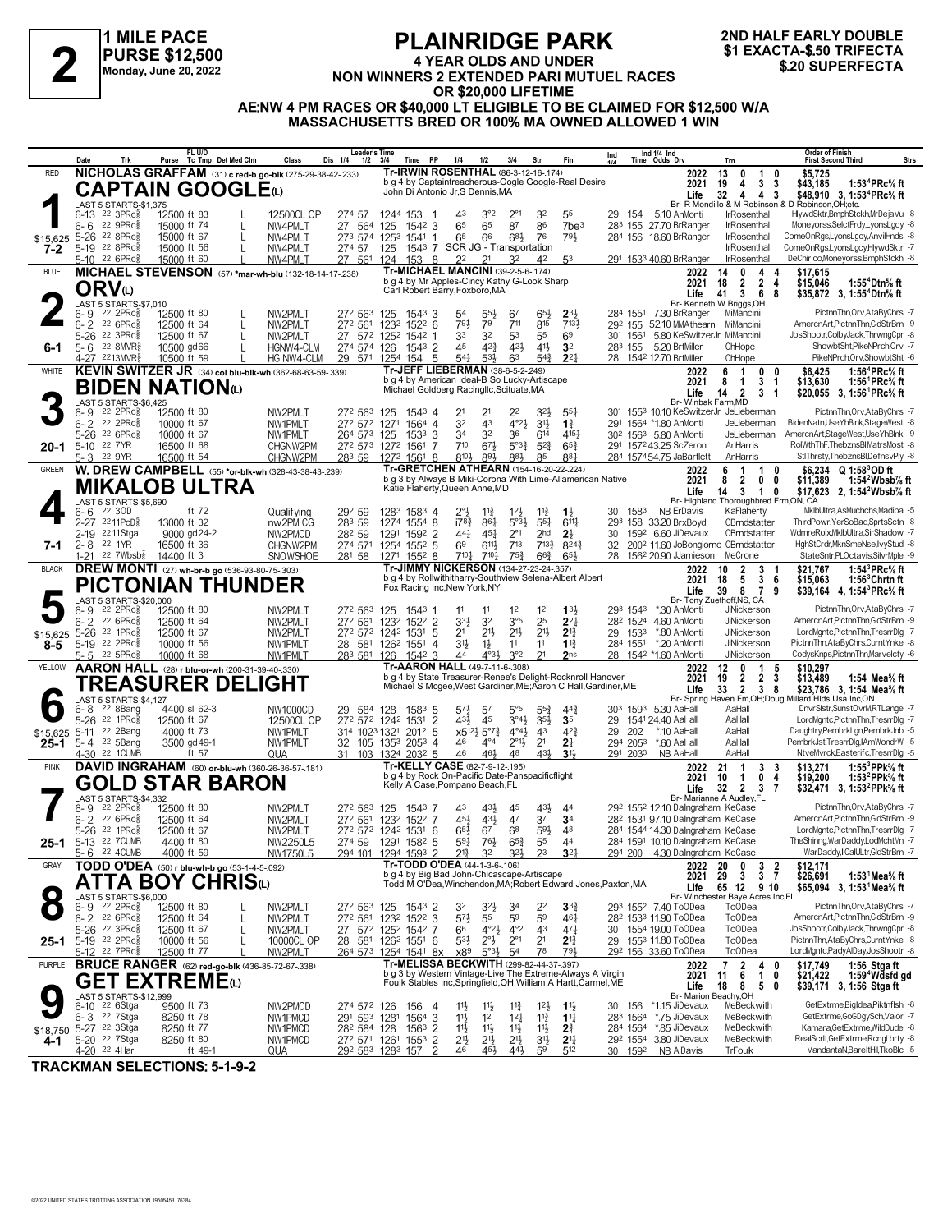

## **PLAINRIDGE PARK 4 YEAR OLDS AND UNDER NON WINNERS 2 EXTENDED PARI AND SUBSEMBLE PART 4 YEAR OLDS AND UNDER<br>
Monday, June 20, 2022<br>
Monday, June 20, 2022<br>
<b>AOR \$20 800 LIFETIME**<br> **AOR \$20 800 LIFETIME**

**2ND HALF EARLY DOUBLE**

**OR \$20,000 LIFETIME AE:NW 4 PM RACES OR \$40,000 LT ELIGIBLE TO BE CLAIMED FOR \$12,500 W/A MASSACHUSETTS BRED OR 100% MA OWNED ALLOWED 1 WIN**

|                                   | Date               | Trk                                                     | FL U/D<br>Purse Tc Tmp Det Med Clm                             |   | Class                                                            | Leader's Time<br>Dis 1/4<br>$1/2$ $3/4$   |                 | Time PP                                                                                           | 1/4                      | 1/2                                                   | 3/4                                         | Str                                    | Fin                                  | Ind                                                             |                      | Ind 1/4 Ind<br>Time Odds Drv                                                                             | Trn                                                                  | <b>Order of Finish</b><br><b>Strs</b><br><b>First Second Third</b>                                   |
|-----------------------------------|--------------------|---------------------------------------------------------|----------------------------------------------------------------|---|------------------------------------------------------------------|-------------------------------------------|-----------------|---------------------------------------------------------------------------------------------------|--------------------------|-------------------------------------------------------|---------------------------------------------|----------------------------------------|--------------------------------------|-----------------------------------------------------------------|----------------------|----------------------------------------------------------------------------------------------------------|----------------------------------------------------------------------|------------------------------------------------------------------------------------------------------|
| <b>RED</b>                        |                    |                                                         |                                                                |   | NICHOLAS GRAFFAM (31) c red-b go-blk (275-29-38-42-.233)         |                                           |                 | <b>Tr-IRWIN ROSENTHAL (86-3-12-16-.174)</b>                                                       |                          |                                                       |                                             |                                        |                                      |                                                                 |                      | 2022                                                                                                     | 13<br>0<br>-1<br>0                                                   | \$5,725                                                                                              |
|                                   |                    |                                                         | CAPTAIN GOOGLEω                                                |   |                                                                  |                                           |                 | b g 4 by Captaintreacherous-Oogle Google-Real Desire<br>John Di Antonio Jr, S Dennis, MA          |                          |                                                       |                                             |                                        |                                      |                                                                 |                      | 2021<br>Life                                                                                             | 3<br>4<br>3<br>19<br>32<br>4<br>$\overline{4}$<br>-3                 | 1:53 $4$ PRc $\%$ ft<br>\$43,185<br>\$48,910 3, 1:53 <sup>4</sup> PRc <sup>5</sup> / <sub>8</sub> ft |
|                                   |                    | LAST 5 STARTS-\$1,375                                   |                                                                |   |                                                                  |                                           |                 |                                                                                                   |                          |                                                       |                                             |                                        |                                      |                                                                 |                      |                                                                                                          |                                                                      | Br- R Mondillo & M Robinson & D Robinson, OH:etc.                                                    |
|                                   | $6 - 6$            | $6-13$ 22 3PRc $\frac{5}{8}$<br>22 $9$ PR $c_{8}^{5}$   | 12500 ft 83<br>15000 ft 74                                     | L | 12500CL OP<br>NW4PMLT                                            | 274 57<br>27 564                          | 1244 153<br>125 | $154^2$ 3                                                                                         | 43<br>65                 | 3°2<br>65                                             | $2^{\circ}1$<br>87                          | 32<br>86                               | 55<br>7be <sup>3</sup>               | 29.                                                             | 154                  | 5.10 AnMonti<br>283 155 27.70 BrRanger                                                                   | <b>IrRosenthal</b><br><b>IrRosenthal</b>                             | HlywdSktr,BmphStckh,MrDejaVu -8<br>Moneyorss, SelctFrdy, LyonsLgcy -8                                |
| \$15,625                          |                    | 5-26 22 8PRc                                            | 15000 ft 67                                                    | L | NW4PMLT                                                          | 273 574                                   | 1253            | 1541 1                                                                                            | 65                       | 66                                                    | 683                                         | 76                                     | $79\frac{1}{2}$                      |                                                                 |                      | 284 156 18.60 BrRanger                                                                                   | IrRosenthal                                                          | ComeOnRgs,LyonsLgcy,AnvilHnds -8                                                                     |
| 7-2                               |                    | 5-19 22 8PRc $\frac{5}{8}$                              | 15000 ft 56                                                    |   | NW4PMLT                                                          | 274 57                                    | 125             | 1543 7 SCR JG - Transportation                                                                    |                          |                                                       |                                             |                                        |                                      |                                                                 |                      |                                                                                                          | IrRosenthal                                                          | ComeOnRgs,LyonsLgcy,HlywdSktr -7                                                                     |
| <b>BLUE</b>                       |                    | 5-10 22 6PRc                                            | 15000 ft 60                                                    |   | NW4PMLT<br>MICHAEL STEVENSON (57) *mar-wh-blu (132-18-14-17-238) | 27 561                                    | 124             | 153<br>- 8<br>Tr-MICHAEL MANCINI (39-2-5-6-.174)                                                  | 22                       |                                                       | 32                                          | 42                                     | 53                                   |                                                                 |                      | 291 1533 40.60 BrRanger<br>2022                                                                          | <b>IrRosenthal</b><br>4<br>14<br>0                                   | DeChirico,Moneyorss,BmphStckh -8<br>\$17.615                                                         |
|                                   |                    | ORVധ                                                    |                                                                |   |                                                                  |                                           |                 | b g 4 by Mr Apples-Cincy Kathy G-Look Sharp                                                       |                          |                                                       |                                             |                                        |                                      |                                                                 |                      | 2021                                                                                                     | $\overline{2}$<br>$\overline{2}$<br>18<br>4                          | 1:55 <sup>4</sup> Dtn% ft<br>\$15,046                                                                |
|                                   |                    | LAST 5 STARTS-\$7,010                                   |                                                                |   |                                                                  |                                           |                 | Carl Robert Barry, Foxboro, MA                                                                    |                          |                                                       |                                             |                                        |                                      |                                                                 |                      | Life                                                                                                     | 36<br>41<br>8<br>Br- Kenneth W Briggs, OH                            | \$35,872 3, 1:55 <sup>4</sup> Dtn <sup>5</sup> / <sub>8</sub> ft                                     |
|                                   | 6-9                | $22$ 2PR $c_{8}^{5}$                                    | 12500 ft 80                                                    |   | NW2PMLT                                                          | 272 563                                   | 125             | 1543 3                                                                                            | 54                       | $55\frac{1}{2}$                                       | 67                                          | 65}                                    | $2^{3}\frac{1}{2}$                   |                                                                 |                      | 284 1551 7.30 BrRanger                                                                                   | MiMancini                                                            | PictnnThn, Orv, AtaByChrs -7                                                                         |
|                                   |                    | $6 - 2$ 22 6 PRc $\frac{5}{8}$                          | 12500 ft 64                                                    | L | NW2PMLT                                                          | 272 561                                   |                 | 1232 1522 6                                                                                       | 793                      | 79                                                    | 711                                         | 815                                    | 7131                                 |                                                                 |                      | 292 155 52.10 MMAthearn                                                                                  | MiMancini                                                            | AmercnArt,PictnnThn,GldStrBrn -9                                                                     |
| 6-1                               |                    | 5-26 22 3PRcs<br>$5 - 6$ 22 8MVR <sup>5</sup>           | 12500 ft 67<br>10500 gd66                                      | L | NW2PMLT<br>HGNW4-CLM                                             | 27 572 1252 1542 1<br>274 574             | 126             | $1543$ 2                                                                                          | 33<br>45                 | 32<br>$4^{2}\frac{3}{4}$                              | 53<br>42}                                   | 55<br>41}                              | 6 <sup>9</sup><br>3 <sup>2</sup>     |                                                                 | 283 155              | 301 1561 5.80 KeSwitzerJr MiMancini<br>5.20 BrtMiller                                                    | ChHope                                                               | JosShootr,ColbyJack,ThrwngCpr -8<br>ShowbtSht,PikeNPrch.Orv -7                                       |
|                                   |                    | 4-27 2213MVR\$                                          | 10500 ft 59                                                    |   | HG NW4-CLM                                                       | 29 571                                    |                 | 1254 154 5                                                                                        | $54\frac{1}{4}$          | $53\frac{1}{2}$                                       | 63                                          | $5^{4}$                                | $2^{2}$                              |                                                                 |                      | 28 1542 12.70 BrtMiller                                                                                  | ChHope                                                               | PikeNPrch.Orv.ShowbtSht -6                                                                           |
| WHITE                             |                    |                                                         |                                                                |   | KEVIN SWITZER JR (34) col blu-blk-wh (362-68-63-59-.339)         |                                           |                 | Tr-JEFF LIEBERMAN (38-6-5-2-.249)<br>b g 4 by American Ideal-B So Lucky-Artiscape                 |                          |                                                       |                                             |                                        |                                      |                                                                 |                      | 2022                                                                                                     | 6<br>$\overline{1}$<br>0<br>0                                        | 1:56 <sup>4</sup> PRc% ft<br>\$6,425                                                                 |
|                                   |                    |                                                         | <b>BIDEN NATION</b> (L)                                        |   |                                                                  |                                           |                 | Michael Goldberg Racingllc, Scituate, MA                                                          |                          |                                                       |                                             |                                        |                                      |                                                                 |                      | 2021<br>Life                                                                                             | 3<br>8<br>-1<br>-1<br>14 <sub>2</sub><br>3 <sub>1</sub>              | \$13,630<br>1:56 ${}^1$ PRc% ft<br>\$20,055 3, 1:56 <sup>1</sup> PRc <sup>5</sup> / <sub>8</sub> ft  |
|                                   |                    | LAST 5 STARTS-\$6,425                                   |                                                                |   |                                                                  |                                           |                 |                                                                                                   |                          |                                                       |                                             |                                        |                                      |                                                                 |                      | Br- Winbak Farm, MD                                                                                      |                                                                      |                                                                                                      |
|                                   |                    | 6-9 22 2PRc <sup>5</sup><br>6-2 22 2PRc                 | 12500 ft 80<br>10000 ft 67                                     |   | NW2PMLT<br>NW1PMLT                                               | 272 563<br>272 572 1271                   | 125             | $154^3$ 4<br>1564 4                                                                               | 32                       | 21<br>43                                              | 2 <sup>2</sup><br>$4^{\circ}2\frac{1}{2}$   | 32}<br>$3^{11}$                        | $55\frac{1}{4}$<br>$1\frac{3}{4}$    | 301                                                             |                      | 291 1564 *1.80 AnMonti                                                                                   | 1553 10.10 KeSwitzerJr JeLieberman<br>JeLieberman                    | PictnnThn, Orv, AtaByChrs -7<br>BidenNatn,UseYhBlnk,StageWest -8                                     |
|                                   |                    | 5-26 22 6PRc <sup>5</sup>                               | 10000 ft 67                                                    |   | NW1PMLT                                                          | 264 573 125                               |                 | $1533$ 3                                                                                          | 34                       | 32                                                    | 36                                          | 614                                    | $4^{15}$                             |                                                                 |                      | 30 <sup>2</sup> 156 <sup>3</sup> 5.80 AnMonti                                                            | JeLieberman                                                          | AmercnArt,StageWest,UseYhBlnk -9                                                                     |
| 20-1                              |                    | 5-10 22 7YR                                             | 16500 ft 68                                                    |   | CHGNW2PM                                                         | 272 573 1272 1561 7                       |                 |                                                                                                   | 710                      | $67\frac{1}{2}$                                       | $5^{\circ}3_{4}^{3}$                        | $5^{2}$                                | $65\frac{3}{4}$                      |                                                                 |                      | 291 1572 43.25 ScZeron                                                                                   | AnHarris                                                             | RolWthThF,ThebznsBl,MatrsMost -8<br>StlThrsty,ThebznsBl,DefnsvPly -8                                 |
| <b>GREEN</b>                      |                    | 5-3 22 9YR                                              | 16500 ft 54                                                    |   | CHGNW2PM<br>W. DREW CAMPBELL (55) *or-blk-wh (328-43-38-43-239)  | 283 59                                    |                 | 1272 1561 8<br>Tr-GRETCHEN ATHEARN (154-16-20-22-.224)                                            | 8104                     | $89\frac{1}{2}$                                       | 883                                         | 85                                     | 881                                  |                                                                 |                      | 284 1574 54.75 JaBartlett<br>2022                                                                        | AnHarris<br>6<br>$\mathbf{1}$<br>$\mathbf{1}$<br>0                   | \$6.234<br>$Q 1:58^{\circ}$ OD ft                                                                    |
|                                   |                    |                                                         | MIKALOB ULTRA                                                  |   |                                                                  |                                           |                 |                                                                                                   |                          |                                                       |                                             |                                        |                                      | b g 3 by Always B Miki-Corona With Lime-Allamerican Native      |                      | 2021                                                                                                     | 2<br>0<br>8<br>0                                                     | \$11,389<br>1:54 $^2$ Wbsb $\%$ ft                                                                   |
|                                   |                    | LAST 5 STARTS-\$5.690                                   |                                                                |   |                                                                  |                                           |                 | Katie Flaherty, Queen Anne, MD                                                                    |                          |                                                       |                                             |                                        |                                      |                                                                 |                      | Life                                                                                                     | 3<br>$\mathbf{1}$<br>14<br>0<br>Br- Highland Thoroughbred Frm,ON, CA | \$17,623 2, 1:54 <sup>2</sup> Wbsb <sup>7</sup> / <sub>8</sub> ft                                    |
|                                   | 6-6                | 22 3OD                                                  | ft 72                                                          |   | Qualifying                                                       | 292 59                                    |                 | 1283 1583 4                                                                                       | $2^{\circ}$              | $11\frac{3}{4}$                                       | $12\frac{1}{2}$                             | $11\frac{3}{4}$                        | $1\frac{1}{2}$                       | 30                                                              | 1583                 | NB ErDavis                                                                                               | KaFlaherty                                                           | MklbUltra,AsMuchchs,Madiba -5                                                                        |
|                                   |                    | 2-27 2211PcD <sup>5</sup>                               | 13000 ft 32                                                    |   | nw2PM CG                                                         | 283 59                                    |                 | 1274 1554 8                                                                                       | $17^{8}$                 | $86\frac{1}{4}$                                       | $5°3\frac{1}{2}$                            | $55\frac{1}{4}$                        | 6117                                 |                                                                 |                      | 293 158 33.20 BrxBoyd                                                                                    | CBrndstatter                                                         | ThirdPowr.YerSoBad.SprtsSctn -8<br>WdmreRolx,MklbUltra,SirShadow -7                                  |
| 7-1                               |                    | 2-19 2211Stga<br>2-8 <sup>22</sup> 1YR                  | 9000 gd24-2<br>16500 ft 36                                     |   | NW2PMCD<br>CHGNW2PM                                              | 282 59<br>274 571                         | 1291            | 1592 2<br>1254 1552 5                                                                             | $44\frac{1}{4}$<br>69    | 451<br>$6^{11}$                                       | $2^{\circ}1$<br>$7^{13}$                    | 2 <sub>hd</sub><br>$7^{13}\frac{3}{4}$ | 2 <sup>3</sup><br>$8^{24}\%$         | 30<br>32                                                        |                      | 159 <sup>2</sup> 6.60 JiDevaux                                                                           | CBrndstatter<br>200 <sup>2</sup> 11.60 JoBongiorno CBrndstatter      | HghStCrdr, MknSmeNse, IvyStud -8                                                                     |
|                                   |                    | $1-21$ 22 7Wbsb $\frac{7}{8}$                           | 14400 ft 3                                                     |   | SNOWSHOE                                                         | 281 58                                    | 1271            | $155^2$ 8                                                                                         | $7^{10\frac{1}{4}}$      | $7^{10\frac{1}{4}}$                                   | $75\frac{3}{4}$                             | $66\frac{3}{4}$                        | 65}                                  |                                                                 |                      | 28 156 <sup>2</sup> 20.90 JJamieson                                                                      | MeCrone                                                              | StateSntr,PLOctavis,SilvrMple -9                                                                     |
| <b>BLACK</b>                      |                    |                                                         | <b>DREW MONTI</b> (27) wh-br-b go (536-93-80-75-.303)          |   |                                                                  |                                           |                 | Tr-JIMMY NICKERSON (134-27-23-24-.357)<br>b g 4 by Rollwithitharry-Southview Selena-Albert Albert |                          |                                                       |                                             |                                        |                                      |                                                                 |                      | 2022<br>2021                                                                                             | 2<br>3<br>10                                                         | 1:54 ${}^{3}$ PRc ${}^{5}_{8}$ ft<br>\$21.767<br>$1:56^3$ Chrtnft                                    |
|                                   |                    |                                                         | PICTONIAN THUNDER                                              |   |                                                                  |                                           |                 | Fox Racing Inc, New York, NY                                                                      |                          |                                                       |                                             |                                        |                                      |                                                                 |                      | Life                                                                                                     | 5<br>3<br>18<br>6<br>8<br>$\overline{7}$<br>39<br>9                  | \$15,063<br>\$39,164 4, 1:54 PRc <sup>5</sup> / <sub>8</sub> ft                                      |
|                                   |                    | LAST 5 STARTS-\$20,000                                  |                                                                |   |                                                                  |                                           |                 |                                                                                                   |                          |                                                       |                                             |                                        |                                      |                                                                 |                      |                                                                                                          | Br- Tony Zuethoff, NS, CA<br>JiNickerson                             |                                                                                                      |
|                                   | 6- 9               | $22$ 2PR $c_{8}^5$<br>6-2 22 6PRc <sup>5</sup>          | 12500 ft 80<br>12500 ft 64                                     |   | NW2PMLT<br>NW2PMLT                                               | 272 563<br>272 561                        |                 | 125 1543 1<br>1232 1522 2                                                                         | 11<br>$3^{3}\frac{1}{2}$ | 11<br>32                                              | 1 <sup>2</sup><br>3°5                       | 1 <sup>2</sup><br>25                   | 133<br>$2^{2}$                       |                                                                 | 293 1543<br>282 1524 | *.30 AnMonti<br>4.60 AnMonti                                                                             | JiNickerson                                                          | PictnnThn, Orv, AtaByChrs -7<br>AmercnArt,PictnnThn,GldStrBrn -9                                     |
| \$15,625                          |                    | 5-26 22 1PRc <sup>5</sup>                               | 12500 ft 67                                                    |   | NW2PMLT                                                          | 272 572 1242 1531 5                       |                 |                                                                                                   | 2 <sup>1</sup>           | $21\frac{1}{2}$                                       | 2 <sup>11</sup>                             | 2 <sup>11</sup>                        | $2^{13}$                             |                                                                 | 29 1533              | *.80 AnMonti                                                                                             | <b>JiNickerson</b>                                                   | LordMgntc,PictnnThn,TresrrDlg -7                                                                     |
| 8-5                               |                    | 5-19 22 2PRc                                            | 10000 ft 56                                                    |   | NW1PMLT                                                          | 28 581 1262 1551 4                        |                 |                                                                                                   | 31}                      | $1\frac{1}{2}$                                        | 11                                          | 11                                     | $1\frac{13}{4}$                      |                                                                 | 284 1551             | *.20 AnMonti                                                                                             | JiNickerson                                                          | PictnnThn,AtaByChrs,CurntYnke -8                                                                     |
| YELLOW                            |                    | $5 - 5$ 22 5PRc $\frac{5}{8}$                           | 10000 ft 68<br>AARON HALL (28) r blu-or-wh (200-31-39-40-.330) |   | NW1PMLT                                                          | 283 581 126                               |                 | $154^2$ 3<br>Tr-AARON HALL (49-7-11-6-.308)                                                       | 44                       | $4^{03}\frac{1}{2}$                                   | 3°2                                         | 2 <sup>1</sup>                         | 2 <sub>ns</sub>                      |                                                                 |                      | 28 1542 *1.60 AnMonti<br>2022                                                                            | JiNickerson<br>12<br>0<br>$\mathbf{1}$<br>5                          | CodysKnps, PictnnThn, Marvelcty -6<br>\$10,297                                                       |
|                                   |                    |                                                         | <b>TREASURER DELIGHT</b>                                       |   |                                                                  |                                           |                 |                                                                                                   |                          |                                                       |                                             |                                        |                                      | b g 4 by State Treasurer-Renee's Delight-Rocknroll Hanover      |                      | 2021                                                                                                     | $\overline{2}$<br>$\overline{2}$<br>3<br>19                          | \$13,489<br>1:54 Mea% ft                                                                             |
|                                   |                    | LAST 5 STARTS-\$4,127                                   |                                                                |   |                                                                  |                                           |                 |                                                                                                   |                          |                                                       |                                             |                                        |                                      | Michael S Mcgee, West Gardiner, ME; Aaron C Hall, Gardiner, ME  |                      | Life                                                                                                     | 33<br>$\overline{2}$<br>$\overline{\mathbf{3}}$<br>8                 | \$23,786 3, 1:54 Mea% ft<br>Br- Spring Haven Fm, OH; Doug Millard Hlds Usa Inc, ON                   |
|                                   | 6-8                | 22 8Bang                                                | 4400 sl 62-3                                                   |   | NW1000CD                                                         | 29 584                                    | 128             | $158^3$ 5                                                                                         | $5^{7}\frac{1}{2}$       | 57                                                    | $5^{\circ}5$                                | $55\frac{3}{2}$                        | 44                                   |                                                                 |                      | 30 <sup>3</sup> 159 <sup>3</sup> 5.30 AaHall                                                             | AaHall                                                               | DnvrSlstr,SunstOvrM,RTLange -7                                                                       |
|                                   | $5 - 26$           | $22$ 1PR $c_{8}^5$                                      | 12500 ft 67                                                    |   | 12500CL OP                                                       | 272 572 1242 1531 2                       |                 |                                                                                                   | 431                      | 45                                                    | 3°4 <sup>1</sup>                            | 3 <sup>5</sup>                         | 3 <sub>5</sub>                       | 29                                                              |                      | 1541 24.40 AaHall                                                                                        | AaHall                                                               | LordMgntc,PictnnThn,TresrrDlg -7                                                                     |
| \$15,625<br>25-1                  |                    | 5-11 <sup>22</sup> 2Bang<br>5-4 22 5Bang                | 4000 ft 73<br>3500 gd 49-1                                     |   | NW1PMLT<br>NW1PMLT                                               | 314 1023 1321 2012 5<br>32 105            |                 | 1353 2053 4                                                                                       | 46                       | $x5^{12}\frac{1}{2}5^{07}\frac{3}{4}$<br>$4^{\circ}4$ | $4^{\circ}4^{\circ}$<br>$2^{01}\frac{1}{2}$ | 43<br>2 <sup>1</sup>                   | $4^{2}\frac{3}{4}$<br>2 <sup>1</sup> | 29                                                              | 202<br>294 2053      | *.10 AaHall<br>*.60 AaHall                                                                               | AaHall<br>AaHall                                                     | Daughtry,PembrkLgn,PembrkJnb -5<br>PembrkJst,TresrrDlg,IAmWondrW -5                                  |
|                                   |                    | 4-30 22 1CUMB                                           | ft 57                                                          |   | QUA                                                              | 31 103 1324 2032 5                        |                 |                                                                                                   | 46                       | 46}                                                   | 48                                          | 431                                    | 3 <sub>1</sub>                       |                                                                 | 291 2033             | NB AaHall                                                                                                | AaHall                                                               | NtveMvrck,Easterifc,TresrrDlg -5                                                                     |
| <b>PINK</b>                       |                    |                                                         |                                                                |   | DAVID INGRAHAM (60) or-blu-wh (360-26-36-57-181)                 |                                           |                 | Tr-KELLY CASE (82-7-9-12-195)<br>b g 4 by Rock On-Pacific Date-Panspacificflight                  |                          |                                                       |                                             |                                        |                                      |                                                                 |                      | 2022<br>2021                                                                                             | $\overline{1}$<br>21<br>3<br>3<br>10<br>0<br>4                       | \$13.271<br>1:55 $3$ PPk $\%$ ft                                                                     |
|                                   |                    |                                                         | GOLD STAR BARON                                                |   |                                                                  |                                           |                 | Kelly A Case, Pompano Beach, FL                                                                   |                          |                                                       |                                             |                                        |                                      |                                                                 |                      | Life                                                                                                     | -1<br>$\overline{7}$<br>$32 \quad 2$<br>3                            | \$19,200<br>1:53 <sup>2</sup> PPk% ft<br>\$32,471 3, 1:53 <sup>2</sup> PPk% ft                       |
|                                   |                    | LAST 5 STARTS-\$4,332                                   |                                                                |   |                                                                  |                                           |                 |                                                                                                   |                          |                                                       |                                             |                                        |                                      |                                                                 |                      |                                                                                                          | Br- Marianne A Audley, FL                                            | PictnnThn, Orv, AtaByChrs -7                                                                         |
|                                   | $6 - 9$<br>$6 - 2$ | $22$ 2PR $c_{8}^5$<br>22 6PRc3                          | 12500 ft 80<br>12500 ft 64                                     |   | NW2PMLT<br>NW2PMLT                                               | 272 563<br>272 561                        | 125             | 1543 7<br>1232 1522 7                                                                             | 43<br>45}                | 43}<br>$43\frac{1}{2}$                                | 45<br>47                                    | $43\frac{1}{2}$<br>37                  | 4 <sup>4</sup><br>3 <sup>4</sup>     |                                                                 |                      | 29 <sup>2</sup> 155 <sup>2</sup> 12.10 Dalngraham KeCase<br>28 <sup>2</sup> 1531 97.10 Dalngraham KeCase |                                                                      | AmercnArt.PictnnThn.GldStrBrn -9                                                                     |
|                                   |                    | 5-26 22 1PRcs                                           | 12500 ft 67                                                    |   | NW2PMLT                                                          | 272 572 1242 1531 6                       |                 |                                                                                                   | 65}                      | 67                                                    | 6 <sup>8</sup>                              | 593                                    | 48                                   |                                                                 |                      | 284 1544 14.30 Dalngraham KeCase                                                                         |                                                                      | LordMgntc,PictnnThn,TresrrDlg -7                                                                     |
| 25-1                              |                    | 5-13 22 7 CUMB                                          | 4400 ft 80                                                     |   | NW2250L5<br>NW1750L5                                             | 274 59 1291 1582 5<br>294 101 1294 1593 2 |                 |                                                                                                   | $5^{9}4$                 | $76\frac{1}{2}$                                       | $65\frac{3}{4}$                             | 55                                     | 44                                   |                                                                 |                      | 284 1591 10.10 Dalngraham KeCase                                                                         |                                                                      | TheShinng,WarDaddy,LodMchtMn -7                                                                      |
| GRAY                              |                    | 5-6 22 4CUMB                                            | 4000 ft 59<br>TODD O'DEA (50) r blu-wh-b go (53-1-4-5-.092)    |   |                                                                  |                                           |                 | Tr-TODD O'DEA (44-1-3-6-106)                                                                      | $2^{13}$                 | 32                                                    | $3^{2}\frac{1}{2}$                          | 23                                     | $3^{2}$                              |                                                                 |                      | 294 200 4.30 Dalngraham KeCase<br>2022                                                                   | 20<br>0<br>3                                                         | WarDaddy,IICalULtr,GldStrBrn -7<br>\$12,171                                                          |
|                                   |                    |                                                         | ATTA BOY CHRISധ                                                |   |                                                                  |                                           |                 | b g 4 by Big Bad John-Chicascape-Artiscape                                                        |                          |                                                       |                                             |                                        |                                      | Todd M O'Dea, Winchendon, MA; Robert Edward Jones, Paxton, MA   |                      | 2021                                                                                                     | $\frac{2}{7}$<br>29<br>$\mathbf{3}$<br>3                             | \$26,691<br>1:53 $^1$ Mea $\%$ ft                                                                    |
|                                   |                    |                                                         |                                                                |   |                                                                  |                                           |                 |                                                                                                   |                          |                                                       |                                             |                                        |                                      |                                                                 |                      | Life                                                                                                     | 65 12 9 10<br>Br- Winchester Baye Acres Inc,FL                       | \$65,094 3, 1:53 <sup>1</sup> Mea <sup>5</sup> / <sub>8</sub> ft                                     |
|                                   |                    | LAST 5 STARTS-\$6,000<br>6-9 <sup>22</sup> 2PRc 3 12    | 12500 ft 80                                                    |   | NW2PMLT                                                          | 272 563 125                               |                 | 1543 2                                                                                            | 32                       | 32}                                                   | 34                                          | 22                                     | $3^{3}_{4}$                          |                                                                 |                      | 293 1552 7.40 ToODea                                                                                     | <b>ToODea</b>                                                        | PictnnThn, Orv, AtaByChrs -7                                                                         |
|                                   |                    | $6 - 2$ 22 6 PRc $\frac{5}{8}$                          | 12500 ft 64                                                    | L | NW2PMLT                                                          | 272 561                                   |                 | 1232 1522 3                                                                                       | $5^{7}\frac{1}{2}$       | 55                                                    | 59                                          | 59                                     | $46\frac{1}{4}$                      |                                                                 |                      | 28 <sup>2</sup> 153 <sup>3</sup> 11.90 ToODea                                                            | <b>ToODea</b>                                                        | AmercnArt.PictnnThn.GldStrBrn -9<br>JosShootr,ColbyJack,ThrwngCpr -8                                 |
| $25 - 1$                          |                    | 5-26 22 3PRc <sup>5</sup><br>5-19 22 2PRc $\frac{5}{8}$ | 12500 ft 67<br>10000 ft 56                                     |   | NW2PMLT<br>10000CL OP                                            | 27 572 1252 1542 7<br>28 581              |                 | 126 <sup>2</sup> 1551 6                                                                           | 66<br>$5^{3}\frac{1}{2}$ | $4^{\circ}2\frac{1}{2}$<br>$2^{\circ}$                | $4^{\circ}2$<br>$2^{\circ}1$                | 43<br>2 <sup>1</sup>                   | $47\frac{1}{4}$<br>$2^{13}$          | 30                                                              |                      | 1554 19.00 ToODea<br>29 1553 11.80 ToODea                                                                | To <sub>O</sub> Dea<br><b>ToODea</b>                                 | PictnnThn,AtaByChrs,CurntYnke -8                                                                     |
|                                   |                    | 5-12 <sup>22</sup> 7PRc§                                | 12500 ft 77                                                    |   | NW2PMLT                                                          | 264 573 1254 1541 8x                      |                 |                                                                                                   | x89                      | $5^{\circ}3\frac{1}{2}$                               | 5 <sup>4</sup>                              | 78                                     | 791,                                 |                                                                 |                      | 292 156 33.60 ToODea                                                                                     | To <sub>O</sub> Dea                                                  | LordMgntc,PadyAlDay,JosShootr -8                                                                     |
| PURPLE                            |                    |                                                         |                                                                |   | <b>BRUCE RANGER</b> (62) red-go-blk (436-85-72-67-.338)          |                                           |                 | Tr-MELISSA BECKWITH (299-82-44-37-.397)                                                           |                          |                                                       |                                             |                                        |                                      | b g 3 by Western Vintage-Live The Extreme-Always A Virgin       |                      | 2022                                                                                                     | $\overline{\mathbf{2}}$<br>$\overline{7}$<br>$\frac{4}{1}$<br>0      | \$17,749<br>1:56 Stga ft                                                                             |
|                                   |                    |                                                         | GET EXTREMEധ                                                   |   |                                                                  |                                           |                 |                                                                                                   |                          |                                                       |                                             |                                        |                                      | Foulk Stables Inc, Springfield, OH; William A Hartt, Carmel, ME |                      | 2021<br>Life                                                                                             | 11<br>6<br>0<br>5<br>18<br>8<br>0                                    | \$21,422<br>1:59°Wdsfd gd<br>\$39,171 3, 1:56 Stga ft                                                |
|                                   |                    | LAST 5 STARTS-\$12.999                                  |                                                                |   |                                                                  |                                           |                 |                                                                                                   |                          |                                                       |                                             |                                        |                                      |                                                                 |                      | Br- Marion Beachv.OH                                                                                     |                                                                      | GetExtrme.Bigldea.Piktnflsh -8                                                                       |
|                                   |                    | 6-10 22 6Stga<br>6-3 <sup>22</sup> 7Stga                | 9500 ft 73<br>8250 ft 78                                       |   | NW2PMCD<br>NW1PMCD                                               | 274 572 126<br>291 593 1281               |                 | 156<br>4<br>1564 3                                                                                | $11\frac{1}{2}$<br>11    | $11\frac{1}{2}$<br>1 <sup>2</sup>                     | $11\frac{3}{4}$<br>$12\frac{1}{4}$          | $12\frac{1}{2}$<br>$11\frac{3}{4}$     | $1\frac{11}{2}$<br>$1^{11}$          |                                                                 | 30 156<br>283 1564   | *1.15 JiDevaux<br>*.75 JiDevaux                                                                          | MeBeckwith<br>MeBeckwith                                             | GetExtrme,GoGDgySch,Valor -7                                                                         |
| \$18,750 5-27 <sup>22</sup> 3Stga |                    |                                                         | 8250 ft 77                                                     |   | NW1PMCD                                                          | 28 <sup>2</sup> 584 128                   |                 | 1563 2                                                                                            | 11支                      | 11号                                                   | 11}                                         | 11                                     | $2\frac{3}{4}$                       |                                                                 | 284 1564             | *.85 JiDevaux                                                                                            | MeBeckwith                                                           | Kamara, Get Extrme, WildDude -8                                                                      |
| 4-1                               |                    | 5-20 <sup>22</sup> 7Stga                                | 8250 ft 80                                                     |   | NW1PMCD                                                          | 27 <sup>2</sup> 57 <sup>1</sup> 1261      |                 | $155^3$ 2                                                                                         | 21}                      | 2 <sup>11</sup>                                       | 2 <sup>1</sup>                              | 3 <sup>1</sup>                         | 2 <sup>11</sup>                      |                                                                 | 292 1554             | 3.80 JiDevaux                                                                                            | MeBeckwith                                                           | RealScrit,GetExtrme,RcngLbrty -8<br>VandantaN.BareItHil.TkoBlc -5                                    |
|                                   |                    | 4-20 22 4Har                                            | ft 49-1                                                        |   | QUA                                                              | 292 583 1283 157                          |                 |                                                                                                   | 46                       | 454                                                   | 441                                         | 59                                     | 512                                  |                                                                 | 30 1592              | NB AlDavis                                                                                               | TrFoulk                                                              |                                                                                                      |

**TRACKMAN SELECTIONS: 5-1-9-2**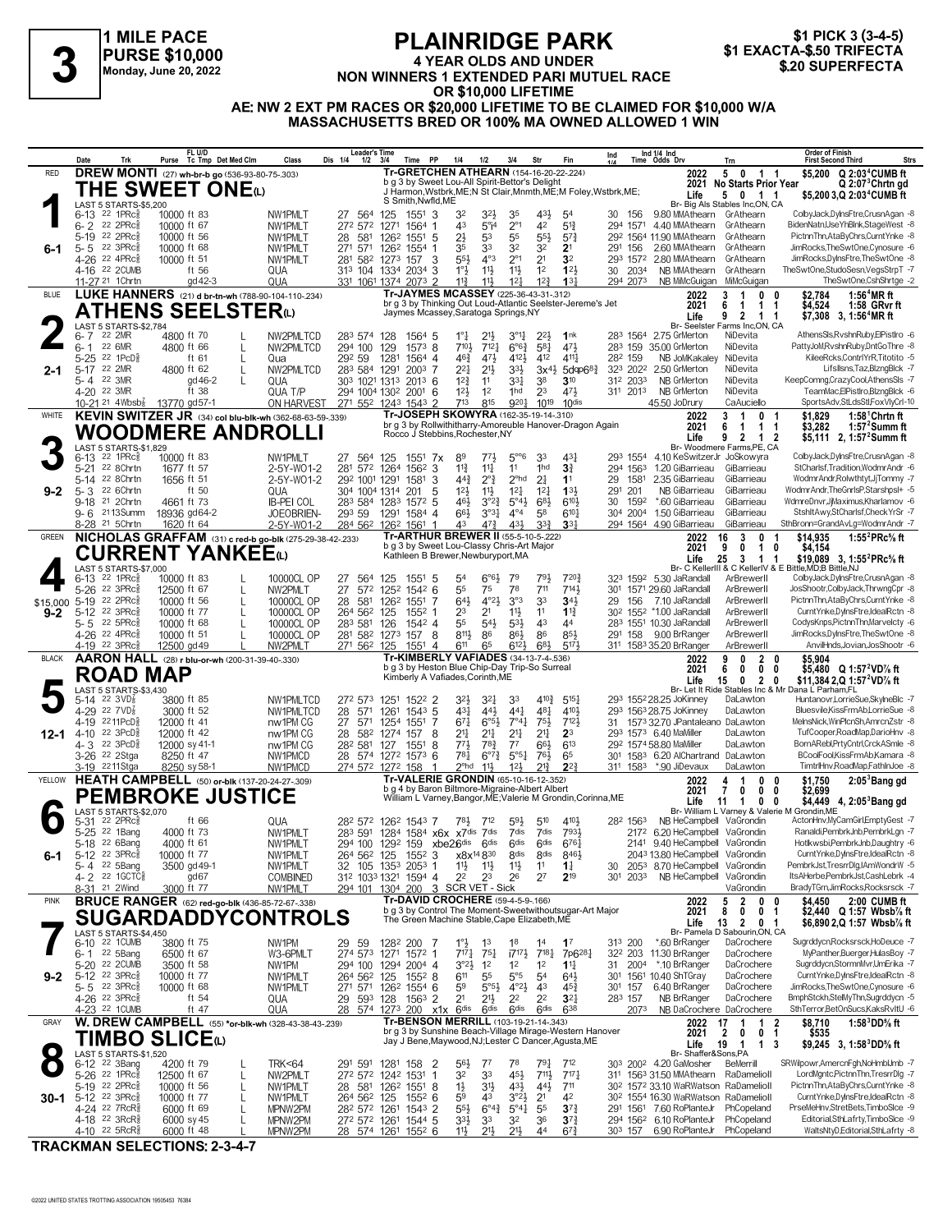## **1 MILE PACE PURSE \$10,000 Monday, June 20, 2022**

## **PLAINRIDGE PARK 4 YEAR OLDS AND UNDER**

#### **OR \$10,000 LIFETIME AE: NW 2 EXT PM RACES OR \$20,000 LIFETIME TO BE CLAIMED FOR \$10,000 W/A MASSACHUSETTS BRED OR 100% MA OWNED ALLOWED 1 WIN**

|              | Date               | Trk                                                                     | FL U/D<br>Purse Tc Tmp Det Med Clm                      | Class                                                    | <b>Leader's Time</b><br>Dis 1/4<br>$1/2$ $3/4$ | Time PP                                                                                                          | 1/4<br>1/2                                                                                                          | 3/4                                                                | Str                                   | Fin                                           | Ind                   | Ind 1/4 Ind<br>Time Odds Drv                                                 | Trn                                                                     | <b>Order of Finish</b><br><b>Strs</b><br><b>First Second Third</b>                                       |
|--------------|--------------------|-------------------------------------------------------------------------|---------------------------------------------------------|----------------------------------------------------------|------------------------------------------------|------------------------------------------------------------------------------------------------------------------|---------------------------------------------------------------------------------------------------------------------|--------------------------------------------------------------------|---------------------------------------|-----------------------------------------------|-----------------------|------------------------------------------------------------------------------|-------------------------------------------------------------------------|----------------------------------------------------------------------------------------------------------|
| <b>RED</b>   |                    |                                                                         | <b>DREW MONTI</b> (27) wh-br-b go (536-93-80-75-.303)   |                                                          |                                                |                                                                                                                  | <b>Tr-GRETCHEN ATHEARN (154-16-20-22-.224)</b>                                                                      |                                                                    |                                       |                                               |                       | 2022                                                                         | 5 0 1 1                                                                 | \$5,200 Q 2:03 <sup>4</sup> CUMB ft                                                                      |
|              |                    |                                                                         | THE SWEET ONE $\omega$                                  |                                                          |                                                |                                                                                                                  | b g 3 by Sweet Lou-All Spirit-Bettor's Delight<br>J Harmon, Wstbrk, ME; N St Clair, Mnmth, ME; M Foley, Wstbrk, ME; |                                                                    |                                       |                                               |                       | 2021<br>Life                                                                 | No Starts Prior Year<br>5 0 1 1                                         | $Q$ 2:07 ${}^{3}$ Chrtn gd<br>\$5,200 3,Q 2:03 <sup>4</sup> CUMB ft                                      |
|              |                    | LAST 5 STARTS-\$5,200                                                   |                                                         |                                                          |                                                | S Smith.Nwfld.ME                                                                                                 |                                                                                                                     |                                                                    |                                       |                                               |                       |                                                                              | Br- Big Als Stables Inc,ON, CA                                          |                                                                                                          |
|              | $6 - 2$            | 6-13 <sup>22</sup> 1PRc<br>22 2PRc                                      | 10000 ft 83<br>10000 ft 67                              | NW1PMLT<br>NW1PMLT                                       | 27 564<br>272 572                              | 125<br>1551 3<br>1271<br>1564 1                                                                                  | 32<br>32}<br>43<br>$5^\circ$ i <sup>4</sup>                                                                         | 35<br>$2^{\circ}1$                                                 | 431,<br>42                            | 5 <sup>4</sup><br>$5^{13}$                    | 30 156                | 9.80 MMAthearn GrAthearn<br>294 1571 4.40 MMAthearn                          | GrAthearn                                                               | ColbyJack,DyInsFtre,CrusnAgan -8<br>BidenNatn,UseYhBlnk,StageWest -8                                     |
|              |                    | 5-19 22 2PRc                                                            | 10000 ft 56                                             | NW1PMLT                                                  | 28<br>581                                      | 126 <sup>2</sup> 1551 5                                                                                          | $2\frac{1}{2}$<br>53                                                                                                | 55                                                                 | $55\frac{1}{2}$                       | $5^{7}$                                       |                       | 29 <sup>2</sup> 1564 11.90 MMAthearn                                         | GrAthearn                                                               | PictnnThn,AtaByChrs,CurntYnke -8                                                                         |
| 6-1          |                    | $5 - 5$ 22 3PRc                                                         | 10000 ft 68                                             | NW1PMLT                                                  | 271 571                                        | 126 <sup>2</sup> 1554 1                                                                                          | 33<br>35                                                                                                            | 32                                                                 | 32                                    | 2 <sup>1</sup>                                | 291 156               | 2.60 MMAthearn                                                               | GrAthearn                                                               | JimRocks, The SwtOne, Cynosure -6                                                                        |
|              |                    | 4-26 22 4PRc <sup>5</sup><br>4-16 22 2CUMB                              | 10000 ft 51<br>ft 56                                    | NW1PMLT<br>QUA                                           |                                                | 281 582 1273 157<br>313 104 1334 2034 3                                                                          | $4^{\circ}3$<br>$55\frac{1}{2}$<br>-3<br>$11\frac{1}{2}$<br>$1^\circ \frac{1}{2}$                                   | $2^{\circ}1$<br>$11\frac{1}{2}$                                    | 2 <sup>1</sup><br>12                  | 3 <sup>2</sup><br>12 <sup>1</sup>             | 293 1572<br>30 2034   | 2.80 MMAthearn<br>NB MMAthearn GrAthearn                                     | GrAthearn                                                               | JimRocks,DyInsFtre,TheSwtOne -8<br>TheSwtOne,StudoSesn,VegsStrpT -7                                      |
|              |                    | 11-27 <sup>21</sup> 1 Chrtn                                             | gd 42-3                                                 | QUA                                                      |                                                | 331 1061 1374 2073 2                                                                                             | $11\frac{3}{4}$<br>$11\frac{1}{2}$                                                                                  | 12 <sub>1</sub>                                                    | 12 <sup>3</sup>                       | $13\frac{1}{4}$                               | 294 2073              | NB MiMcGuigan MiMcGuigan                                                     |                                                                         | TheSwtOne,CshShrtge -2                                                                                   |
| <b>BLUE</b>  |                    |                                                                         | LUKE HANNERS (21) d br-tn-wh (788-90-104-110-234)       |                                                          |                                                |                                                                                                                  | Tr-JAYMES MCASSEY (225-36-43-31-.312)                                                                               |                                                                    |                                       |                                               |                       | 2022                                                                         | 0<br>3<br>-1                                                            | $1:56^4$ MR ft<br>\$2,784<br>0                                                                           |
|              |                    |                                                                         | <b>ATHENS SEELSTER(L)</b>                               |                                                          |                                                |                                                                                                                  | br g 3 by Thinking Out Loud-Atlantic Seelster-Jereme's Jet<br>Jaymes Mcassey, Saratoga Springs, NY                  |                                                                    |                                       |                                               |                       | 2021<br>Life                                                                 | 6<br>$\mathbf 1$<br>1<br>9<br>2 1 1                                     | \$4,524<br>1:58 GRyr ft<br>-1<br>$$7.308$ 3.1:56 <sup>4</sup> MR ft                                      |
|              |                    | LAST 5 STARTS-\$2,784                                                   |                                                         |                                                          |                                                |                                                                                                                  |                                                                                                                     |                                                                    |                                       |                                               |                       |                                                                              | Br- Seelster Farms Inc,ON, CA                                           |                                                                                                          |
|              | $6 - 7$<br>$6 - 1$ | 22 2MR<br>22 6MR                                                        | 4800 ft 70<br>4800 ft 66                                | NW2PMLTCD<br>L<br>NW2PMLTCD                              | 283 574 128<br>294 100                         | 1564 5<br>$1573$ 8<br>129                                                                                        | $1^\circ \frac{1}{4}$<br>$21\frac{1}{2}$<br>710}<br>712 <sub>7</sub>                                                | $3^{91}$<br>$6^{o6}\frac{3}{4}$                                    | $2^{2}$<br>581                        | 1nk<br>471                                    |                       | 283 1564 2.75 GrMerton<br>283 159 35.00 GrMerton                             | NiDevita<br>NiDevita                                                    | AthensSIs,RvshnRuby,ElPistIro -6<br>PattyJoM,RvshnRuby,DntGoThre -8                                      |
|              |                    | 5-25 22 1PcD <sup>5</sup>                                               | ft 61                                                   | L<br>Qua                                                 | 292 59                                         | 1281<br>1564 4                                                                                                   | $46\frac{3}{4}$<br>471                                                                                              | 412}                                                               | 412                                   | $4^{11}$                                      | 282 159               | NB JoMKakaley                                                                | NiDevita                                                                | KileeRcks,ContrlYrR,Titotito -5                                                                          |
| 2-1          | $5-17$             | 22 2MR                                                                  | 4800 ft 62                                              | L<br>NW2PMLTCD                                           | 283 584 1291                                   | $200^3$ 7                                                                                                        | $2^{2}$<br>$21\frac{1}{2}$                                                                                          | 3 <sup>3</sup>                                                     | $3x^{4}\frac{1}{2}$                   | $5$ dgp $68$                                  | 323 2022              | 2.50 GrMerton                                                                | NiDevita                                                                | LifsIlsns, Taz, BlzngBlck -7                                                                             |
|              |                    | 5-4 22 3MR<br>4-20 22 3MR                                               | gd 46-2<br>ft 38                                        | L<br>QUA<br>QUA T/P                                      | 303 1021 1313                                  | $201^3$ 6<br>294 1004 1302 2001 6                                                                                | $12\frac{3}{4}$<br>11<br>$12\frac{1}{2}$<br>1 <sup>2</sup>                                                          | 33}<br>1hd                                                         | 38<br>2 <sup>3</sup>                  | $3^{10}$<br>$47\frac{1}{2}$                   | 312 2033<br>311 2013  | <b>NB GrMerton</b><br>NB GrMerton                                            | NiDevita<br>NiDevita                                                    | KeepComng,CrazyCool,AthensSls -7<br>TeamMac,ElPistIro,BlzngBlck -6                                       |
|              |                    |                                                                         | 10-21 <sup>21</sup> 4Wbsb <sup>7</sup> 13770 gd57-1     | ON HARVEST                                               |                                                | 271 552 1243 1543 2                                                                                              | 713<br>815                                                                                                          | 9201                                                               | 1019                                  | 10 <sup>dis</sup>                             |                       | 45.50 JoDrury                                                                | CaAuciello                                                              | SportsAdv,StLdsStl,FoxVlyCrI-10                                                                          |
| WHITE        |                    |                                                                         |                                                         | KEVIN SWITZER JR (34) col blu-blk-wh (362-68-63-59-.339) |                                                |                                                                                                                  | Tr-JOSEPH SKOWYRA (162-35-19-14-310)<br>br g 3 by Rollwithitharry-Amoreuble Hanover-Dragon Again                    |                                                                    |                                       |                                               |                       | 2022                                                                         | 3<br>-1<br>$\mathbf{0}$                                                 | $1:581$ Chrtn ft<br>\$1.829<br>-1                                                                        |
|              |                    |                                                                         | WOODMERE ANDROLLI                                       |                                                          |                                                |                                                                                                                  | Rocco J Stebbins, Rochester, NY                                                                                     |                                                                    |                                       |                                               |                       | 2021<br>Life                                                                 | 6<br>1<br>1<br>9 2 1                                                    | 1:57 $2$ Summ ft<br>\$3.282<br>-1<br>-2<br>\$5,111 2, 1:57 <sup>2</sup> Summ ft                          |
|              |                    | LAST 5 STARTS-\$1,829                                                   |                                                         |                                                          |                                                |                                                                                                                  |                                                                                                                     |                                                                    |                                       |                                               |                       |                                                                              | Br- Woodmere Farms, PE, CA                                              |                                                                                                          |
|              | $5 - 21$           | 6-13 <sup>22</sup> 1PRc <sup>3</sup><br>22 8Chrtn                       | 10000 ft 83<br>1677 ft 57                               | NW1PMLT<br>2-5Y-W01-2                                    | 27 564<br>281 572 1264                         | 125<br>$155^1$ 7x<br>$156^2$ 3                                                                                   | 89<br>771,<br>$11\frac{1}{4}$<br>$11\frac{3}{4}$                                                                    | $5^{\circ}$ <sup>6</sup><br>11                                     | 33<br>1hd                             | 431<br>3 <sup>3</sup>                         | 294 1563              | 293 1554 4.10 KeSwitzerJr JoSkowyra<br>1.20 GiBarrieau                       | GiBarrieau                                                              | ColbyJack,DyInsFtre,CrusnAgan -8<br>StCharlsf, Tradition, Wodmr Andr -6                                  |
|              |                    | 5-14 22 8Chrtn                                                          | 1656 ft 51                                              | 2-5Y-W01-2                                               | 292 1001 1291                                  | 1581                                                                                                             | $44\frac{3}{4}$<br>$2^{\circ}$ <sub>4</sub><br>3                                                                    | $2^{\circ}$ hd                                                     | 21                                    | 1 <sup>1</sup>                                | 29<br>1581            | 2.35 GiBarrieau                                                              | GiBarrieau                                                              | WodmrAndr, Rolwthtyt, JjTommy -7                                                                         |
| $9 - 2$      | $5 - 3$            | 22 6Chrtn<br>9-18 21 2Chrtn                                             | ft 50<br>4661 ft 73                                     | QUA<br><b>IB-PEI COL</b>                                 | 304 1004 1314<br>283 584 1283                  | 201<br>1572 5                                                                                                    | 5<br>12 <sup>1</sup><br>$11\frac{1}{2}$<br>$3^{°2}\frac{3}{4}$<br>46}                                               | $12\frac{1}{4}$<br>$5^{\circ}4\frac{1}{2}$                         | $12\frac{1}{4}$<br>$6^{8}\frac{1}{2}$ | 133<br>$6^{10}$                               | 291 201<br>30<br>1592 | NB GiBarrieau<br>*.60 GiBarrieau                                             | GiBarrieau<br>GiBarrieau                                                | WodmrAndr, The GnrlsP, Starshpsl+ -5<br>WdmreDnvr,JjMaximus,Kharlamov -6                                 |
|              |                    | 9-6 <sup>21</sup> 13Summ                                                | 18936 gd64-2                                            | JOEOBRIEN-                                               | 293 59                                         | 1291 1584 4                                                                                                      | $66\frac{1}{2}$                                                                                                     | $4^{\circ}4$<br>$3^{\circ}3^{\circ}$                               | 58                                    | $6^{10}$                                      |                       | 304 2004 1.50 GiBarrieau                                                     | GiBarrieau                                                              | StshitAwy,StCharlsf,CheckYrSr -7                                                                         |
|              |                    | 8-28 <sup>21</sup> 5Chrtn                                               | 1620 ft 64                                              | 2-5Y-W01-2                                               |                                                | 284 562 1262 1561 1                                                                                              | $47\frac{3}{4}$<br>43                                                                                               | 431                                                                | 3 <sup>3</sup>                        | 33 <sub>1</sub>                               |                       | 294 1564 4.90 GiBarrieau                                                     | GiBarrieau                                                              | SthBronn=GrandAvLg=WodmrAndr -7                                                                          |
| <b>GREEN</b> |                    |                                                                         |                                                         | NICHOLAS GRAFFAM (31) c red-b go-blk (275-29-38-42-233)  |                                                |                                                                                                                  | <b>Tr-ARTHUR BREWER II (55-5-10-5-222)</b><br>b g 3 by Sweet Lou-Classy Chris-Art Major                             |                                                                    |                                       |                                               |                       | 2022<br>2021                                                                 | 16<br>3<br>0<br>9<br>$\mathbf{1}$<br>0                                  | 1:55 $^{2}$ PRc $\%$ ft<br>\$14,935<br>-1<br>0<br>\$4,154                                                |
|              |                    |                                                                         | <b>CURRENT YANKEE</b> @                                 |                                                          |                                                |                                                                                                                  | Kathleen B Brewer, Newburyport, MA                                                                                  |                                                                    |                                       |                                               |                       | Life                                                                         | 25<br>$3 \quad 1$                                                       | \$19,089 3, 1:55 <sup>2</sup> PRc <sup>5</sup> / <sub>8</sub> ft                                         |
|              |                    | LAST 5 STARTS-\$7,000<br>6-13 <sup>22</sup> 1PRc                        | 10000 ft 83                                             | 10000CL OP                                               | 27<br>564                                      | 125<br>1551                                                                                                      | 54<br>-5                                                                                                            | $6^{96}$<br>79                                                     | 791                                   | 7203                                          |                       | 323 1592 5.30 JaRandall                                                      | ArBrewerll                                                              | Br- C KellerIII & C KellerIV & E Bittle, MD:B Bittle, NJ<br>ColbyJack,DyInsFtre,CrusnAgan -8             |
|              |                    | 5-26 22 3PRc                                                            | 12500 ft 67                                             | NW2PMLT<br>$\mathbf{I}$                                  | 27<br>572                                      | $154^2$ 6<br>125 <sup>2</sup>                                                                                    | 55<br>75                                                                                                            | 78                                                                 | 711                                   | 7141                                          | 30 <sup>1</sup>       | 1571 29.60 JaRandall                                                         | ArBrewerll                                                              | JosShootr,ColbyJack,ThrwngCpr -8                                                                         |
|              |                    | \$15,000 5-19 <sup>22</sup> 2PRcs                                       | 10000 ft 56                                             | L<br>10000CL OP                                          | 28 581                                         | 1262<br>1551 7                                                                                                   | $4^{\circ}2\frac{1}{2}$<br>643                                                                                      | 3°3                                                                | 33                                    | 34 <sup>1</sup>                               | 29                    | 156 7.10 JaRandall                                                           | ArBrewerll                                                              | PictnnThn,AtaByChrs,CurntYnke -8                                                                         |
| $9 - 2$      |                    | 5-12 22 3PRcs<br>$5 - 5$ 22 5PRc $_{8}^{5}$                             | 10000 ft 77<br>10000 ft 68                              | 10000CL OP<br>10000CL OP                                 | 264 562 125<br>283 581                         | $155^2$ 1<br>1542 4<br>126                                                                                       | 23<br>2 <sup>1</sup><br>55<br>$5^{4}$                                                                               | $11\frac{1}{2}$<br>$5^{3}$                                         | 11<br>4 <sup>3</sup>                  | $1\frac{13}{4}$<br>44                         |                       | 30 <sup>2</sup> 155 <sup>2</sup> *1.00 JaRandall<br>283 1551 10.30 JaRandall | ArBrewerll<br>ArBrewerll                                                | CurntYnke,DyInsFtre,IdealRctn -8<br>CodysKnps,PictnnThn,Marvelcty -6                                     |
|              |                    | 4-26 22 4PRc <sup>5</sup>                                               | 10000 ft 51                                             | 10000CL OP<br>L                                          |                                                | 281 582 1273 157 8                                                                                               | $8^{11}\frac{1}{2}$<br>86                                                                                           | $86\frac{1}{2}$                                                    | 86                                    | 85}                                           |                       | 291 158 9.00 BrRanger                                                        | ArBrewerll                                                              | JimRocks,DyInsFtre,TheSwtOne -8                                                                          |
| <b>BLACK</b> |                    | 4-19 22 3PRc                                                            | 12500 gd 49                                             | NW2PMLT                                                  | 271 562 125                                    | 1551 4                                                                                                           | 611<br>65<br><b>Tr-KIMBERLY VAFIADES (34-13-7-4-.536)</b>                                                           | $6^{12}$                                                           | 681                                   | 5171                                          |                       | 311 1583 35.20 BrRanger<br>2022                                              | ArBrewerll<br>9<br>$\mathbf{2}$                                         | AnvilHnds, Jovian, JosShootr -6<br>\$5,904<br>0                                                          |
|              |                    |                                                                         | AARON HALL (28) r blu-or-wh (200-31-39-40-.330)         |                                                          |                                                |                                                                                                                  |                                                                                                                     |                                                                    |                                       |                                               |                       |                                                                              | 0                                                                       |                                                                                                          |
|              |                    |                                                                         |                                                         |                                                          |                                                |                                                                                                                  | b g 3 by Heston Blue Chip-Day Trip-So Surreal                                                                       |                                                                    |                                       |                                               |                       | 2021                                                                         | 6<br>$\mathbf{0}$<br>0                                                  | \$5,480 $Q$ 1:57 <sup>2</sup> VD <sup>7</sup> / <sub>8</sub> ft<br>0                                     |
|              |                    |                                                                         | <b>ROAD MAP</b>                                         |                                                          |                                                |                                                                                                                  | Kimberly A Vafiades, Corinth, ME                                                                                    |                                                                    |                                       |                                               |                       | Life                                                                         | 15<br>$0\quad 2\quad 0$                                                 | \$11,384 2, Q 1:57 <sup>2</sup> VD <sup>7</sup> / <sub>8</sub> ft                                        |
|              |                    | LAST 5 STARTS-\$3,430<br>$5-14$ 22 3VD <sub>8</sub>                     | 3800 ft 85                                              | NW1PMLTCD                                                | 272 573                                        | 1251 1522 2                                                                                                      | $3^{2}\frac{1}{2}$<br>3 <sup>2</sup>                                                                                | 33                                                                 | $4^{10}$                              | $5^{15}$                                      |                       | 293 1552 28.25 JoKinney                                                      | DaLawton                                                                | Br- Let It Ride Stables Inc & Mr Dana L Parham,FL<br>Huntanovr,LorrieSue,SkylneBlc -7                    |
|              |                    | 4-29 22 7VD                                                             | 3000 ft 52                                              | NW1PMLTCD                                                | 28<br>571                                      | $154^3$ 5<br>1261                                                                                                | 431<br>443                                                                                                          | 441                                                                | 481                                   | 4101                                          |                       | 293 1563 28.75 JoKinney                                                      | DaLawton                                                                | Bluesvile,KissFrmAb,LorrieSue -8                                                                         |
|              |                    | 4-19 2211PcD <sup>5</sup><br>4-10 22 3PcD $\frac{5}{8}$                 | 12000 ft 41                                             | nw1PM CG                                                 | 27 571                                         | 1254 1551 7                                                                                                      | $67\frac{1}{4}$<br>$6^{\circ 5}$                                                                                    | $7^{\circ}4^{\frac{1}{4}}$                                         | 75}                                   | 7121<br>2 <sup>3</sup>                        |                       | 31 1573 32.70 JPantaleano DaLawton<br>293 1573 6.40 MaMiller                 | DaLawton                                                                | MelnsNick, WinPlcnSh, AmrcnZstr -8<br>TufCooper,RoadMap,DarioHnv -8                                      |
| 12-1         | 4-3                | 22 3PcD <sup>5</sup>                                                    | 12000 ft 42<br>12000 sy 41-1                            | nw1PM CG<br>nw1PM CG                                     | 28<br>582<br>282 581                           | 1274 157<br>127<br>1551                                                                                          | 21<br>21,<br>8<br>$77\frac{1}{2}$<br>78 <sub>1</sub><br>8                                                           | 2 <sup>11</sup><br>$7^7$                                           | 21‡<br>$66\frac{1}{2}$                | 613                                           |                       | 292 1574 58.80 MaMiller                                                      | DaLawton                                                                | BornARebl,PrtyCntrl,CrckASmle -8                                                                         |
|              |                    | 3-26 <sup>22</sup> 2Stga                                                | 8250 ft 47                                              | NW1PMCD                                                  |                                                | 28 574 1272 1573 6                                                                                               | 781                                                                                                                 | $5^{\circ 51}$<br>$6^{07}\frac{3}{4}$                              | 76}                                   | 65                                            |                       | 301 1583 6.20 AlChartrand DaLawton                                           |                                                                         | BCoolFool,KissFrmAb,Kamara -8                                                                            |
| YELLOW       |                    | 3-19 2211Stga                                                           | 8250 sy 58-1                                            | NW1PMCD                                                  |                                                | 274 572 1272 158<br>-1                                                                                           | $2°$ hd<br>$11\frac{1}{2}$<br>Tr-VALERIE GRONDIN (65-10-16-12-352)                                                  | 12 <sup>1</sup>                                                    | $21\frac{3}{4}$                       | $2^{2}$                                       |                       | 311 1583 *.90 JiDevaux<br>2022                                               | DaLawton<br>0<br>4<br>-1                                                | TimtrlHnv,RoadMap,FathlnJoe -8<br>0                                                                      |
|              |                    |                                                                         | HEATH CAMPBELL (50) or-blk (137-20-24-27-.309)          |                                                          |                                                |                                                                                                                  | b g 4 by Baron Biltmore-Migraine-Albert Albert                                                                      |                                                                    |                                       |                                               |                       | 2021                                                                         | $\mathbf 0$<br>7<br>0                                                   | 2:05 <sup>3</sup> Banggd<br>\$1,750<br>\$2,699<br>0                                                      |
|              |                    | LAST 5 STARTS-\$2.070                                                   | <b>PEMBROKE JUSTICE</b>                                 |                                                          |                                                |                                                                                                                  | William L Varney, Bangor, ME; Valerie M Grondin, Corinna, ME                                                        |                                                                    |                                       |                                               |                       | Life                                                                         | 11<br>$\mathbf{1}$<br>$\mathbf{0}$                                      | \$4,449 4, 2:05 <sup>3</sup> Bang gd<br>0<br>Br- William L Varney & Valerie M Grondin, ME                |
|              |                    | 5-31 22 2PRc                                                            | ft 66                                                   | QUA                                                      |                                                | 28 <sup>2</sup> 57 <sup>2</sup> 126 <sup>2</sup> 154 <sup>3</sup> 7                                              | 783<br>712                                                                                                          | $59\frac{1}{2}$                                                    | $5^{10}$                              | 4104                                          | 282 1563              | NB HeCampbell VaGrondin                                                      |                                                                         | ActonHnv,MyCamGirl,EmptyGest -7                                                                          |
|              |                    | 5-25 22 1Bang<br>5-18 <sup>22</sup> 6Bang                               | 4000 ft 73<br>4000 ft 61                                | NW1PMLT<br>NW1PMLT                                       |                                                |                                                                                                                  | 283 591 1284 1584 x6x x7dis 7dis<br>294 100 1292 159 xbe26dis 6dis                                                  | 7dis<br>6 <sup>dis</sup>                                           | 7dis<br>6 <sup>dis</sup>              | 7931<br>6761                                  |                       | 2172 6.20 HeCampbell VaGrondin<br>2141 9.40 HeCampbell VaGrondin             |                                                                         | Ranaldi, PembrkJnb, PembrkLgn -7<br>Hotlkwsbi,PembrkJnb,Daughtry -6                                      |
| 6-1          |                    | 5-12 22 3PRc <sup>5</sup>                                               | 10000 ft 77                                             | NW1PMLT                                                  | 264 562 125                                    | $155^2$ 3                                                                                                        | x8x <sup>14</sup> 830                                                                                               | 8 <sup>dis</sup>                                                   | 8 <sub>dis</sub>                      | 8461                                          |                       | 2043 13.80 HeCampbell                                                        | VaGrondin                                                               | CurntYnke,DyInsFtre,IdealRctn -8                                                                         |
|              |                    | 5-4 22 5Bang                                                            | 3500 gd 49-1                                            | NW1PMLT                                                  |                                                | 32 105 1353 2053 1                                                                                               | 11号<br>11}                                                                                                          | $11\frac{1}{2}$                                                    | 11                                    | $1\frac{1}{4}$                                | 30                    | 2053 8.70 HeCampbell                                                         | VaGrondin                                                               | PembrkJst,TresrrDlg,IAmWondrW -5                                                                         |
|              | 8-31               | 4-2 22 1GCTC§<br>21 2Wind                                               | gd <sub>67</sub><br>3000 ft 77                          | <b>COMBINED</b><br>NW1PMLT                               |                                                | 312 1033 1321 1594 4                                                                                             | 22<br>23<br>294 101 1304 200 3 SCR VET - Sick                                                                       | 26                                                                 | 2 <sup>7</sup>                        | $2^{19}$                                      | 301 2033              | NB HeCampbell                                                                | VaGrondin<br>VaGrondin                                                  | ItsAHerbe,PembrkJst,CashLebrk -4<br>BradyTGrn,JimRocks,Rocksrsck -7                                      |
| <b>PINK</b>  |                    |                                                                         | <b>BRUCE RANGER</b> (62) red-go-blk (436-85-72-67-.338) |                                                          |                                                |                                                                                                                  | <b>Tr-DAVID CROCHERE (59-4-5-9-166)</b>                                                                             |                                                                    |                                       |                                               |                       | 2022                                                                         | $\overline{2}$<br>5<br>$\bf{0}$                                         | 2:00 CUMB ft<br>\$4,450<br>0                                                                             |
|              |                    |                                                                         |                                                         |                                                          |                                                |                                                                                                                  | b g 3 by Control The Moment-Sweetwithoutsugar-Art Major<br>The Green Machine Stable, Cape Elizabeth, ME             |                                                                    |                                       |                                               |                       | 2021                                                                         | 8<br>$\mathbf{0}$<br>0                                                  | \$2,440 Q 1:57 Wbsb½ ft<br>-1                                                                            |
|              |                    | LAST 5 STARTS-\$4,450                                                   |                                                         | <b>SUGARDADDYCONTROLS</b>                                |                                                |                                                                                                                  |                                                                                                                     |                                                                    |                                       |                                               |                       | Life                                                                         | 13<br>$\overline{2}$<br>0 <sub>1</sub><br>Br- Pamela D Sabourin, ON, CA | \$6,890 2,Q 1:57 Wbsb% ft                                                                                |
|              |                    | 6-10 22 1 CUMB                                                          | 3800 ft 75                                              | NW1PM                                                    | 29 59                                          | 128 <sup>2</sup> 200 7                                                                                           | $1^\circ \frac{1}{2}$<br>1 <sup>3</sup>                                                                             | 18                                                                 | 1 <sup>4</sup>                        | 1 <sup>7</sup>                                | 313 200               | *.60 BrRanger                                                                | DaCrochere                                                              | Sugrddycn,Rocksrsck,HoDeuce -7                                                                           |
|              |                    | 6-1 22 5Bang<br>5-20 22 2CUMB                                           | 6500 ft 67<br>3500 ft 58                                | W3-6PMLT<br>NW1PM                                        | 294 100                                        | 274 573 1271 1572 1<br>1294 2004 4                                                                               | $717\frac{1}{4}$<br>$75\frac{1}{4}$<br>$3^{o_2}\frac{1}{2}$<br>1 <sup>2</sup>                                       | $17^{17}\frac{1}{2}$<br>1 <sup>2</sup>                             | $7^{18\frac{1}{4}}$<br>1 <sup>2</sup> | 7p6 <sup>28</sup><br>$11\frac{1}{4}$          |                       | 32 <sup>2</sup> 203 11.30 BrRanger<br>31 2004 *.10 BrRanger                  | DaCrochere<br>DaCrochere                                                | MyPanther,Buerger,HulasBoy -7<br>Sugrddycn,StormnMvr,UmErika -7                                          |
| $9 - 2$      |                    | 5-12 22 3PRc <sup>5</sup>                                               | 10000 ft 77                                             | NW1PMLT                                                  | 264 562                                        | 125<br>$155^2$ 8                                                                                                 | 611<br>55                                                                                                           | $5^{\circ}5$                                                       | 5 <sup>4</sup>                        | $64\frac{1}{2}$                               |                       | 301 1561 10.40 ShTGray                                                       | DaCrochere                                                              | CurntYnke,DyInsFtre,IdealRctn -8                                                                         |
|              |                    | $5 - 5$ 22 3PRc $\frac{5}{8}$<br>4-26 22 3PRc                           | 10000 ft 68<br>ft $54$                                  | NW1PMLT                                                  |                                                | 271 571 1262 1554 6                                                                                              | 59<br>$5^{\circ}5^{\circ}$                                                                                          | $4^{\circ}2\frac{1}{2}$<br>2 <sup>2</sup>                          | 4 <sup>3</sup><br>2 <sup>2</sup>      | $45\frac{3}{4}$<br>3 <sup>2</sup>             | 301 157               | 6.40 BrRanger<br>NB BrRanger                                                 | DaCrochere<br>DaCrochere                                                | JimRocks, The SwtOne, Cynosure -6<br>BmphStckh,StelMyThn,Sugrddycn -5                                    |
|              |                    | 4-23 <sup>22</sup> 1 CUMB                                               | ft 47                                                   | QUA<br>QUA                                               | 29                                             | 593 128 1563 2<br>28 574 1273 200 x1x 6dis                                                                       | 2 <sup>1</sup><br>$21\frac{1}{2}$<br>6 <sup>dis</sup>                                                               | 6 <sup>dis</sup>                                                   | 6 <sup>dis</sup>                      | 638                                           | 283 157<br>2073       | NB DaCrochere DaCrochere                                                     |                                                                         | SthTerror,BetOnSucs,KaksRvItU -6                                                                         |
| GRAY         |                    |                                                                         |                                                         | W. DREW CAMPBELL (55) *or-blk-wh (328-43-38-43-239)      |                                                |                                                                                                                  | Tr-BENSON MERRILL (103-19-21-14-.343)                                                                               |                                                                    |                                       |                                               |                       | 2022                                                                         | 17<br>$1\quad 2$<br>1                                                   | 1:58 $^3$ DD% ft<br>\$8,710                                                                              |
|              |                    |                                                                         | TIMBO SLICEധ                                            |                                                          |                                                |                                                                                                                  | br g 3 by Sunshine Beach-Village Mirage-Western Hanover<br>Jay J Bene, Maywood, NJ; Lester C Dancer, Agusta, ME     |                                                                    |                                       |                                               |                       | 2021<br>Life                                                                 | $\overline{2}$<br>$\mathbf{0}$<br>0<br>19<br>$\overline{1}$<br>1 3      | $\mathbf{1}$<br>\$535<br>\$9,245 3, 1:58 <sup>3</sup> DD% ft                                             |
|              |                    | LAST 5 STARTS-\$1,520                                                   |                                                         |                                                          |                                                |                                                                                                                  |                                                                                                                     |                                                                    |                                       |                                               |                       | Br- Shaffer&Sons,PA                                                          |                                                                         |                                                                                                          |
|              |                    | 6-12 <sup>22</sup> 3Bang<br>5-26 22 1PRcs                               | 4200 ft 79<br>12500 ft 67                               | TRK<64<br>L<br>NW2PMLT                                   | 291 591                                        | 1281 158<br>- 2<br>272 572 1242 1531                                                                             | $56\frac{1}{2}$<br>$7^7$<br>32<br>33<br>$\overline{1}$                                                              | 78<br>45}                                                          | 791<br>711,                           | 712<br>$7^{17}$ <sup>1</sup>                  |                       | 30 <sup>3</sup> 200 <sup>2</sup> 4.20 GaMosher<br>311 1563 31.50 MMAthearn   | <b>BeMerrill</b><br>RaDamelioll                                         | SRWilpowr,AmercnFgh,NoHmblJmb -7<br>LordMgntc,PictnnThn,TresrrDlg -7                                     |
|              |                    | 5-19 22 2PRcs                                                           | 10000 ft 56                                             | L<br>NW1PMLT                                             |                                                | 28 581 1262 1551 8                                                                                               | $1\frac{1}{2}$<br>3 <sup>1</sup>                                                                                    | $43\frac{1}{2}$                                                    | $44\frac{1}{2}$                       | 711                                           |                       | 30 <sup>2</sup> 157 <sup>2</sup> 33.10 WaRWatson RaDamelioll                 |                                                                         | PictnnThn,AtaByChrs,CurntYnke -8                                                                         |
|              |                    | 30-1 5-12 22 3PRc                                                       | 10000 ft 77                                             | NW1PMLT<br>L                                             | 264 562 125                                    | $155^2$ 6                                                                                                        | 59<br>43                                                                                                            | $3^{°2}\frac{1}{2}$                                                | 2 <sup>1</sup>                        | 4 <sup>2</sup>                                |                       | 30 <sup>2</sup> 1554 16.30 WaRWatson RaDamelioll                             |                                                                         | CurntYnke,DyInsFtre,IdealRctn -8                                                                         |
|              |                    | 4-24 22 7RcR <sup>5</sup><br>4-18 22 3RcR <sup>5</sup><br>4-10 22 5RcR§ | 6000 ft 69<br>6000 sy 45<br>6000 ft 48                  | MPNW2PM<br>MPNW2PM<br>MPNW2PM                            |                                                | 28 <sup>2</sup> 57 <sup>2</sup> 126 <sup>1</sup> 154 <sup>3</sup> 2<br>272 572 1261 1544 5<br>28 574 1261 1552 6 | $5^{51}$<br>$3^{3}\frac{1}{2}$<br>33<br>11<br>$21\frac{1}{2}$                                                       | $6^{\circ}4^{\frac{3}{4}}$<br>$5^{\circ}4\frac{1}{4}$<br>32<br>21} | 55<br>36<br>44                        | $3^{72}$<br>$3^{7}_{4}$<br>$6^{7}\frac{3}{4}$ | 303 157               | 291 1561 7.60 RoPlanteJr<br>294 1562 6.10 RoPlanteJr<br>6.90 RoPlanteJr      | PhCopeland<br>PhCopeland<br>PhCopeland                                  | PrseMeHnv,StretBets,TimboSlce -9<br>Editorial,SthLafrty,TimboSlce -9<br>WaltsNtyD,Editorial,SthLafrty -8 |

**TRACKMAN SELECTIONS: 2-3-4-7**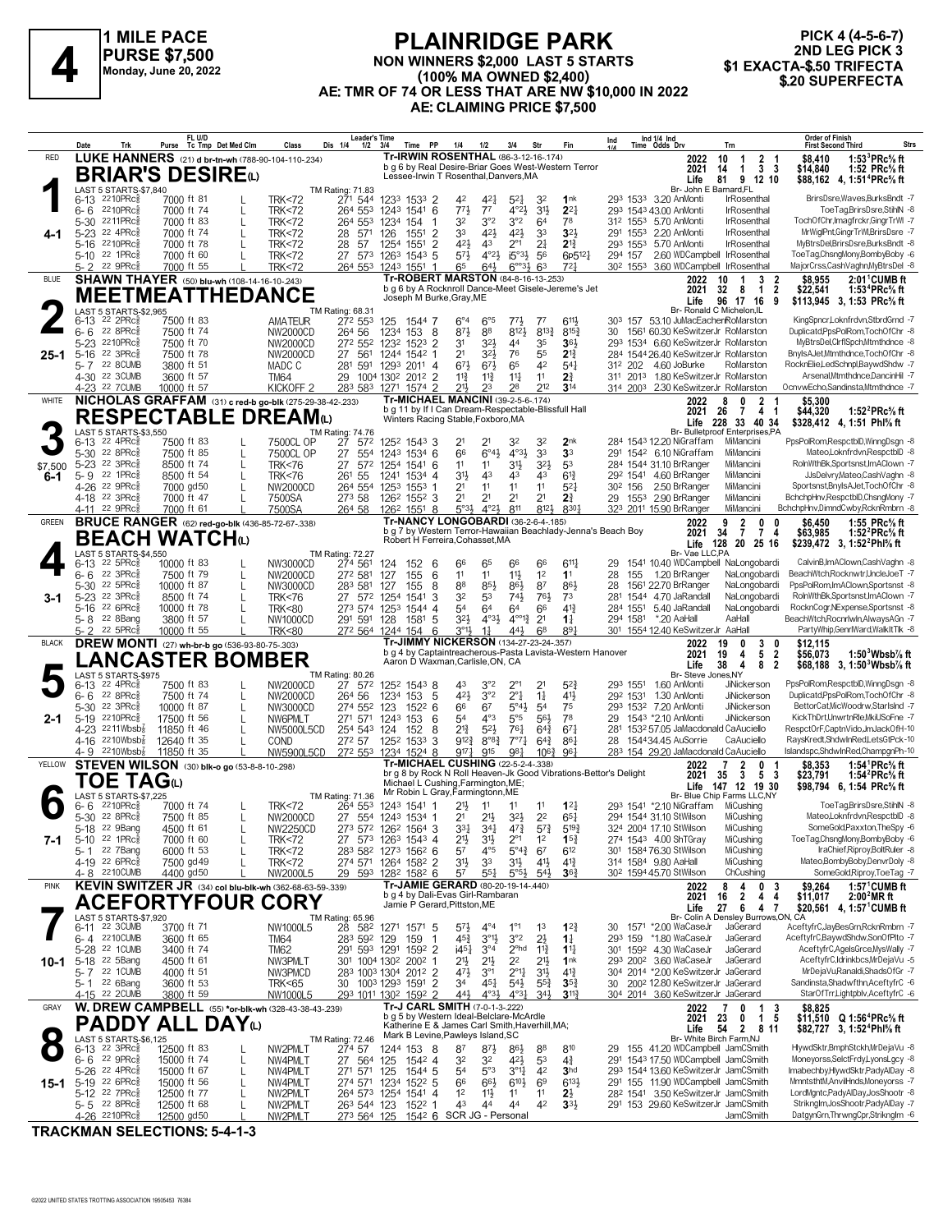

#### **PLAINRIDGE PARK NON WINNERS \$2,000 LAST 5 STARTS (100% MA OWNED \$2,400) AE: TMR OF 74 OR LESS THAT ARE NW \$10,000 IN 2022 AE: CLAIMING PRICE \$7,500 1 PURSE \$7,000**<br>
Monday, June 20, 2022<br> **A Monday, June 20, 2022**<br> **A Monday, June 20, 2022**<br> **4 C. THE CTA (100% MA OWNED \$2,400)**<br> **4 C. THE CTA (100% MA OWNED \$2,400)**<br> **4 C. THE CTA (100% MA OWNED \$2,400)**

## **PICK 4 (4-5-6-7) 2ND LEG PICK 3**

|                | Date                                                  | Trk                                                   | FL U/D<br>Purse Tc Tmp Det Med Clm                                |   | Class                                | Leader's Time<br>Dis 1/4<br>1/2             | 3/4                                                 | Time PP             | 1/4                                                                                             | $1/2$                                     | 3/4                                       | Str                               | Fin                                                       | Ind                                                              | Ind 1/4 Ind<br>Time Odds Drv                                                         | Trn                                                                     | <b>Order of Finish</b><br><b>Strs</b><br><b>First Second Third</b>                           |
|----------------|-------------------------------------------------------|-------------------------------------------------------|-------------------------------------------------------------------|---|--------------------------------------|---------------------------------------------|-----------------------------------------------------|---------------------|-------------------------------------------------------------------------------------------------|-------------------------------------------|-------------------------------------------|-----------------------------------|-----------------------------------------------------------|------------------------------------------------------------------|--------------------------------------------------------------------------------------|-------------------------------------------------------------------------|----------------------------------------------------------------------------------------------|
| RED            |                                                       |                                                       | LUKE HANNERS (21) d br-tn-wh (788-90-104-110-.234)                |   |                                      |                                             |                                                     |                     | <b>Tr-IRWIN ROSENTHAL (86-3-12-16-174)</b>                                                      |                                           |                                           |                                   |                                                           |                                                                  | 2022                                                                                 | 2 <sub>1</sub><br>10<br>$\overline{1}$                                  | 1:53 ${}^{3}$ PRc ${}^{5}$ s ft<br>\$8.410                                                   |
|                |                                                       |                                                       | <b>BRIAR'S DESIRE</b> (L)                                         |   |                                      |                                             |                                                     |                     | Lessee-Irwin T Rosenthal, Danvers, MA                                                           |                                           |                                           |                                   | b q 6 by Real Desire-Briar Goes West-Western Terror       |                                                                  | 2021<br>Life                                                                         | 3 <sub>3</sub><br>14<br>$\mathbf 1$<br>81<br>9 12 10                    | \$14,840<br>1:52 PRc% ft<br>\$88,162 4, 1:51 <sup>4</sup> PRc <sup>5</sup> / <sub>8</sub> ft |
|                | 6-13 2210PRc                                          | LAST 5 STARTS-\$7,840                                 | 7000 ft 81                                                        |   | <b>TRK&lt;72</b>                     | TM Rating: 71.83<br>271 544                 | 1233 1533 2                                         |                     | 42                                                                                              | 421                                       | $5^{21}$                                  | 32                                | 1 <sup>nk</sup>                                           |                                                                  | Br- John E Barnard, FL<br>293 1533 3.20 AnMonti                                      | <b>IrRosenthal</b>                                                      | BrirsDsre, Waves, Burks Bndt -7                                                              |
|                | 6-6 2210PRc                                           |                                                       | 7000 ft 74                                                        |   | <b>TRK&lt;72</b>                     | 264 553                                     | 1243                                                | 1541 6              | $77\frac{1}{2}$                                                                                 | $7^7$                                     | $4^{\circ}2\frac{1}{2}$                   | 3 <sup>1</sup>                    | $2^{2}$                                                   |                                                                  | 293 1543 43.00 AnMonti                                                               | IrRosenthal                                                             | ToeTag,BrirsDsre,StihlN -8                                                                   |
|                | 5-30 2211PRc<br>5-23 22 4PRc                          |                                                       | 7000 ft 83<br>7000 ft 74                                          |   | <b>TRK&lt;72</b>                     | 264 553                                     | 1234<br>154                                         |                     | 32<br>33                                                                                        | 3°2<br>421                                | 3°2<br>$4^{21}$                           | 64<br>33                          | 78<br>$3^{2}$                                             |                                                                  | 312 1553 5.70 AnMonti<br>291 1553 2.20 AnMonti                                       | IrRosenthal<br>IrRosenthal                                              | TochOfChr, Imagfrckr, GingrTrWI-7<br>MrWiglPnt,GingrTrWl,BrirsDsre -7                        |
| 4-1            | 5-16 2210PRcs                                         |                                                       | 7000 ft 78                                                        | L | <b>TRK&lt;72</b><br><b>TRK&lt;72</b> | 28<br>571<br>28<br>-57                      | 126<br>1551<br>1254<br>1551                         | $\overline{2}$<br>2 | 421                                                                                             | 43                                        | $2^{\circ}1$                              | 2 <sup>1</sup>                    | $2^{13}$                                                  |                                                                  | 293 1553 5.70 AnMonti                                                                | <b>IrRosenthal</b>                                                      | MyBtrsDel,BrirsDsre,BurksBndt -8                                                             |
|                | 5-10 22 1PRc                                          |                                                       | 7000 ft 60                                                        |   | <b>TRK&lt;72</b>                     | 27 573 1263                                 |                                                     | $154^3$ 5           | $5^{7}$                                                                                         | $4^{\circ}2\frac{1}{2}$                   | $i5^{\circ}3\frac{1}{2}$                  | 56                                | 6p5121                                                    | 294 157                                                          | 2.60 WDCampbell IrRosenthal                                                          |                                                                         | ToeTag,ChsngMony,BombyBoby -6                                                                |
| <b>BLUE</b>    | 5-2                                                   | 22 9PRc                                               | 7000 ft 55<br><b>SHAWN THAYER</b> (50) blu-wh (108-14-16-10-.243) |   | <b>TRK&lt;72</b>                     | 264 553                                     | 1243 1551 1                                         |                     | 65<br><b>Tr-ROBERT MARSTON (84-8-16-13-253)</b>                                                 | 643                                       | $6^{\circ}3\frac{1}{2}$                   | 63                                | $72\frac{1}{2}$                                           | 30 <sup>2</sup> 1553                                             | 3.60 WDCampbell IrRosenthal<br>2022                                                  | 10<br>3<br>2                                                            | MajorCrss,CashVaghn,MyBtrsDel -8<br>$2:01$ <sup>1</sup> CUMB ft<br>\$8,955                   |
|                |                                                       |                                                       | <b>MEETMEATTHEDANCE</b>                                           |   |                                      |                                             |                                                     |                     | Joseph M Burke, Gray, ME                                                                        |                                           |                                           |                                   | b g 6 by A Rocknroll Dance-Meet Gisele-Jereme's Jet       |                                                                  | 2021                                                                                 | 32<br>$\overline{\mathbf{2}}$<br>8<br>$\mathbf{1}$                      | 1:53 ${}^4$ PRc ${}^5\!$ ft<br>\$22,541                                                      |
|                |                                                       | LAST 5 STARTS-\$2.965                                 |                                                                   |   |                                      | TM Rating: 68.31                            |                                                     |                     |                                                                                                 |                                           |                                           |                                   |                                                           |                                                                  | Life                                                                                 | 96<br>17 16<br>9<br>Br- Ronald C Michelon, IL                           | \$113,945 3, 1:53 PRc% ft                                                                    |
|                | $6-13$ 22 2PRc $\frac{5}{8}$<br>$6 - 6$               | $22$ 8PR $c_{8}$                                      | 7500 ft 83<br>7500 ft 74                                          |   | <b>AMATEUR</b><br>NW2000CD           | 272 553<br>264 56                           | 125<br>1234<br>153                                  | 1544 7<br>8         | $6^{\circ}4$<br>$8^{71}$                                                                        | $6^{\circ}5$<br>88                        | $77\frac{1}{2}$<br>8121                   | $7^7$<br>$8^{13}\frac{3}{4}$      | 6111<br>$8^{15}$                                          | 30                                                               | 303 157 53.10 JuMacEacher RoMarston<br>1561 60.30 KeSwitzerJr RoMarston              |                                                                         | KingSpncr,Loknfrdvn,StbrdGrnd -7<br>Duplicatd, PpsPolRom, TochOfChr -8                       |
|                | 5-23 2210PRc                                          |                                                       | 7500 ft 70                                                        |   | NW2000CD                             | 272 552                                     | 1232                                                | $152^3$ 2           | 3 <sup>1</sup>                                                                                  | $3^{2}\frac{1}{2}$                        | 44                                        | 35                                | $36\frac{1}{2}$                                           |                                                                  | 293 1534 6.60 KeSwitzerJr RoMarston                                                  |                                                                         | MyBtrsDel,ClrflSpch,Mtmthdnce -8                                                             |
| 25-1           | 5-16 22 3PRcs                                         | 5-7 22 8 CUMB                                         | 7500 ft 78<br>3800 ft 51                                          |   | NW2000CD                             | 27<br>561                                   | 1244 1542 1<br>1293 2011 4                          |                     | 2 <sup>1</sup><br>673                                                                           | $3^{2}\frac{1}{2}$<br>$67\frac{1}{2}$     | 76<br>65                                  | 55<br>42                          | $2^{13}$<br>$5^{4}$                                       | 312 202                                                          | 284 1544 26.40 KeSwitzerJr RoMarston<br>4.60 JoBurke                                 | RoMarston                                                               | BnylsAJet,Mtmthdnce,TochOfChr -8<br>RocknElie,LedSchnpl,BaywdShdw -7                         |
|                | 4-30 22 3CUMB                                         |                                                       | 3600 ft 57                                                        |   | MADC C<br><b>TM64</b>                | 281 591<br>29 1004 1302 2012 2              |                                                     |                     | $11\frac{3}{4}$                                                                                 | $11\frac{3}{4}$                           | $11\frac{1}{4}$                           | 11                                | 2 <sup>3</sup>                                            |                                                                  | 311 2013 1.80 KeSwitzerJr RoMarston                                                  |                                                                         | Arsenal,Mtmthdnce,DancinHil -7                                                               |
|                |                                                       | 4-23 22 7 CUMB                                        | 10000 ft 57                                                       |   | KICKOFF <sub>2</sub>                 | 283 583                                     | 1271                                                | 1574 2              | $21\frac{1}{2}$                                                                                 | 23                                        | 28                                        | 212                               | $3^{14}$                                                  |                                                                  | 314 2003 2.30 KeSwitzerJr RoMarston                                                  |                                                                         | OcnvwEcho,Sandinsta,Mtmthdnce -7                                                             |
| WHITE          |                                                       |                                                       | NICHOLAS GRAFFAM (31) c red-b go-blk (275-29-38-42-.233)          |   |                                      |                                             |                                                     |                     | <b>Tr-MICHAEL MANCINI (39-2-5-6-174)</b><br>b g 11 by If I Can Dream-Respectable-Blissfull Hall |                                           |                                           |                                   |                                                           |                                                                  | 2022<br>2021                                                                         | 8<br>n<br>$\mathbf{2}$<br>26<br>$\overline{7}$<br>4<br>-1               | \$5,300<br>\$44,320<br>1:52 $^{2}$ PRc $\%$ ft                                               |
|                |                                                       | LAST 5 STARTS-\$3,550                                 | <b>RESPECTABLE DREAMO</b>                                         |   |                                      | TM Rating: 74.76                            |                                                     |                     | Winters Racing Stable, Foxboro, MA                                                              |                                           |                                           |                                   |                                                           |                                                                  |                                                                                      | Life 228 33 40 34<br>Br- Bulletproof Enterprises,PA                     | \$328,412 4, 1:51 Phl <sup>5</sup> / <sub>8</sub> ft                                         |
|                | 6-13                                                  | $22$ 4PR $c_{8}^{5}$                                  | 7500 ft 83                                                        |   | 7500CL OP                            | 27 572                                      | 1252 1543 3                                         |                     | 2 <sup>1</sup>                                                                                  | 21                                        | 32                                        | 32                                | 2 <sub>nk</sub>                                           |                                                                  | 284 1543 12.20 NiGraffam                                                             | MiMancini                                                               | PpsPolRom,RespctblD,WinngDsgn -8                                                             |
|                | 5-30 22 8PRc<br>5-23 22 3PRc                          |                                                       | 7500 ft 85<br>8500 ft 74                                          |   | 7500CL OP<br><b>TRK&lt;76</b>        | 27<br>554<br>27<br>572                      | 1243 1534 6<br>1254                                 | 1541 6              | 66<br>11                                                                                        | $6^{\circ}4\frac{1}{2}$<br>11             | $4^{\circ}3\frac{1}{2}$<br>3 <sup>1</sup> | 33<br>$3^{2}\frac{1}{2}$          | 3 <sup>3</sup><br>53                                      |                                                                  | 291 1542 6.10 NiGraffam<br>284 1544 31.10 BrRanger                                   | MiMancini<br>MiMancini                                                  | Mateo,Loknfrdvn,RespctblD -8<br>RolnWthBk.Sportsnst.ImAClown -7                              |
| \$7,500<br>6-1 | 5-9 22 1PRc                                           |                                                       | 8500 ft 54                                                        |   | <b>TRK&lt;76</b>                     | 261 55                                      | 1241                                                | 1534 4              | 3 <sup>1</sup>                                                                                  | 43                                        | 43                                        | 43                                | $6^{13}$                                                  |                                                                  | 292 1541 4.60 BrRanger                                                               | MiMancini                                                               | JJsDelvry,Mateo,CashVaghn -8                                                                 |
|                | 4-26 22 9PRcs<br>4-18 <sup>22</sup> 3PRc              |                                                       | 7000 gd50<br>7000 ft 47                                           | L | NW2000CD<br>7500SA                   | 264 554<br>273 58                           | 1253<br>1553<br>126 <sup>2</sup> 155 <sup>2</sup> 3 |                     | 2 <sup>1</sup><br>2 <sup>1</sup>                                                                | 11<br>21                                  | 11<br>2 <sup>1</sup>                      | 11<br>2 <sup>1</sup>              | $5^{2}$<br>2 <sup>3</sup>                                 | 30 <sup>2</sup> 156<br>29                                        | 2.50 BrRanger<br>1553 2.90 BrRanger                                                  | MiMancini<br>MiMancini                                                  | Sportsnst, BnylsAJet, TochOfChr -8<br>BchchpHnv,RespctblD,ChsngMony -7                       |
|                | 4-11 22 9PRc                                          |                                                       | 7000 ft 61                                                        |   | 7500SA                               | 264 58                                      | 126 <sup>2</sup> 1551 8                             |                     | $5°3\frac{1}{2}$                                                                                | $4^{\circ}2\frac{1}{2}$                   | 811                                       | 8123                              | 8301                                                      |                                                                  | 323 2011 15.90 BrRanger                                                              | MiMancini                                                               | BchchpHnv,DimndCwby,RcknRmbrn -8                                                             |
| <b>GREEN</b>   |                                                       |                                                       | <b>BRUCE RANGER</b> (62) red-go-blk (436-85-72-67-.338)           |   |                                      |                                             |                                                     |                     | <b>Tr-NANCY LONGOBARDI (36-2-6-4-.185)</b>                                                      |                                           |                                           |                                   |                                                           | b g 7 by Western Terror-Hawaiian Beachlady-Jenna's Beach Boy     | 2022<br>2021                                                                         | $\overline{2}$<br>۹<br>0<br>34<br>$\overline{7}$<br>$\overline{7}$<br>4 | 1:55 PRc% ft<br>\$6,450<br>1:52 $^{2}$ PRc $\%$ ft<br>\$63,985                               |
|                |                                                       |                                                       | <b>BEACH WATCH</b> ω                                              |   |                                      |                                             |                                                     |                     | Robert H Ferreira, Cohasset, MA                                                                 |                                           |                                           |                                   |                                                           |                                                                  | Life                                                                                 | 128<br>20 25 16                                                         | \$239,472 3, 1:52 <sup>2</sup> Phl <sup>5</sup> / <sub>8</sub> ft                            |
|                | $6-13$ 22 5PRc $\frac{5}{8}$                          | LAST 5 STARTS-\$4,550                                 | 10000 ft 83                                                       |   | NW3000CD                             | <b>TM Rating: 72.27</b><br>274 561          | 124<br>152                                          | -6                  | 66                                                                                              | 65                                        | 66                                        | 66                                | $6^{11}$                                                  | 29                                                               | Br- Vae LLC,PA                                                                       | 1541 10.40 WDCampbell NaLongobardi                                      | CalvinB,ImAClown,CashVaghn -8                                                                |
|                | 6-6                                                   | 22 3PRc3                                              | 7500 ft 79                                                        |   | NW2000CD                             | 272 581                                     | 127<br>155                                          | 6                   | 11                                                                                              | 11                                        | $11\frac{1}{2}$                           | 1 <sup>2</sup>                    | 1 <sup>1</sup>                                            | 28<br>155                                                        | 1.20 BrRanger                                                                        | NaLongobardi                                                            | BeachWtch,Rocknwtr,UncleJoeT -7                                                              |
| 3-1            | 5-30 22 5PRc<br>5-23 22 3PRc                          |                                                       | 10000 ft 87<br>8500 ft 74                                         |   | NW3000CD<br><b>TRK&lt;76</b>         | 283 581<br>27 572                           | 127<br>155<br>1254<br>1541                          | 8<br>3              | 88<br>32                                                                                        | 85}<br>53                                 | $86\frac{1}{2}$<br>$74\frac{1}{2}$        | 87<br>76}                         | 86}<br>7 <sup>3</sup>                                     | 28                                                               | 1561 22.70 BrRanger<br>281 1544 4.70 JaRandall                                       | NaLongobardi<br>NaLongobardi                                            | PpsPolRom,ImAClown,Sportsnst -8<br>RolnWthBk,Sportsnst,ImAClown -7                           |
|                | 5-16 22 6PRc $\frac{5}{8}$                            |                                                       | 10000 ft 78                                                       | L | <b>TRK&lt;80</b>                     | 273 574                                     | 1253<br>1544                                        | 4                   | 54                                                                                              | 64                                        | 64                                        | 66                                | $41\frac{3}{7}$                                           | 284 1551                                                         | 5.40 JaRandall                                                                       | NaLongobardi                                                            | RocknCogr, NExpense, Sportsnst -8                                                            |
|                | 5-8 <sup>22</sup> 8Bang<br>5-2                        | 22 5PRc3                                              | 3800 ft 57<br>10000 ft 55                                         |   | <b>NW1000CD</b><br><b>TRK&lt;80</b>  | 291 591<br>272 564 1244                     | 128<br>1581<br>154                                  | 5<br>6              | 3 <sup>2</sup><br>$3^{01}$                                                                      | $4^{\circ}3\frac{1}{2}$<br>$1\frac{1}{4}$ | $4^{0012}$<br>443                         | 2 <sup>1</sup><br>68              | $1\frac{1}{4}$<br>$89\frac{1}{4}$                         | 294 1581                                                         | *.20 AaHal<br>301 1554 12.40 KeSwitzerJr AaHall                                      | AaHall                                                                  | BeachWtch,Rocnrlwln,AlwaysAGn -7<br>PartyWhip,GenrlWard,WalkItTlk -8                         |
| <b>BLACK</b>   |                                                       |                                                       | <b>DREW MONTI</b> (27) wh-br-b go (536-93-80-75-.303)             |   |                                      |                                             |                                                     |                     | Tr-JIMMY NICKERSON (134-27-23-24-.357)                                                          |                                           |                                           |                                   | b g 4 by Captaintreacherous-Pasta Lavista-Western Hanover |                                                                  | 2022                                                                                 | 0<br>3<br>19<br>0                                                       | \$12,115                                                                                     |
|                |                                                       |                                                       | <b>LANCASTER BOMBER</b>                                           |   |                                      |                                             |                                                     |                     | Aaron D Waxman, Carlisle, ON, CA                                                                |                                           |                                           |                                   |                                                           |                                                                  | 2021<br>Life                                                                         | 19<br>5<br>$\overline{2}$<br>4<br>38<br>4<br>8<br>$\overline{2}$        | $1:503Wbsb%$ ft<br>\$56,073<br>\$68,188 3, 1:50 Wbsb % ft                                    |
|                | $6-13$ 22 4PRc $\frac{5}{8}$                          | LAST 5 STARTS-\$975                                   | 7500 ft 83                                                        |   | NW2000CD                             | TM Rating: 80.26<br>27 572                  | 1252 1543 8                                         |                     | 43                                                                                              | 3°2                                       | $2^{\circ}1$                              | 2 <sup>1</sup>                    | $5^{2}$                                                   | 293 1551                                                         | Br- Steve Jones, NY<br>1.60 AnMonti                                                  | <b>JiNickerson</b>                                                      | PpsPolRom,RespctblD,WinngDsgn -8                                                             |
|                | 6-6                                                   | 22 8PRc3                                              | 7500 ft 74                                                        |   | NW2000CD                             | 264 56                                      | 1234<br>153                                         | 5                   | 42}                                                                                             | 3°2                                       | $2^{\circ}1$                              | $1\frac{1}{4}$                    | 41}                                                       | 292 1531                                                         | 1.30 AnMonti                                                                         | JiNickerson                                                             | Duplicatd,PpsPolRom,TochOfChr -8                                                             |
| 2-1            | 5-30 22 3PRc<br>5-19 2210PRcs                         |                                                       | 10000 ft 87<br>17500 ft 56                                        |   | NW3000CD<br>NW6PMLT                  | 274 552<br>271 571 1243 153                 | 123<br>1522                                         | 6<br>6              | 66<br>54                                                                                        | 67<br>$4^{\circ}3$                        | $5^{\circ}4\frac{1}{2}$<br>5°5            | 5 <sup>4</sup><br>56}             | 75<br>78                                                  | 29                                                               | 293 1532 7.20 AnMonti<br>1543 *2.10 AnMonti                                          | <b>JiNickerson</b><br><b>JiNickerson</b>                                | BettorCat.MicWoodrw.StarIsInd -7<br>KickThDrt,UnwrtnRle,MkiUSoFne -7                         |
|                |                                                       | 4-23 2211Wbsb $\frac{7}{8}$                           | 11850 ft 46                                                       | L | NW5000L5CD                           | 254 543                                     | 124<br>152                                          | 8                   | $2^{13}$                                                                                        | $5^{2}$                                   | 761                                       | $64\frac{3}{4}$                   | $67\frac{1}{4}$                                           |                                                                  | 281 1532 57.05 JaMacdonald CaAuciello                                                |                                                                         | RespctOrF,CaptnVido,JmJackOfH-10                                                             |
|                | 4-9                                                   | $4-16$ 2210Wbsb <sup>2</sup><br>$2210Wbsb\frac{7}{8}$ | 12640 ft 35<br>11850 ft 35                                        |   | COND<br>NW5900L5CD                   | 272 57<br>272 553                           | 1252 1533<br>1234 1524 8                            | 3                   | $9^{12}$<br>$9^{17}\frac{1}{4}$                                                                 | $8^{\circ}8^{\frac{3}{4}}$<br>915         | 7°7 <sub>1</sub><br>981                   | $6^{4}$<br>$10^{6}$               | $86\frac{1}{4}$<br>961                                    | 28                                                               | 154434.45 AuSorrie<br>283 154 29.20 JaMacdonald CaAuciello                           | CaAuciello                                                              | RaysKredt,ShdwInRed,LetsGtPck-10<br>Islandspc,ShdwInRed,ChampgnPh-10                         |
| YELLOW         |                                                       |                                                       | <b>STEVEN WILSON</b> (30) blk-o go (53-8-8-10-298)                |   |                                      |                                             |                                                     |                     | <b>Tr-MICHAEL CUSHING (22-5-2-4-.338)</b>                                                       |                                           |                                           |                                   |                                                           |                                                                  | 2022                                                                                 | 2<br>0                                                                  | 1:54 ${}^1$ PRc ${}^5\! s$ ft<br>\$8,353                                                     |
|                |                                                       | TOE TAGധ                                              |                                                                   |   |                                      |                                             |                                                     |                     | Michael L Cushing, Farmington, ME;                                                              |                                           |                                           |                                   |                                                           | br q 8 by Rock N Roll Heaven-Jk Good Vibrations-Bettor's Delight | 2021<br>Life                                                                         | 35<br>3<br>5<br>- 3<br>147 12 19 30                                     | \$23,791<br>1:54 ${}^{2}$ PRc ${}^{5}_{8}$ ft<br>\$98,794 6, 1:54 PRc% ft                    |
|                | $6 - 6$ 2210PRc $\frac{5}{8}$                         | LAST 5 STARTS-\$7,225                                 | 7000 ft 74                                                        |   | <b>TRK&lt;72</b>                     | TM Rating: 71.36<br>264 553                 | 1243 1541 1                                         |                     | Mr Robin L Gray, Farmingtonn, ME<br>21}                                                         | 11                                        | 11                                        | 11                                | $12\frac{1}{4}$                                           |                                                                  | 293 1541 *2.10 NiGraffam                                                             | Br- Blue Chip Farms LLC,NY<br>MiCushing                                 | ToeTag,BrirsDsre,StihlN -8                                                                   |
|                | 5-30 22 8PRc <sup>5</sup>                             |                                                       | 7500 ft 85                                                        |   | NW2000CD                             | 27 554 1243 1534 1                          |                                                     |                     | 2 <sup>1</sup>                                                                                  | $21\frac{1}{2}$                           | $3^{2}\frac{1}{2}$                        | 2 <sup>2</sup>                    | $65\frac{1}{4}$                                           |                                                                  | 294 1544 31.10 StWilson                                                              | MiCushing                                                               | MateoLoknfrdvn.RespctblD -8                                                                  |
| 7-1            | 5-18 <sup>22</sup> 9Bang<br>5-10 22 1PRc <sup>3</sup> |                                                       | 4500 TT 61<br>7000 ft 60                                          |   | NW2250CD<br><b>TRK&lt;72</b>         | 273 572 1262 1564 3<br>27 573 1263 1543 4   |                                                     |                     | $3^{3}\frac{1}{4}$<br>2 <sup>1</sup>                                                            | 34}<br>31}                                | 4'7<br>$2^{\circ_1}$                      | $5^{73}$<br>1 <sup>2</sup>        | $5^{19}$<br>$15\frac{3}{4}$                               |                                                                  | 324 2004 17.10 StWilson<br>274 1543 4.00 ShTGray                                     | MiCushing<br>MiCushing                                                  | SomeGold,Paxxton,TheSpy -6<br>ToeTag,ChsngMony,BombyBoby -6                                  |
|                |                                                       | 5-1 22 7 Bang                                         | 6000 ft 53                                                        | L | <b>TRK&lt;72</b>                     | 283 582 1273 1562 6                         |                                                     |                     | 5 <sup>7</sup>                                                                                  | $4^{\circ}5$                              | $5^{\circ}4^{\circ}$                      | 67                                | $6^{12}$                                                  |                                                                  | 301 1584 76.30 StWilson                                                              | MiCushing                                                               | IraChief, Riproy, BoltRuler -8                                                               |
|                | 4-19 22 6PRc                                          | 4-8 2210 CUMB                                         | 7500 gd 49<br>4400 gd50                                           |   | <b>TRK&lt;72</b><br>NW2000L5         | 274 571 1264 1582 2<br>29 593               | 128 <sup>2</sup> 158 <sup>2</sup> 6                 |                     | $3^{11}$<br>57                                                                                  | 3 <sup>3</sup><br>$5^{51}$                | 3 <sup>1</sup><br>5°5 <sup>3</sup>        | $4^{11}$<br>$5^{4}$               | $4^{13}$<br>$36\frac{3}{4}$                               |                                                                  | 314 1584 9.80 AaHall<br>30 <sup>2</sup> 1594 45.70 StWilson                          | MiCushing<br>ChCushing                                                  | Mateo,BombyBoby,DenvrDoly -8<br>SomeGold, Riproy, ToeTag -7                                  |
| <b>PINK</b>    |                                                       |                                                       | KEVIN SWITZER JR (34) col blu-blk-wh (362-68-63-59-.339)          |   |                                      |                                             |                                                     |                     | Tr-JAMIE GERARD (80-20-19-14-.440)                                                              |                                           |                                           |                                   |                                                           |                                                                  | 2022                                                                                 | 8<br>4<br>0<br>3                                                        | $1:57^{\circ}$ CUMB ft<br>\$9,264                                                            |
|                |                                                       |                                                       | <b>ACEFORTYFOUR</b>                                               |   | <b>CORY</b>                          |                                             |                                                     |                     | b g 4 by Dali-Evas Girl-Rambaran<br>Jamie P Gerard, Pittston, ME                                |                                           |                                           |                                   |                                                           |                                                                  | 2021<br>Life                                                                         | $\overline{2}$<br>4<br>4<br>16<br>27<br>6<br>47                         | 2:00 <sup>2</sup> MR ft<br>\$11,017<br>\$20,561 4, 1:57 <sup>1</sup> CUMB ft                 |
|                |                                                       | LAST 5 STARTS-\$7,920<br>6-11 22 3 CUMB               | 3700 ft 71                                                        |   | NW1000L5                             | TM Rating: 65.96<br>28 582 1271 1571 5      |                                                     |                     | $5^{7}\frac{1}{2}$                                                                              | $4^{\circ}4$                              | $1^{\circ}1$                              | 1 <sup>3</sup>                    | $12\frac{3}{4}$                                           |                                                                  | 30 1571 *2.00 WaCaseJr                                                               | Br- Colin A Densley Burrows, ON, CA<br>JaGerard                         | AceftyfrC,JayBesGrn,RcknRmbrn -7                                                             |
|                |                                                       | 6-4 2210 CUMB                                         | 3600 ft 65                                                        |   | <b>TM64</b>                          | 283 592 129                                 | 159                                                 | -1                  | $45\frac{3}{4}$                                                                                 | $3^{01}$                                  | 3°2                                       | $2\frac{1}{2}$                    | $1\frac{1}{4}$                                            |                                                                  | 293 159 *1.80 WaCaseJr                                                               | JaGerard                                                                | AceftyfrC,BaywdShdw,SonOfPlto -7                                                             |
|                | 5-28 22 1CUMB<br>10-1 5-18 <sup>22</sup> 5Bang        |                                                       | 3400 ft 74<br>4500 ft 61                                          |   | <b>TM62</b><br>NW3PMLT               | 291 593 1291<br>301 1004 1302 2002 1        |                                                     | 1592 2              | i4 <sup>51</sup><br>21}                                                                         | $3^{\circ 4}$<br>$21\frac{1}{2}$          | 2 <sup>ohd</sup><br>2 <sup>2</sup>        | $1\frac{13}{4}$<br>2 <sup>1</sup> | $1^{11}$<br>1 <sup>nk</sup>                               |                                                                  | 301 1592 4.30 WaCaseJr<br>293 200 <sup>2</sup> 3.60 WaCaseJr                         | JaGerard<br>JaGerard                                                    | AceftyfrC,AgelsGrce,MysWally -7<br>AceftyfrC.Idrinkbcs.MrDeiaVu -5                           |
|                |                                                       | 5-7 22 1 CUMB                                         | 4000 ft 51                                                        |   | NW3PMCD                              | 283 1003 1304 2012 2                        |                                                     |                     | $47\frac{1}{2}$                                                                                 | 3 <sup>°1</sup>                           | $2^{\circ}1\frac{1}{4}$                   | $3^{11/2}$                        | $4^{13}$                                                  |                                                                  | 304 2014 *2.00 KeSwitzerJr JaGerard                                                  |                                                                         | MrDejaVu,Ranaldi,ShadsOfGr -7                                                                |
|                | 5-1 <sup>22</sup> 6Bang                               | 4-15 22 2CUMB                                         | 3600 ft 53<br>3800 ft 59                                          |   | TRK<65<br>NW1000L5                   | 30 1003 1293 1591 2<br>293 1011 1302 1592 2 |                                                     |                     | 3 <sup>4</sup><br>$44\frac{1}{2}$                                                               | 451<br>$4^{\circ}3\frac{1}{2}$            | $5^{4}$<br>$4^{\circ}3^{\frac{1}{4}}$     | $55\frac{3}{4}$<br>343            | $35\frac{3}{4}$<br>$3^{11}$                               |                                                                  | 30 200 <sup>2</sup> 12.80 KeSwitzerJr JaGerard<br>304 2014 3.60 KeSwitzerJr JaGerard |                                                                         | Sandinsta, Shadwfthn, AceftyfrC -6<br>StarOfTrr,Lightpblv,AceftyfrC -6                       |
| GRAY           |                                                       |                                                       | <b>W. DREW CAMPBELL</b> (55) *or-blk-wh (328-43-38-43-.239)       |   |                                      |                                             |                                                     |                     | Tr-J CARL SMITH (7-0-1-3-222)                                                                   |                                           |                                           |                                   |                                                           |                                                                  | 2022                                                                                 | 0<br>1<br>3                                                             | \$8,825                                                                                      |
|                |                                                       |                                                       | <b>PADDY ALL DAY</b> <sub>W</sub>                                 |   |                                      |                                             |                                                     |                     | b g 5 by Western Ideal-Belclare-McArdle<br>Katherine E & James Carl Smith, Haverhill, MA;       |                                           |                                           |                                   |                                                           |                                                                  | 2021<br>Life                                                                         | 1 <sub>5</sub><br>23<br>0<br>54<br>$\mathbf{2}$<br>811                  | \$11,510 Q 1:56 <sup>4</sup> PRc <sup>5</sup> / <sub>8</sub> ft                              |
|                |                                                       | LAST 5 STARTS-\$6,125                                 |                                                                   |   |                                      | TM Rating: 72.46                            |                                                     |                     | Mark B Levine, Pawleys Island, SC                                                               |                                           |                                           |                                   |                                                           |                                                                  |                                                                                      | Br- White Birch Farm, NJ                                                | \$82,727 3, 1:52 <sup>4</sup> Phl <sup>5</sup> / <sub>8</sub> ft                             |
|                | 6-13 22 3PRc <sup>3</sup><br>$6 - 6$ 22 9PRcs         |                                                       | 12500 ft 83<br>15000 ft 74                                        | L | NW2PMLT<br>NW4PMLT                   | 274 57<br>27 564                            | 1244 153 8<br>125                                   | 1542 4              | 87<br>32                                                                                        | 87}<br>32                                 | $86\frac{1}{2}$<br>$4^{21}$               | 88<br>53                          | 810<br>41                                                 |                                                                  | 29 155 41.20 WDCampbell JamCSmith<br>291 1543 17.50 WDCampbell JamCSmith             |                                                                         | HlywdSktr,BmphStckh,MrDejaVu -8<br>Moneyorss,SelctFrdy,LyonsLgcy -8                          |
|                | 5-26 <sup>22</sup> 4PRc                               |                                                       | 15000 ft 67                                                       |   | NW4PMLT                              | 271 571 125                                 |                                                     | 1544 5              | 54                                                                                              | $5^{\circ}3$                              | $3^{01}$                                  | 42                                | 3 <sub>hd</sub>                                           |                                                                  | 293 1544 13.60 KeSwitzerJr JamCSmith                                                 |                                                                         | Imabechby,HlywdSktr,PadyAlDay -8                                                             |
|                | 15-1 5-19 22 6PRc<br>5-12 22 7PRc <sup>5</sup>        |                                                       | 15000 ft 56<br>12500 ft 77                                        | L | NW4PMLT<br>NW2PMLT                   | 274 571 1234 1522 5<br>264 573 1254 1541 4  |                                                     |                     | 66<br>1 <sup>2</sup>                                                                            | $66\frac{1}{2}$<br>$11\frac{1}{2}$        | $6^{10}\frac{1}{2}$<br>11                 | 69<br>11                          | $6^{13}\frac{1}{2}$<br>$2\frac{1}{2}$                     |                                                                  | 291 155 11.90 WDCampbell JamCSmith<br>282 1541 3.50 KeSwitzerJr JamCSmith            |                                                                         | MmntsthtM,AnvilHnds,Moneyorss -7<br>LordMgntc,PadyAlDay,JosShootr -8                         |
|                | $5 - 5$ 22 8PRc $\frac{5}{8}$                         |                                                       | 12500 ft 68                                                       |   | NW2PMLT                              | 263 544 123                                 |                                                     | 1522 1              | 43                                                                                              | 44                                        | 44                                        | 42                                | 3 <sup>3</sup>                                            |                                                                  | 291 153 29.60 KeSwitzerJr JamCSmith                                                  |                                                                         | Striknglm, JosShootr, PadyAlDay -7                                                           |
|                | 4-26 2210PRc                                          |                                                       | 12500 gd50                                                        |   | NW2PMLT                              | 273 564 125                                 |                                                     | 1542 6              | SCR JG - Personal                                                                               |                                           |                                           |                                   |                                                           |                                                                  |                                                                                      | JamCSmith                                                               | DatgynGrn, ThrwngCpr, Striknglm -6                                                           |

**TRACKMAN SELECTIONS: 5-4-1-3**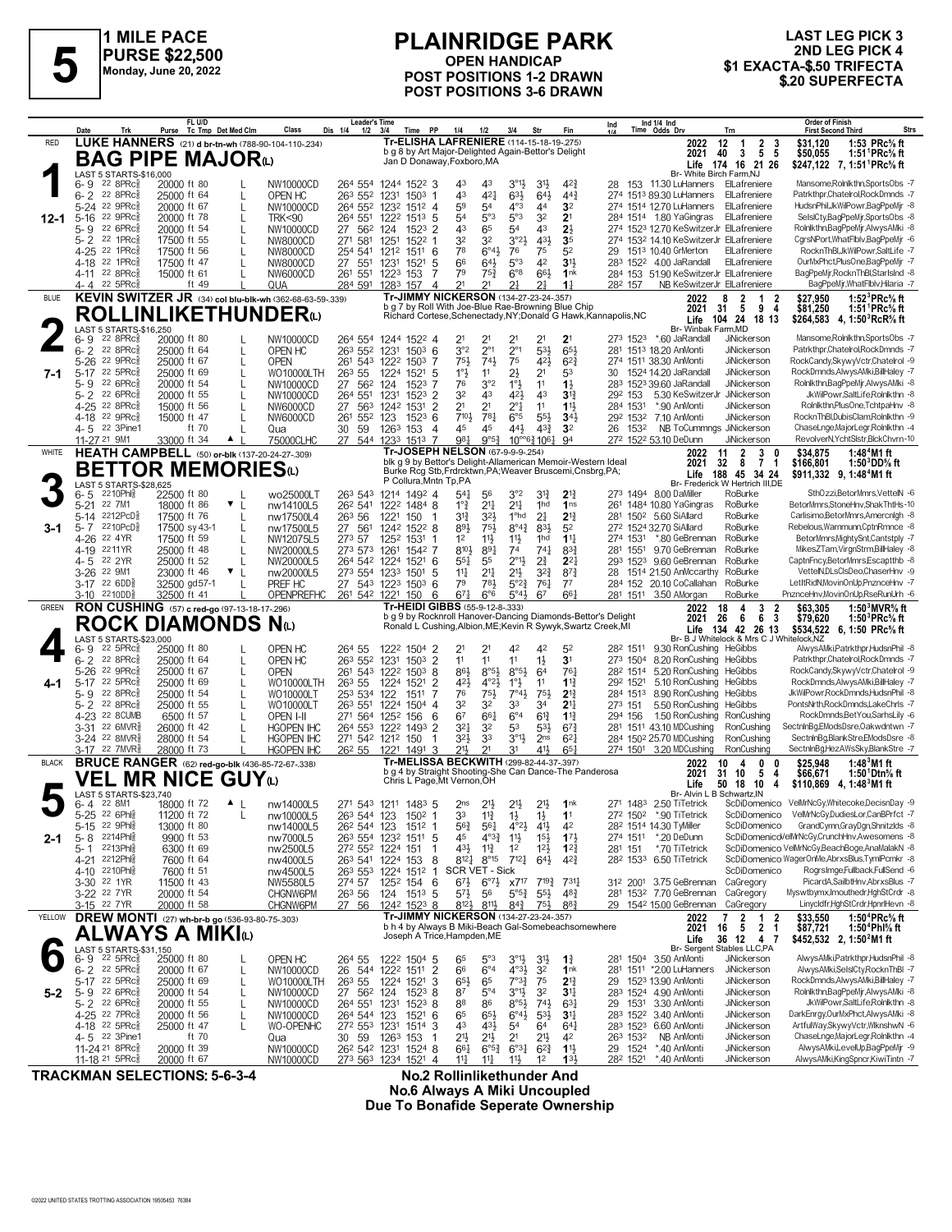

## **PLAINRIDGE PARK OPEN HANDICAP POST POSITIONS 1-2 DRAWN POST POSITIONS 3-6 DRAWN**

## **LAST LEG PICK 3** 2ND LEG PICK 4 \$1 EXACTA-\$.50 TRIFECTA<br>\$20 SUPERFECTA

|              | Trk<br>Date                                                   | FL U/D<br>Tc Tmp Det Med Clm<br>Purse                                                      | Class                                  | <b>Leader's Time</b><br>Dis 1/4<br>Time PP<br>1/2<br>3/4                             | 1/4<br>1/2                                                                                                                    | 3/4<br>Str                                                                        | Fin                                   | Ind 1/4 Ind<br>Time Odds Drv<br>Ind<br>Trn                                                                       | <b>Order of Finish</b><br>Strs<br><b>First Second Third</b>                                                              |
|--------------|---------------------------------------------------------------|--------------------------------------------------------------------------------------------|----------------------------------------|--------------------------------------------------------------------------------------|-------------------------------------------------------------------------------------------------------------------------------|-----------------------------------------------------------------------------------|---------------------------------------|------------------------------------------------------------------------------------------------------------------|--------------------------------------------------------------------------------------------------------------------------|
| <b>RED</b>   |                                                               | LUKE HANNERS (21) d br-tn-wh (788-90-104-110-234)                                          |                                        |                                                                                      | Tr-ELISHA LAFRENIERE (114-15-18-19-275)<br>b q 8 by Art Major-Delighted Again-Bettor's Delight                                |                                                                                   |                                       | $\begin{array}{ccc} & 2 & 3 \\ 5 & 5 \end{array}$<br>2022<br>12<br>$\overline{1}$<br>$\mathbf{3}$<br>2021<br>40  | 1:53 PRc% ft<br>\$31,120<br>1:51 <sup>1</sup> PRc <sup>5</sup> / <sub>8</sub> ft<br>\$50,055                             |
|              |                                                               | <b>BAG PIPE MAJOR</b> <sup>4</sup>                                                         |                                        |                                                                                      | Jan D Donaway, Foxboro, MA                                                                                                    |                                                                                   |                                       | Life 174 16 21 26<br>Br- White Birch Farm.NJ                                                                     | \$247,122 7, 1:51 PRc <sup>5</sup> / <sub>8</sub> ft                                                                     |
|              | LAST 5 STARTS-\$16,000<br>$22$ 8PR $c_{8}^5$<br>6- 9          | 20000 ft 80                                                                                | NW10000CD                              | 264 554 1244 1522 3                                                                  | 43<br>43                                                                                                                      | $3^{\circ}1\frac{1}{2}$<br>3 <sup>1</sup>                                         | $4^{2}\frac{3}{4}$                    | 28 153 11.30 LuHanners ElLafreniere                                                                              | Mansome, Rolnlkthn, SportsObs -7                                                                                         |
|              | $6 - 2$<br>$22.8$ PR $c_{8}^{5}$<br>5-24 22 9PRc              | 25000 ft 64<br>L<br>20000 ft 67<br>L                                                       | OPEN HC<br>NW10000CD                   | 263 552 1231<br>1503<br>264 552 1232<br>1512 4                                       | 43<br>$4^{2}$<br>59<br>54                                                                                                     | $63\frac{1}{2}$<br>$64\frac{1}{2}$<br>$4^{\circ}3$<br>44                          | 44 <sup>3</sup><br>3 <sup>2</sup>     | 274 1513 89.30 LuHanners ElLafreniere<br>274 1514 12.70 LuHanners<br>ElLafreniere                                | Patrkthpr.Chatelrol.RockDmnds -7<br>HudsnPhil.JkWilPowr.BagPpeMir -8                                                     |
| $12 - 1$     | 22 9PRc3<br>$5 - 16$<br>22 6PRc                               | 20000 ft 78<br>L<br>20000 ft 54                                                            | <b>TRK&lt;90</b>                       | 264 551<br>1222<br>1513<br>.5                                                        | 5°3<br>54<br>43<br>65                                                                                                         | 5°3<br>32<br>43<br>54                                                             | 2 <sup>1</sup><br>$2\frac{1}{2}$      | 284 1514 1.80 YaGingras<br>ElLafreniere<br>274 1523 12.70 KeSwitzerJr ElLafreniere                               | SelslCty,BagPpeMjr,SportsObs -8<br>Rolnlkthn,BagPpeMjr,AlwysAMki -8                                                      |
|              | $5 - 9$<br>$5 - 2$<br>$22$ 1PR $c_8^5$                        | 17500 ft 55<br>L                                                                           | NW10000CD<br>NW8000CD                  | 27 562<br>124<br>$152^3$ 2<br>271 581<br>1251<br>1522<br>-1                          | 32<br>32                                                                                                                      | 3°2 <sup>1</sup><br>431                                                           | 3 <sub>5</sub>                        | 274 1532 14.10 KeSwitzerJr ElLafreniere                                                                          | CgrsNPort, WhatFlblv, BagPpeMjr -6                                                                                       |
|              | 22 1PRc<br>$4 - 25$<br>22 1PRc<br>4-18                        | 17500 ft 56<br>17500 ft 47<br>L                                                            | NW8000CD<br>NW8000CD                   | 254 541<br>1212<br>1511<br>6<br>27 551<br>1231<br>1521<br>5                          | 78<br>$6^{\circ}4\frac{1}{2}$<br>66<br>$64\frac{1}{2}$                                                                        | 76<br>75<br>5°3<br>42                                                             | 5 <sup>2</sup><br>3 <sup>1</sup>      | 29 1513 10.40 GrMerton<br>ElLafreniere<br>283 1522 4.00 JaRandall<br>ElLafreniere                                | RocknThBl,JkWilPowr,SaltLife -7<br>OurMxPhct,PlusOne,BagPpeMjr -7                                                        |
|              | 22 8PRc<br>4-11<br>4-4 22 5PRc                                | 15000 ft 61<br>$\mathbf{L}$                                                                | NW6000CD                               | 261 551<br>1223<br>153<br>7                                                          | 79<br>75 <sup>3</sup><br>21<br>21                                                                                             | $6^{\circ}8$<br>66}                                                               | 1nk                                   | 284 153 51.90 KeSwitzerJr ElLafreniere<br>NB KeSwitzerJr ElLafreniere                                            | BagPpeMjr,RocknThBl,StarIsInd -8<br>BagPpeMir, WhatFlblv, Hilaria -7                                                     |
| <b>BLUE</b>  |                                                               | ft $49$<br>KEVIN SWITZER JR (34) col blu-blk-wh (362-68-63-59-.339)                        | QUA                                    | 284 591<br>1283<br>$\overline{4}$<br>157                                             | <b>Tr-JIMMY NICKERSON (134-27-23-24-.357)</b>                                                                                 | 21<br>21                                                                          | $1\frac{1}{4}$                        | 282 157<br>2022<br>- 8<br>1<br>2<br>- 2                                                                          | \$27,950<br>1:52 ${}^{3}$ PRc ${}^{5}$ s ft                                                                              |
|              |                                                               | <b>ROLLINLIKETHUNDER</b> <sup>(L)</sup>                                                    |                                        |                                                                                      | b g 7 by Roll With Joe-Blue Rae-Browning Blue Chip                                                                            |                                                                                   |                                       | 31<br>5<br>94<br>2021<br>Richard Cortese, Schenectady, NY; Donald G Hawk, Kannapolis, NC<br>104 24 18 13<br>Life | \$81,250<br>1:51 <sup>1</sup> PRc <sup>5</sup> / <sub>8</sub> ft<br>\$264,583 4, 1:50 RcR <sup>5</sup> / <sub>8</sub> ft |
|              | LAST 5 STARTS-\$16,250<br>$22$ 8PR $c_{8}^5$<br>6-9           | 20000 ft 80                                                                                | NW10000CD                              | 264 554 1244 1522 4                                                                  | 2 <sup>1</sup><br>21                                                                                                          | 2 <sup>1</sup><br>2 <sup>1</sup>                                                  | 2 <sup>1</sup>                        | Br- Winbak Farm, MD<br>273 1523 *.60 JaRandall<br><b>JiNickerson</b>                                             | Mansome, Rolnlkthn, SportsObs -7                                                                                         |
|              | $6 - 2$<br>$22$ $8$ PR $c_{8}$                                | 25000 ft 64<br>L                                                                           | OPEN HC                                | 263 552 1231<br>$150^3$ 6                                                            | 3°2<br>$2^{\circ}1$                                                                                                           | $2^{\circ}1$<br>53}                                                               | 653                                   | 281 1513 18.20 AnMonti<br>JiNickerson                                                                            | Patrkthpr,Chatelrol,RockDmnds -7<br>RockCandy,SkywyVctr,Chatelrol -9                                                     |
| 7-1          | $5 - 26$<br>$22$ 9PR $c_{8}$<br>22 5PRc3<br>$5-17$            | 25000 ft 67<br>L<br>25000 ft 69<br>$\mathbf{I}$                                            | <b>OPEN</b><br>WO10000LTH              | 261 543<br>1222<br>1503<br>7<br>263 55<br>1224<br>1521<br>-5                         | 75}<br>$74\frac{1}{2}$<br>$1^{\circ}$<br>11                                                                                   | 75<br>42}<br>$2\frac{1}{2}$<br>2 <sup>1</sup>                                     | $6^{2}\frac{3}{4}$<br>53              | 274 1511 38.30 AnMonti<br>JiNickerson<br>30 1524 14.20 JaRandall<br>JiNickerson                                  | RockDmnds,AlwysAMki,BillHaley -7                                                                                         |
|              | 22 6PRc<br>$5 - 9$<br>22 6PRc<br>$5 - 2$                      | 20000 ft 54<br>$\mathbf{I}$<br>20000 ft 55<br>$\mathsf{L}$                                 | NW10000CD<br>NW10000CD                 | 27<br>562 124<br>1523<br>264 551<br>1231<br>$152^3$ 2                                | 3°2<br>76<br>32<br>43                                                                                                         | $1^{\circ}$<br>11<br>421<br>43                                                    | $1\frac{1}{2}$<br>3 <sup>13</sup>     | 283 1523 39.60 JaRandall<br><b>JiNickerson</b><br>292 153<br>5.30 KeSwitzerJr JiNickerson                        | Rolnikthn,BagPpeMir,AlwysAMki -8<br>JkWilPowr,SaltLife,Rolnlkthn -8                                                      |
|              | 4-25 22 8PRcs                                                 | 15000 ft 56                                                                                | NW6000CD                               | $\overline{2}$<br>27<br>563<br>1242<br>1531                                          | 2 <sup>1</sup><br>2 <sup>1</sup><br>7101                                                                                      | $2^{\circ}1$<br>11                                                                | 11                                    | JiNickerson<br>*.90 AnMonti<br>284 1531                                                                          | Rolnlkthn,PlusOne,TchtpaHnv -8<br>RocknThBl,DubisClam,Rolnlkthn -9                                                       |
|              | 4-18 <sup>22</sup> 9PRc <sup>3</sup><br>4-5 22 3Pine1         | 15000 ft 47<br>ft 70                                                                       | NW6000CD<br>Qua                        | 123<br>$152^3$ 6<br>261<br>552<br>59<br>30<br>1263<br>153<br>$\overline{4}$          | 781<br>45<br>45                                                                                                               | $6^{\circ}5$<br>$55\frac{1}{2}$<br>44}<br>$4^{3}\frac{3}{4}$                      | $34\frac{1}{2}$<br>3 <sup>2</sup>     | 292 1532 7.10 AnMonti<br>JiNickerson<br>26 1532<br>NB ToCummngs JiNickerson                                      | ChaseLnge,MajorLegr,Rolnlkthn -4                                                                                         |
| WHITE        | 11-27 <sup>21</sup> 9M1                                       | 33000 ft 34<br>$\blacktriangle$  <br><b>HEATH CAMPBELL</b> (50) or-blk (137-20-24-27-.309) | 75000CLHC                              | 27 544 1233 1513 7                                                                   | 981<br>9°5 <sup>3</sup><br>Tr-JOSEPH NELSON (67-9-9-9-254)                                                                    | $10^{\circ}$ <sup>63</sup> $10^6$ <sup>1</sup>                                    | 94                                    | 272 1522 53.10 DeDunn<br>JiNickerson<br>2<br>$3 \quad 0$<br>2022<br>11                                           | RevolverN, YchtSistr, BickChvrn-10<br>\$34.875<br>1:48 <sup>4</sup> M1 ft                                                |
|              |                                                               | <b>BETTOR MEMORIES</b> ധ                                                                   |                                        |                                                                                      | blk q 9 by Bettor's Delight-Allamerican Memoir-Western Ideal<br>Burke Rcg Stb, Frdrcktwn, PA; Weaver Bruscemi, Cnsbrg, PA;    |                                                                                   |                                       | 2021<br>32<br>- 8<br>$\overline{7}$<br>-1<br>188 45 34 24<br>Life                                                | \$166,801<br>1:50 $3^{3}$ DD $\%$ ft<br>\$911,332 9, 1:48 <sup>4</sup> M1 ft                                             |
|              | LAST 5 STARTS-\$28,625<br>2210Phl용                            | 22500 ft 80                                                                                | wo25000LT                              | P Collura, Mntn Tp, PA<br>263 543 1214 1492 4                                        | $54\frac{1}{4}$<br>56                                                                                                         | 3°2<br>$3^{13}$                                                                   | $2^{13}$                              | Br- Frederick W Hertrich III,DE<br>273 1494 8.00 DaMiller<br>RoBurke                                             | SthOzzi,BetorMmrs,VettelN -6                                                                                             |
|              | 6-5<br>22 7M1<br>$5 - 21$                                     | 18000 ft 86<br>$\mathbf{v}$                                                                | nw14100L5                              | 26 <sup>2</sup> 541 122 <sup>2</sup> 1484 8                                          | $1^{\circ}$ $\frac{3}{4}$<br>$21\frac{1}{4}$                                                                                  | $2^{11}$<br>1hd                                                                   | 1 <sub>ns</sub>                       | RoBurke<br>261 1484 10.80 YaGingras                                                                              | BetorMmrs,StoneHnv,ShakThtHs-10                                                                                          |
| 3-1          | 2212PcD <sup>5</sup><br>$5 - 14$<br>2210PcD§<br>5-7           | 17500 ft 76<br>$\mathbf{L}$<br>17500 sy 43-1                                               | nw17500L4<br>nw17500L5                 | 26 <sup>3</sup> 56<br>1221<br>150 1<br>27 561<br>1242 1522 8                         | $3^{13}$<br>323<br>751<br>89}                                                                                                 | 1 <sup>o</sup> hd<br>2 <sup>1</sup><br>$8^{\circ}4^{\frac{3}{4}}$<br>831          | $2^{13}$<br>5 <sup>2</sup>            | RoBurke<br>281 1502 5.60 SiAllard<br>272 1524 32.70 SiAllard<br>RoBurke                                          | Carlisimo, BetorMmrs, Amercnigh -8<br>Rebelous, Warnmunn, CptnRmnce -8                                                   |
|              | 4-26 <sup>22</sup> 4YR<br>2211YR<br>$4 - 19$                  | 17500 ft 59<br>25000 ft 48                                                                 | NW12075L5<br>NW20000L5                 | 273 57<br>1252<br>1531 1<br>273 573 1261<br>1542 7                                   | 1 <sup>2</sup><br>$11\frac{1}{2}$<br>810}<br>891                                                                              | $11\frac{1}{2}$<br>1 <sup>h</sup><br>74<br>$74\frac{1}{4}$                        | $11\frac{1}{4}$<br>$8^{3}\frac{3}{4}$ | *.80 GeBrennan<br>RoBurke<br>274 1531<br>281 1551 9.70 GeBrennan<br>RoBurke                                      | BetorMmrs, Mighty Snt, Cantstply -7<br>MikesZTam,VirgnStrm,BillHaley -8                                                  |
|              | 4-5 22 2YR                                                    | 25000 ft 52                                                                                | NW20000L5                              | 264 542 1224<br>$152^{1}$ 6                                                          | $55\frac{1}{4}$<br>55                                                                                                         | $2^{\circ}1\frac{1}{2}$<br>$2\frac{3}{4}$                                         | $2^{2}$                               | 293 1523 9.60 GeBrennan<br>RoBurke                                                                               | CaptnFncy,BetorMmrs,Escaptthb -8                                                                                         |
|              | 22 9M1<br>$3 - 26$<br>$3-17$ 22 6DD <sup>5</sup>              | 23000 ft 46<br>$\mathbf{v}$<br>32500 gd57-1                                                | nw20000L5<br>PREF HC                   | 273 554 1233<br>1501<br>-5<br>27 543<br>1223<br>$150^3$ 6                            | $2^{11}$<br>$11\frac{1}{4}$<br>783<br>79                                                                                      | 21}<br>$3^{2}\frac{3}{4}$<br>$5^{\circ}2^{\frac{3}{4}}$<br>761                    | $8^{7}\frac{3}{4}$<br>$7^7$           | 1514 21.50 AnMccarthy<br>RoBurke<br>28<br>284 152 20.10 CoCallahan<br>RoBurke                                    | VettelN,DLsClsDeo,ChaserHnv -9<br>LetItRidN,MovinOnUp,PnznceHnv -7                                                       |
| <b>GREEN</b> | 3-10 2210DD <sub>8</sub>                                      | 32500 ft 41<br>RON CUSHING (57) c red-go (97-13-18-17-296)                                 | OPENPREFHC                             | 261 542 1221<br>150<br>6                                                             | $67\frac{1}{4}$<br>6°6<br>Tr-HEIDI GIBBS (55-9-12-8-.333)                                                                     | 5°43<br>67                                                                        | 661                                   | 281 1511 3.50 AMorgan<br>RoBurke<br>18<br>3<br>2022<br>4<br>2                                                    | PnznceHnv,MovinOnUp,RseRunUrh -6<br>1:50 $3$ MVR $\%$ ft<br>\$63,305                                                     |
|              |                                                               | <b>ROCK DIAMONDS Nat</b>                                                                   |                                        |                                                                                      | b g 9 by Rocknroll Hanover-Dancing Diamonds-Bettor's Delight<br>Ronald L Cushing, Albion, ME; Kevin R Sywyk, Swartz Creek, MI |                                                                                   |                                       | 2021<br>26<br>6<br>6<br>-3<br>Life 134 42 26 13                                                                  | \$79,620<br>1:50 ${}^{3}$ PRc ${}^{5}$ sft<br>\$534,522 6, 1:50 PRc <sup>5</sup> / <sub>8</sub> ft                       |
|              | LAST 5 STARTS-\$23,000<br>$22$ 5PR $c_{8}$<br>6-9             | 25000 ft 80                                                                                | OPEN HC                                | 264 55<br>1222 1504 2                                                                | 2 <sup>1</sup><br>21                                                                                                          | 42<br>42                                                                          | 5 <sup>2</sup>                        | Br- B J Whitelock & Mrs C J Whitelock, NZ<br>9.30 RonCushing HeGibbs<br>282 1511                                 | AlwysAMki,Patrkthpr,HudsnPhil -8                                                                                         |
|              | $6 - 2$<br>$22$ 8PR $c_{8}^5$                                 | 25000 ft 64<br>L                                                                           | OPEN HC                                | 263 552<br>1231<br>1503<br>2                                                         | 11<br>11                                                                                                                      | $1\frac{1}{2}$<br>11                                                              | 3 <sup>1</sup>                        | 273 1504<br>8.20 RonCushing<br>HeGibbs                                                                           | Patrkthpr,Chatelrol,RockDmnds -7                                                                                         |
| 4-1          | 22 9PRc3<br>$5 - 26$<br>5-17 22 5PRc                          | 25000 ft 67<br>$\mathbf{I}$<br>25000 ft 69<br>L                                            | <b>OPEN</b><br>WO10000LTH              | 8<br>261 543 1222<br>1503<br>263 55<br>1224<br>1521<br>2                             | $8°5\frac{1}{2}$<br>86}<br>$4^{\circ}2\frac{1}{2}$<br>421                                                                     | $8°5\frac{1}{2}$<br>64<br>$1^{\circ}$<br>11                                       | 761<br>$1^{13}$                       | 5.20 RonCushing<br>282 1514<br>HeGibbs<br>292 1521<br>5.10 RonCushing<br>HeGibbs                                 | RockCandy,SkywyVctr,Chatelrol -9<br>RockDmnds,AlwysAMki,BillHaley -7                                                     |
|              | 22 8PRc<br>5-9<br>22 8PRc3<br>$5 - 2$                         | 25000 ft 54<br>L<br>25000 ft 55                                                            | WO10000LT<br>WO10000LT                 | 253 534<br>122<br>1511<br>263 551<br>1224<br>1504<br>4                               | 76<br>75}<br>32<br>32                                                                                                         | $7^\circ 43$<br>75}<br>33<br>34                                                   | $2^{13}$<br>2 <sup>11</sup>           | 284 1513<br>8.90 RonCushing<br>HeGibbs<br>5.50 RonCushing HeGibbs<br>273 151                                     | JkWilPowr,RockDmnds,HudsnPhil -8<br>PontsNrth,RockDmnds,LakeChrls -7                                                     |
|              | 4-23 22 8CUMB                                                 | 6500 ft 57<br>L                                                                            | OPEN I-II                              | 271 564 1252<br>156<br>6                                                             | 6 <sup>7</sup><br>$66\frac{1}{4}$                                                                                             | $6^{\circ}4$<br>$6^{13}$                                                          | $1\frac{13}{4}$                       | 1.50 RonCushing RonCushing<br>294 156                                                                            | RockDmnds,BetYou,SarhsLily -6                                                                                            |
|              | 22.6MVR <sub>8</sub><br>$3 - 31$<br>3-24 22 8MVR <sup>5</sup> | 26000 ft 42<br>28000 ft 54<br>L                                                            | <b>HGOPEN IHC</b><br><b>HGOPEN IHC</b> | 264 553 1222<br>1493<br>2<br>271 542 1212 150                                        | 32<br>$3^{21}$<br>$3^{21}$<br>33                                                                                              | 53<br>$5^{31}$<br>$3^{011}$<br>2 <sub>ns</sub>                                    | $6^{7}\frac{3}{4}$<br>$6^{2}$         | 281 1511 43.10 MDCushing<br>RonCushing<br>284 1502 25.70 MDCushing<br>RonCushing                                 | SectninBg,EModsDsre,Oakwdntwn -7<br>SectninBg,BlankStre,EModsDsre -8                                                     |
| <b>BLACK</b> | 3-17 22 7MVR}                                                 | 28000 ft 73<br><b>BRUCE RANGER</b> (62) red-go-blk (436-85-72-67-338)                      | <b>HGOPEN IHC</b>                      | 26 <sup>2</sup> 55 122 <sup>1</sup> 149 <sup>1</sup> 3                               | $21\frac{1}{2}$<br>2 <sup>1</sup><br>Tr-MELISSA BECKWITH (299-82-44-37-.397)                                                  | 411<br>3 <sup>1</sup>                                                             | 65 <sub>1</sub>                       | 274 1501 3.20 MDCushing<br>RonCushing<br>2022<br>10<br>0<br>4<br>0                                               | SectninBg,HezAWsSky,BlankStre -7<br>\$25,948<br>1:48 $3$ M1 ft                                                           |
|              | LAST 5 STARTS-\$23,740                                        | <b>VEL MR NICE GUY</b> ധ                                                                   |                                        | Chris L Page, Mt Vernon, OH                                                          | b g 4 by Straight Shooting-She Can Dance-The Panderosa                                                                        |                                                                                   |                                       | 5<br>2021<br>31<br>10<br>4<br>50 18<br>10<br>Life<br>4<br>Br- Alvin L B Schwartz, IN                             | \$66,671<br>1:50 $^1$ Dtn $\%$ ft<br>\$110,869 4, 1:48 M1 ft                                                             |
|              | 6-4 22 8M1<br>5-25 22 6Phlg                                   | 18000 ft 72<br>$\blacktriangle$  <br>11200 ft 72<br>L                                      | nw14000L5<br>nw10000L5                 | 271 543 1211 1483 5<br>263 544 123<br>150 <sup>2</sup> 1                             | 2 <sub>ns</sub><br>$2^{11}$<br>33<br>$11\frac{3}{4}$                                                                          | 2 <sup>1</sup><br>2 <sup>1</sup><br>$1\frac{1}{2}$<br>$1\frac{1}{2}$              | 1 <sub>nk</sub><br>1 <sup>1</sup>     | 271 1483 2.50 TiTetrick<br>272 1502 *.90 TiTetrick<br>ScDiDomenico                                               | ScDiDomenico VelMrNcGy, Whitecoke, DecisnDay -9<br>VelMrNcGy,DudiesLor,CanBPrfct -7                                      |
|              | 22 9Phi <sub>8</sub><br>$5 - 15$                              | 13000 ft 80                                                                                | nw14000L5                              | 26 <sup>2</sup> 544 123<br>1512 1                                                    | $56\frac{3}{4}$<br>$56\frac{1}{4}$                                                                                            | $4^{\circ}2\frac{1}{2}$<br>$4^{11}$                                               | 42                                    | 28 <sup>2</sup> 1514 14.30 TyMiller<br>ScDiDomenico                                                              | GrandCymn,GrayDgn,ShnitzIds -8                                                                                           |
| 2-1          | 5-8 2214Phls<br>2213Phis<br>5-1                               | 9900 ft 53<br>6300 ft 69                                                                   | nw7000L5<br>nw2500L5                   | 263 554 1232<br>1511 5<br>272 552 1224<br>151<br>-1                                  | 45<br>$4^{\circ}3^{\frac{3}{4}}$<br>$43\frac{1}{2}$<br>$11\frac{3}{4}$                                                        | $11\frac{1}{2}$<br>$15\frac{1}{2}$<br>$12\frac{1}{2}$<br>1 <sup>2</sup>           | $17\frac{1}{2}$<br>$12\frac{3}{4}$    | *.20 DeDunn<br>274 1511<br>281 151<br>*.70 TiTetrick                                                             | ScDiDomenicoVelMrNcGy,CrunchHnv,Awesomens -8<br>ScDiDomenico VelMrNcGy,BeachBoge,AnaMalakN -8                            |
|              | 4-21 <sup>2212Phl</sup> 8<br>2210Phl융<br>$4 - 10$             | 7600 ft 64<br>7600 ft 51                                                                   | nw4000L5<br>nw4500L5                   | 263 541 1224<br>153 8<br>$151^2$ 1<br>263 553 1224                                   | $8^{12}$<br>$8^{\circ}$ 15<br>SCR VET - Sick                                                                                  | $7^{12}$ <sup>12</sup><br>$6^{41}$                                                | $4^{2}\frac{3}{4}$                    | 28 <sup>2</sup> 153 <sup>3</sup> 6.50 TiTetrick<br>ScDiDomenico                                                  | ScDiDomenico WagerOnMe, AbrxsBlus, TymlPcmkr -8<br>RogrsImge,Fullback,FullSend -6                                        |
|              | 3-30 22 1YR                                                   | 11500 ft 43                                                                                | NW5580L5                               | 274 57<br>125 <sup>2</sup> 154 6                                                     | $67\frac{1}{2}$<br>$6^{\circ}7\frac{1}{2}$                                                                                    | $7^{19\frac{3}{4}}$<br>x717                                                       | $731\frac{1}{4}$                      | 312 2001 3.75 GeBrennan CaGregory                                                                                | PicardA,SailbtHnv,AbrxsBlus -7                                                                                           |
|              | 3-22 <sup>22</sup> 7YR<br>3-15 22 7YR                         | 20000 ft 54<br>20000 ft 58                                                                 | CHGNW6PM<br>CHGNW6PM                   | 26 <sup>3</sup> 56<br>124 1513 5<br>27 56<br>1242 1523 8                             | $5^{7}\frac{1}{2}$<br>56<br>812}<br>$8^{11}$                                                                                  | $5^{\circ 5\frac{3}{4}}$<br>$55\frac{1}{2}$<br>$8^{4^{3}_{4}}$<br>$75\frac{1}{2}$ | $48\frac{3}{4}$<br>$8^{8}3$           | 281 1532 7.70 GeBrennan CaGregory<br>29 1542 15.00 GeBrennan CaGregory                                           | Myswtbymx.Imouthedr.HahStCrdr -8<br>Linycldfr,HghStCrdr,HpnrlHevn -8                                                     |
| YELLOW       |                                                               | DREW MONTI (27) wh-br-b go (536-93-80-75-.303)                                             |                                        |                                                                                      | Tr-JIMMY NICKERSON (134-27-23-24-.357)<br>b h 4 by Always B Miki-Beach Gal-Somebeachsomewhere                                 |                                                                                   |                                       | $\frac{2}{5}$<br>7<br>$\begin{array}{cc} 1 & 2 \\ 2 & 1 \end{array}$<br>2022<br>2021<br>16                       | 1:50 ${}^4$ PRc ${}^5\!$ ft<br>\$33,550<br>\$87,721<br>1:50 <sup>4</sup> Phl% ft                                         |
|              | LAST 5 STARTS-\$31,150                                        | <b>ALWAYS A MIKI</b> N                                                                     |                                        |                                                                                      | Joseph A Trice, Hampden, ME                                                                                                   |                                                                                   |                                       | Life<br>36 12 4 7<br>Br- Sergent Stables LLC,PA                                                                  | \$452,532 2, 1:50 <sup>2</sup> M1 ft                                                                                     |
|              | $22$ 5PR $c_{8}$<br>6-9                                       | 25000 ft 80<br>L                                                                           | OPEN HC                                | 264 55<br>122 <sup>2</sup> 150 <sup>4</sup> 5<br>122 <sup>2</sup> 151 <sup>1</sup> 2 | 65<br>$5^{\circ}3$                                                                                                            | $3^{011}_{02}$<br>$4^{031}_{2}$<br>$3^{11}$                                       | $1\frac{3}{4}$                        | 281 1504 3.50 AnMonti<br>JiNickerson                                                                             | AlwysAMki,Patrkthpr,HudsnPhil -8<br>AlwysAMki,SelslCty,RocknThBI -7                                                      |
|              | $6 - 2$ 22 5PRc <sup>5</sup><br>5-17 22 5PRc                  | 20000 ft 67<br>L<br>25000 ft 69<br>L                                                       | NW10000CD<br>WO10000LTH                | 26 544 1222 1511<br>26 <sup>3</sup> 55<br>1224<br>1521<br>3                          | $6^{\circ}4$<br>66<br>65<br>$65\frac{1}{2}$                                                                                   | 3 <sup>2</sup><br>$7^{\circ}3_{4}^{3}$<br>75                                      | 1nk<br>$2^{13}$                       | 281 1511 *2.00 LuHanners<br>JiNickerson<br>29 1523 13.90 AnMonti<br>JiNickerson                                  | RockDmnds,AlwysAMki,BillHaley -7                                                                                         |
| $5 - 2$      | 5-9 22 6PRc $\frac{5}{8}$<br>5-2 22 6PRc <sup>5</sup>         | 20000 ft 54<br>L<br>20000 ft 55<br>L                                                       | NW10000CD<br>NW10000CD                 | 27 562 124<br>$1523$ 8<br>264 551<br>1231<br>$152^3$ 8                               | 87<br>$5^{\circ}4$<br>88<br>86                                                                                                | $3^{011}$<br>3 <sup>2</sup><br>$8°5\frac{1}{2}$<br>$74\frac{1}{2}$                | 3 <sup>11</sup><br>63 <sub>1</sub>    | 283 1524 4.90 AnMonti<br>JiNickerson<br>29 1531 3.30 AnMonti<br>JiNickerson                                      | Rolnlkthn,BagPpeMjr,AlwysAMki -8<br>JkWilPowr,SaltLife,Rolnlkthn -8                                                      |
|              | 4-25 22 7PRc <sup>3</sup><br>4-18 22 5PRc <sup>3</sup>        | 20000 ft 56<br>L<br>25000 ft 47<br>L                                                       | NW10000CD<br>WO-OPENHC                 | 264 544 123<br>1521 6<br>272 553 1231<br>1514 3                                      | 65<br>$65\frac{1}{2}$<br>43<br>$43\frac{1}{2}$                                                                                | $6^{\circ}4\frac{1}{2}$<br>$5^{31}$<br>54<br>64                                   | 3 <sup>11</sup><br>$64\frac{1}{4}$    | 283 1522 3.40 AnMonti<br>JiNickerson<br>283 1523 6.60 AnMonti<br>JiNickerson                                     | DarkEnrgy,OurMxPhct,AlwysAMki -8<br>ArtfulWay,SkywyVctr,WlknshwN -6                                                      |
|              | 4-5 <sup>22</sup> 3Pine1                                      | ft 70                                                                                      | Qua                                    | 30<br>59<br>1263 153<br>-1                                                           | $21\frac{1}{2}$<br>2 <sup>1</sup>                                                                                             | 2 <sup>1</sup><br>21                                                              | 42                                    | NB AnMonti<br>JiNickerson<br>263 1532                                                                            | ChaseLnge,MajorLegr,Rolnlkthn -4                                                                                         |
|              | 11-24 21 8PRc <sup>3</sup><br>11-18 21 5PRcs                  | 20000 ft 39<br>20000 ft 67                                                                 | NW10000CD<br>NW10000CD                 | 26 <sup>2</sup> 54 <sup>2</sup> 123 <sup>1</sup> 1524 8<br>273 563 1234 1521 4       | 661<br>$6^{o5}\frac{3}{4}$<br>$11\frac{1}{2}$<br>$11\frac{1}{4}$                                                              | $6^{o_{31}}$<br>$6^{2}\frac{3}{4}$<br>$11\frac{1}{2}$<br>1 <sup>2</sup>           | $1\frac{11}{2}$<br>133                | JiNickerson<br>29 1524 *.40 AnMonti<br>JiNickerson<br>282 1521 *.40 AnMonti                                      | AlwysAMki,LevelUp,BagPpeMjr -9<br>AlwysAMki,KingSpncr,KiwiTintn -7                                                       |

**TRACKMAN SELECTIONS: 5-6-3-4** 

No.2 Rollinlikethunder And **No.6 Always A Miki Uncoupled** Due To Bonafide Seperate Ownership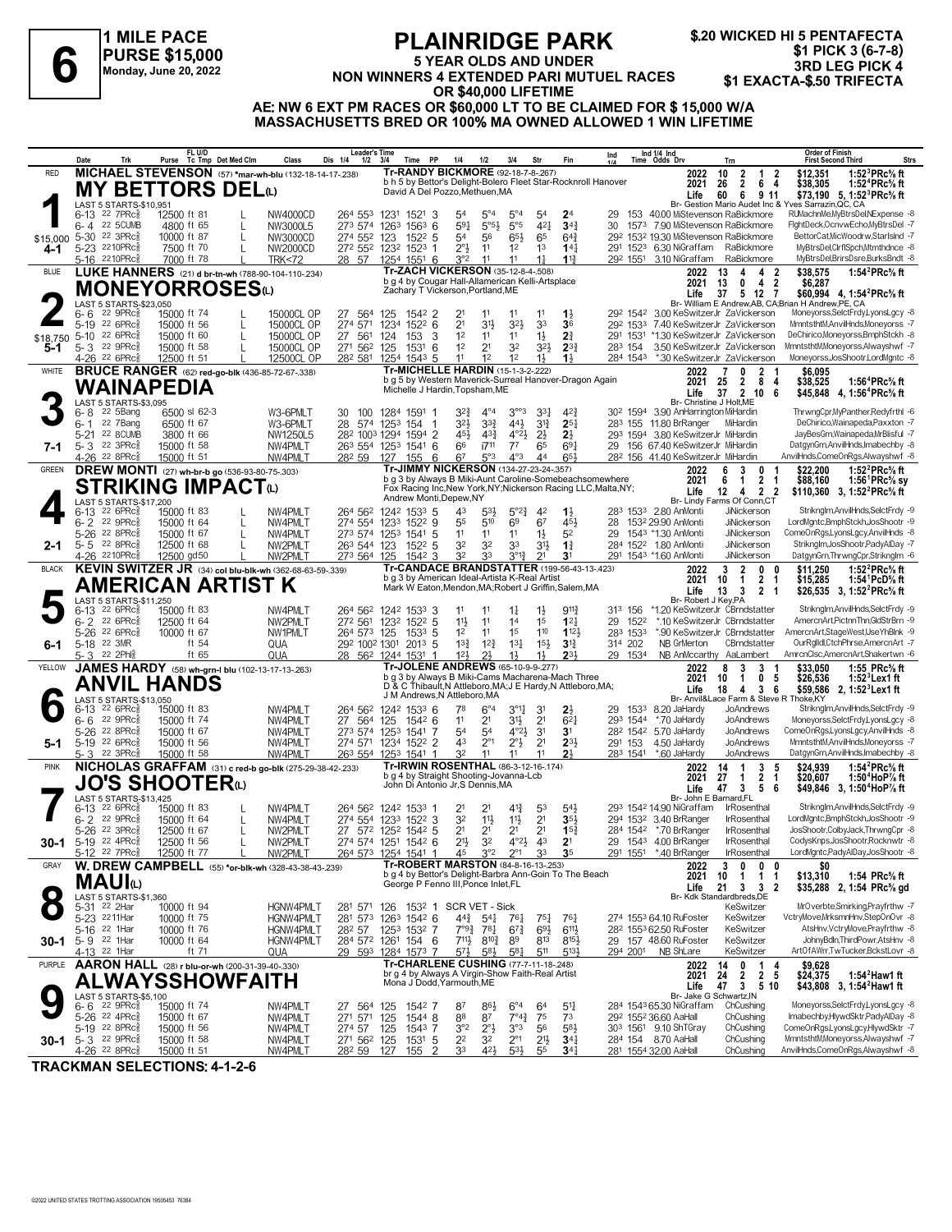### **1 MILE PACE PURSE \$15,000 Monday, June 20, 2022**

## **PLAINRIDGE PARK 5 YEAR OLDS AND UNDER**

FLAINNIDUL FARK<br>
FLAINNIDUL FARK<br>
5 YEAR OLDS AND UNDER<br>
Monday, June 20, 2022<br> **1 AND LEG PICK 4**<br>
Monday, June 20, 2022<br> **1 AND LEG PICK 4 600 LIFETIME**<br> **1 EXACTA-\$.50 TRIFECTA \$.20 WICKED HI 5 PENTAFECTA \$1 PICK 3 (6-7-8)**

**OR \$40,000 LIFETIME AE: NW 6 EXT PM RACES OR \$60,000 LT TO BE CLAIMED FOR \$ 15,000 W/A MASSACHUSETTS BRED OR 100% MA OWNED ALLOWED 1 WIN LIFETIME**

|               | Date    | Trk                                                              | FL U/D<br>Purse Tc Tmp Det Med Clm                           |              | Class                                                               | Leader's Time<br>Dis 1/4<br>1/2 | 3/4       | Time PP                                                                                             | 1/4                        | 1/2                              | 3/4                                  | Str                              | Fin                                  | Ind                                                            |                     | Ind 1/4 Ind<br>Time Odds Drv                                         | Trn                                                          | Order of Finish<br><b>Strs</b><br><b>First Second Third</b>                                                             |
|---------------|---------|------------------------------------------------------------------|--------------------------------------------------------------|--------------|---------------------------------------------------------------------|---------------------------------|-----------|-----------------------------------------------------------------------------------------------------|----------------------------|----------------------------------|--------------------------------------|----------------------------------|--------------------------------------|----------------------------------------------------------------|---------------------|----------------------------------------------------------------------|--------------------------------------------------------------|-------------------------------------------------------------------------------------------------------------------------|
| <b>RED</b>    |         |                                                                  |                                                              |              | MICHAEL STEVENSON (57) *mar-wh-blu (132-18-14-17-238)               |                                 |           | Tr-RANDY BICKMORE (92-18-7-8-267)                                                                   |                            |                                  |                                      |                                  |                                      |                                                                |                     | 2022                                                                 | 10<br>$\overline{2}$<br>1<br>2                               | \$12,351<br>1:52 ${}^{3}$ PRc ${}^{5}_{8}$ ft                                                                           |
|               |         |                                                                  | <b>MY BETTORS DELO</b>                                       |              |                                                                     |                                 |           | David A Del Pozzo, Methuen, MA                                                                      |                            |                                  |                                      |                                  |                                      | b h 5 by Bettor's Delight-Bolero Fleet Star-Rocknroll Hanover  |                     | 2021                                                                 | $\overline{2}$<br>26<br>64                                   | \$38,305<br>1:52 <sup>4</sup> PRc% ft                                                                                   |
|               |         | LAST 5 STARTS-\$10,951                                           |                                                              |              |                                                                     |                                 |           |                                                                                                     |                            |                                  |                                      |                                  |                                      |                                                                |                     | Life                                                                 | 60<br>- 6<br>9 11                                            | \$73.190 5. 1:52 <sup>3</sup> PRc <sup>5</sup> / <sub>8</sub> ft<br>Br- Gestion Mario Audet Inc & Yves Sarrazin, QC, CA |
|               |         | 6-13 22 7PRc <sup>5</sup>                                        | 12500 ft 81                                                  |              | NW4000CD                                                            | 264 553                         | 1231      | 1521 3                                                                                              | 54                         | $5^{\circ}4$                     | $5^{\circ}4$                         | 54                               | 2 <sup>4</sup>                       | 29                                                             |                     |                                                                      | 153 40.00 MiStevenson RaBickmore                             | RUMachnMe, MyBtrsDel, NExpense -8                                                                                       |
|               | $6 - 4$ | <b>22 5CUMB</b>                                                  | 4800 ft 65                                                   |              | NW3000L5                                                            | 273 574 1263 1563 6             |           |                                                                                                     | 591                        | $5^{\circ}5^{\circ}$             | $5^{\circ}5$                         | $4^{2}$                          | $34\frac{3}{4}$                      | 30                                                             |                     |                                                                      | 1573 7.90 MiStevenson RaBickmore                             | FightDeck,OcnvwEcho,MyBtrsDel -7                                                                                        |
| \$15,000 5-30 |         | $22 \text{ } 3 \text{PRc}^5$<br>5-23 2210PRcs                    | 10000 ft 87<br>7500 ft 70                                    | $\mathbf{I}$ | NW3000CD                                                            | 274 552 123                     |           | 1522 5                                                                                              | 54<br>$2^{\circ}3$         | 56<br>11                         | $65\frac{1}{2}$<br>1 <sup>2</sup>    | 65<br>1 <sup>3</sup>             | $64\frac{3}{4}$<br>$14\frac{1}{4}$   |                                                                |                     | 292 1532 19.30 MiStevenson RaBickmore<br>291 1523 6.30 NiGraffam     | RaBickmore                                                   | BettorCat.MicWoodrw.StarIsInd -7<br>MyBtrsDel,ClrflSpch,Mtmthdnce -8                                                    |
| 4-1           |         | 5-16 2210PRc                                                     | 7000 ft 78                                                   |              | NW2000CD<br><b>TRK&lt;72</b>                                        | 272 552 1232 1523 1<br>28 57    |           | 1254 1551 6                                                                                         | 3°2                        | 11                               | 11                                   | 1 <sup>1</sup>                   | 113                                  |                                                                |                     | 292 1551 3.10 NiGraffam                                              | RaBickmore                                                   | MyBtrsDel,BrirsDsre,BurksBndt -8                                                                                        |
| <b>BLUE</b>   |         |                                                                  | LUKE HANNERS (21) d br-tn-wh (788-90-104-110-.234)           |              |                                                                     |                                 |           | <b>Tr-ZACH VICKERSON (35-12-8-4-.508)</b>                                                           |                            |                                  |                                      |                                  |                                      |                                                                |                     | 2022                                                                 | 13<br>4 2<br>4                                               | \$38,575<br>1:54 ${}^{2}$ PRc ${}^{5}_{8}$ ft                                                                           |
|               |         |                                                                  | MONEYORROSESଢ                                                |              |                                                                     |                                 |           | b g 4 by Cougar Hall-Allamerican Kelli-Artsplace                                                    |                            |                                  |                                      |                                  |                                      |                                                                |                     | 2021                                                                 | 13<br>0<br>42                                                | \$6,287                                                                                                                 |
|               |         | LAST 5 STARTS-\$23,050                                           |                                                              |              |                                                                     |                                 |           | Zachary T Vickerson, Portland, ME                                                                   |                            |                                  |                                      |                                  |                                      |                                                                |                     | Life                                                                 | 5 12 7<br>37                                                 | \$60,994 4, 1:54 <sup>2</sup> PRc <sup>5</sup> / <sub>8</sub> ft<br>Br- William E Andrew AB, CA:Brian H Andrew PE, CA   |
|               | $6 - 6$ | $22$ 9PR $c_{8}$                                                 | 15000 ft 74                                                  |              | 15000CL OP                                                          | 27 564                          | 125       | 1542 2                                                                                              | 21                         | 11                               | 11                                   | 11                               | $1\frac{1}{2}$                       |                                                                |                     |                                                                      | 292 1542 3.00 KeSwitzerJr ZaVickerson                        | Moneyorss, SelctFrdy, LyonsLgcy -8                                                                                      |
|               |         | 5-19 22 6PRc                                                     | 15000 ft 56                                                  |              | 15000CL OP                                                          | 274 571                         |           | 1234 1522 6                                                                                         | 2 <sup>1</sup>             | 3 <sup>1</sup>                   | $3^{2}\frac{1}{2}$                   | 33                               | 36                                   |                                                                | 292 1533            |                                                                      | 7.40 KeSwitzerJr ZaVickerson                                 | MmntsthtM.AnvilHnds.Monevorss -7                                                                                        |
| \$18,750      |         | 5-10 22 6PRc <sup>5</sup>                                        | 15000 ft 60                                                  | $\mathbf{I}$ | 15000CL OP                                                          | 27 561                          | 124       | 3<br>153                                                                                            | 12                         | 11                               | 11                                   | $1\frac{1}{2}$                   | 2 <sup>3</sup>                       |                                                                | 291 1531            |                                                                      | *1.30 KeSwitzerJr ZaVickerson                                | DeChirico,Moneyorss,BmphStckh -8                                                                                        |
| 5-1           |         | 5-3 22 9PRc <sup>5</sup><br>4-26 <sup>22</sup> 6PRc <sup>5</sup> | 15000 ft 58<br>12500 ft 51                                   |              | 15000CL OP<br>12500CL OP                                            | 271 562<br>282 581 1254 1543 5  | 125       | 1531<br>6                                                                                           | 1 <sup>2</sup><br>11       | 2 <sup>1</sup><br>1 <sup>2</sup> | 32<br>12                             | 3 <sup>2</sup><br>$1\frac{1}{2}$ | $2^{3}\frac{3}{4}$<br>$1\frac{1}{2}$ |                                                                | 283 154<br>284 1543 |                                                                      | 3.50 KeSwitzerJr ZaVickerson<br>*.30 KeSwitzerJr ZaVickerson | MmntsthtM,Moneyorss,Alwayshwf -7<br>Moneyorss, JosShootr, LordMgntc -8                                                  |
| WHITE         |         |                                                                  | <b>BRUCE RANGER</b> (62) red-go-blk (436-85-72-67-.338)      |              |                                                                     |                                 |           | <b>Tr-MICHELLE HARDIN (15-1-3-2-.222)</b>                                                           |                            |                                  |                                      |                                  |                                      |                                                                |                     | 2022                                                                 | 7<br>0<br>$\mathbf{2}$                                       | \$6,095                                                                                                                 |
|               |         |                                                                  |                                                              |              |                                                                     |                                 |           | b g 5 by Western Maverick-Surreal Hanover-Dragon Again                                              |                            |                                  |                                      |                                  |                                      |                                                                |                     | 2021                                                                 | 25<br>$\overline{2}$<br>84                                   | \$38,525<br>1:56 <sup>4</sup> PRc% ft                                                                                   |
|               |         |                                                                  | WAINAPEDIA                                                   |              |                                                                     |                                 |           | Michelle J Hardin, Topsham, ME                                                                      |                            |                                  |                                      |                                  |                                      |                                                                |                     | Life                                                                 | $\overline{2}$<br>37<br>10 <sub>6</sub>                      | \$45,848 4, 1:56 <sup>4</sup> PRc <sup>5</sup> / <sub>8</sub> ft                                                        |
|               | 6- 8    | LAST 5 STARTS-\$3,095<br>22 5Bang                                | 6500 sl 62-3                                                 |              | W3-6PMLT                                                            | 100<br>30                       | 1284 1591 |                                                                                                     | 32}                        | $4^{\circ}4$                     | $3^{\circ\circ}3$                    | $3^{3}$                          | $4^{2}\frac{3}{4}$                   |                                                                |                     | 30 <sup>2</sup> 1594 3.90 AnHarrington MiHardin                      | Br- Christine J Holt, ME                                     | ThrwngCpr,MyPanther,Redyfrthl -6                                                                                        |
|               | $6 - 1$ | 22 7Bang                                                         | 6500 ft 67                                                   |              | W3-6PMLT                                                            | 28 574 1253 154                 |           | -1                                                                                                  | 32}                        | $3^{32}$                         | 441                                  | $3^{13}$                         | $2^{51}$                             | 283                                                            | 155                 | 11.80 BrRanger                                                       | MiHardin                                                     | DeChirico, Wainapeda, Paxxton - 7                                                                                       |
|               |         | 5-21 22 8CUMB                                                    | 3800 ft 66                                                   |              | NW1250L5                                                            | 282 1003 1294 1594 2            |           |                                                                                                     | 45}                        | $4^{3}$                          | $4^{\circ}2\frac{1}{2}$              | $2\frac{1}{2}$                   | $2\frac{1}{2}$                       |                                                                | 293 1594            | 3.80 KeSwitzerJr MiHardin                                            |                                                              | JayBesGrn, Wainapeda, MrBlisful -7                                                                                      |
| 7-1           |         | 5-3 22 3PRc <sup>5</sup><br>4-26 <sup>22</sup> 8PRc              | 15000 ft 58                                                  |              | NW4PMLT                                                             | 263 554 1253 1541 6             |           |                                                                                                     | 66<br>67                   | $17^{11}$<br>5°3                 | $7^7$<br>$4^{\circ}3$                | 65<br>44                         | $69\frac{1}{4}$<br>651               | 29                                                             |                     | 156 67.40 KeSwitzerJr MiHardin<br>282 156 41.40 KeSwitzerJr MiHardin |                                                              | DatgynGrn, AnvilHnds, Imabechby -8<br>AnvilHnds,ComeOnRgs,Alwayshwf -8                                                  |
| <b>GREEN</b>  |         |                                                                  | 15000 ft 51<br>DREW MONTI (27) wh-br-b go (536-93-80-75-303) |              | NW4PMLT                                                             | 282 59                          | 127       | 155<br>6<br>Tr-JIMMY NICKERSON (134-27-23-24-.357)                                                  |                            |                                  |                                      |                                  |                                      |                                                                |                     | 2022                                                                 | 3<br>0                                                       | 1:52 ${}^{2}$ PRc ${}^{5}_{8}$ ft<br>\$22.200                                                                           |
|               |         |                                                                  |                                                              |              |                                                                     |                                 |           |                                                                                                     |                            |                                  |                                      |                                  |                                      | b g 3 by Always B Miki-Aunt Caroline-Somebeachsomewhere        |                     | 2021                                                                 | $\mathbf{2}$<br>6<br>$\mathbf{1}$<br>- 1                     | \$88,160<br>1:56 PRc% sy                                                                                                |
|               |         |                                                                  | <b>STRIKING IMPACT</b> W                                     |              |                                                                     |                                 |           | Andrew Monti, Depew, NY                                                                             |                            |                                  |                                      |                                  |                                      | Fox Racing Inc, New York, NY; Nickerson Racing LLC, Malta, NY; |                     | Life                                                                 | 2 <sub>2</sub><br>12<br>4                                    | \$110.360 3. 1:52 <sup>2</sup> PRc <sup>5</sup> / <sub>8</sub> ft                                                       |
|               | 6-13    | LAST 5 STARTS-\$17,200<br>22 6PRc3                               | 15000 ft 83                                                  |              | NW4PMLT                                                             | 264 562 1242 1533 5             |           |                                                                                                     | 43                         | $5^{3}$                          | $5^{\circ}2\frac{3}{4}$              | 42                               | $1\frac{1}{2}$                       |                                                                |                     | 283 1533 2.80 AnMonti                                                | Br- Lindy Farms Of Conn.CT<br><b>JiNickerson</b>             | Striknglm, AnvilHnds, SelctFrdy -9                                                                                      |
|               | $6 - 2$ | 22 $9PRc85$                                                      | 15000 ft 64                                                  |              | NW4PMLT                                                             | 274 554 1233 1522 9             |           |                                                                                                     | 55                         | 510                              | 6 <sup>9</sup>                       | 67                               | 451                                  | 28                                                             |                     | 1532 29.90 AnMonti                                                   | <b>JiNickerson</b>                                           | LordMgntc,BmphStckh,JosShootr -9                                                                                        |
|               |         | 5-26 <sup>22</sup> 8PRc                                          | 15000 ft 67                                                  |              | NW4PMLT                                                             | 273 574 1253 1541 5             |           |                                                                                                     | 11                         | 11                               | 11                                   | $1\frac{1}{2}$                   | 52                                   | 29                                                             |                     | 1543 *1.30 AnMonti                                                   | JiNickerson                                                  | ComeOnRgs,LyonsLgcy,AnvilHnds -8                                                                                        |
| 2-1           |         | $5 - 5$ 22 8PRc $\frac{5}{8}$                                    | 12500 ft 68                                                  |              | NW2PMLT                                                             | 263 544 123                     |           | 1522 5                                                                                              | 32                         | 32                               | 33                                   | 31}                              | $1\frac{3}{4}$                       |                                                                |                     | 284 1522 1.80 AnMonti                                                | JiNickerson                                                  | Striknglm, JosShootr, PadyAlDay -7                                                                                      |
| <b>BLACK</b>  |         | 4-26 2210PRc                                                     | 12500 gd50                                                   |              | NW2PMLT<br>KEVIN SWITZER JR (34) col blu-blk-wh (362-68-63-59-.339) | 273 564 125                     |           | $154^2$ 3<br>Tr-CANDACE BRANDSTATTER (199-56-43-13-.423)                                            | 32                         | 33                               | $3^{\circ}1^3$                       | 2 <sup>1</sup>                   | 3 <sup>1</sup>                       |                                                                |                     | 291 1543 *1.60 AnMonti                                               | JiNickerson<br>$\overline{2}$<br>3<br>$\mathbf{0}$           | DatgynGrn, ThrwngCpr, StrikngIm -6<br>1:52 ${}^{2}$ PRc ${}^{5}_{8}$ ft                                                 |
|               |         |                                                                  |                                                              |              |                                                                     |                                 |           | b g 3 by American Ideal-Artista K-Real Artist                                                       |                            |                                  |                                      |                                  |                                      |                                                                |                     | 2022<br>2021                                                         | 0<br>10<br>$\overline{1}$<br>2 <sub>1</sub>                  | \$11,250<br>\$15,285<br>1:54 PcD% ft                                                                                    |
|               |         |                                                                  | AMERICAN ARTIST K                                            |              |                                                                     |                                 |           | Mark W Eaton, Mendon, MA; Robert J Griffin, Salem, MA                                               |                            |                                  |                                      |                                  |                                      |                                                                |                     | Life                                                                 | $13 \quad 3$<br>2 <sub>1</sub>                               | \$26,535 3, 1:52 <sup>2</sup> PRc <sup>5</sup> / <sub>8</sub> ft                                                        |
|               |         | LAST 5 STARTS-\$11,250<br>$6-13$ 22 6PRc $\frac{5}{8}$           | 15000 ft 83                                                  |              | NW4PMLT                                                             | 264 562 1242 1533 3             |           |                                                                                                     | 11                         | 11                               | $1\frac{1}{4}$                       | $1\frac{1}{2}$                   | $9^{11}\frac{3}{4}$                  |                                                                | 313 156             | Br- Robert J Key, PA                                                 | *1.20 KeSwitzerJr CBrndstatter                               | Striknglm, AnvilHnds, SelctFrdy -9                                                                                      |
|               |         | $6 - 2$ 22 6PRcs                                                 | 12500 ft 64                                                  |              | NW2PMLT                                                             | 272 561 1232 1522 5             |           |                                                                                                     | 11}                        | 11                               | 14                                   | 1 <sup>5</sup>                   | $12\frac{1}{4}$                      |                                                                | 29 1522             |                                                                      | *.10 KeSwitzerJr CBrndstatter                                | AmercnArt, PictnnThn, GldStrBrn -9                                                                                      |
|               |         | 5-26 22 6PRc $\frac{5}{8}$                                       | 10000 ft 67                                                  |              | NW1PMLT                                                             | 264 573 125                     |           | 1533 5                                                                                              | 1 <sup>2</sup>             | 11                               | 1 <sup>5</sup>                       | 110                              | 1123                                 |                                                                | 283 1533            |                                                                      | *.90 KeSwitzerJr CBrndstatter                                | AmercnArt,StageWest,UseYhBlnk -9                                                                                        |
| 6-1           |         | 5-18 22 3MR                                                      | ft 54                                                        |              | QUA                                                                 | 292 1002 1301                   |           | 2013 5                                                                                              | $13\frac{3}{4}$            | $12\frac{3}{4}$                  | $13\frac{1}{4}$                      | $15\frac{1}{2}$                  | $3^{13}$                             |                                                                | 314 202             | NB GrMerton                                                          | CBrndstatter                                                 | OurRglldl,CtchPhrse,AmercnArt -7                                                                                        |
| <b>YELLOW</b> |         | 5-3 22 2Phls                                                     | ft $65$                                                      |              | QUA                                                                 | 28 562 1244 1531                |           | Tr-JOLENE ANDREWS (65-10-9-9-277)                                                                   | 12 <sup>1</sup>            | 2 <sup>1</sup>                   | $1\frac{1}{2}$                       | 1}                               | 231                                  |                                                                | 29 1534             |                                                                      | NB AnMccarthy AaLambert                                      | AmrcnClsc,AmercnArt,Shakertwn -6                                                                                        |
|               |         |                                                                  | JAMES HARDY (58) wh-grn-I blu (102-13-17-13-263)             |              |                                                                     |                                 |           | b q 3 by Always B Miki-Cams Macharena-Mach Three                                                    |                            |                                  |                                      |                                  |                                      |                                                                |                     | 2022<br>2021                                                         | 8<br>3<br>3<br>0 <sub>5</sub><br>10<br>$\mathbf{1}$          | \$33,050<br>1:55 PRc% ft<br>\$26,536<br>1:52 Lex1 ft                                                                    |
|               |         |                                                                  | <b>ANVIL HANDS</b>                                           |              |                                                                     |                                 |           | D & C Thibault, N Attleboro, MA; J E Hardy, N Attleboro, MA;<br>J M Andrews, N Attleboro, MA        |                            |                                  |                                      |                                  |                                      |                                                                |                     | Life                                                                 | 18<br>$\overline{4}$<br>36                                   | \$59,586 2, 1:52 <sup>3</sup> Lex1 ft                                                                                   |
|               |         | LAST 5 STARTS-\$13,050<br>$6-13$ 22 6PRc $\frac{5}{8}$           | 15000 ft 83                                                  |              | NW4PMLT                                                             | 264 562 1242 1533 6             |           |                                                                                                     | 78                         | $6^{\circ}4$                     | $3^{\circ}1\frac{1}{4}$              | 3 <sup>1</sup>                   | $2\frac{1}{2}$                       | 29.                                                            | 1533                | 8.20 JaHardy                                                         | Br- Anvil&Lace Farm & Steve R Thoke, KY<br>JoAndrews         | Striknglm, AnvilHnds, SelctFrdy -9                                                                                      |
|               |         | 6-6 22 9PRc                                                      | 15000 ft 74                                                  |              | NW4PMLT                                                             | 27 564                          | 125       | 1542 6                                                                                              | 11                         | 2 <sup>1</sup>                   | 31}                                  | 2 <sup>1</sup>                   | $6^{2}1$                             |                                                                | 293 1544            | *.70 JaHardy                                                         | JoAndrews                                                    | Moneyorss,SelctFrdy,LyonsLgcy -8                                                                                        |
|               |         | 5-26 <sup>22</sup> 8PRc <sup>5</sup>                             | 15000 ft 67                                                  |              | NW4PMLT                                                             | 273 574                         |           | 1253 1541 7                                                                                         | 54                         | 54                               | $4^{\circ}2\frac{1}{2}$              | 3 <sup>1</sup>                   | 3 <sup>1</sup>                       |                                                                |                     | 28 <sup>2</sup> 154 <sup>2</sup> 5.70 JaHardy                        | JoAndrews                                                    | ComeOnRgs,LyonsLgcy,AnvilHnds -8                                                                                        |
| 5-1           |         | 5-19 22 6PRc                                                     | 15000 ft 56                                                  |              | NW4PMLT                                                             | 274 571                         |           | 1234 1522 2                                                                                         | 43                         | $2^{\circ}1$                     | $2^{\circ}$                          | 2 <sup>1</sup>                   | $2^{3}$                              |                                                                | 291 153             | 4.50 JaHardy                                                         | JoAndrews                                                    | MmntsthtM,AnvilHnds,Moneyorss -7                                                                                        |
| <b>PINK</b>   |         | 5-3 22 3PRc <sup>3</sup>                                         | 15000 ft 58                                                  |              | NW4PMLT<br>NICHOLAS GRAFFAM (31) c red-b go-blk (275-29-38-42-233)  | 263 554                         |           | 1253 1541 1<br>Tr-IRWIN ROSENTHAL (86-3-12-16-.174)                                                 | 32                         | 11                               | 11                                   | 11                               | 21                                   |                                                                | 283 1541            | *.60 JaHardy                                                         | JoAndrews<br>5                                               | DatgynGrn,AnvilHnds,Imabechby -8                                                                                        |
|               |         |                                                                  |                                                              |              |                                                                     |                                 |           | b q 4 by Straight Shooting-Jovanna-Lcb                                                              |                            |                                  |                                      |                                  |                                      |                                                                |                     | 2022<br>2021                                                         | 3<br>14<br>$\mathbf{1}$<br>27<br>2<br>-1<br>-1               | \$24.939<br>1:54 ${}^{2}$ PRc ${}^{5}_{8}$ ft<br>\$20,607<br>1:50 <sup>4</sup> HoP% ft                                  |
|               |         |                                                                  | JO'S SHOOTERധ                                                |              |                                                                     |                                 |           | John Di Antonio Jr, S Dennis, MA                                                                    |                            |                                  |                                      |                                  |                                      |                                                                |                     | Life                                                                 | $\mathbf{3}$<br>56<br>47                                     | \$49,846 3, 1:50 <sup>4</sup> HoP% ft                                                                                   |
|               |         | LAST 5 STARTS-\$13,425<br>$6-13$ 22 6PRc $\frac{5}{8}$           | 15000 ft 83                                                  |              | NW4PMLT                                                             | 264 562 1242 1533 1             |           |                                                                                                     | 21                         | 2 <sup>1</sup>                   | $4^{13}$                             | 53                               | $5^{41}$                             |                                                                |                     | 293 1542 14.90 NiGraffam                                             | Br- John E Barnard.FL<br>IrRosenthal                         | Striknglm, AnvilHnds, SelctFrdy -9                                                                                      |
|               | 2<br>6- | 22 9PRc3                                                         | 15000 ft 64                                                  |              | NW4PMLT                                                             | 274 554                         |           | 1233 1522 3                                                                                         | 32                         | $11\frac{1}{2}$                  | $11\frac{1}{2}$                      | 2 <sup>1</sup>                   | $35\frac{1}{2}$                      |                                                                |                     | 294 1532 3.40 BrRanger                                               | <b>IrRosenthal</b>                                           | LordMantc.BmphStckh.JosShootr -9                                                                                        |
|               |         | 5-26 22 3PRc                                                     | 12500 ft 67                                                  |              | NW2PMIT                                                             | 27 572 1252 1542 5              |           |                                                                                                     | 2 <sup>1</sup>             | 2 <sup>1</sup>                   | 2 <sup>1</sup>                       | 2 <sup>1</sup>                   | $15\frac{3}{4}$                      |                                                                |                     | 284 1542 *.70 BrRanger                                               | <b>IrRosenthal</b>                                           | JosShootr,ColbyJack,ThrwngCpr -8                                                                                        |
| 30-1          |         | 5-19 22 4PRcs                                                    | 12500 ft 56                                                  | L            | NW2PMLT                                                             | 274 574 1251 1542 6             |           |                                                                                                     | 213                        | 3 <sup>2</sup>                   | $4^{\circ}2\frac{1}{2}$              | 43                               | 2 <sup>1</sup>                       |                                                                |                     | 29 1543 4.00 BrRanger                                                | IrRosenthal                                                  | CodysKnps, JosShootr, Rocknwtr -8                                                                                       |
|               |         | 5-12 <sup>22</sup> 7PRc <sup>3</sup>                             | 12500 ft 77                                                  |              | NW2PML <sub>1</sub>                                                 | 264 573                         |           | 1254 1541 1                                                                                         | 45                         | $3^{\circ}2$                     | $2^{\circ}1$                         |                                  | 3 <sub>5</sub>                       |                                                                | 291 1551            | *.40 BrRanger                                                        | IrRosenthal                                                  | LordMgntc,PadyAlDay,JosShootr -8                                                                                        |
| GRAY          |         |                                                                  |                                                              |              | W. DREW CAMPBELL (55) *or-blk-wh (328-43-38-43-239)                 |                                 |           | <b>Tr-ROBERT MARSTON (84-8-16-13-253)</b><br>b g 4 by Bettor's Delight-Barbra Ann-Goin To The Beach |                            |                                  |                                      |                                  |                                      |                                                                |                     | 2022<br>2021                                                         | 3<br>0<br>0<br>0<br>10<br>1<br>$\mathbf{1}$<br>1             | \$0<br>\$13,310<br>1:54 PRc% ft                                                                                         |
|               |         | MAUIധ                                                            |                                                              |              |                                                                     |                                 |           | George P Fenno III, Ponce Inlet, FL                                                                 |                            |                                  |                                      |                                  |                                      |                                                                |                     | Life                                                                 | 21 3 3 2                                                     | \$35,288 2, 1:54 PRc <sup>5</sup> / <sub>8</sub> gd                                                                     |
|               |         | LAST 5 STARTS-\$1,360                                            |                                                              |              |                                                                     |                                 |           |                                                                                                     |                            |                                  |                                      |                                  |                                      |                                                                |                     |                                                                      | Br- Kdk Standardbreds, DE                                    |                                                                                                                         |
|               |         | 5-31 <sup>22</sup> 2Har<br>5-23 2211Har                          | 10000 ft 94<br>10000 ft 75                                   |              | <b>HGNW4PMLT</b><br>HGNW4PMLT                                       | 281 571<br>281 573 1263 1542 6  |           | 126 1532 1 SCR VET - Sick                                                                           | 44}                        | $5^{41}$                         | 76}                                  | $75\frac{1}{4}$                  | 767                                  |                                                                |                     | 274 1553 64.10 RuFoster                                              | KeSwitzer<br>KeSwitzer                                       | MrOverbte,Smirking,Prayfrthw -7<br>VctryMove,MrksmnHnv,StepOnOvr -8                                                     |
|               |         | 5-16 22 1Har                                                     | 10000 ft 76                                                  |              | <b>HGNW4PMLT</b>                                                    | 282 57                          |           | 1253 1532 7                                                                                         | $7^{\circ}9^{\frac{3}{4}}$ | 781                              | $6^{73}$                             | $69\frac{1}{2}$                  | $6^{11}\frac{1}{2}$                  |                                                                |                     | 28 <sup>2</sup> 1553 62.50 RuFoster                                  | KeSwitzer                                                    | AtsHnv,VctryMove,Prayfrthw -8                                                                                           |
| 30-1          |         | 5-9 22 1Har                                                      | 10000 ft 64                                                  |              | HGNW4PMLT                                                           | 284 572 1261 154 6              |           |                                                                                                     | $711\frac{1}{2}$           | $8^{10}\frac{3}{4}$              | 89                                   | 813                              | $8^{15}\frac{1}{2}$                  |                                                                |                     | 29 157 48.60 RuFoster                                                | KeSwitzer                                                    | JohnyBdln,ThirdPowr,AtsHnv -8                                                                                           |
|               |         | 4-13 <sup>22</sup> 1Har                                          | ft 71                                                        |              | QUA                                                                 | 29 593 1284 1573 7              |           | Tr-CHARLENE CUSHING (77-7-11-18-248)                                                                | 57}                        | $5^{8}$                          | $5^{81}$                             | 511                              | 5134                                 |                                                                | 294 2001            | NB ShLare                                                            | KeSwitzer                                                    | ArtOfAWrr,TwTucker,BckstLovr -8                                                                                         |
| PURPLE        |         | <b>AARON HALL</b>                                                | (28) r blu-or-wh (200-31-39-40-.330)                         |              |                                                                     |                                 |           | br g 4 by Always A Virgin-Show Faith-Real Artist                                                    |                            |                                  |                                      |                                  |                                      |                                                                |                     | 2022<br>2021                                                         | 0<br>14<br>1<br>4<br>2 <sub>5</sub><br>$\mathbf{2}$<br>24    | \$9,628<br>1:54 $^2$ Haw1 ft<br>\$24,375                                                                                |
|               |         |                                                                  | ALWAYSSHOWFAITH                                              |              |                                                                     |                                 |           | Mona J Dodd, Yarmouth, ME                                                                           |                            |                                  |                                      |                                  |                                      |                                                                |                     | Life                                                                 | 47 3 5 10                                                    | \$43,808 3, 1:54 <sup>2</sup> Haw1 ft                                                                                   |
|               |         | LAST 5 STARTS-\$5,100                                            |                                                              |              |                                                                     |                                 |           |                                                                                                     |                            |                                  |                                      |                                  |                                      |                                                                |                     |                                                                      | Br- Jake G Schwartz.IN                                       | Moneyorss, SelctFrdy, LyonsLgcy -8                                                                                      |
|               |         | $6 - 6$ 22 9PRc $\frac{5}{8}$<br>5-26 22 4PRc <sup>5</sup>       | 15000 ft 74<br>15000 ft 67                                   |              | NW4PMLT<br>NW4PMLT                                                  | 27 564 125<br>271 571           | 125       | 1542 7<br>1544 8                                                                                    | 87<br>88                   | $86\frac{1}{2}$<br>87            | $6^{\circ}4$<br>$7^{\circ}4_{4}^{3}$ | 64<br>75                         | $5^{11}$<br>7 <sup>3</sup>           |                                                                |                     | 284 1543 65.30 NiGraffam<br>292 1552 36.60 AaHall                    | ChCushing<br>ChCushing                                       | Imabechby,HlywdSktr,PadyAlDay -8                                                                                        |
|               |         | 5-19 22 8PRc                                                     | 15000 ft 56                                                  |              | NW4PMLT                                                             | 274 57 125                      |           | 1543 7                                                                                              | 3°2                        | $2^{\circ}$                      | 3°3                                  | 56                               | 583                                  |                                                                |                     | 303 1561 9.10 ShTGray                                                | ChCushing                                                    | ComeOnRgs,LyonsLgcy,HlywdSktr -7                                                                                        |
| 30-1          |         | 5-3 22 9PRc <sup>3</sup>                                         | 15000 ft 58                                                  |              | NW4PMLT                                                             | 271 562 125                     |           | $153^1$ 5                                                                                           | 2 <sup>2</sup>             | 32                               | $2^{\circ}1$                         | 2 <sup>11</sup>                  | $34\frac{1}{4}$                      |                                                                |                     | 284 154 8.70 AaHall                                                  | ChCushing                                                    | MmntsthtM,Moneyorss,Alwayshwf -7                                                                                        |
|               |         | 4-26 22 8PRc <sup>3</sup>                                        | 15000 ft 51                                                  |              | NW4PMLT                                                             | 28 <sup>2</sup> 59 127          |           | 155<br>-2                                                                                           | 33                         | 42}                              | 531                                  | 55                               | 341                                  |                                                                |                     | 281 1554 32.00 AaHall                                                | ChCushing                                                    | AnvilHnds,ComeOnRgs,Alwayshwf -8                                                                                        |

**TRACKMAN SELECTIONS: 4-1-2-6**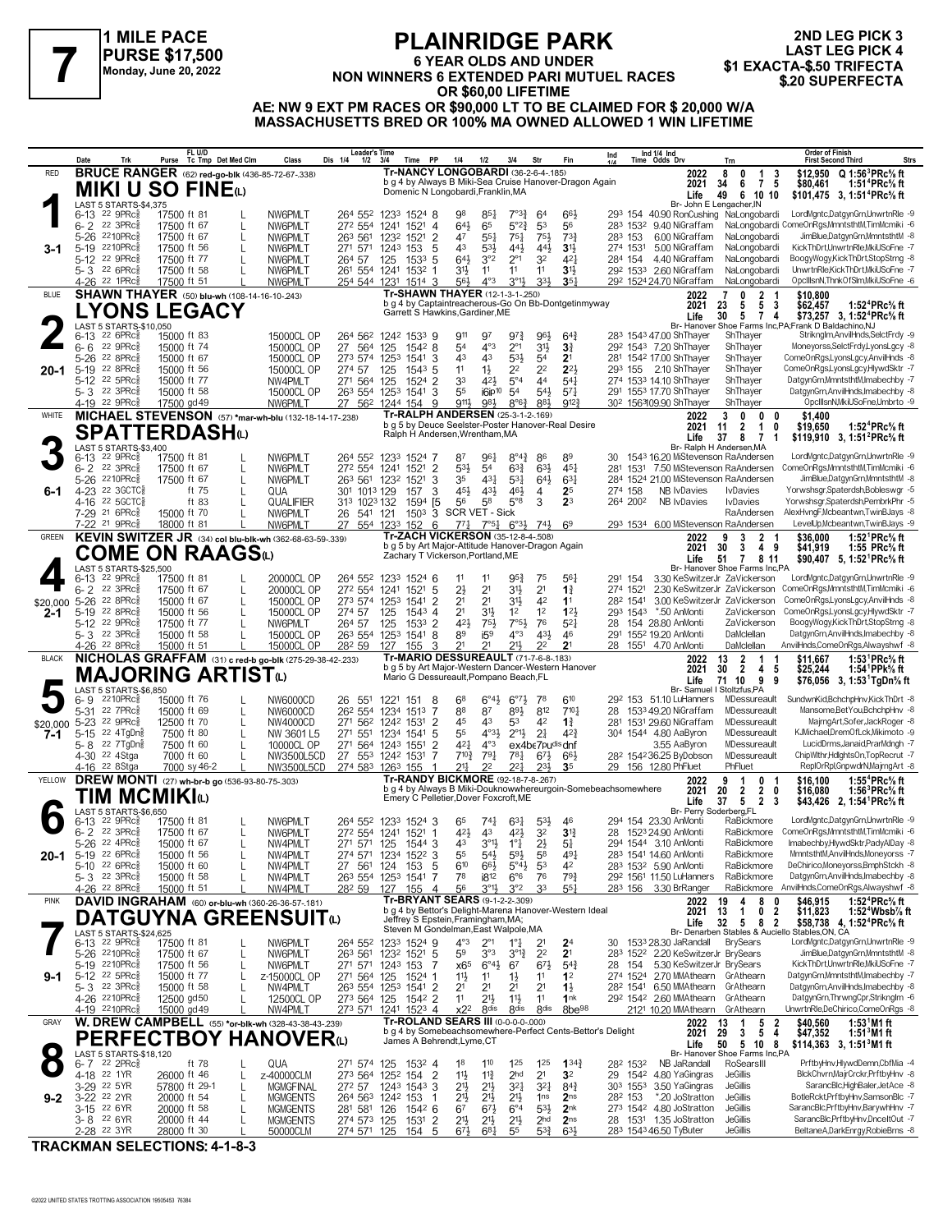### **1 MILE PACE PURSE \$17,500 Monday, June 20, 2022**

## **PLAINRIDGE PARK 6 YEAR OLDS AND UNDER** PURSE \$17,500<br>
NON WINNERS 6 EXTENDED PARI MUTUEL RACES \$1 EXACTA-\$.50 TRIFECTA<br>
Monday, June 20, 2022<br> **1 ADDERFECTA** CR \$60.00 LIFETIME<br>
OR \$60.00 LIFETIME **OR \$60,00 LIFETIME**

**2ND LEG PICK 3 LAST LEG PICK 4<br>\$1 EXACTA-\$.50 TRIFECTA** 

**AE: NW 9 EXT PM RACES OR \$90,000 LT TO BE CLAIMED FOR \$ 20,000 W/A MASSACHUSETTS BRED OR 100% MA OWNED ALLOWED 1 WIN LIFETIME**

|                 | Date            |                                                                 | Trk                    | Purse                      | FL U/D<br>Tc Tmp Det Med Clm                                                         | Class                               | <b>Leader's Time</b><br>Dis 1/4<br>$1/2$ $3/4$ |                  | Time PP                                          | 1/4                                                                                           | 1/2                                   | 3/4                                           | Str                              | Fin                                  | Ind 1/4 Ind<br>Time Odds Drv<br>Ind                                     |                                                                     | Trn                                                                   | <b>Order of Finish</b><br><b>First Second Third</b>                                                                        | Strs |
|-----------------|-----------------|-----------------------------------------------------------------|------------------------|----------------------------|--------------------------------------------------------------------------------------|-------------------------------------|------------------------------------------------|------------------|--------------------------------------------------|-----------------------------------------------------------------------------------------------|---------------------------------------|-----------------------------------------------|----------------------------------|--------------------------------------|-------------------------------------------------------------------------|---------------------------------------------------------------------|-----------------------------------------------------------------------|----------------------------------------------------------------------------------------------------------------------------|------|
| <b>RED</b>      |                 |                                                                 |                        |                            | <b>BRUCE RANGER</b> (62) red-go-blk (436-85-72-67-.338)                              |                                     |                                                |                  |                                                  | Tr-NANCY LONGOBARDI (36-2-6-4-.185)<br>b g 4 by Always B Miki-Sea Cruise Hanover-Dragon Again |                                       |                                               |                                  |                                      |                                                                         | 2022                                                                | 8<br>0<br>1<br>3<br>75<br>6<br>34                                     | \$12,950 Q 1:56 <sup>3</sup> PRc <sup>5</sup> / <sub>8</sub> ft<br>1:51 <sup>4</sup> PRc% ft                               |      |
|                 |                 |                                                                 |                        |                            | <b>MIKI U SO FINE</b>                                                                |                                     |                                                |                  |                                                  | Domenic N Longobardi, Franklin, MA                                                            |                                       |                                               |                                  |                                      |                                                                         | 2021<br>Life                                                        | 6 10 10<br>49                                                         | \$80,461<br>\$101,475 3, 1:51 <sup>4</sup> PRc <sup>5</sup> / <sub>8</sub> ft                                              |      |
|                 | 6-13            | $22$ 9PR $c_{8}$                                                | LAST 5 STARTS-\$4,375  | 17500 ft 81                |                                                                                      | NW6PMLT                             | 264 552 1233 1524 8                            |                  |                                                  | 98                                                                                            | 851                                   | $7^{\circ}3^3$                                | 64                               | 663                                  |                                                                         | Br- John E Lengacher, IN                                            | 293 154 40.90 RonCushing NaLongobardi                                 | LordMgntc,DatgynGrn,UnwrtnRle -9                                                                                           |      |
|                 | $6 - 2$         | $22 \text{ } 3$ PRc $\frac{5}{8}$<br>5-26 2210PRc               |                        | 17500 ft 67<br>17500 ft 67 | L<br>L                                                                               | NW6PMLT<br>NW6PMLT                  | 272 554 1241<br>263 561                        | 1232             | 1521<br>$\overline{4}$<br>$\overline{2}$<br>1521 | $64\frac{1}{2}$<br>47                                                                         | 65<br>$55\frac{1}{4}$                 | $5^{\circ}2_{4}^{3}$<br>$75\frac{1}{4}$       | 53<br>$75\frac{1}{2}$            | 56<br>733                            | 283 153                                                                 | 283 1532 9.40 NiGraffam<br>6.00 NiGraffam                           | NaLongobardi                                                          | NaLongobardi ComeOnRgs,MmntsthtM,TimMcmiki -6<br>JimBlue,DatgynGrn,MmntsthtM -8                                            |      |
| 3-1             | $5-19$          | 2210PRc융                                                        |                        | 17500 ft 56                | $\mathsf{L}$                                                                         | NW6PMLT                             | 271 571                                        | 124 <sup>3</sup> | 153<br>5                                         | 43                                                                                            | 531                                   | 441                                           | 441                              | 31,                                  | 274 1531                                                                | 5.00 NiGraffam                                                      | NaLongobardi                                                          | KickThDrt,UnwrtnRle,MkiUSoFne -7                                                                                           |      |
|                 |                 | 5-12 22 9PRcs<br>5-3 22 6PRc                                    |                        | 17500 ft 77<br>17500 ft 58 | $\mathsf{L}$                                                                         | NW6PMLT<br>NW6PMLT                  | 264 57<br>261 554 1241                         | 125              | 1533 5<br>1532<br>-1                             | 643<br>3 <sup>1</sup>                                                                         | 3°2<br>11                             | $2^{\circ}1$<br>11                            | 32<br>11                         | 421<br>31}                           | 284 154<br>292 1533 2.60 NiGraffam                                      | 4.40 NiGraffam                                                      | NaLongobardi<br>NaLongobardi                                          | BoogyWogy,KickThDrt,StopStrng -8<br>UnwrtnRle,KickThDrt,MkiUSoFne -7                                                       |      |
|                 |                 | 4-26 <sup>22</sup> 1PRcs                                        |                        | 17500 ft 51                |                                                                                      | NW6PMLT                             | 254 544 1231 1514 3                            |                  |                                                  | 56}                                                                                           | $4^{\circ}3$                          | $3^{01}$                                      | 3 <sup>3</sup>                   | $35\frac{1}{4}$                      | 292 1524 24.70 NiGraffam                                                |                                                                     | NaLongobardi                                                          | OpcIllsnN,ThnkOfSlm,MkiUSoFne -6                                                                                           |      |
| <b>BLUE</b>     |                 |                                                                 |                        |                            | <b>SHAWN THAYER</b> (50) blu-wh (108-14-16-10-243)                                   |                                     |                                                |                  |                                                  | Tr-SHAWN THAYER (12-1-3-1-.250)<br>b g 4 by Captaintreacherous-Go On Bb-Dontgetinmyway        |                                       |                                               |                                  |                                      |                                                                         | 2022<br>2021                                                        | $\begin{array}{cc} 2 & 1 \\ 5 & 3 \end{array}$<br>0<br>23<br>5        | \$10,800<br>1:52 <sup>4</sup> PRc <sup>5</sup> / <sub>8</sub> ft<br>\$62,457                                               |      |
|                 |                 |                                                                 | LAST 5 STARTS-\$10,050 |                            | <b>YONS LEGACY</b>                                                                   |                                     |                                                |                  |                                                  | Garrett S Hawkins, Gardiner, ME                                                               |                                       |                                               |                                  |                                      |                                                                         | Life                                                                | 5 7 4<br>30                                                           | \$73,257 3, 1:52 <sup>4</sup> PRc <sup>5</sup> / <sub>8</sub> ft<br>Br- Hanover Shoe Farms Inc, PA; Frank D Baldachino, NJ |      |
|                 | $6 - 13$        | $226$ PR $c_{8}$<br>$22$ 9PR $c_{8}^{5}$                        |                        | 15000 ft 83                |                                                                                      | 15000CL OP                          | 264 562 1242 1533 9                            |                  |                                                  | 911                                                                                           | 97<br>$4^{\circ}3$                    | $9^{7}\frac{3}{4}$                            | 961                              | $64\frac{3}{4}$                      | 283 1543 47.00 ShThayer                                                 |                                                                     | ShThayer                                                              | Striknglm, AnvilHnds, SelctFrdy -9                                                                                         |      |
|                 | $6 - 6$         | 5-26 22 8PRc                                                    |                        | 15000 ft 74<br>15000 ft 67 |                                                                                      | 15000CL OP<br>15000CL OP            | 27 564<br>273 574 1253                         | 125              | 1542 8<br>1541<br>3                              | 54<br>43                                                                                      | 43                                    | $2^{\circ}1$<br>$53\frac{1}{2}$               | $3^{11}$<br>54                   | $3\frac{3}{4}$<br>2 <sup>1</sup>     | 292 1543 7.20 ShThayer<br>281 1542 17.00 ShThayer                       |                                                                     | ShThayer<br>ShThayer                                                  | Moneyorss,SelctFrdy,LyonsLgcy -8<br>ComeOnRgs,LyonsLgcy,AnvilHnds -8                                                       |      |
| 20-1            | $5-19$          | $22$ 8PR $c_{8}^{5}$<br>5-12 22 5PRc <sup>5</sup>               |                        | 15000 ft 56<br>15000 ft 77 |                                                                                      | 15000CL OP<br>NW4PMLT               | 274 57<br>271 564 125                          | 125              | 1543<br>-5<br>1524 2                             | 11<br>33                                                                                      | $1\frac{1}{2}$<br>421                 | 2 <sup>2</sup><br>$5^{\circ}4$                | 2 <sup>2</sup><br>44             | $2^{2}$<br>$5^{4}$                   | 293 155 2.10 ShThayer<br>274 1533 14.10 ShThayer                        |                                                                     | ShThayer<br>ShThayer                                                  | ComeOnRgs,LyonsLgcy,HlywdSktr -7<br>DatgynGrn,MmntsthtM,Imabechby -7                                                       |      |
|                 |                 | 5-3 <sup>22</sup> 3PRc <sup>3</sup>                             |                        | 15000 ft 58                |                                                                                      | 15000CL OP                          | 263 554 1253                                   |                  | 1541<br>3                                        | 55                                                                                            | $i6$ ip <sup>10</sup>                 | 5 <sup>4</sup>                                | $5^{41}$                         | $57\frac{1}{4}$                      | 291 1553 17.70 ShThayer                                                 |                                                                     | ShThayer                                                              | DatgynGrn, AnvilHnds, Imabechby -8                                                                                         |      |
| WHITE           |                 | 4-19 22 9PRc                                                    |                        | 17500 gd 49                | MICHAEL STEVENSON (57) *mar-wh-blu (132-18-14-17-238)                                | NW6PMLT                             | 27 562 1244 154                                |                  | 9                                                | 9111,<br>Tr-RALPH ANDERSEN (25-3-1-2-169)                                                     | 981                                   | 8°6                                           | 883                              | 912 <sup>3</sup>                     | 302 1563109.90 ShThayer                                                 | 2022                                                                | ShThayer<br>0<br>3<br>0<br>0                                          | OpcIIIsnN, MkiUSoFne, Umbrto -9<br>\$1.400                                                                                 |      |
|                 |                 |                                                                 |                        |                            | <b>SPATTERDASH</b> t                                                                 |                                     |                                                |                  |                                                  | b g 5 by Deuce Seelster-Poster Hanover-Real Desire<br>Ralph H Andersen, Wrentham, MA          |                                       |                                               |                                  |                                      |                                                                         | 2021<br>Life                                                        | 11<br>2<br>1<br>0<br>$\overline{7}$                                   | \$19,650<br>1:52 <sup>4</sup> PRc <sup>5</sup> / <sub>8</sub> ft                                                           |      |
|                 |                 |                                                                 | LAST 5 STARTS-\$3,400  |                            |                                                                                      |                                     |                                                |                  |                                                  |                                                                                               |                                       |                                               |                                  |                                      |                                                                         |                                                                     | 37<br>8<br>-1<br>Br- Ralph H Andersen.MA                              | \$119,910 3, 1:51 <sup>2</sup> PRc <sup>5</sup> / <sub>8</sub> ft                                                          |      |
|                 |                 | 6-13 22 9PRc <sup>5</sup><br>6-2 22 3PRc <sup>5</sup>           |                        | 17500 ft 81<br>17500 ft 67 |                                                                                      | NW6PMLT<br>NW6PMLT                  | 264 552 1233 1524 7<br>272 554 1241            |                  | 1521<br>$\overline{2}$                           | 87<br>$5^{3}\frac{1}{2}$                                                                      | 961<br>5 <sup>4</sup>                 | $8^{\circ}4^{\frac{3}{4}}$<br>$63\frac{3}{4}$ | 86<br>$63\frac{1}{2}$            | 89<br>$45\frac{1}{4}$                | 30<br>281                                                               |                                                                     | 1543 16.20 MiStevenson RaAndersen<br>1531 7.50 MiStevenson RaAndersen | LordMgntc,DatgynGrn,UnwrtnRle -9<br>ComeOnRgs,MmntsthtM,TimMcmiki -6                                                       |      |
|                 |                 | 5-26 2210PRc<br>4-23 22 3GCTC§                                  |                        | 17500 ft 67                | L<br>ft 75<br>$\mathsf{L}$                                                           | NW6PMLT<br>QUA                      | 263 561 1232<br>301 1013 129                   |                  | 1521<br>3<br>157<br>3                            | 35<br>45}                                                                                     | 431<br>431                            | $53\frac{1}{4}$<br>461                        | $64\frac{1}{2}$<br>4             | $63\frac{1}{4}$<br>25                | 274 158                                                                 | <b>NB IvDavies</b>                                                  | 284 1524 21.00 MiStevenson RaAndersen<br><b>IvDavies</b>              | JimBlue,DatgynGrn,MmntsthtM -8<br>Yorwshsgr,Spaterdsh,Bobleswgr -5                                                         |      |
|                 |                 | 4-16 22 5 GCTC <sub>8</sub>                                     |                        |                            | ft 83<br>$\mathsf{L}$                                                                | QUALIFIER                           | 313 1023 132                                   |                  | 1594<br>[5                                       | 56                                                                                            | 58                                    | $5^{\circ}8$                                  | 3                                | 2 <sup>3</sup>                       | 264 2002                                                                | NR IvDavies                                                         | <b>IvDavies</b>                                                       | Yorwshsgr,Spaterdsh,PembrkPhr -5                                                                                           |      |
|                 |                 | 7-29 <sup>21</sup> 6PRc <sup>3</sup><br>7-22 <sup>21</sup> 9PRc |                        | 15000 ft 70<br>18000 ft 81 |                                                                                      | NW6PMLT<br>NW6PMLT                  | 26<br>541 121<br>27                            | 554 1233         | 1503<br>152<br>6                                 | 3 SCR VET - Sick<br>$77\frac{1}{4}$                                                           | $7^{\circ}5^{\frac{1}{4}}$            | $6^{o_{31}}$                                  | 74}                              | 6 <sup>9</sup>                       |                                                                         |                                                                     | RaAndersen<br>293 1534 6.00 MiStevenson RaAndersen                    | AlexHvngF, Mcbeantwn, TwinBJays -8<br>LevelUp, Mcbeantwn, TwinBJays -9                                                     |      |
| <b>GREEN</b>    |                 |                                                                 |                        |                            | KEVIN SWITZER JR (34) col blu-blk-wh (362-68-63-59-.339)                             |                                     |                                                |                  |                                                  | <b>Tr-ZACH VICKERSON (35-12-8-4-.508)</b><br>b g 5 by Art Major-Attitude Hanover-Dragon Again |                                       |                                               |                                  |                                      |                                                                         | 2022                                                                | 3<br>$\mathbf{2}$<br>9                                                | 1:52 <sup>1</sup> PRc <sup>5</sup> / <sub>8</sub> ft<br>\$36,000                                                           |      |
|                 |                 |                                                                 |                        |                            | COME ON RAAGSധ                                                                       |                                     |                                                |                  |                                                  | Zachary T Vickerson, Portland, ME                                                             |                                       |                                               |                                  |                                      |                                                                         | 2021<br>Life                                                        | 3<br>30<br>49<br>$\mathbf{7}$<br>51<br>8 11                           | \$41,919<br>1:55 PRc% ft<br>\$90,407 5, 1:52 PRc <sup>5</sup> / <sub>8</sub> ft                                            |      |
|                 | 6-13            | $22$ 9PR $c_{8}$                                                | LAST 5 STARTS-\$25,500 | 17500 ft 81                |                                                                                      | 20000CL OP                          | 264 552 1233 1524 6                            |                  |                                                  | 11                                                                                            | 11                                    | $95\frac{3}{4}$                               | 75                               | $56\frac{1}{4}$                      | 291<br>154                                                              |                                                                     | Br- Hanover Shoe Farms Inc.PA<br>3.30 KeSwitzerJr ZaVickerson         | LordMgntc,DatgynGrn,UnwrtnRle -9                                                                                           |      |
|                 | $6 - 2$         | $22 \text{ } 3$ PRc $\frac{5}{8}$<br>5-26 22 8PRc3              |                        | 17500 ft 67<br>15000 ft 67 | L<br>L                                                                               | 20000CL OP<br>15000CL OP            | 272 554 1241<br>273 574 1253                   |                  | 5<br>1521<br>1541<br>2                           | $2\frac{1}{2}$<br>2 <sup>1</sup>                                                              | 2 <sup>1</sup><br>2 <sup>1</sup>      | 31}<br>31}                                    | 2 <sup>1</sup><br>42             | $1\frac{3}{4}$<br>11                 | 274 1521<br>282 1541                                                    |                                                                     | 2.30 KeSwitzerJr ZaVickerson<br>3.00 KeSwitzerJr ZaVickerson          | ComeOnRgs, MmntsthtM, TimMcmiki -6<br>ComeOnRgs,LyonsLgcy,AnvilHnds -8                                                     |      |
| \$20.000<br>2-1 |                 | 5-19 22 8PRcs                                                   |                        | 15000 ft 56                | L                                                                                    | 15000CL OP                          | 274 57                                         | 125              | 1543<br>$\overline{4}$                           | 2 <sup>1</sup>                                                                                | 3 <sup>1</sup>                        | 1 <sup>2</sup>                                | 1 <sup>2</sup>                   | 12 <sub>3</sub>                      | 293 1543 *.50 AnMonti                                                   |                                                                     | ZaVickerson                                                           | ComeOnRgs,LyonsLgcy,HlywdSktr -7                                                                                           |      |
|                 |                 | 5-12 22 9PRcs<br>5-3 <sup>22</sup> 3PRc <sup>3</sup>            |                        | 17500 ft 77<br>15000 ft 58 | $\mathsf{L}$                                                                         | NW6PMLT<br>15000CL OP               | 264 57<br>263 554 1253                         | 125              | 1533<br>$\overline{2}$<br>1541<br>8              | 421<br>89                                                                                     | 751<br>i5 <sup>9</sup>                | 7°5 <sup>1</sup><br>$4^{\circ}3$              | 76<br>431                        | $5^{2}$<br>46                        | 28 154 28.80 AnMonti<br>291                                             | 155 <sup>2</sup> 19.20 AnMonti                                      | ZaVickerson<br>DaMclellan                                             | BoogyWogy,KickThDrt,StopStrng -8<br>DatgynGrn,AnvilHnds,Imabechby -8                                                       |      |
| <b>BLACK</b>    |                 | 4-26 22 8PRc <sup>5</sup>                                       |                        | 15000 ft 51                |                                                                                      | 15000CL OP                          | 282 59                                         | 127              | 155<br>3                                         | 21<br><b>Tr-MARIO DESSUREAULT (71-7-6-8-183)</b>                                              | 21                                    | 211,                                          | 22                               | 2 <sup>1</sup>                       | 28 1551 4.70 AnMonti                                                    |                                                                     | DaMclellan<br>$\mathbf{1}$                                            | AnvilHnds,ComeOnRgs,Alwayshwf -8                                                                                           |      |
|                 |                 |                                                                 |                        |                            | NICHOLAS GRAFFAM (31) c red-b go-blk (275-29-38-42-.233)<br><b>MAJORING ARTIST</b> t |                                     |                                                |                  |                                                  | b g 5 by Art Major-Western Dancer-Western Hanover<br>Mario G Dessureault, Pompano Beach, FL   |                                       |                                               |                                  |                                      |                                                                         | 2022<br>2021                                                        | 13<br>$\frac{2}{2}$<br>30<br>4 <sub>5</sub>                           | 1:53 ${}^1$ PRc ${}^5\!$ ft<br>\$11,667<br>1:54 <sup>1</sup> PPk% ft<br>\$25,244                                           |      |
|                 |                 |                                                                 | LAST 5 STARTS-\$6,850  |                            |                                                                                      |                                     |                                                |                  |                                                  |                                                                                               |                                       |                                               |                                  |                                      |                                                                         | Life                                                                | 9<br>71 10<br>- 9<br>Br- Samuel I Stoltzfus.PA                        | \$76,056 3, 1:53 TgDn% ft                                                                                                  |      |
|                 | 6-9<br>$5 - 31$ | $2210$ PR $c_{8}$<br>22 7PRc3                                   |                        | 15000 ft 76<br>15000 ft 69 | L                                                                                    | NW6000CD<br>NW6000CD                | 26 551<br>262 554 1234                         | 1221             | 8<br>151<br>7<br>1513                            | 68<br>88                                                                                      | $6^{\circ}4\frac{1}{2}$<br>87         | $6^{07}\frac{1}{2}$<br>$89\frac{1}{2}$        | 78<br>812                        | 610<br>7104                          | 28                                                                      | 29 <sup>2</sup> 153 51.10 LuHanners<br>1533 49.20 NiGraffam         | MDessureault<br>MDessureault                                          | SundwnKid,BchchpHnv,KickThDrt -8<br>Mansome, Bet You, BchchpHnv -8                                                         |      |
| \$20,000        |                 | 5-23 <sup>22</sup> 9PRc <sup>5</sup>                            |                        | 12500 ft 70                | L                                                                                    | NW4000CD                            | 271 562 1242 1531                              |                  | 2                                                | 45                                                                                            | 43<br>$4^{\circ}3\frac{1}{2}$         | 53<br>$2^{\circ}1\frac{1}{2}$                 | 42                               | $1\frac{3}{4}$                       | 281                                                                     | 1531 29.60 NiGraffam                                                | MDessureault                                                          | MajrngArt,Sofer,JackRoger -8<br>KJMichael,DremOfLck,Mikimoto -9                                                            |      |
| 7-1             | $5 - 15$        | 5-8 22 7TgDng                                                   | 22 4TgDng              |                            | 7500 ft 80<br>$\mathsf{L}$<br>7500 ft 60<br>$\mathsf{L}$                             | NW 3601 L5<br>10000CL OP            | 271 551<br>271 564 1243 1551                   | 1234             | 5<br>1541<br>$\overline{2}$                      | 55<br>421                                                                                     | $4^{\circ}3$                          |                                               | 2 <sup>1</sup><br>ex4be7pudisdnf | $4^{2}3$                             | 304 1544 4.80 AaByron                                                   | 3.55 AaByron                                                        | MDessureault<br>MDessureault                                          | LucidDrms, Janaid, PrarMdngh -7                                                                                            |      |
|                 |                 | 4-30 <sup>22</sup> 4Stga<br>4-16 <sup>22</sup> 8Stga            |                        |                            | 7000 ft 60<br>L<br>7000 sy 46-2                                                      | NW3500L5CD<br>NW3500L5CD            | 27 553 1242 1531<br>274 583 1263 155           |                  | 7                                                | $7^{10\frac{3}{4}}$<br>211                                                                    | 791                                   | 781<br>221                                    | $6^{7}\frac{1}{2}$<br>$2^{3}$    | $66\frac{1}{2}$<br>35                | 28 <sup>2</sup> 154 <sup>2</sup> 36.25 ByDobson<br>29 156 12.80 PhFluet |                                                                     | MDessureault<br>PhFluet                                               | ChipWlthr,HdlghtsOn,TopRecrut -7<br>ReplOrRpl,GnpwdrN,MajrngArt -8                                                         |      |
| YELLOW          |                 |                                                                 |                        |                            | DREW MONTI (27) wh-br-b go (536-93-80-75-.303)                                       |                                     |                                                |                  |                                                  | Tr-RANDY BICKMORE (92-18-7-8-.267)                                                            |                                       |                                               |                                  |                                      | b g 4 by Always B Miki-Douknowwhereurgoin-Somebeachsomewhere            | 2022                                                                | 9<br>-1<br>0<br>-1                                                    | 1:55 <sup>4</sup> PRc <sup>5</sup> / <sub>8</sub> ft<br>\$16.100                                                           |      |
|                 |                 |                                                                 |                        | TIM MCMIKIധ                |                                                                                      |                                     |                                                |                  |                                                  | Emery C Pelletier, Dover Foxcroft, ME                                                         |                                       |                                               |                                  |                                      |                                                                         | 2021<br>Life                                                        | 20<br>$\overline{2}$<br>$\mathbf{2}$<br>0<br>5 2 3<br>37              | \$16,080<br>1:56 ${}^{3}$ PRc ${}^{5}_{8}$ ft<br>\$43,426 2, 1:54 <sup>1</sup> PRc <sup>5</sup> / <sub>8</sub> ft          |      |
|                 |                 | 6-13 22 9PRc <sup>5</sup>                                       | LAST 5 STARTS-\$6,650  | 17500 ft 81                |                                                                                      | NW6PMLT                             | 264 552 1233 1524 3                            |                  |                                                  | 65                                                                                            | $74\frac{1}{4}$                       | $63\frac{1}{4}$                               | $5^{3}\frac{1}{2}$               | 46                                   | 294 154 23.30 AnMonti                                                   | Br- Perry Soderberg,FL                                              | RaBickmore                                                            | LordMgntc,DatgynGrn,UnwrtnRle -9                                                                                           |      |
|                 |                 | $6 - 2$ 22 3PRc $\frac{5}{8}$<br>5-26 <sup>22</sup> 4PRc3       |                        | 17500 ft 67<br>15000 ft 67 |                                                                                      | NW6PMLT<br>NW4PMLT                  | 272 554 1241 1521 1<br>271<br>571              | 125              | 1544<br>3                                        | 42}<br>43                                                                                     | 43<br>3,                              | $4^{21}$<br>$1^{\circ}$ $\frac{1}{4}$         | 3 <sup>2</sup><br>$2\frac{1}{2}$ | $3\frac{13}{4}$<br>$5\frac{1}{4}$    | 28 1523 24.90 AnMonti<br>294 1544 3.10 AnMonti                          |                                                                     | RaBickmore                                                            | RaBickmore ComeOnRgs, MmntsthtM, TimMcmiki -6<br>Imabechby.HlywdSktr.PadyAlDay -8                                          |      |
| 20-1            |                 | 5-19 22 6PRc $\frac{5}{8}$                                      |                        | 15000 ft 56                | L                                                                                    | NW4PMLT                             | 274 571 1234 1522                              |                  | 3                                                | 55                                                                                            | $54\frac{1}{2}$                       | $59\frac{1}{2}$                               | 58                               | 491                                  | 283 1541 14.60 AnMonti                                                  |                                                                     | RaBickmore                                                            | MmntsthtM,AnvilHnds,Moneyorss -7                                                                                           |      |
|                 |                 | 5-10 22 6PRc <sup>5</sup><br>$5 - 3$ 22 3PRc $\frac{5}{8}$      |                        | 15000 ft 60<br>15000 ft 58 | $\mathbf{I}$                                                                         | NW4PMLT<br>NW4PMLT                  | 27 561<br>263 554 1253 1541                    | 124              | 5<br>153<br>7                                    | 610<br>78                                                                                     | 66}<br>i8 <sup>12</sup>               | $5^{\circ}4\frac{1}{2}$<br>$6^{\circ}6$       | 53<br>76                         | 42<br>$79\frac{3}{4}$                | 283 1532 5.90 AnMonti<br>292 1561 11.50 LuHanners                       |                                                                     | RaBickmore<br>RaBickmore                                              | DeChirico,Moneyorss,BmphStckh -8<br>DatgynGrn, AnvilHnds, Imabechby -8                                                     |      |
|                 |                 | 4-26 <sup>22</sup> 8PRc                                         |                        | 15000 ft 51                |                                                                                      | NW4PMLT                             | 282 59                                         | 127              | 155<br>$\overline{4}$                            | 56<br><b>Tr-BRYANT SEARS (9-1-2-2-.309)</b>                                                   | $3^{01}$                              | 3°2                                           | 33                               | 551                                  | 283 156 3.30 BrRanger                                                   |                                                                     | RaBickmore                                                            | AnvilHnds,ComeOnRgs,Alwayshwf -8                                                                                           |      |
| <b>PINK</b>     |                 |                                                                 |                        |                            | DAVID INGRAHAM (60) or-blu-wh (360-26-36-57-181)<br>DATGUYNA GREENSUITଢ              |                                     |                                                |                  |                                                  | b q 4 by Bettor's Delight-Marena Hanover-Western Ideal<br>Jeffrey S Epstein, Framingham, MA;  |                                       |                                               |                                  |                                      |                                                                         | 2022<br>2021                                                        | 8<br>19<br>4<br>0<br>13<br>0 <sub>2</sub><br>$\overline{1}$           | \$46,915<br>1:52 ${}^4$ PRc ${}^5\!$ ft<br>\$11,823<br>1:52 $4$ Wbsb $\%$ ft                                               |      |
|                 |                 |                                                                 | LAST 5 STARTS-\$24,625 |                            |                                                                                      |                                     |                                                |                  |                                                  | Steven M Gondelman, East Walpole, MA                                                          |                                       |                                               |                                  |                                      |                                                                         | Life                                                                | 32<br>582<br>Br- Denarben Stables & Auciello Stables, ON, CA          | \$58,738 4, 1:52 <sup>4</sup> PRc <sup>5</sup> / <sub>8</sub> ft                                                           |      |
|                 |                 | 6-13 22 9PRc <sup>3</sup><br>5-26 2210PRcs                      |                        | 17500 ft 81<br>17500 ft 67 | L                                                                                    | NW6PMLT<br>NW6PMLT                  | 264 552 1233 1524 9<br>263 561                 | 1232 1521        | 5                                                | $4^{\circ}3$<br>5 <sup>9</sup>                                                                | $2^{\circ}1$<br>3°3                   | 1°‡<br>$3^{012}$                              | 2 <sup>1</sup><br>2 <sup>2</sup> | 2 <sup>4</sup><br>2 <sup>1</sup>     | 30                                                                      | 1533 28.30 JaRandall<br>283 1522 2.20 KeSwitzerJr BrySears          | <b>BrySears</b>                                                       | LordMgntc,DatgynGrn,UnwrtnRle -9<br>JimBlue,DatgynGrn,MmntsthtM -8                                                         |      |
|                 |                 | 5-19 2210PRc                                                    |                        | 17500 ft 56                | L                                                                                    | NW6PMLT                             | 271 571 1243 153                               |                  | 7                                                | x65                                                                                           | $6^{\circ}4\frac{1}{2}$               | 67                                            | $6^{71}$                         | $5^{4}$                              | 28 154                                                                  | 5.30 KeSwitzerJr BrySears                                           |                                                                       | KickThDrt,UnwrtnRle,MkiUSoFne -7                                                                                           |      |
| 9-1             |                 | 5-12 22 5PRc <sup>5</sup><br>$5 - 3$ 22 3PRc $\frac{5}{8}$      |                        | 15000 ft 77<br>15000 ft 58 | L<br>$\mathbf{I}$                                                                    | z-15000CL OP<br>NW4PMLT             | 271 564 125<br>263 554 1253                    |                  | 1524 1<br>1541 2                                 | 11<br>2 <sup>1</sup>                                                                          | 11<br>2 <sup>1</sup>                  | $1\frac{1}{2}$<br>2 <sup>1</sup>              | 11<br>2 <sup>1</sup>             | 1 <sup>2</sup><br>$1\frac{1}{2}$     | 282 1541                                                                | 274 1524 2.70 MMAthearn GrAthearn<br>6.50 MMAthearn GrAthearn       |                                                                       | DatgynGrn,MmntsthtM,Imabechby -7<br>DatgynGrn, AnvilHnds, Imabechby -8                                                     |      |
|                 |                 | 4-26 2210PRcs<br>4-19 2210PRcs                                  |                        | 12500 gd50<br>15000 gd 49  |                                                                                      | 12500CL OP<br>NW4PMLT               | 273 564 125<br>273 571 1241                    |                  | 1542 2<br>$152^3$ 4                              | 1 <sup>1</sup><br>x2 <sup>2</sup>                                                             | $21\frac{1}{2}$<br>8 <sub>dis</sub>   | $11\frac{1}{2}$<br>8 <sub>dis</sub>           | 11<br>8 <sub>dis</sub>           | 1 <sup>nk</sup><br>8be <sup>98</sup> |                                                                         | 292 1542 2.60 MMAthearn GrAthearn<br>2121 10.20 MMAthearn GrAthearn |                                                                       | DatgynGrn, ThrwngCpr, Striknglm -6<br>UnwrtnRle,DeChirico,ComeOnRgs -8                                                     |      |
| GRAY            |                 |                                                                 |                        |                            | <b>W. DREW CAMPBELL</b> (55) *or-blk-wh (328-43-38-43-239)                           |                                     |                                                |                  |                                                  | Tr-ROLAND SEARS III (0-0-0-0-000)                                                             |                                       |                                               |                                  |                                      |                                                                         | 2022                                                                | $\begin{array}{ccccc}\n1 & 5 & 2 \\ 3 & 5 & 4\n\end{array}$<br>13     | \$40,560<br>1:53 $^{\circ}$ M1 ft                                                                                          |      |
|                 |                 |                                                                 |                        |                            | <b>PERFECTBOY HANOVER@</b>                                                           |                                     |                                                |                  |                                                  | James A Behrendt, Lyme, CT                                                                    |                                       |                                               |                                  |                                      | b g 4 by Somebeachsomewhere-Perfect Cents-Bettor's Delight              | 2021<br>Life                                                        | 29<br>50<br>5 10 8                                                    | \$47,352<br>1:51 $3$ M1 ft<br>$$114,363$ 3, 1:51 M1 ft                                                                     |      |
|                 |                 | $6 - 7$ 22 2PRc $\frac{5}{8}$                                   | LAST 5 STARTS-\$18,120 |                            | ft 78                                                                                | QUA                                 | 271 574 125                                    |                  | 1532 4                                           | 18                                                                                            | 110                                   | 125                                           | 125                              | $1^{34}\frac{3}{4}$                  | 282 1532                                                                | NB JaRandall                                                        | Br- Hanover Shoe Farms Inc,PA<br>RoSearsIII                           | PrftbyHnv,HlywdDemn,CbfMia -4                                                                                              |      |
|                 |                 | 4-18 22 1YR                                                     |                        | 26000 ft 46                | L                                                                                    | z-40000CLM                          | 273 564 1252 154                               |                  | $\overline{2}$                                   | 11}                                                                                           | $11\frac{3}{4}$                       | 2 <sub>hd</sub>                               | 2 <sup>1</sup>                   | 3 <sup>2</sup>                       | 29 1542 4.80 YaGingras                                                  |                                                                     | JeGillis                                                              | BlckChvrn,MajrCrckr,PrftbyHnv -8<br>SarancBlc,HighBaler,JetAce -8                                                          |      |
| 9-2             |                 | 3-29 <sup>22</sup> 5YR<br>3-22 22 2YR                           |                        | 20000 ft 54                | 57800 ft 29-1<br>L<br>L                                                              | <b>MGMGFINAL</b><br><b>MGMGENTS</b> | 272 57<br>264 563 1242 153                     | 1243 1543 3      | 1                                                | 2 <sup>1</sup><br>2 <sup>11</sup>                                                             | $21\frac{1}{2}$<br>$21\frac{1}{2}$    | $3^{21}$<br>2 <sup>1</sup>                    | $3^{2}$<br>1 <sub>ns</sub>       | $84\frac{3}{4}$<br>2 <sub>ns</sub>   | 30 <sup>3</sup> 155 <sup>3</sup><br>282 153                             | 3.50 YaGingras<br>*.20 JoStratton                                   | <b>JeGillis</b><br>JeGillis                                           | BotleRckt,PrftbyHnv,SamsonBlc -7                                                                                           |      |
|                 |                 | 3-15 22 6YR<br>3-8 22 6YR                                       |                        | 20000 ft 58<br>20000 ft 44 | L                                                                                    | <b>MGMGENTS</b><br><b>MGMGENTS</b>  | 281 581 126<br>274 573 125                     |                  | 1542 6<br>1531<br>2                              | 67<br>21}                                                                                     | $6^{7}\frac{1}{2}$<br>2 <sup>11</sup> | $6^{\circ}4$<br>21}                           | 533<br>2 <sub>hd</sub>           | 2 <sub>nk</sub><br>2 <sub>ns</sub>   | 28 1531 1.35 JoStratton                                                 | 273 1542 4.80 JoStratton                                            | <b>JeGillis</b><br><b>JeGillis</b>                                    | SarancBlc, PrftbyHnv, BarywhHnv -7<br>SarancBlc, PrftbyHnv, DnceltOut -7                                                   |      |
|                 |                 | 2-28 22 3YR                                                     |                        | 28000 ft 30                |                                                                                      | 50000CLM                            | 274 571 125                                    |                  | 5<br>154                                         | $6^{71}$                                                                                      | $6^{8}$ <sub>4</sub>                  | 55                                            | $5^{3}\frac{3}{4}$               | $63\frac{1}{2}$                      | 283 1543 46.50 TyButer                                                  |                                                                     | <b>JeGillis</b>                                                       | BeltaneA,DarkEnrgy,RobieBrns -8                                                                                            |      |

**TRACKMAN SELECTIONS: 4-1-8-3**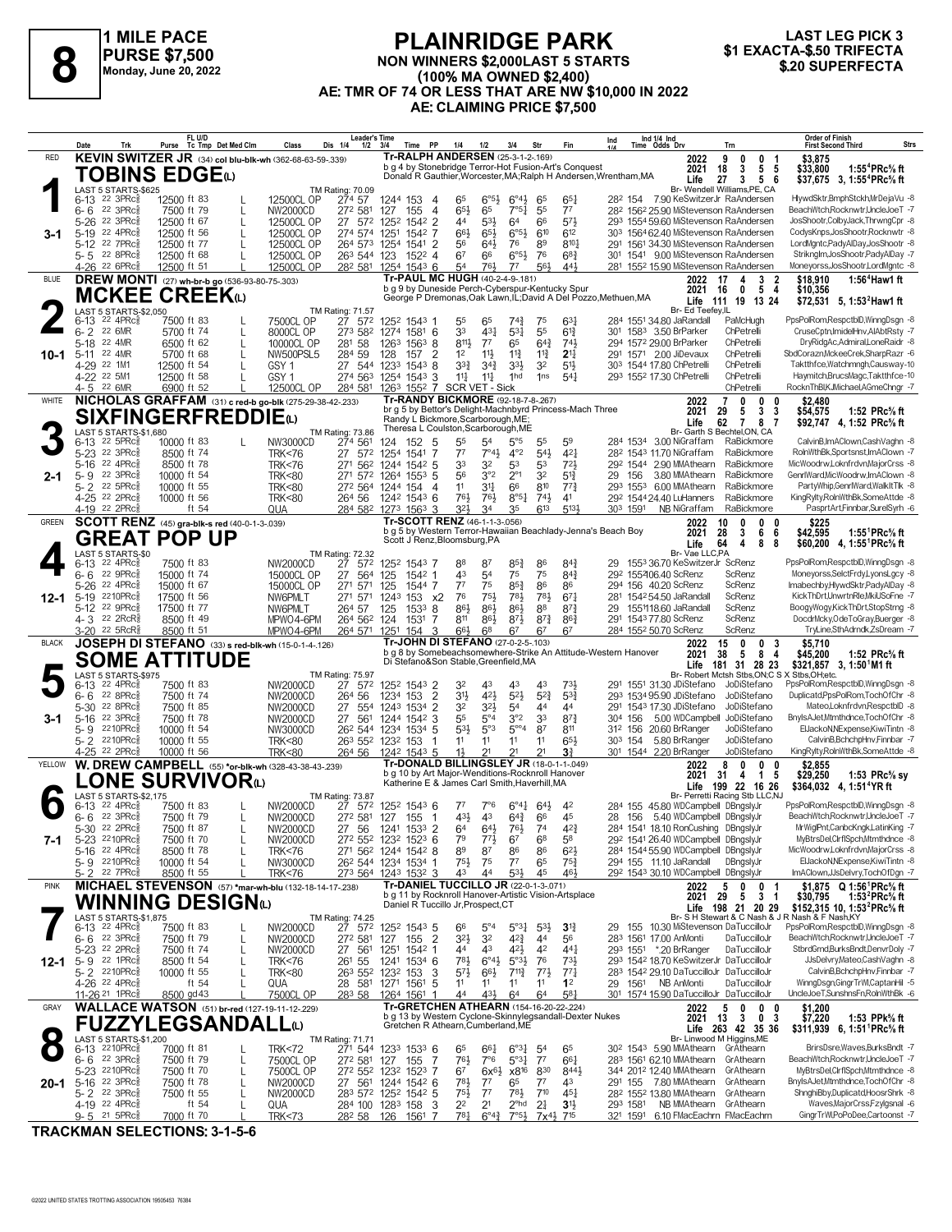

#### **PLAINRIDGE PARK NON WINNERS \$2,000LAST 5 STARTS (100% MA OWNED \$2,400) AE: TMR OF 74 OR LESS THAT ARE NW \$10,000 IN 2022 AE: CLAIMING PRICE \$7,500 1 EXACTA-\$.50 TRIFFECTA**<br> **81 EXACTA-\$.50 TRIFECTA**<br>
Monday, June 20, 2022<br> **820 SUPERFECTA**<br>
Monday, June 20, 2022<br> **821 CONTAINS AND AGE TO BE ANNELLY ARE NW \$10,000 IN 2022**<br> **820 SUPERFECTA**



| Tr-RALPH ANDERSEN (25-3-1-2-169)<br>KEVIN SWITZER JR (34) col blu-blk-wh (362-68-63-59-.339)<br>RED<br>9<br>2022<br>0<br>0<br>\$3.875<br>-1<br>b g 4 by Stonebridge Terror-Hot Fusion-Art's Conquest<br>5<br>1:55 <sup>4</sup> PRc% ft<br>2021<br>18<br>3<br>5<br>\$33,800<br>TOBINS EDGEധ<br>Donald R Gauthier, Worcester, MA; Ralph H Andersen, Wrentham, MA<br>27<br>Life<br>3<br>5<br>6<br>\$37,675 3, 1:55 <sup>4</sup> PRc <sup>5</sup> / <sub>8</sub> ft<br>Br- Wendell Williams, PE, CA<br>LAST 5 STARTS-\$625<br>TM Rating: 70.09<br>HlywdSktr,BmphStckh,MrDejaVu -8<br>6-13 22 3PRc <sup>5</sup><br>274 57<br>$6^{\circ 5\frac{1}{2}}$<br>$6^{\circ}4\frac{1}{2}$<br>12500 ft 83<br>12500CL OP<br>1244 153<br>65<br>65<br>$65\frac{1}{4}$<br>28 <sup>2</sup> 154 7.90 KeSwitzerJr RaAndersen<br>4<br>22 3PRc<br>65}<br>7°5 <sub>1</sub><br>55<br>$7^7$<br>BeachWtch,Rocknwtr,UncleJoeT -7<br>6-6<br>7500 ft 79<br>NW2000CD<br>272 581<br>127<br>155<br>$\overline{4}$<br>65<br>28 <sup>2</sup> 156 <sup>2</sup> 25.90 MiStevenson RaAndersen<br>L<br>$\overline{2}$<br>64<br>573<br>$5 - 26$<br>22 3PRc3<br>12500 ft 67<br>27<br>44<br>$53\frac{1}{2}$<br>66<br>293 1554 59.60 MiStevenson RaAndersen<br>JosShootr,ColbyJack,ThrwngCpr -8<br>$\mathsf{L}$<br>12500CL OP<br>572<br>1252<br>1542<br>5-19 22 4PRc<br>612<br>303 1564 62.40 MiStevenson RaAndersen<br>CodysKnps, JosShootr, Rocknwtr -8<br>12500 ft 56<br>274 574 1251<br>66}<br>$65\frac{1}{2}$<br>$6^{\circ 5}$<br>610<br>12500CL OP<br>1542<br>-7<br>3-1<br>L<br>$8^{10}$<br>LordMgntc,PadyAlDay,JosShootr -8<br>5-12 22 7PRcs<br>12500 ft 77<br>12500CL OP<br>1541<br>$\overline{2}$<br>56<br>76<br>89<br>291 1561 34.30 MiStevenson RaAndersen<br>264 573<br>1254<br>643<br>5-5 22 8PRc<br>$6^{\circ}5\frac{1}{2}$<br>Striknglm, JosShootr, PadyAlDay -7<br>12500 ft 68<br>1522 4<br>6 <sup>7</sup><br>66<br>76<br>$68\frac{3}{4}$<br>301 1541 9.00 MiStevenson RaAndersen<br>12500CL OP<br>263 544 123<br>561<br>4-26 <sup>22</sup> 6PRc<br>12500 ft 51<br>12500CL OP<br>28 <sup>2</sup> 58 <sup>1</sup> 125 <sup>4</sup> 154 <sup>3</sup> 6<br>441<br>Moneyorss,JosShootr,LordMgntc -8<br>54<br>761,<br>$7^7$<br>281 1552 15.90 MiStevenson RaAndersen<br>Tr-PAUL MC HUGH (40-2-4-9-.181)<br>DREW MONTI (27) wh-br-b go (536-93-80-75-.303)<br><b>BLUE</b><br>$\overline{\mathbf{2}}$<br>1:56 $4$ Haw1 ft<br>2022<br>17<br>3<br>\$18,910<br>4<br>b g 9 by Duneside Perch-Cyberspur-Kentucky Spur<br>2021<br>16<br>5<br>\$10,356<br>0<br>4<br>MCKEE CREEKധ<br>George P Dremonas, Oak Lawn, IL; David A Del Pozzo, Methuen, MA<br>Life<br>111<br>19 13 24<br>\$72,531 5, 1:53 <sup>2</sup> Haw1 ft<br>LAST 5 STARTS-\$2.050<br>Br- Ed Teefey, IL<br>TM Rating: 71.57<br>PpsPolRom,RespctblD,WinngDsgn -8<br>$6-13$ 22 4PRc $\frac{5}{8}$<br>27 572<br>7500CL OP<br>1252 1543 1<br>55<br>65<br>$74\frac{3}{4}$<br>$63\frac{1}{4}$<br>284 1551 34.80 JaRandall<br>PaMcHugh<br>7500 ft 83<br>75<br>55<br>$6 - 2$<br>22 6MR<br>273 582<br>33<br>43 <sup>1</sup><br>5 <sup>31</sup><br>$6^{13}$<br>ChPetrelli<br>CruseCptn.ImidelHnv.AIAbtRstv -7<br>5700 ft 74<br>8000CL OP<br>1274<br>$1581$ 6<br>301 1583 3.50 BrParker<br>L<br>8111<br>$64\frac{3}{4}$<br>741<br>$5 - 18$<br>22 4MR<br>58<br>$7^7$<br>65<br>DryRidgAc,Admiral,LoneRaidr -8<br>6500 ft 62<br>$\mathsf{L}$<br>10000CL OP<br>281<br>1263<br>1563<br>8<br>294 1572 29.00 BrParker<br>ChPetrelli<br>22 4MR<br>1 <sup>2</sup><br>291 1571 2.00 JiDevaux<br>ChPetrelli<br>SbdCorazn,MckeeCrek,SharpRazr -6<br>5700 ft 68<br>284 59<br>$\overline{2}$<br>$11\frac{1}{2}$<br>$11\frac{3}{4}$<br>$2^{11}$<br>$5 - 11$<br>NW500PSL5<br>128<br>$11\frac{3}{4}$<br>10-1<br>157<br>ChPetrelli<br>Taktthfce, Watchmngh, Causway-10<br>4-29 22 1M1<br>12500 ft 54<br>27 544 1233<br>$1543$ 8<br>3 <sup>3</sup><br>$34\frac{3}{4}$<br>3 <sup>3</sup><br>32<br>$5^{11}$<br>303 1544 17.80 ChPetrelli<br>GSY <sub>1</sub><br>Haymitch,BrucsMagc,Taktthfce-10<br>4-22 22 5M1<br>GSY <sub>1</sub><br>274 563 1254 1543<br>11<br>$11\frac{1}{4}$<br>1hd<br>1ns<br>$5^{4}$<br>293 1552 17.30 ChPetrelli<br>ChPetrelli<br>12500 ft 58<br>3<br>RocknThBI,KJMichael,AGmeChngr -7<br>4-5 22 6MR<br>12500CL OP<br>284 581 1263 1552 7 SCR VET - Sick<br>ChPetrelli<br>6900 ft 52<br>Tr-RANDY BICKMORE (92-18-7-8-267)<br>NICHOLAS GRAFFAM (31) c red-b go-blk (275-29-38-42-.233)<br>WHITE<br>$\mathbf{0}$<br>0<br>0<br>2022<br>7<br>\$2,480<br>br g 5 by Bettor's Delight-Machnbyrd Princess-Mach Three<br>3<br>2021<br>29<br>3<br>\$54,575<br>1:52 PRc% ft<br>5<br><b>SIXFINGERFREDDIE(L)</b><br>Randy L Bickmore, Scarborough, ME;<br>62<br>Life<br>$\overline{7}$<br>8<br>7<br>\$92,747 4, 1:52 PRc <sup>5</sup> / <sub>8</sub> ft<br>Theresa L Coulston, Scarborough, ME<br>Br- Garth S Bechtel, ON, CA<br>LAST 5 STARTS-\$1.680<br>TM Rating: 73.86<br>CalvinB,ImAClown,CashVaghn -8<br>$22$ 5PR $c_{8}$<br>55<br>$5^{\circ}5$<br>59<br>10000 ft 83<br>NW3000CD<br>274 561<br>152 5<br>5 <sup>4</sup><br>55<br>284 1534 3.00 NiGraffam<br>RaBickmore<br>6-13<br>124<br>$4^{\circ}2$<br>54}<br>5-23 <sup>22</sup> 3PRc<br>$7^7$<br>$4^{2}$<br>RolnWthBk.Sportsnst.ImAClown -7<br>8500 ft 74<br><b>TRK&lt;76</b><br>27 572 1254<br>1541<br>-7<br>$7^{\circ}4\frac{1}{2}$<br>28 <sup>2</sup> 154 <sup>3</sup> 11.70 NiGraffam<br>RaBickmore<br>33<br>32<br>72 <sub>3</sub><br>5-16 22 4PRc<br>271 562<br>53<br>53<br>292 1544 2.90 MMAthearn<br>RaBickmore<br>MicWoodrw,Loknfrdvn,MajorCrss -8<br>8500 ft 78<br><b>TRK&lt;76</b><br>1244<br>1542 5<br>22 3PRc<br>56<br>3°2<br>$2^{\circ}1$<br>32<br>RaBickmore<br>GenrlWard, MicWoodrw, ImAClown -8<br>$5 - 9$<br>10000 ft 54<br>271 572 1264<br>$5^{13}$<br>29 156<br>3.80 MMAthearn<br><b>TRK&lt;80</b><br>$155^3$ 5<br>2-1<br>22 5PRc3<br>810<br>$77\frac{3}{4}$<br>PartyWhip.GenrlWard.WalkItTlk -8<br>$5 - 2$<br>10000 ft 55<br>272 564 1244 154<br>11<br>31<br>66<br>293 1553 6.00 MMAthearn<br>RaBickmore<br><b>TRK&lt;80</b><br>4<br>761<br>$8^{\circ 5\frac{1}{4}}$<br>KingRylty,RolnWthBk,SomeAttde -8<br>4-25 22 2PRcs<br><b>TRK&lt;80</b><br>76}<br>$74\frac{1}{2}$<br>41<br>29 <sup>2</sup> 1544 24.40 LuHanners<br>RaBickmore<br>10000 ft 56<br>264 56<br>1242 1543 6<br>321<br>$6^{13}$<br>5134<br>4-19 22 2PRc<br>34<br>35<br>PasprtArt,Finnbar,SurelSyrh -6<br>ft $54$<br>QUA<br>284 582 1273 1563 3<br>303 1591<br>NB NiGraffam<br>RaBickmore<br>Tr-SCOTT RENZ (46-1-1-3-.056)<br>SCOTT RENZ (45) gra-blk-s red (40-0-1-3-.039)<br>\$225<br><b>GREEN</b><br>0<br>$\mathbf{0}$<br>2022<br>10<br>0<br>b g 5 by Western Terror-Hawaiian Beachlady-Jenna's Beach Boy<br>2021<br>28<br>3<br>6<br>\$42,595<br>1:55 <sup>1</sup> PRc% ft<br>6<br><b>GREAT POP UP</b><br>Scott J Renz, Bloomsburg, PA<br>Life<br>64<br>4<br>8<br>8<br>\$60.200 4. 1:55 <sup>1</sup> PRc <sup>5</sup> / <sub>8</sub> ft<br>LAST 5 STARTS-\$0<br>Br- Vae LLC.PA<br>TM Rating: 72.32<br>PpsPolRom.RespctblD.WinnaDsan -8<br>6-13 22 4PRc <sup>5</sup><br>27<br>$85\frac{3}{4}$<br>86<br>7500 ft 83<br>NW2000CD<br>572<br>1252 1543 7<br>88<br>87<br>$84\frac{3}{4}$<br>29 1553 36.70 KeSwitzerJr ScRenz<br>22 9PRc<br>27 564<br>43<br>75<br>75<br>$84\frac{3}{4}$<br>Moneyorss, SelctFrdy, LyonsLgcy -8<br>6-6<br>15000 ft 74<br>15000CL OP<br>125<br>$154^2$ 1<br>5 <sup>4</sup><br>292 155406.40 ScRenz<br>ScRenz<br>77<br>75<br>$85\frac{3}{4}$<br>86<br>5-26<br>22 4PRc3<br>271 571<br>125<br>1544 7<br>86<br>ScRenz<br>Imabechby,HlywdSktr,PadyAlDay -8<br>15000 ft 67<br>15000CL OP<br>294 156 40.20 ScRenz<br>5-19 2210PRcs<br>76<br>67 <sup>1</sup><br>ScRenz<br>KickThDrt,UnwrtnRle,MkiUSoFne -7<br>17500 ft 56<br>271 571<br>124 <sup>3</sup><br>751<br>783<br>781<br>281 1542 54.50 JaRandall<br>NW6PMLT<br>153 x2<br>$12 - 1$<br>5-12 22 9PRcs<br>ScRenz<br>BoogyWogy,KickThDrt,StopStrng -8<br>17500 ft 77<br>264 57<br>125<br>1533<br>86}<br>86}<br>$86\frac{1}{2}$<br>88<br>$8^{7}\frac{3}{4}$<br>155118.60 JaRandall<br>NW6PMLT<br>8<br>29<br>$8^{73}$<br>DocdrMcky,OdeToGray,Buerger -8<br>4-3 22 2RcR<br>8500 ft 49<br>811<br>$86\frac{1}{2}$<br>$8^{71}$<br>$86\frac{3}{4}$<br>291 1543 77.80 ScRenz<br>ScRenz<br>MPWO4-6PM<br>264 562 124<br>1531<br>7<br>3-20 <sup>22</sup> 5RcR <sup>§</sup><br>66}<br>68<br>6 <sup>7</sup><br>67<br>ScRenz<br>TryLine,SthAdrndk,ZsDream -7<br>8500 ft 51<br>MPWO4-6PM<br>264 571 1251<br>154<br>3<br>67<br>284 1552 50.70 ScRenz<br>Tr-JOHN DI STEFANO (27-0-2-5-.103)<br>JOSEPH DI STEFANO (33) s red-blk-wh (15-0-1-4-126)<br><b>BLACK</b><br>0<br>0<br>3<br>\$5.710<br>2022<br>15<br>b g 8 by Somebeachsomewhere-Strike An Attitude-Western Hanover<br>38<br>8<br>2021<br>5<br>\$45,200<br>1:52 $PRc\%$ ft<br>4<br><b>SOME ATTITUDE</b><br>Di Stefano&Son Stable, Greenfield, MA<br>\$321,857 3, 1:50 M1 ft<br>Life<br>181 31 28 23<br>Br- Robert Mctsh Stbs,ON;C S<br>LAST 5 STARTS-\$975<br>X Stbs, OH; etc.<br>TM Rating: 75.97<br>6-13 22 4PRc <sup>5</sup><br>27 572<br>4 <sup>3</sup><br>PpsPolRom,RespctblD,WinngDsgn -8<br>7500 ft 83<br>NW2000CD<br>1252 1543 2<br>32<br>43<br>43<br>731,<br>291 1551 31.30 JDiStefano<br>JoDiStefano<br>421<br>$5^{21}$<br>$5^{2}$<br>Duplicatd, PpsPolRom, TochOfChr -8<br>22 8PRc<br>$\overline{2}$<br>3 <sup>1</sup><br>$5^{3}{}_{2}^{3}$<br>6-6<br>7500 ft 74<br>NW2000CD<br>264 56<br>1234<br>153<br>293 1534 95.90 JDiStefano<br>JoDiStefano<br>32 <sub>3</sub><br>5-30 22 8PRc<br>7500 ft 85<br>27<br>554<br>2<br>32<br>5 <sup>4</sup><br>44<br>JoDiStefano<br>Mateo,Loknfrdvn,RespctblD -8<br>1243<br>1534<br>44<br>291 1543 17.30 JDiStefano<br>NW2000CD<br>22 3PRc<br>55<br>$5^{\circ}4$<br>3°2<br>33<br>$8^{7}$<br>5.00 WDCampbell JoDiStefano<br>BnyIsAJet,Mtmthdnce,TochOfChr -8<br>7500 ft 78<br>27<br>561<br>3<br>304 156<br>$5 - 16$<br>NW2000CD<br>1244 1542<br>3-1<br>2210PRc3<br>53}<br>5°3<br>$5^{\circ\circ}4$<br>ElJackoN, NExpense, KiwiTintn -8<br>10000 ft 54<br>NW3000CD<br>26 <sup>2</sup> 544 1234 1534 5<br>87<br>811<br>312 156 20.60 BrRanger<br>JoDiStefano<br>$5 - 9$<br>$65\frac{1}{2}$<br>CalvinB.BchchpHnv.Finnbar -7<br>2210PRc<br>11<br>11<br>5.80 BrRanger<br>JoDiStefano<br>$5 - 2$<br>10000 ft 55<br><b>TRK&lt;80</b><br>263 552 1232 153<br>11<br>11<br>303 154<br>-1<br>4-25 <sup>22</sup> 2PRc3<br>$1\frac{1}{2}$<br>2 <sup>1</sup><br>21<br>2 <sup>1</sup><br>JoDiStefano<br>KingRylty,RolnWthBk,SomeAttde -8<br>10000 ft 56<br><b>TRK&lt;80</b><br>264 56<br>1242 1543 5<br>3ł<br>301 1544 2.20 BrRanger<br>Tr-DONALD BILLINGSLEY JR (18-0-1-1-049)<br>W. DREW CAMPBELL (55) *or-blk-wh (328-43-38-43-239)<br>YELLOW<br>8<br>0<br>0<br>2022<br>0<br>\$2,855<br>b g 10 by Art Major-Wenditions-Rocknroll Hanover<br>2021<br>31<br>$\overline{1}$<br>5<br>\$29,250<br>1:53 $PRc$ % sy<br>4<br><b>ONE SURVIVOR</b><br>Katherine E & James Carl Smith, Haverhill, MA<br>199 22 16 26<br>Life<br>\$364,032 4, 1:51 <sup>4</sup> YR ft<br>LAST 5 STARTS-\$2.175<br>Br- Perretti Racing Stb LLC,NJ<br>TM Rating: 73.87<br>PpsPolRom,RespctblD,WinngDsgn -8<br>$6-13$ 22 4PRc $\frac{5}{8}$<br>7500 ft 83<br>NW2000CD<br>27 572 1252 1543 6<br>$7^7$<br>$7^\circ$ 6<br>$6^\circ 41^\circ$<br>64}<br>4 <sup>2</sup><br>284 155 45.80 WDCampbell DBngslyJr<br>22 3PRc3<br>43}<br>43<br>28 156 5.40 WDCampbell DBngslyJr<br>BeachWtch,Rocknwtr,UncleJoeT -7<br>7500 ft 79<br>NW2000CD<br>272 581 127<br>155<br>$64\frac{3}{4}$<br>66<br>45<br>հ- հ<br>$\mathbf{I}$<br>- 1<br>22 2PRc<br>27 56<br>1241 1533 2<br>$76\frac{1}{2}$<br>284 1541 18.10 RonCushing DBngslyJr<br>MrWiglPnt,CanbcKngk,LatinKing -7<br>5-30<br>7500 ft 87<br><b>NW2000CD</b><br>64<br>$64\frac{1}{2}$<br>74<br>$4^{24}$<br>MyBtrsDel,ClrflSpch,Mtmthdnce -8<br>5-23 2210PRcs<br>79<br>292 1541 26.40 WDCampbell DBngslyJr<br>7500 ft 70<br>272 552 1232 1523 6<br>773<br>67<br>68<br>58<br>NW2000CD<br>7-1<br>5-16 22 4PRc <sup>5</sup><br>284 1544 55.90 WDCampbell DBngslyJr<br>MicWoodrw,Loknfrdvn,MajorCrss -8<br>8500 ft 78<br>271 562 1244 1542 8<br>89<br>87<br>86<br>86<br>$6^{2}$<br><b>TRK&lt;76</b><br>$75\frac{1}{2}$<br>294 155 11.10 JaRandall<br>EIJackoN.NExpense.KiwiTintn -8<br>5-9 2210PRc<br>10000 ft 54<br>26 <sup>2</sup> 544 1234 1534 1<br>75<br>$7^7$<br>65<br>$75\frac{3}{4}$<br>DBngslyJr<br>NW3000CD<br>43<br>44<br>53}<br>45<br>461<br>292 1543 30.10 WDCampbell DBngslyJr<br>ImAClown,JJsDelvry,TochOfDgn -7<br>5-2 22 7PRc<br>8500 ft 55<br><b>TRK&lt;76</b><br>273 564 1243 1532 3<br>Tr-DANIEL TUCCILLO JR (22-0-1-3-.071)<br>MICHAEL STEVENSON (57) *mar-wh-blu (132-18-14-17-238)<br><b>PINK</b><br>0<br>0<br>2022<br>5<br>\$1,875 Q 1:56 PRc% ft<br>-1<br>b g 11 by Rocknroll Hanover-Artistic Vision-Artsplace<br>2021<br>-29<br>3<br>\$30,795<br>1:53 $^{2}$ PRc $\%$ ft<br>5.<br>-1<br><b>WINNING DESIGN</b> t<br>Daniel R Tuccillo Jr, Prospect, CT<br>198 21 20 29<br>\$152,315 10, 1:53 <sup>2</sup> PRc <sup>5</sup> / <sub>8</sub> ft<br>Life<br><b>LAST 5 STARTS-\$1,875</b><br>Br- S H Stewart & C Nash & J R Nash & F Nash KY<br>TM Rating: 74.25<br>6-13 22 4PRc <sup>5</sup><br>27 572 1252 1543 5<br>$5^{\circ}3\frac{1}{4}$<br>PpsPolRom,RespctblD,WinngDsgn -8<br>7500 ft 83<br>NW2000CD<br>66<br>$5^{\circ}4$<br>$5^{3}\frac{1}{2}$<br>$3^{13}$<br>29 155 10.30 MiStevenson DaTuccilloJr<br>$6 - 6$ 22 3PRc<br>$3^{2}\frac{1}{2}$<br>42}<br>BeachWtch,Rocknwtr,UncleJoeT -7<br>7500 ft 79<br>NW2000CD<br>272 581<br>127<br>155<br>$\overline{2}$<br>32<br>44<br>56<br>283 1561 17.00 AnMonti<br>DaTuccilloJr<br>L<br>$4^{21}$<br>42<br>5-23 <sup>22</sup> 2PRc<br>43<br>293 1551 *.20 BrRanger<br>StbrdGrnd,BurksBndt,DenvrDoly -7<br>7500 ft 74<br>27 561<br>1251<br>1542<br>44<br>$44\frac{1}{4}$<br>DaTuccilloJr<br>L<br>NW2000CD<br>-1<br>781<br>293 1542 18.70 KeSwitzerJr DaTuccilloJr<br>JJsDelvry,Mateo,CashVaghn -8<br>$5 - 9$ 22 1PRcs<br>261 55<br>$5°3\frac{1}{2}$<br>76<br>731<br>8500 ft 54<br>1241<br>1534 6<br>$6^{\circ}4\frac{1}{2}$<br>12-1<br>L<br><b>TRK&lt;76</b><br>CalvinB.BchchpHnv.Finnbar -7<br>5-2 2210PRc<br>10000 ft 55<br>$5^{7}$<br>$66\frac{1}{2}$<br>$7^{113}$<br>$77\frac{1}{2}$<br>$77\frac{1}{4}$<br>283 1542 29.10 DaTuccilloJr DaTuccilloJr<br><b>TRK&lt;80</b><br>263 552 1232<br>153<br>3<br>L<br>WinngDsgn,GingrTrWl,CaptanHil -5<br>4-26 <sup>22</sup> 4PRc <sup>5</sup><br>28 581 1271 1561<br>5<br>11<br>29 1561 NB AnMonti<br>DaTuccilloJr<br>ft 54<br>QUA<br>11<br>11<br>11<br>1 <sup>2</sup><br>UncleJoeT,SunshnsFn,RolnWthBk -6<br>7500CL OP<br>$4^{3}\frac{1}{2}$<br>$5^{8}1$<br>301 1574 15.90 DaTuccilloJr DaTuccilloJr<br>11-26 <sup>21</sup> 1PRc<br>8500 gd 43<br>283 58<br>1264 1561<br>44<br>64<br>64<br>Tr-GRETCHEN ATHEARN (154-16-20-22-.224)<br><b>WALLACE WATSON</b> (51) br-red (127-19-11-12-229)<br>GRAY<br>5<br>2022<br>0<br>0<br>0<br>\$1,200<br>b g 13 by Western Cyclone-Skinnylegsandall-Dexter Nukes<br>$\mathbf{0}$<br>2021<br>13<br>3<br>\$7,220<br>1:53 PPk% ft<br>3<br><b>FUZZYLEGSANDALL@</b><br>Gretchen R Athearn, Cumberland, ME<br>Life 263 42 35 36<br>$$311,939$ 6, 1:51 PRc <sup>5</sup> / <sub>8</sub> ft<br>LAST 5 STARTS-\$1,200<br>Br- Linwood M Higgins, ME<br><b>TM Rating: 71.71</b><br>BrirsDsre, Waves, Burks Bndt -7<br>6-13 2210PRcs<br>7000 ft 81<br><b>TRK&lt;72</b><br>271 544 1233 1533 6<br>65<br>$66\frac{1}{4}$<br>$6^{o_{31}}$<br>5 <sup>4</sup><br>65<br>30 <sup>2</sup> 154 <sup>3</sup> 5.90 MMAthearn GrAthearn<br>$5^{\circ}3_{4}^{1}$<br>6-6 22 3PRc<br>76}<br>$7^7$<br>BeachWtch,Rocknwtr,UncleJoeT -7<br>7500 ft 79<br>7500CL OP<br>272 581 127<br>155<br>-7<br>$7^{\circ}6$<br>$66\frac{1}{4}$<br>283 1561 62.10 MMAthearn GrAthearn<br>L<br>830<br>MyBtrsDel,ClrflSpch,Mtmthdnce -8<br>5-23 2210PRc<br>67<br>x8 <sup>16</sup><br>8441<br>344 2012 12.40 MMAthearn<br>GrAthearn<br>7500 ft 70<br>7500CL OP<br>272 552 1232 1523 7<br>$6x^{6}\frac{1}{2}$<br>L<br>291 155 7.80 MMAthearn GrAthearn<br>BnyIsAJet,Mtmthdnce,TochOfChr -8<br>5-16 22 3PRcs<br>781<br>7500 ft 78<br>27 561 1244 1542 6<br>$7^7$<br>65<br>$7^7$<br>43<br>20-1<br>L<br>NW2000CD<br>22 3PRc <sup>3</sup><br>28 <sup>2</sup> 155 <sup>2</sup> 13.80 MMAthearn GrAthearn<br>ShnghiBby,Duplicatd,HoosrShrk -8<br>$5 - 2$<br>7500 ft 55<br>$75\frac{1}{2}$<br>$7^7$<br>$78\frac{1}{2}$<br>$7^{10}$<br>NW2000CD<br>283 572 1252 1542 5<br>$45\frac{1}{4}$<br>L<br>Waves, MajorCrss, Fzylgsnal -6<br>4-19 22 4PRc <sup>5</sup><br>ft 54<br>22<br>2 <sup>1</sup><br>$2^{\circ}$ hd<br>2 <sup>1</sup><br>3 <sup>1</sup><br>NB MMAthearn GrAthearn<br>QUA<br>284 100 1283 158<br>-3<br>293 1581<br>781<br>GingrTrWl,PoPoDee,Cartoonst -7<br>$9 - 5$ 21 5 PR $c_{8}$<br>$6^{\circ}4^{\frac{3}{4}}$<br>$7°5\frac{1}{2}$<br>321 1591 6.10 FMacEachrn FMacEachrn<br>7000 ft 70<br><b>TRK&lt;73</b><br>282 58<br>126<br>1561 7<br>7x <sup>41</sup> / <sub>2</sub> 7 <sup>15</sup> | Trk<br>Date | FL U/D<br>Purse Tc Tmp Det Med Clm | Dis 1/4<br>Class | <b>Leader's Time</b><br>$1/2$ $3/4$<br>Time PP | 1/4<br>1/2 | 3/4<br>Str | Fin | Ind 1/4 Ind<br>Time Odds Drv<br>Ind | Trn | <b>Order of Finish</b><br><b>First Second Third</b><br>Strs |
|---------------------------------------------------------------------------------------------------------------------------------------------------------------------------------------------------------------------------------------------------------------------------------------------------------------------------------------------------------------------------------------------------------------------------------------------------------------------------------------------------------------------------------------------------------------------------------------------------------------------------------------------------------------------------------------------------------------------------------------------------------------------------------------------------------------------------------------------------------------------------------------------------------------------------------------------------------------------------------------------------------------------------------------------------------------------------------------------------------------------------------------------------------------------------------------------------------------------------------------------------------------------------------------------------------------------------------------------------------------------------------------------------------------------------------------------------------------------------------------------------------------------------------------------------------------------------------------------------------------------------------------------------------------------------------------------------------------------------------------------------------------------------------------------------------------------------------------------------------------------------------------------------------------------------------------------------------------------------------------------------------------------------------------------------------------------------------------------------------------------------------------------------------------------------------------------------------------------------------------------------------------------------------------------------------------------------------------------------------------------------------------------------------------------------------------------------------------------------------------------------------------------------------------------------------------------------------------------------------------------------------------------------------------------------------------------------------------------------------------------------------------------------------------------------------------------------------------------------------------------------------------------------------------------------------------------------------------------------------------------------------------------------------------------------------------------------------------------------------------------------------------------------------------------------------------------------------------------------------------------------------------------------------------------------------------------------------------------------------------------------------------------------------------------------------------------------------------------------------------------------------------------------------------------------------------------------------------------------------------------------------------------------------------------------------------------------------------------------------------------------------------------------------------------------------------------------------------------------------------------------------------------------------------------------------------------------------------------------------------------------------------------------------------------------------------------------------------------------------------------------------------------------------------------------------------------------------------------------------------------------------------------------------------------------------------------------------------------------------------------------------------------------------------------------------------------------------------------------------------------------------------------------------------------------------------------------------------------------------------------------------------------------------------------------------------------------------------------------------------------------------------------------------------------------------------------------------------------------------------------------------------------------------------------------------------------------------------------------------------------------------------------------------------------------------------------------------------------------------------------------------------------------------------------------------------------------------------------------------------------------------------------------------------------------------------------------------------------------------------------------------------------------------------------------------------------------------------------------------------------------------------------------------------------------------------------------------------------------------------------------------------------------------------------------------------------------------------------------------------------------------------------------------------------------------------------------------------------------------------------------------------------------------------------------------------------------------------------------------------------------------------------------------------------------------------------------------------------------------------------------------------------------------------------------------------------------------------------------------------------------------------------------------------------------------------------------------------------------------------------------------------------------------------------------------------------------------------------------------------------------------------------------------------------------------------------------------------------------------------------------------------------------------------------------------------------------------------------------------------------------------------------------------------------------------------------------------------------------------------------------------------------------------------------------------------------------------------------------------------------------------------------------------------------------------------------------------------------------------------------------------------------------------------------------------------------------------------------------------------------------------------------------------------------------------------------------------------------------------------------------------------------------------------------------------------------------------------------------------------------------------------------------------------------------------------------------------------------------------------------------------------------------------------------------------------------------------------------------------------------------------------------------------------------------------------------------------------------------------------------------------------------------------------------------------------------------------------------------------------------------------------------------------------------------------------------------------------------------------------------------------------------------------------------------------------------------------------------------------------------------------------------------------------------------------------------------------------------------------------------------------------------------------------------------------------------------------------------------------------------------------------------------------------------------------------------------------------------------------------------------------------------------------------------------------------------------------------------------------------------------------------------------------------------------------------------------------------------------------------------------------------------------------------------------------------------------------------------------------------------------------------------------------------------------------------------------------------------------------------------------------------------------------------------------------------------------------------------------------------------------------------------------------------------------------------------------------------------------------------------------------------------------------------------------------------------------------------------------------------------------------------------------------------------------------------------------------------------------------------------------------------------------------------------------------------------------------------------------------------------------------------------------------------------------------------------------------------------------------------------------------------------------------------------------------------------------------------------------------------------------------------------------------------------------------------------------------------------------------------------------------------------------------------------------------------------------------------------------------------------------------------------------------------------------------------------------------------------------------------------------------------------------------------------------------------------------------------------------------------------------------------------------------------------------------------------------------------------------------------------------------------------------------------------------------------------------------------------------------------------------------------------------------------------------------------------------------------------------------------------------------------------------------------------------------------------------------------------------------------------------------------------------------------------------------------------------------------------------------------------------------------------------------------------------------------------------------------------------------------------------------------------------------------------------------------------------------------------------------------------------------------------------------------------------------------------------------------------------------------------------------------------------------------------------------------------------------------------------------------------------------------------------------------------------------------------------------------------------------------------------------------------------------------------------------------------------------------------------------------------------------------------------------------------------------------------------------------------------------------------------------------------------------------------------------------------------------------------------------------------------------------------------------------------------------------------------------------------------------------------------------------------------------------------------------------------------------------------------------------------------------------------------------------------------------------------------------------------------------------------------------------------------------------------------------------------------------------------------------------------------------------------------------------------------------------------------------------------------------------------------------------------------------------------------------------------------------------------------------------------------------------------------------------------------------------------------------------------------------------------------------------------------------------------------------------------------------------------------------------------------------------------------------------------------------------------------------------------------------------------------------------------------------------------------------------------------------------------------------------------------------------------------------------------------------------------------------------------------------------------------------------------------------------------------------------------------------------------------------------------------------------------------------------------------------------------------------------------------------------------------------------------------------------------------------------------------------------------------------------------------------------------------------------------------------------------------------------------------------------------------------------------------------------------------------------------------------------------------------------------------------------------------------------------------------------------------------------------------------------------------------------------------------------------------------------------------------------------------------------------------------------------------------------------------------------------------------------------------------------------------------------------------------------------------------------------------------------------------------------------------------------------------------------------------------------------------------------------------------------------------------------------------------------------------------------------------------------------------------------------------------------------------------------------------------------------------------------------------------------------------------------------------------------------------------------------------------------------------------------------------------------------------------------------------------------------------------------------------------------------------------------------------------------------------------------------------------------------------------------------------------------------------------------------------------------------------------------------------------------------------------------------------------------------------------------------------------------------------------------------------------------------------------------------------------------------------------------------------------------------------------------------------------------------------------------------------------------------------------------------------------------------------------------------------------------------------------------------------------------------------------------------------------------------------------------------------------------------------------------------------------------------------------------------------------------------------------------------------------------------------------------------------------------------------------------------------------------------------------------------------------------------------------------------------------------------------------------------------------------------------------------------------------------------------------------------------------------------------------------------------------------------------------------------------------------------------------------------------------------------------------------------------------------------------------------------------------------------------------------------------------------|-------------|------------------------------------|------------------|------------------------------------------------|------------|------------|-----|-------------------------------------|-----|-------------------------------------------------------------|
|                                                                                                                                                                                                                                                                                                                                                                                                                                                                                                                                                                                                                                                                                                                                                                                                                                                                                                                                                                                                                                                                                                                                                                                                                                                                                                                                                                                                                                                                                                                                                                                                                                                                                                                                                                                                                                                                                                                                                                                                                                                                                                                                                                                                                                                                                                                                                                                                                                                                                                                                                                                                                                                                                                                                                                                                                                                                                                                                                                                                                                                                                                                                                                                                                                                                                                                                                                                                                                                                                                                                                                                                                                                                                                                                                                                                                                                                                                                                                                                                                                                                                                                                                                                                                                                                                                                                                                                                                                                                                                                                                                                                                                                                                                                                                                                                                                                                                                                                                                                                                                                                                                                                                                                                                                                                                                                                                                                                                                                                                                                                                                                                                                                                                                                                                                                                                                                                                                                                                                                                                                                                                                                                                                                                                                                                                                                                                                                                                                                                                                                                                                                                                                                                                                                                                                                                                                                                                                                                                                                                                                                                                                                                                                                                                                                                                                                                                                                                                                                                                                                                                                                                                                                                                                                                                                                                                                                                                                                                                                                                                                                                                                                                                                                                                                                                                                                                                                                                                                                                                                                                                                                                                                                                                                                                                                                                                                                                                                                                                                                                                                                                                                                                                                                                                                                                                                                                                                                                                                                                                                                                                                                                                                                                                                                                                                                                                                                                                                                                                                                                                                                                                                                                                                                                                                                                                                                                                                                                                                                                                                                                                                                                                                                                                                                                                                                                                                                                                                                                                                                                                                                                                                                                                                                                                                                                                                                                                                                                                                                                                                                                                                                                                                                                                                                                                                                                                                                                                                                                                                                                                                                                                                                                                                                                                                                                                                                                                                                                                                                                                                                                                                                                                                                                                                                                                                                                                                                                                                                                                                                                                                                                                                                                                                                                                                                                                                                                                                                                                                                                                                                                                                                                                                                                                                                                                                                                                                                                                                                                                                                                                                                                                                                                                                                                                                                                                                                                                                                                                                                                                                                                                                                                                                                                                                                                                                                                                                                                                                                                                                                                                                                                                                                                                                                                                                                                                                                                                                                                                                                                                                                                                                                                                                                                                                                                                                                                                                                                                                                                                                                                                                                                                                                                                                                                                                                                                                                                                                                                                                                                                                                                                                                                                                                                                                                                                                                                                                                                                       |             |                                    |                  |                                                |            |            |     |                                     |     |                                                             |
|                                                                                                                                                                                                                                                                                                                                                                                                                                                                                                                                                                                                                                                                                                                                                                                                                                                                                                                                                                                                                                                                                                                                                                                                                                                                                                                                                                                                                                                                                                                                                                                                                                                                                                                                                                                                                                                                                                                                                                                                                                                                                                                                                                                                                                                                                                                                                                                                                                                                                                                                                                                                                                                                                                                                                                                                                                                                                                                                                                                                                                                                                                                                                                                                                                                                                                                                                                                                                                                                                                                                                                                                                                                                                                                                                                                                                                                                                                                                                                                                                                                                                                                                                                                                                                                                                                                                                                                                                                                                                                                                                                                                                                                                                                                                                                                                                                                                                                                                                                                                                                                                                                                                                                                                                                                                                                                                                                                                                                                                                                                                                                                                                                                                                                                                                                                                                                                                                                                                                                                                                                                                                                                                                                                                                                                                                                                                                                                                                                                                                                                                                                                                                                                                                                                                                                                                                                                                                                                                                                                                                                                                                                                                                                                                                                                                                                                                                                                                                                                                                                                                                                                                                                                                                                                                                                                                                                                                                                                                                                                                                                                                                                                                                                                                                                                                                                                                                                                                                                                                                                                                                                                                                                                                                                                                                                                                                                                                                                                                                                                                                                                                                                                                                                                                                                                                                                                                                                                                                                                                                                                                                                                                                                                                                                                                                                                                                                                                                                                                                                                                                                                                                                                                                                                                                                                                                                                                                                                                                                                                                                                                                                                                                                                                                                                                                                                                                                                                                                                                                                                                                                                                                                                                                                                                                                                                                                                                                                                                                                                                                                                                                                                                                                                                                                                                                                                                                                                                                                                                                                                                                                                                                                                                                                                                                                                                                                                                                                                                                                                                                                                                                                                                                                                                                                                                                                                                                                                                                                                                                                                                                                                                                                                                                                                                                                                                                                                                                                                                                                                                                                                                                                                                                                                                                                                                                                                                                                                                                                                                                                                                                                                                                                                                                                                                                                                                                                                                                                                                                                                                                                                                                                                                                                                                                                                                                                                                                                                                                                                                                                                                                                                                                                                                                                                                                                                                                                                                                                                                                                                                                                                                                                                                                                                                                                                                                                                                                                                                                                                                                                                                                                                                                                                                                                                                                                                                                                                                                                                                                                                                                                                                                                                                                                                                                                                                                                                                                                                                                       |             |                                    |                  |                                                |            |            |     |                                     |     |                                                             |
|                                                                                                                                                                                                                                                                                                                                                                                                                                                                                                                                                                                                                                                                                                                                                                                                                                                                                                                                                                                                                                                                                                                                                                                                                                                                                                                                                                                                                                                                                                                                                                                                                                                                                                                                                                                                                                                                                                                                                                                                                                                                                                                                                                                                                                                                                                                                                                                                                                                                                                                                                                                                                                                                                                                                                                                                                                                                                                                                                                                                                                                                                                                                                                                                                                                                                                                                                                                                                                                                                                                                                                                                                                                                                                                                                                                                                                                                                                                                                                                                                                                                                                                                                                                                                                                                                                                                                                                                                                                                                                                                                                                                                                                                                                                                                                                                                                                                                                                                                                                                                                                                                                                                                                                                                                                                                                                                                                                                                                                                                                                                                                                                                                                                                                                                                                                                                                                                                                                                                                                                                                                                                                                                                                                                                                                                                                                                                                                                                                                                                                                                                                                                                                                                                                                                                                                                                                                                                                                                                                                                                                                                                                                                                                                                                                                                                                                                                                                                                                                                                                                                                                                                                                                                                                                                                                                                                                                                                                                                                                                                                                                                                                                                                                                                                                                                                                                                                                                                                                                                                                                                                                                                                                                                                                                                                                                                                                                                                                                                                                                                                                                                                                                                                                                                                                                                                                                                                                                                                                                                                                                                                                                                                                                                                                                                                                                                                                                                                                                                                                                                                                                                                                                                                                                                                                                                                                                                                                                                                                                                                                                                                                                                                                                                                                                                                                                                                                                                                                                                                                                                                                                                                                                                                                                                                                                                                                                                                                                                                                                                                                                                                                                                                                                                                                                                                                                                                                                                                                                                                                                                                                                                                                                                                                                                                                                                                                                                                                                                                                                                                                                                                                                                                                                                                                                                                                                                                                                                                                                                                                                                                                                                                                                                                                                                                                                                                                                                                                                                                                                                                                                                                                                                                                                                                                                                                                                                                                                                                                                                                                                                                                                                                                                                                                                                                                                                                                                                                                                                                                                                                                                                                                                                                                                                                                                                                                                                                                                                                                                                                                                                                                                                                                                                                                                                                                                                                                                                                                                                                                                                                                                                                                                                                                                                                                                                                                                                                                                                                                                                                                                                                                                                                                                                                                                                                                                                                                                                                                                                                                                                                                                                                                                                                                                                                                                                                                                                                                                                                       |             |                                    |                  |                                                |            |            |     |                                     |     |                                                             |
|                                                                                                                                                                                                                                                                                                                                                                                                                                                                                                                                                                                                                                                                                                                                                                                                                                                                                                                                                                                                                                                                                                                                                                                                                                                                                                                                                                                                                                                                                                                                                                                                                                                                                                                                                                                                                                                                                                                                                                                                                                                                                                                                                                                                                                                                                                                                                                                                                                                                                                                                                                                                                                                                                                                                                                                                                                                                                                                                                                                                                                                                                                                                                                                                                                                                                                                                                                                                                                                                                                                                                                                                                                                                                                                                                                                                                                                                                                                                                                                                                                                                                                                                                                                                                                                                                                                                                                                                                                                                                                                                                                                                                                                                                                                                                                                                                                                                                                                                                                                                                                                                                                                                                                                                                                                                                                                                                                                                                                                                                                                                                                                                                                                                                                                                                                                                                                                                                                                                                                                                                                                                                                                                                                                                                                                                                                                                                                                                                                                                                                                                                                                                                                                                                                                                                                                                                                                                                                                                                                                                                                                                                                                                                                                                                                                                                                                                                                                                                                                                                                                                                                                                                                                                                                                                                                                                                                                                                                                                                                                                                                                                                                                                                                                                                                                                                                                                                                                                                                                                                                                                                                                                                                                                                                                                                                                                                                                                                                                                                                                                                                                                                                                                                                                                                                                                                                                                                                                                                                                                                                                                                                                                                                                                                                                                                                                                                                                                                                                                                                                                                                                                                                                                                                                                                                                                                                                                                                                                                                                                                                                                                                                                                                                                                                                                                                                                                                                                                                                                                                                                                                                                                                                                                                                                                                                                                                                                                                                                                                                                                                                                                                                                                                                                                                                                                                                                                                                                                                                                                                                                                                                                                                                                                                                                                                                                                                                                                                                                                                                                                                                                                                                                                                                                                                                                                                                                                                                                                                                                                                                                                                                                                                                                                                                                                                                                                                                                                                                                                                                                                                                                                                                                                                                                                                                                                                                                                                                                                                                                                                                                                                                                                                                                                                                                                                                                                                                                                                                                                                                                                                                                                                                                                                                                                                                                                                                                                                                                                                                                                                                                                                                                                                                                                                                                                                                                                                                                                                                                                                                                                                                                                                                                                                                                                                                                                                                                                                                                                                                                                                                                                                                                                                                                                                                                                                                                                                                                                                                                                                                                                                                                                                                                                                                                                                                                                                                                                                                                                       |             |                                    |                  |                                                |            |            |     |                                     |     |                                                             |
|                                                                                                                                                                                                                                                                                                                                                                                                                                                                                                                                                                                                                                                                                                                                                                                                                                                                                                                                                                                                                                                                                                                                                                                                                                                                                                                                                                                                                                                                                                                                                                                                                                                                                                                                                                                                                                                                                                                                                                                                                                                                                                                                                                                                                                                                                                                                                                                                                                                                                                                                                                                                                                                                                                                                                                                                                                                                                                                                                                                                                                                                                                                                                                                                                                                                                                                                                                                                                                                                                                                                                                                                                                                                                                                                                                                                                                                                                                                                                                                                                                                                                                                                                                                                                                                                                                                                                                                                                                                                                                                                                                                                                                                                                                                                                                                                                                                                                                                                                                                                                                                                                                                                                                                                                                                                                                                                                                                                                                                                                                                                                                                                                                                                                                                                                                                                                                                                                                                                                                                                                                                                                                                                                                                                                                                                                                                                                                                                                                                                                                                                                                                                                                                                                                                                                                                                                                                                                                                                                                                                                                                                                                                                                                                                                                                                                                                                                                                                                                                                                                                                                                                                                                                                                                                                                                                                                                                                                                                                                                                                                                                                                                                                                                                                                                                                                                                                                                                                                                                                                                                                                                                                                                                                                                                                                                                                                                                                                                                                                                                                                                                                                                                                                                                                                                                                                                                                                                                                                                                                                                                                                                                                                                                                                                                                                                                                                                                                                                                                                                                                                                                                                                                                                                                                                                                                                                                                                                                                                                                                                                                                                                                                                                                                                                                                                                                                                                                                                                                                                                                                                                                                                                                                                                                                                                                                                                                                                                                                                                                                                                                                                                                                                                                                                                                                                                                                                                                                                                                                                                                                                                                                                                                                                                                                                                                                                                                                                                                                                                                                                                                                                                                                                                                                                                                                                                                                                                                                                                                                                                                                                                                                                                                                                                                                                                                                                                                                                                                                                                                                                                                                                                                                                                                                                                                                                                                                                                                                                                                                                                                                                                                                                                                                                                                                                                                                                                                                                                                                                                                                                                                                                                                                                                                                                                                                                                                                                                                                                                                                                                                                                                                                                                                                                                                                                                                                                                                                                                                                                                                                                                                                                                                                                                                                                                                                                                                                                                                                                                                                                                                                                                                                                                                                                                                                                                                                                                                                                                                                                                                                                                                                                                                                                                                                                                                                                                                                                                                                                       |             |                                    |                  |                                                |            |            |     |                                     |     |                                                             |
|                                                                                                                                                                                                                                                                                                                                                                                                                                                                                                                                                                                                                                                                                                                                                                                                                                                                                                                                                                                                                                                                                                                                                                                                                                                                                                                                                                                                                                                                                                                                                                                                                                                                                                                                                                                                                                                                                                                                                                                                                                                                                                                                                                                                                                                                                                                                                                                                                                                                                                                                                                                                                                                                                                                                                                                                                                                                                                                                                                                                                                                                                                                                                                                                                                                                                                                                                                                                                                                                                                                                                                                                                                                                                                                                                                                                                                                                                                                                                                                                                                                                                                                                                                                                                                                                                                                                                                                                                                                                                                                                                                                                                                                                                                                                                                                                                                                                                                                                                                                                                                                                                                                                                                                                                                                                                                                                                                                                                                                                                                                                                                                                                                                                                                                                                                                                                                                                                                                                                                                                                                                                                                                                                                                                                                                                                                                                                                                                                                                                                                                                                                                                                                                                                                                                                                                                                                                                                                                                                                                                                                                                                                                                                                                                                                                                                                                                                                                                                                                                                                                                                                                                                                                                                                                                                                                                                                                                                                                                                                                                                                                                                                                                                                                                                                                                                                                                                                                                                                                                                                                                                                                                                                                                                                                                                                                                                                                                                                                                                                                                                                                                                                                                                                                                                                                                                                                                                                                                                                                                                                                                                                                                                                                                                                                                                                                                                                                                                                                                                                                                                                                                                                                                                                                                                                                                                                                                                                                                                                                                                                                                                                                                                                                                                                                                                                                                                                                                                                                                                                                                                                                                                                                                                                                                                                                                                                                                                                                                                                                                                                                                                                                                                                                                                                                                                                                                                                                                                                                                                                                                                                                                                                                                                                                                                                                                                                                                                                                                                                                                                                                                                                                                                                                                                                                                                                                                                                                                                                                                                                                                                                                                                                                                                                                                                                                                                                                                                                                                                                                                                                                                                                                                                                                                                                                                                                                                                                                                                                                                                                                                                                                                                                                                                                                                                                                                                                                                                                                                                                                                                                                                                                                                                                                                                                                                                                                                                                                                                                                                                                                                                                                                                                                                                                                                                                                                                                                                                                                                                                                                                                                                                                                                                                                                                                                                                                                                                                                                                                                                                                                                                                                                                                                                                                                                                                                                                                                                                                                                                                                                                                                                                                                                                                                                                                                                                                                                                                                                                       |             |                                    |                  |                                                |            |            |     |                                     |     |                                                             |
|                                                                                                                                                                                                                                                                                                                                                                                                                                                                                                                                                                                                                                                                                                                                                                                                                                                                                                                                                                                                                                                                                                                                                                                                                                                                                                                                                                                                                                                                                                                                                                                                                                                                                                                                                                                                                                                                                                                                                                                                                                                                                                                                                                                                                                                                                                                                                                                                                                                                                                                                                                                                                                                                                                                                                                                                                                                                                                                                                                                                                                                                                                                                                                                                                                                                                                                                                                                                                                                                                                                                                                                                                                                                                                                                                                                                                                                                                                                                                                                                                                                                                                                                                                                                                                                                                                                                                                                                                                                                                                                                                                                                                                                                                                                                                                                                                                                                                                                                                                                                                                                                                                                                                                                                                                                                                                                                                                                                                                                                                                                                                                                                                                                                                                                                                                                                                                                                                                                                                                                                                                                                                                                                                                                                                                                                                                                                                                                                                                                                                                                                                                                                                                                                                                                                                                                                                                                                                                                                                                                                                                                                                                                                                                                                                                                                                                                                                                                                                                                                                                                                                                                                                                                                                                                                                                                                                                                                                                                                                                                                                                                                                                                                                                                                                                                                                                                                                                                                                                                                                                                                                                                                                                                                                                                                                                                                                                                                                                                                                                                                                                                                                                                                                                                                                                                                                                                                                                                                                                                                                                                                                                                                                                                                                                                                                                                                                                                                                                                                                                                                                                                                                                                                                                                                                                                                                                                                                                                                                                                                                                                                                                                                                                                                                                                                                                                                                                                                                                                                                                                                                                                                                                                                                                                                                                                                                                                                                                                                                                                                                                                                                                                                                                                                                                                                                                                                                                                                                                                                                                                                                                                                                                                                                                                                                                                                                                                                                                                                                                                                                                                                                                                                                                                                                                                                                                                                                                                                                                                                                                                                                                                                                                                                                                                                                                                                                                                                                                                                                                                                                                                                                                                                                                                                                                                                                                                                                                                                                                                                                                                                                                                                                                                                                                                                                                                                                                                                                                                                                                                                                                                                                                                                                                                                                                                                                                                                                                                                                                                                                                                                                                                                                                                                                                                                                                                                                                                                                                                                                                                                                                                                                                                                                                                                                                                                                                                                                                                                                                                                                                                                                                                                                                                                                                                                                                                                                                                                                                                                                                                                                                                                                                                                                                                                                                                                                                                                                                                                                       |             |                                    |                  |                                                |            |            |     |                                     |     |                                                             |
|                                                                                                                                                                                                                                                                                                                                                                                                                                                                                                                                                                                                                                                                                                                                                                                                                                                                                                                                                                                                                                                                                                                                                                                                                                                                                                                                                                                                                                                                                                                                                                                                                                                                                                                                                                                                                                                                                                                                                                                                                                                                                                                                                                                                                                                                                                                                                                                                                                                                                                                                                                                                                                                                                                                                                                                                                                                                                                                                                                                                                                                                                                                                                                                                                                                                                                                                                                                                                                                                                                                                                                                                                                                                                                                                                                                                                                                                                                                                                                                                                                                                                                                                                                                                                                                                                                                                                                                                                                                                                                                                                                                                                                                                                                                                                                                                                                                                                                                                                                                                                                                                                                                                                                                                                                                                                                                                                                                                                                                                                                                                                                                                                                                                                                                                                                                                                                                                                                                                                                                                                                                                                                                                                                                                                                                                                                                                                                                                                                                                                                                                                                                                                                                                                                                                                                                                                                                                                                                                                                                                                                                                                                                                                                                                                                                                                                                                                                                                                                                                                                                                                                                                                                                                                                                                                                                                                                                                                                                                                                                                                                                                                                                                                                                                                                                                                                                                                                                                                                                                                                                                                                                                                                                                                                                                                                                                                                                                                                                                                                                                                                                                                                                                                                                                                                                                                                                                                                                                                                                                                                                                                                                                                                                                                                                                                                                                                                                                                                                                                                                                                                                                                                                                                                                                                                                                                                                                                                                                                                                                                                                                                                                                                                                                                                                                                                                                                                                                                                                                                                                                                                                                                                                                                                                                                                                                                                                                                                                                                                                                                                                                                                                                                                                                                                                                                                                                                                                                                                                                                                                                                                                                                                                                                                                                                                                                                                                                                                                                                                                                                                                                                                                                                                                                                                                                                                                                                                                                                                                                                                                                                                                                                                                                                                                                                                                                                                                                                                                                                                                                                                                                                                                                                                                                                                                                                                                                                                                                                                                                                                                                                                                                                                                                                                                                                                                                                                                                                                                                                                                                                                                                                                                                                                                                                                                                                                                                                                                                                                                                                                                                                                                                                                                                                                                                                                                                                                                                                                                                                                                                                                                                                                                                                                                                                                                                                                                                                                                                                                                                                                                                                                                                                                                                                                                                                                                                                                                                                                                                                                                                                                                                                                                                                                                                                                                                                                                                                                                                                       |             |                                    |                  |                                                |            |            |     |                                     |     |                                                             |
|                                                                                                                                                                                                                                                                                                                                                                                                                                                                                                                                                                                                                                                                                                                                                                                                                                                                                                                                                                                                                                                                                                                                                                                                                                                                                                                                                                                                                                                                                                                                                                                                                                                                                                                                                                                                                                                                                                                                                                                                                                                                                                                                                                                                                                                                                                                                                                                                                                                                                                                                                                                                                                                                                                                                                                                                                                                                                                                                                                                                                                                                                                                                                                                                                                                                                                                                                                                                                                                                                                                                                                                                                                                                                                                                                                                                                                                                                                                                                                                                                                                                                                                                                                                                                                                                                                                                                                                                                                                                                                                                                                                                                                                                                                                                                                                                                                                                                                                                                                                                                                                                                                                                                                                                                                                                                                                                                                                                                                                                                                                                                                                                                                                                                                                                                                                                                                                                                                                                                                                                                                                                                                                                                                                                                                                                                                                                                                                                                                                                                                                                                                                                                                                                                                                                                                                                                                                                                                                                                                                                                                                                                                                                                                                                                                                                                                                                                                                                                                                                                                                                                                                                                                                                                                                                                                                                                                                                                                                                                                                                                                                                                                                                                                                                                                                                                                                                                                                                                                                                                                                                                                                                                                                                                                                                                                                                                                                                                                                                                                                                                                                                                                                                                                                                                                                                                                                                                                                                                                                                                                                                                                                                                                                                                                                                                                                                                                                                                                                                                                                                                                                                                                                                                                                                                                                                                                                                                                                                                                                                                                                                                                                                                                                                                                                                                                                                                                                                                                                                                                                                                                                                                                                                                                                                                                                                                                                                                                                                                                                                                                                                                                                                                                                                                                                                                                                                                                                                                                                                                                                                                                                                                                                                                                                                                                                                                                                                                                                                                                                                                                                                                                                                                                                                                                                                                                                                                                                                                                                                                                                                                                                                                                                                                                                                                                                                                                                                                                                                                                                                                                                                                                                                                                                                                                                                                                                                                                                                                                                                                                                                                                                                                                                                                                                                                                                                                                                                                                                                                                                                                                                                                                                                                                                                                                                                                                                                                                                                                                                                                                                                                                                                                                                                                                                                                                                                                                                                                                                                                                                                                                                                                                                                                                                                                                                                                                                                                                                                                                                                                                                                                                                                                                                                                                                                                                                                                                                                                                                                                                                                                                                                                                                                                                                                                                                                                                                                                                                                                       |             |                                    |                  |                                                |            |            |     |                                     |     |                                                             |
|                                                                                                                                                                                                                                                                                                                                                                                                                                                                                                                                                                                                                                                                                                                                                                                                                                                                                                                                                                                                                                                                                                                                                                                                                                                                                                                                                                                                                                                                                                                                                                                                                                                                                                                                                                                                                                                                                                                                                                                                                                                                                                                                                                                                                                                                                                                                                                                                                                                                                                                                                                                                                                                                                                                                                                                                                                                                                                                                                                                                                                                                                                                                                                                                                                                                                                                                                                                                                                                                                                                                                                                                                                                                                                                                                                                                                                                                                                                                                                                                                                                                                                                                                                                                                                                                                                                                                                                                                                                                                                                                                                                                                                                                                                                                                                                                                                                                                                                                                                                                                                                                                                                                                                                                                                                                                                                                                                                                                                                                                                                                                                                                                                                                                                                                                                                                                                                                                                                                                                                                                                                                                                                                                                                                                                                                                                                                                                                                                                                                                                                                                                                                                                                                                                                                                                                                                                                                                                                                                                                                                                                                                                                                                                                                                                                                                                                                                                                                                                                                                                                                                                                                                                                                                                                                                                                                                                                                                                                                                                                                                                                                                                                                                                                                                                                                                                                                                                                                                                                                                                                                                                                                                                                                                                                                                                                                                                                                                                                                                                                                                                                                                                                                                                                                                                                                                                                                                                                                                                                                                                                                                                                                                                                                                                                                                                                                                                                                                                                                                                                                                                                                                                                                                                                                                                                                                                                                                                                                                                                                                                                                                                                                                                                                                                                                                                                                                                                                                                                                                                                                                                                                                                                                                                                                                                                                                                                                                                                                                                                                                                                                                                                                                                                                                                                                                                                                                                                                                                                                                                                                                                                                                                                                                                                                                                                                                                                                                                                                                                                                                                                                                                                                                                                                                                                                                                                                                                                                                                                                                                                                                                                                                                                                                                                                                                                                                                                                                                                                                                                                                                                                                                                                                                                                                                                                                                                                                                                                                                                                                                                                                                                                                                                                                                                                                                                                                                                                                                                                                                                                                                                                                                                                                                                                                                                                                                                                                                                                                                                                                                                                                                                                                                                                                                                                                                                                                                                                                                                                                                                                                                                                                                                                                                                                                                                                                                                                                                                                                                                                                                                                                                                                                                                                                                                                                                                                                                                                                                                                                                                                                                                                                                                                                                                                                                                                                                                                                                                                                       |             |                                    |                  |                                                |            |            |     |                                     |     |                                                             |
|                                                                                                                                                                                                                                                                                                                                                                                                                                                                                                                                                                                                                                                                                                                                                                                                                                                                                                                                                                                                                                                                                                                                                                                                                                                                                                                                                                                                                                                                                                                                                                                                                                                                                                                                                                                                                                                                                                                                                                                                                                                                                                                                                                                                                                                                                                                                                                                                                                                                                                                                                                                                                                                                                                                                                                                                                                                                                                                                                                                                                                                                                                                                                                                                                                                                                                                                                                                                                                                                                                                                                                                                                                                                                                                                                                                                                                                                                                                                                                                                                                                                                                                                                                                                                                                                                                                                                                                                                                                                                                                                                                                                                                                                                                                                                                                                                                                                                                                                                                                                                                                                                                                                                                                                                                                                                                                                                                                                                                                                                                                                                                                                                                                                                                                                                                                                                                                                                                                                                                                                                                                                                                                                                                                                                                                                                                                                                                                                                                                                                                                                                                                                                                                                                                                                                                                                                                                                                                                                                                                                                                                                                                                                                                                                                                                                                                                                                                                                                                                                                                                                                                                                                                                                                                                                                                                                                                                                                                                                                                                                                                                                                                                                                                                                                                                                                                                                                                                                                                                                                                                                                                                                                                                                                                                                                                                                                                                                                                                                                                                                                                                                                                                                                                                                                                                                                                                                                                                                                                                                                                                                                                                                                                                                                                                                                                                                                                                                                                                                                                                                                                                                                                                                                                                                                                                                                                                                                                                                                                                                                                                                                                                                                                                                                                                                                                                                                                                                                                                                                                                                                                                                                                                                                                                                                                                                                                                                                                                                                                                                                                                                                                                                                                                                                                                                                                                                                                                                                                                                                                                                                                                                                                                                                                                                                                                                                                                                                                                                                                                                                                                                                                                                                                                                                                                                                                                                                                                                                                                                                                                                                                                                                                                                                                                                                                                                                                                                                                                                                                                                                                                                                                                                                                                                                                                                                                                                                                                                                                                                                                                                                                                                                                                                                                                                                                                                                                                                                                                                                                                                                                                                                                                                                                                                                                                                                                                                                                                                                                                                                                                                                                                                                                                                                                                                                                                                                                                                                                                                                                                                                                                                                                                                                                                                                                                                                                                                                                                                                                                                                                                                                                                                                                                                                                                                                                                                                                                                                                                                                                                                                                                                                                                                                                                                                                                                                                                                                                                                                       |             |                                    |                  |                                                |            |            |     |                                     |     |                                                             |
|                                                                                                                                                                                                                                                                                                                                                                                                                                                                                                                                                                                                                                                                                                                                                                                                                                                                                                                                                                                                                                                                                                                                                                                                                                                                                                                                                                                                                                                                                                                                                                                                                                                                                                                                                                                                                                                                                                                                                                                                                                                                                                                                                                                                                                                                                                                                                                                                                                                                                                                                                                                                                                                                                                                                                                                                                                                                                                                                                                                                                                                                                                                                                                                                                                                                                                                                                                                                                                                                                                                                                                                                                                                                                                                                                                                                                                                                                                                                                                                                                                                                                                                                                                                                                                                                                                                                                                                                                                                                                                                                                                                                                                                                                                                                                                                                                                                                                                                                                                                                                                                                                                                                                                                                                                                                                                                                                                                                                                                                                                                                                                                                                                                                                                                                                                                                                                                                                                                                                                                                                                                                                                                                                                                                                                                                                                                                                                                                                                                                                                                                                                                                                                                                                                                                                                                                                                                                                                                                                                                                                                                                                                                                                                                                                                                                                                                                                                                                                                                                                                                                                                                                                                                                                                                                                                                                                                                                                                                                                                                                                                                                                                                                                                                                                                                                                                                                                                                                                                                                                                                                                                                                                                                                                                                                                                                                                                                                                                                                                                                                                                                                                                                                                                                                                                                                                                                                                                                                                                                                                                                                                                                                                                                                                                                                                                                                                                                                                                                                                                                                                                                                                                                                                                                                                                                                                                                                                                                                                                                                                                                                                                                                                                                                                                                                                                                                                                                                                                                                                                                                                                                                                                                                                                                                                                                                                                                                                                                                                                                                                                                                                                                                                                                                                                                                                                                                                                                                                                                                                                                                                                                                                                                                                                                                                                                                                                                                                                                                                                                                                                                                                                                                                                                                                                                                                                                                                                                                                                                                                                                                                                                                                                                                                                                                                                                                                                                                                                                                                                                                                                                                                                                                                                                                                                                                                                                                                                                                                                                                                                                                                                                                                                                                                                                                                                                                                                                                                                                                                                                                                                                                                                                                                                                                                                                                                                                                                                                                                                                                                                                                                                                                                                                                                                                                                                                                                                                                                                                                                                                                                                                                                                                                                                                                                                                                                                                                                                                                                                                                                                                                                                                                                                                                                                                                                                                                                                                                                                                                                                                                                                                                                                                                                                                                                                                                                                                                                                                                                       |             |                                    |                  |                                                |            |            |     |                                     |     |                                                             |
|                                                                                                                                                                                                                                                                                                                                                                                                                                                                                                                                                                                                                                                                                                                                                                                                                                                                                                                                                                                                                                                                                                                                                                                                                                                                                                                                                                                                                                                                                                                                                                                                                                                                                                                                                                                                                                                                                                                                                                                                                                                                                                                                                                                                                                                                                                                                                                                                                                                                                                                                                                                                                                                                                                                                                                                                                                                                                                                                                                                                                                                                                                                                                                                                                                                                                                                                                                                                                                                                                                                                                                                                                                                                                                                                                                                                                                                                                                                                                                                                                                                                                                                                                                                                                                                                                                                                                                                                                                                                                                                                                                                                                                                                                                                                                                                                                                                                                                                                                                                                                                                                                                                                                                                                                                                                                                                                                                                                                                                                                                                                                                                                                                                                                                                                                                                                                                                                                                                                                                                                                                                                                                                                                                                                                                                                                                                                                                                                                                                                                                                                                                                                                                                                                                                                                                                                                                                                                                                                                                                                                                                                                                                                                                                                                                                                                                                                                                                                                                                                                                                                                                                                                                                                                                                                                                                                                                                                                                                                                                                                                                                                                                                                                                                                                                                                                                                                                                                                                                                                                                                                                                                                                                                                                                                                                                                                                                                                                                                                                                                                                                                                                                                                                                                                                                                                                                                                                                                                                                                                                                                                                                                                                                                                                                                                                                                                                                                                                                                                                                                                                                                                                                                                                                                                                                                                                                                                                                                                                                                                                                                                                                                                                                                                                                                                                                                                                                                                                                                                                                                                                                                                                                                                                                                                                                                                                                                                                                                                                                                                                                                                                                                                                                                                                                                                                                                                                                                                                                                                                                                                                                                                                                                                                                                                                                                                                                                                                                                                                                                                                                                                                                                                                                                                                                                                                                                                                                                                                                                                                                                                                                                                                                                                                                                                                                                                                                                                                                                                                                                                                                                                                                                                                                                                                                                                                                                                                                                                                                                                                                                                                                                                                                                                                                                                                                                                                                                                                                                                                                                                                                                                                                                                                                                                                                                                                                                                                                                                                                                                                                                                                                                                                                                                                                                                                                                                                                                                                                                                                                                                                                                                                                                                                                                                                                                                                                                                                                                                                                                                                                                                                                                                                                                                                                                                                                                                                                                                                                                                                                                                                                                                                                                                                                                                                                                                                                                                                                                                                       |             |                                    |                  |                                                |            |            |     |                                     |     |                                                             |
|                                                                                                                                                                                                                                                                                                                                                                                                                                                                                                                                                                                                                                                                                                                                                                                                                                                                                                                                                                                                                                                                                                                                                                                                                                                                                                                                                                                                                                                                                                                                                                                                                                                                                                                                                                                                                                                                                                                                                                                                                                                                                                                                                                                                                                                                                                                                                                                                                                                                                                                                                                                                                                                                                                                                                                                                                                                                                                                                                                                                                                                                                                                                                                                                                                                                                                                                                                                                                                                                                                                                                                                                                                                                                                                                                                                                                                                                                                                                                                                                                                                                                                                                                                                                                                                                                                                                                                                                                                                                                                                                                                                                                                                                                                                                                                                                                                                                                                                                                                                                                                                                                                                                                                                                                                                                                                                                                                                                                                                                                                                                                                                                                                                                                                                                                                                                                                                                                                                                                                                                                                                                                                                                                                                                                                                                                                                                                                                                                                                                                                                                                                                                                                                                                                                                                                                                                                                                                                                                                                                                                                                                                                                                                                                                                                                                                                                                                                                                                                                                                                                                                                                                                                                                                                                                                                                                                                                                                                                                                                                                                                                                                                                                                                                                                                                                                                                                                                                                                                                                                                                                                                                                                                                                                                                                                                                                                                                                                                                                                                                                                                                                                                                                                                                                                                                                                                                                                                                                                                                                                                                                                                                                                                                                                                                                                                                                                                                                                                                                                                                                                                                                                                                                                                                                                                                                                                                                                                                                                                                                                                                                                                                                                                                                                                                                                                                                                                                                                                                                                                                                                                                                                                                                                                                                                                                                                                                                                                                                                                                                                                                                                                                                                                                                                                                                                                                                                                                                                                                                                                                                                                                                                                                                                                                                                                                                                                                                                                                                                                                                                                                                                                                                                                                                                                                                                                                                                                                                                                                                                                                                                                                                                                                                                                                                                                                                                                                                                                                                                                                                                                                                                                                                                                                                                                                                                                                                                                                                                                                                                                                                                                                                                                                                                                                                                                                                                                                                                                                                                                                                                                                                                                                                                                                                                                                                                                                                                                                                                                                                                                                                                                                                                                                                                                                                                                                                                                                                                                                                                                                                                                                                                                                                                                                                                                                                                                                                                                                                                                                                                                                                                                                                                                                                                                                                                                                                                                                                                                                                                                                                                                                                                                                                                                                                                                                                                                                                                                                                                       |             |                                    |                  |                                                |            |            |     |                                     |     |                                                             |
|                                                                                                                                                                                                                                                                                                                                                                                                                                                                                                                                                                                                                                                                                                                                                                                                                                                                                                                                                                                                                                                                                                                                                                                                                                                                                                                                                                                                                                                                                                                                                                                                                                                                                                                                                                                                                                                                                                                                                                                                                                                                                                                                                                                                                                                                                                                                                                                                                                                                                                                                                                                                                                                                                                                                                                                                                                                                                                                                                                                                                                                                                                                                                                                                                                                                                                                                                                                                                                                                                                                                                                                                                                                                                                                                                                                                                                                                                                                                                                                                                                                                                                                                                                                                                                                                                                                                                                                                                                                                                                                                                                                                                                                                                                                                                                                                                                                                                                                                                                                                                                                                                                                                                                                                                                                                                                                                                                                                                                                                                                                                                                                                                                                                                                                                                                                                                                                                                                                                                                                                                                                                                                                                                                                                                                                                                                                                                                                                                                                                                                                                                                                                                                                                                                                                                                                                                                                                                                                                                                                                                                                                                                                                                                                                                                                                                                                                                                                                                                                                                                                                                                                                                                                                                                                                                                                                                                                                                                                                                                                                                                                                                                                                                                                                                                                                                                                                                                                                                                                                                                                                                                                                                                                                                                                                                                                                                                                                                                                                                                                                                                                                                                                                                                                                                                                                                                                                                                                                                                                                                                                                                                                                                                                                                                                                                                                                                                                                                                                                                                                                                                                                                                                                                                                                                                                                                                                                                                                                                                                                                                                                                                                                                                                                                                                                                                                                                                                                                                                                                                                                                                                                                                                                                                                                                                                                                                                                                                                                                                                                                                                                                                                                                                                                                                                                                                                                                                                                                                                                                                                                                                                                                                                                                                                                                                                                                                                                                                                                                                                                                                                                                                                                                                                                                                                                                                                                                                                                                                                                                                                                                                                                                                                                                                                                                                                                                                                                                                                                                                                                                                                                                                                                                                                                                                                                                                                                                                                                                                                                                                                                                                                                                                                                                                                                                                                                                                                                                                                                                                                                                                                                                                                                                                                                                                                                                                                                                                                                                                                                                                                                                                                                                                                                                                                                                                                                                                                                                                                                                                                                                                                                                                                                                                                                                                                                                                                                                                                                                                                                                                                                                                                                                                                                                                                                                                                                                                                                                                                                                                                                                                                                                                                                                                                                                                                                                                                                                                                                                       |             |                                    |                  |                                                |            |            |     |                                     |     |                                                             |
|                                                                                                                                                                                                                                                                                                                                                                                                                                                                                                                                                                                                                                                                                                                                                                                                                                                                                                                                                                                                                                                                                                                                                                                                                                                                                                                                                                                                                                                                                                                                                                                                                                                                                                                                                                                                                                                                                                                                                                                                                                                                                                                                                                                                                                                                                                                                                                                                                                                                                                                                                                                                                                                                                                                                                                                                                                                                                                                                                                                                                                                                                                                                                                                                                                                                                                                                                                                                                                                                                                                                                                                                                                                                                                                                                                                                                                                                                                                                                                                                                                                                                                                                                                                                                                                                                                                                                                                                                                                                                                                                                                                                                                                                                                                                                                                                                                                                                                                                                                                                                                                                                                                                                                                                                                                                                                                                                                                                                                                                                                                                                                                                                                                                                                                                                                                                                                                                                                                                                                                                                                                                                                                                                                                                                                                                                                                                                                                                                                                                                                                                                                                                                                                                                                                                                                                                                                                                                                                                                                                                                                                                                                                                                                                                                                                                                                                                                                                                                                                                                                                                                                                                                                                                                                                                                                                                                                                                                                                                                                                                                                                                                                                                                                                                                                                                                                                                                                                                                                                                                                                                                                                                                                                                                                                                                                                                                                                                                                                                                                                                                                                                                                                                                                                                                                                                                                                                                                                                                                                                                                                                                                                                                                                                                                                                                                                                                                                                                                                                                                                                                                                                                                                                                                                                                                                                                                                                                                                                                                                                                                                                                                                                                                                                                                                                                                                                                                                                                                                                                                                                                                                                                                                                                                                                                                                                                                                                                                                                                                                                                                                                                                                                                                                                                                                                                                                                                                                                                                                                                                                                                                                                                                                                                                                                                                                                                                                                                                                                                                                                                                                                                                                                                                                                                                                                                                                                                                                                                                                                                                                                                                                                                                                                                                                                                                                                                                                                                                                                                                                                                                                                                                                                                                                                                                                                                                                                                                                                                                                                                                                                                                                                                                                                                                                                                                                                                                                                                                                                                                                                                                                                                                                                                                                                                                                                                                                                                                                                                                                                                                                                                                                                                                                                                                                                                                                                                                                                                                                                                                                                                                                                                                                                                                                                                                                                                                                                                                                                                                                                                                                                                                                                                                                                                                                                                                                                                                                                                                                                                                                                                                                                                                                                                                                                                                                                                                                                                                                                                       |             |                                    |                  |                                                |            |            |     |                                     |     |                                                             |
|                                                                                                                                                                                                                                                                                                                                                                                                                                                                                                                                                                                                                                                                                                                                                                                                                                                                                                                                                                                                                                                                                                                                                                                                                                                                                                                                                                                                                                                                                                                                                                                                                                                                                                                                                                                                                                                                                                                                                                                                                                                                                                                                                                                                                                                                                                                                                                                                                                                                                                                                                                                                                                                                                                                                                                                                                                                                                                                                                                                                                                                                                                                                                                                                                                                                                                                                                                                                                                                                                                                                                                                                                                                                                                                                                                                                                                                                                                                                                                                                                                                                                                                                                                                                                                                                                                                                                                                                                                                                                                                                                                                                                                                                                                                                                                                                                                                                                                                                                                                                                                                                                                                                                                                                                                                                                                                                                                                                                                                                                                                                                                                                                                                                                                                                                                                                                                                                                                                                                                                                                                                                                                                                                                                                                                                                                                                                                                                                                                                                                                                                                                                                                                                                                                                                                                                                                                                                                                                                                                                                                                                                                                                                                                                                                                                                                                                                                                                                                                                                                                                                                                                                                                                                                                                                                                                                                                                                                                                                                                                                                                                                                                                                                                                                                                                                                                                                                                                                                                                                                                                                                                                                                                                                                                                                                                                                                                                                                                                                                                                                                                                                                                                                                                                                                                                                                                                                                                                                                                                                                                                                                                                                                                                                                                                                                                                                                                                                                                                                                                                                                                                                                                                                                                                                                                                                                                                                                                                                                                                                                                                                                                                                                                                                                                                                                                                                                                                                                                                                                                                                                                                                                                                                                                                                                                                                                                                                                                                                                                                                                                                                                                                                                                                                                                                                                                                                                                                                                                                                                                                                                                                                                                                                                                                                                                                                                                                                                                                                                                                                                                                                                                                                                                                                                                                                                                                                                                                                                                                                                                                                                                                                                                                                                                                                                                                                                                                                                                                                                                                                                                                                                                                                                                                                                                                                                                                                                                                                                                                                                                                                                                                                                                                                                                                                                                                                                                                                                                                                                                                                                                                                                                                                                                                                                                                                                                                                                                                                                                                                                                                                                                                                                                                                                                                                                                                                                                                                                                                                                                                                                                                                                                                                                                                                                                                                                                                                                                                                                                                                                                                                                                                                                                                                                                                                                                                                                                                                                                                                                                                                                                                                                                                                                                                                                                                                                                                                                                                                                       |             |                                    |                  |                                                |            |            |     |                                     |     |                                                             |
|                                                                                                                                                                                                                                                                                                                                                                                                                                                                                                                                                                                                                                                                                                                                                                                                                                                                                                                                                                                                                                                                                                                                                                                                                                                                                                                                                                                                                                                                                                                                                                                                                                                                                                                                                                                                                                                                                                                                                                                                                                                                                                                                                                                                                                                                                                                                                                                                                                                                                                                                                                                                                                                                                                                                                                                                                                                                                                                                                                                                                                                                                                                                                                                                                                                                                                                                                                                                                                                                                                                                                                                                                                                                                                                                                                                                                                                                                                                                                                                                                                                                                                                                                                                                                                                                                                                                                                                                                                                                                                                                                                                                                                                                                                                                                                                                                                                                                                                                                                                                                                                                                                                                                                                                                                                                                                                                                                                                                                                                                                                                                                                                                                                                                                                                                                                                                                                                                                                                                                                                                                                                                                                                                                                                                                                                                                                                                                                                                                                                                                                                                                                                                                                                                                                                                                                                                                                                                                                                                                                                                                                                                                                                                                                                                                                                                                                                                                                                                                                                                                                                                                                                                                                                                                                                                                                                                                                                                                                                                                                                                                                                                                                                                                                                                                                                                                                                                                                                                                                                                                                                                                                                                                                                                                                                                                                                                                                                                                                                                                                                                                                                                                                                                                                                                                                                                                                                                                                                                                                                                                                                                                                                                                                                                                                                                                                                                                                                                                                                                                                                                                                                                                                                                                                                                                                                                                                                                                                                                                                                                                                                                                                                                                                                                                                                                                                                                                                                                                                                                                                                                                                                                                                                                                                                                                                                                                                                                                                                                                                                                                                                                                                                                                                                                                                                                                                                                                                                                                                                                                                                                                                                                                                                                                                                                                                                                                                                                                                                                                                                                                                                                                                                                                                                                                                                                                                                                                                                                                                                                                                                                                                                                                                                                                                                                                                                                                                                                                                                                                                                                                                                                                                                                                                                                                                                                                                                                                                                                                                                                                                                                                                                                                                                                                                                                                                                                                                                                                                                                                                                                                                                                                                                                                                                                                                                                                                                                                                                                                                                                                                                                                                                                                                                                                                                                                                                                                                                                                                                                                                                                                                                                                                                                                                                                                                                                                                                                                                                                                                                                                                                                                                                                                                                                                                                                                                                                                                                                                                                                                                                                                                                                                                                                                                                                                                                                                                                                                                                                       |             |                                    |                  |                                                |            |            |     |                                     |     |                                                             |
|                                                                                                                                                                                                                                                                                                                                                                                                                                                                                                                                                                                                                                                                                                                                                                                                                                                                                                                                                                                                                                                                                                                                                                                                                                                                                                                                                                                                                                                                                                                                                                                                                                                                                                                                                                                                                                                                                                                                                                                                                                                                                                                                                                                                                                                                                                                                                                                                                                                                                                                                                                                                                                                                                                                                                                                                                                                                                                                                                                                                                                                                                                                                                                                                                                                                                                                                                                                                                                                                                                                                                                                                                                                                                                                                                                                                                                                                                                                                                                                                                                                                                                                                                                                                                                                                                                                                                                                                                                                                                                                                                                                                                                                                                                                                                                                                                                                                                                                                                                                                                                                                                                                                                                                                                                                                                                                                                                                                                                                                                                                                                                                                                                                                                                                                                                                                                                                                                                                                                                                                                                                                                                                                                                                                                                                                                                                                                                                                                                                                                                                                                                                                                                                                                                                                                                                                                                                                                                                                                                                                                                                                                                                                                                                                                                                                                                                                                                                                                                                                                                                                                                                                                                                                                                                                                                                                                                                                                                                                                                                                                                                                                                                                                                                                                                                                                                                                                                                                                                                                                                                                                                                                                                                                                                                                                                                                                                                                                                                                                                                                                                                                                                                                                                                                                                                                                                                                                                                                                                                                                                                                                                                                                                                                                                                                                                                                                                                                                                                                                                                                                                                                                                                                                                                                                                                                                                                                                                                                                                                                                                                                                                                                                                                                                                                                                                                                                                                                                                                                                                                                                                                                                                                                                                                                                                                                                                                                                                                                                                                                                                                                                                                                                                                                                                                                                                                                                                                                                                                                                                                                                                                                                                                                                                                                                                                                                                                                                                                                                                                                                                                                                                                                                                                                                                                                                                                                                                                                                                                                                                                                                                                                                                                                                                                                                                                                                                                                                                                                                                                                                                                                                                                                                                                                                                                                                                                                                                                                                                                                                                                                                                                                                                                                                                                                                                                                                                                                                                                                                                                                                                                                                                                                                                                                                                                                                                                                                                                                                                                                                                                                                                                                                                                                                                                                                                                                                                                                                                                                                                                                                                                                                                                                                                                                                                                                                                                                                                                                                                                                                                                                                                                                                                                                                                                                                                                                                                                                                                                                                                                                                                                                                                                                                                                                                                                                                                                                                                                                                       |             |                                    |                  |                                                |            |            |     |                                     |     |                                                             |
|                                                                                                                                                                                                                                                                                                                                                                                                                                                                                                                                                                                                                                                                                                                                                                                                                                                                                                                                                                                                                                                                                                                                                                                                                                                                                                                                                                                                                                                                                                                                                                                                                                                                                                                                                                                                                                                                                                                                                                                                                                                                                                                                                                                                                                                                                                                                                                                                                                                                                                                                                                                                                                                                                                                                                                                                                                                                                                                                                                                                                                                                                                                                                                                                                                                                                                                                                                                                                                                                                                                                                                                                                                                                                                                                                                                                                                                                                                                                                                                                                                                                                                                                                                                                                                                                                                                                                                                                                                                                                                                                                                                                                                                                                                                                                                                                                                                                                                                                                                                                                                                                                                                                                                                                                                                                                                                                                                                                                                                                                                                                                                                                                                                                                                                                                                                                                                                                                                                                                                                                                                                                                                                                                                                                                                                                                                                                                                                                                                                                                                                                                                                                                                                                                                                                                                                                                                                                                                                                                                                                                                                                                                                                                                                                                                                                                                                                                                                                                                                                                                                                                                                                                                                                                                                                                                                                                                                                                                                                                                                                                                                                                                                                                                                                                                                                                                                                                                                                                                                                                                                                                                                                                                                                                                                                                                                                                                                                                                                                                                                                                                                                                                                                                                                                                                                                                                                                                                                                                                                                                                                                                                                                                                                                                                                                                                                                                                                                                                                                                                                                                                                                                                                                                                                                                                                                                                                                                                                                                                                                                                                                                                                                                                                                                                                                                                                                                                                                                                                                                                                                                                                                                                                                                                                                                                                                                                                                                                                                                                                                                                                                                                                                                                                                                                                                                                                                                                                                                                                                                                                                                                                                                                                                                                                                                                                                                                                                                                                                                                                                                                                                                                                                                                                                                                                                                                                                                                                                                                                                                                                                                                                                                                                                                                                                                                                                                                                                                                                                                                                                                                                                                                                                                                                                                                                                                                                                                                                                                                                                                                                                                                                                                                                                                                                                                                                                                                                                                                                                                                                                                                                                                                                                                                                                                                                                                                                                                                                                                                                                                                                                                                                                                                                                                                                                                                                                                                                                                                                                                                                                                                                                                                                                                                                                                                                                                                                                                                                                                                                                                                                                                                                                                                                                                                                                                                                                                                                                                                                                                                                                                                                                                                                                                                                                                                                                                                                                                                                                                       |             |                                    |                  |                                                |            |            |     |                                     |     |                                                             |
|                                                                                                                                                                                                                                                                                                                                                                                                                                                                                                                                                                                                                                                                                                                                                                                                                                                                                                                                                                                                                                                                                                                                                                                                                                                                                                                                                                                                                                                                                                                                                                                                                                                                                                                                                                                                                                                                                                                                                                                                                                                                                                                                                                                                                                                                                                                                                                                                                                                                                                                                                                                                                                                                                                                                                                                                                                                                                                                                                                                                                                                                                                                                                                                                                                                                                                                                                                                                                                                                                                                                                                                                                                                                                                                                                                                                                                                                                                                                                                                                                                                                                                                                                                                                                                                                                                                                                                                                                                                                                                                                                                                                                                                                                                                                                                                                                                                                                                                                                                                                                                                                                                                                                                                                                                                                                                                                                                                                                                                                                                                                                                                                                                                                                                                                                                                                                                                                                                                                                                                                                                                                                                                                                                                                                                                                                                                                                                                                                                                                                                                                                                                                                                                                                                                                                                                                                                                                                                                                                                                                                                                                                                                                                                                                                                                                                                                                                                                                                                                                                                                                                                                                                                                                                                                                                                                                                                                                                                                                                                                                                                                                                                                                                                                                                                                                                                                                                                                                                                                                                                                                                                                                                                                                                                                                                                                                                                                                                                                                                                                                                                                                                                                                                                                                                                                                                                                                                                                                                                                                                                                                                                                                                                                                                                                                                                                                                                                                                                                                                                                                                                                                                                                                                                                                                                                                                                                                                                                                                                                                                                                                                                                                                                                                                                                                                                                                                                                                                                                                                                                                                                                                                                                                                                                                                                                                                                                                                                                                                                                                                                                                                                                                                                                                                                                                                                                                                                                                                                                                                                                                                                                                                                                                                                                                                                                                                                                                                                                                                                                                                                                                                                                                                                                                                                                                                                                                                                                                                                                                                                                                                                                                                                                                                                                                                                                                                                                                                                                                                                                                                                                                                                                                                                                                                                                                                                                                                                                                                                                                                                                                                                                                                                                                                                                                                                                                                                                                                                                                                                                                                                                                                                                                                                                                                                                                                                                                                                                                                                                                                                                                                                                                                                                                                                                                                                                                                                                                                                                                                                                                                                                                                                                                                                                                                                                                                                                                                                                                                                                                                                                                                                                                                                                                                                                                                                                                                                                                                                                                                                                                                                                                                                                                                                                                                                                                                                                                                                                                                       |             |                                    |                  |                                                |            |            |     |                                     |     |                                                             |
|                                                                                                                                                                                                                                                                                                                                                                                                                                                                                                                                                                                                                                                                                                                                                                                                                                                                                                                                                                                                                                                                                                                                                                                                                                                                                                                                                                                                                                                                                                                                                                                                                                                                                                                                                                                                                                                                                                                                                                                                                                                                                                                                                                                                                                                                                                                                                                                                                                                                                                                                                                                                                                                                                                                                                                                                                                                                                                                                                                                                                                                                                                                                                                                                                                                                                                                                                                                                                                                                                                                                                                                                                                                                                                                                                                                                                                                                                                                                                                                                                                                                                                                                                                                                                                                                                                                                                                                                                                                                                                                                                                                                                                                                                                                                                                                                                                                                                                                                                                                                                                                                                                                                                                                                                                                                                                                                                                                                                                                                                                                                                                                                                                                                                                                                                                                                                                                                                                                                                                                                                                                                                                                                                                                                                                                                                                                                                                                                                                                                                                                                                                                                                                                                                                                                                                                                                                                                                                                                                                                                                                                                                                                                                                                                                                                                                                                                                                                                                                                                                                                                                                                                                                                                                                                                                                                                                                                                                                                                                                                                                                                                                                                                                                                                                                                                                                                                                                                                                                                                                                                                                                                                                                                                                                                                                                                                                                                                                                                                                                                                                                                                                                                                                                                                                                                                                                                                                                                                                                                                                                                                                                                                                                                                                                                                                                                                                                                                                                                                                                                                                                                                                                                                                                                                                                                                                                                                                                                                                                                                                                                                                                                                                                                                                                                                                                                                                                                                                                                                                                                                                                                                                                                                                                                                                                                                                                                                                                                                                                                                                                                                                                                                                                                                                                                                                                                                                                                                                                                                                                                                                                                                                                                                                                                                                                                                                                                                                                                                                                                                                                                                                                                                                                                                                                                                                                                                                                                                                                                                                                                                                                                                                                                                                                                                                                                                                                                                                                                                                                                                                                                                                                                                                                                                                                                                                                                                                                                                                                                                                                                                                                                                                                                                                                                                                                                                                                                                                                                                                                                                                                                                                                                                                                                                                                                                                                                                                                                                                                                                                                                                                                                                                                                                                                                                                                                                                                                                                                                                                                                                                                                                                                                                                                                                                                                                                                                                                                                                                                                                                                                                                                                                                                                                                                                                                                                                                                                                                                                                                                                                                                                                                                                                                                                                                                                                                                                                                                                                                       |             |                                    |                  |                                                |            |            |     |                                     |     |                                                             |
|                                                                                                                                                                                                                                                                                                                                                                                                                                                                                                                                                                                                                                                                                                                                                                                                                                                                                                                                                                                                                                                                                                                                                                                                                                                                                                                                                                                                                                                                                                                                                                                                                                                                                                                                                                                                                                                                                                                                                                                                                                                                                                                                                                                                                                                                                                                                                                                                                                                                                                                                                                                                                                                                                                                                                                                                                                                                                                                                                                                                                                                                                                                                                                                                                                                                                                                                                                                                                                                                                                                                                                                                                                                                                                                                                                                                                                                                                                                                                                                                                                                                                                                                                                                                                                                                                                                                                                                                                                                                                                                                                                                                                                                                                                                                                                                                                                                                                                                                                                                                                                                                                                                                                                                                                                                                                                                                                                                                                                                                                                                                                                                                                                                                                                                                                                                                                                                                                                                                                                                                                                                                                                                                                                                                                                                                                                                                                                                                                                                                                                                                                                                                                                                                                                                                                                                                                                                                                                                                                                                                                                                                                                                                                                                                                                                                                                                                                                                                                                                                                                                                                                                                                                                                                                                                                                                                                                                                                                                                                                                                                                                                                                                                                                                                                                                                                                                                                                                                                                                                                                                                                                                                                                                                                                                                                                                                                                                                                                                                                                                                                                                                                                                                                                                                                                                                                                                                                                                                                                                                                                                                                                                                                                                                                                                                                                                                                                                                                                                                                                                                                                                                                                                                                                                                                                                                                                                                                                                                                                                                                                                                                                                                                                                                                                                                                                                                                                                                                                                                                                                                                                                                                                                                                                                                                                                                                                                                                                                                                                                                                                                                                                                                                                                                                                                                                                                                                                                                                                                                                                                                                                                                                                                                                                                                                                                                                                                                                                                                                                                                                                                                                                                                                                                                                                                                                                                                                                                                                                                                                                                                                                                                                                                                                                                                                                                                                                                                                                                                                                                                                                                                                                                                                                                                                                                                                                                                                                                                                                                                                                                                                                                                                                                                                                                                                                                                                                                                                                                                                                                                                                                                                                                                                                                                                                                                                                                                                                                                                                                                                                                                                                                                                                                                                                                                                                                                                                                                                                                                                                                                                                                                                                                                                                                                                                                                                                                                                                                                                                                                                                                                                                                                                                                                                                                                                                                                                                                                                                                                                                                                                                                                                                                                                                                                                                                                                                                                                                                                                       |             |                                    |                  |                                                |            |            |     |                                     |     |                                                             |
|                                                                                                                                                                                                                                                                                                                                                                                                                                                                                                                                                                                                                                                                                                                                                                                                                                                                                                                                                                                                                                                                                                                                                                                                                                                                                                                                                                                                                                                                                                                                                                                                                                                                                                                                                                                                                                                                                                                                                                                                                                                                                                                                                                                                                                                                                                                                                                                                                                                                                                                                                                                                                                                                                                                                                                                                                                                                                                                                                                                                                                                                                                                                                                                                                                                                                                                                                                                                                                                                                                                                                                                                                                                                                                                                                                                                                                                                                                                                                                                                                                                                                                                                                                                                                                                                                                                                                                                                                                                                                                                                                                                                                                                                                                                                                                                                                                                                                                                                                                                                                                                                                                                                                                                                                                                                                                                                                                                                                                                                                                                                                                                                                                                                                                                                                                                                                                                                                                                                                                                                                                                                                                                                                                                                                                                                                                                                                                                                                                                                                                                                                                                                                                                                                                                                                                                                                                                                                                                                                                                                                                                                                                                                                                                                                                                                                                                                                                                                                                                                                                                                                                                                                                                                                                                                                                                                                                                                                                                                                                                                                                                                                                                                                                                                                                                                                                                                                                                                                                                                                                                                                                                                                                                                                                                                                                                                                                                                                                                                                                                                                                                                                                                                                                                                                                                                                                                                                                                                                                                                                                                                                                                                                                                                                                                                                                                                                                                                                                                                                                                                                                                                                                                                                                                                                                                                                                                                                                                                                                                                                                                                                                                                                                                                                                                                                                                                                                                                                                                                                                                                                                                                                                                                                                                                                                                                                                                                                                                                                                                                                                                                                                                                                                                                                                                                                                                                                                                                                                                                                                                                                                                                                                                                                                                                                                                                                                                                                                                                                                                                                                                                                                                                                                                                                                                                                                                                                                                                                                                                                                                                                                                                                                                                                                                                                                                                                                                                                                                                                                                                                                                                                                                                                                                                                                                                                                                                                                                                                                                                                                                                                                                                                                                                                                                                                                                                                                                                                                                                                                                                                                                                                                                                                                                                                                                                                                                                                                                                                                                                                                                                                                                                                                                                                                                                                                                                                                                                                                                                                                                                                                                                                                                                                                                                                                                                                                                                                                                                                                                                                                                                                                                                                                                                                                                                                                                                                                                                                                                                                                                                                                                                                                                                                                                                                                                                                                                                                                                                                       |             |                                    |                  |                                                |            |            |     |                                     |     |                                                             |
|                                                                                                                                                                                                                                                                                                                                                                                                                                                                                                                                                                                                                                                                                                                                                                                                                                                                                                                                                                                                                                                                                                                                                                                                                                                                                                                                                                                                                                                                                                                                                                                                                                                                                                                                                                                                                                                                                                                                                                                                                                                                                                                                                                                                                                                                                                                                                                                                                                                                                                                                                                                                                                                                                                                                                                                                                                                                                                                                                                                                                                                                                                                                                                                                                                                                                                                                                                                                                                                                                                                                                                                                                                                                                                                                                                                                                                                                                                                                                                                                                                                                                                                                                                                                                                                                                                                                                                                                                                                                                                                                                                                                                                                                                                                                                                                                                                                                                                                                                                                                                                                                                                                                                                                                                                                                                                                                                                                                                                                                                                                                                                                                                                                                                                                                                                                                                                                                                                                                                                                                                                                                                                                                                                                                                                                                                                                                                                                                                                                                                                                                                                                                                                                                                                                                                                                                                                                                                                                                                                                                                                                                                                                                                                                                                                                                                                                                                                                                                                                                                                                                                                                                                                                                                                                                                                                                                                                                                                                                                                                                                                                                                                                                                                                                                                                                                                                                                                                                                                                                                                                                                                                                                                                                                                                                                                                                                                                                                                                                                                                                                                                                                                                                                                                                                                                                                                                                                                                                                                                                                                                                                                                                                                                                                                                                                                                                                                                                                                                                                                                                                                                                                                                                                                                                                                                                                                                                                                                                                                                                                                                                                                                                                                                                                                                                                                                                                                                                                                                                                                                                                                                                                                                                                                                                                                                                                                                                                                                                                                                                                                                                                                                                                                                                                                                                                                                                                                                                                                                                                                                                                                                                                                                                                                                                                                                                                                                                                                                                                                                                                                                                                                                                                                                                                                                                                                                                                                                                                                                                                                                                                                                                                                                                                                                                                                                                                                                                                                                                                                                                                                                                                                                                                                                                                                                                                                                                                                                                                                                                                                                                                                                                                                                                                                                                                                                                                                                                                                                                                                                                                                                                                                                                                                                                                                                                                                                                                                                                                                                                                                                                                                                                                                                                                                                                                                                                                                                                                                                                                                                                                                                                                                                                                                                                                                                                                                                                                                                                                                                                                                                                                                                                                                                                                                                                                                                                                                                                                                                                                                                                                                                                                                                                                                                                                                                                                                                                                                                                                       |             |                                    |                  |                                                |            |            |     |                                     |     |                                                             |
|                                                                                                                                                                                                                                                                                                                                                                                                                                                                                                                                                                                                                                                                                                                                                                                                                                                                                                                                                                                                                                                                                                                                                                                                                                                                                                                                                                                                                                                                                                                                                                                                                                                                                                                                                                                                                                                                                                                                                                                                                                                                                                                                                                                                                                                                                                                                                                                                                                                                                                                                                                                                                                                                                                                                                                                                                                                                                                                                                                                                                                                                                                                                                                                                                                                                                                                                                                                                                                                                                                                                                                                                                                                                                                                                                                                                                                                                                                                                                                                                                                                                                                                                                                                                                                                                                                                                                                                                                                                                                                                                                                                                                                                                                                                                                                                                                                                                                                                                                                                                                                                                                                                                                                                                                                                                                                                                                                                                                                                                                                                                                                                                                                                                                                                                                                                                                                                                                                                                                                                                                                                                                                                                                                                                                                                                                                                                                                                                                                                                                                                                                                                                                                                                                                                                                                                                                                                                                                                                                                                                                                                                                                                                                                                                                                                                                                                                                                                                                                                                                                                                                                                                                                                                                                                                                                                                                                                                                                                                                                                                                                                                                                                                                                                                                                                                                                                                                                                                                                                                                                                                                                                                                                                                                                                                                                                                                                                                                                                                                                                                                                                                                                                                                                                                                                                                                                                                                                                                                                                                                                                                                                                                                                                                                                                                                                                                                                                                                                                                                                                                                                                                                                                                                                                                                                                                                                                                                                                                                                                                                                                                                                                                                                                                                                                                                                                                                                                                                                                                                                                                                                                                                                                                                                                                                                                                                                                                                                                                                                                                                                                                                                                                                                                                                                                                                                                                                                                                                                                                                                                                                                                                                                                                                                                                                                                                                                                                                                                                                                                                                                                                                                                                                                                                                                                                                                                                                                                                                                                                                                                                                                                                                                                                                                                                                                                                                                                                                                                                                                                                                                                                                                                                                                                                                                                                                                                                                                                                                                                                                                                                                                                                                                                                                                                                                                                                                                                                                                                                                                                                                                                                                                                                                                                                                                                                                                                                                                                                                                                                                                                                                                                                                                                                                                                                                                                                                                                                                                                                                                                                                                                                                                                                                                                                                                                                                                                                                                                                                                                                                                                                                                                                                                                                                                                                                                                                                                                                                                                                                                                                                                                                                                                                                                                                                                                                                                                                                                                                                       |             |                                    |                  |                                                |            |            |     |                                     |     |                                                             |
|                                                                                                                                                                                                                                                                                                                                                                                                                                                                                                                                                                                                                                                                                                                                                                                                                                                                                                                                                                                                                                                                                                                                                                                                                                                                                                                                                                                                                                                                                                                                                                                                                                                                                                                                                                                                                                                                                                                                                                                                                                                                                                                                                                                                                                                                                                                                                                                                                                                                                                                                                                                                                                                                                                                                                                                                                                                                                                                                                                                                                                                                                                                                                                                                                                                                                                                                                                                                                                                                                                                                                                                                                                                                                                                                                                                                                                                                                                                                                                                                                                                                                                                                                                                                                                                                                                                                                                                                                                                                                                                                                                                                                                                                                                                                                                                                                                                                                                                                                                                                                                                                                                                                                                                                                                                                                                                                                                                                                                                                                                                                                                                                                                                                                                                                                                                                                                                                                                                                                                                                                                                                                                                                                                                                                                                                                                                                                                                                                                                                                                                                                                                                                                                                                                                                                                                                                                                                                                                                                                                                                                                                                                                                                                                                                                                                                                                                                                                                                                                                                                                                                                                                                                                                                                                                                                                                                                                                                                                                                                                                                                                                                                                                                                                                                                                                                                                                                                                                                                                                                                                                                                                                                                                                                                                                                                                                                                                                                                                                                                                                                                                                                                                                                                                                                                                                                                                                                                                                                                                                                                                                                                                                                                                                                                                                                                                                                                                                                                                                                                                                                                                                                                                                                                                                                                                                                                                                                                                                                                                                                                                                                                                                                                                                                                                                                                                                                                                                                                                                                                                                                                                                                                                                                                                                                                                                                                                                                                                                                                                                                                                                                                                                                                                                                                                                                                                                                                                                                                                                                                                                                                                                                                                                                                                                                                                                                                                                                                                                                                                                                                                                                                                                                                                                                                                                                                                                                                                                                                                                                                                                                                                                                                                                                                                                                                                                                                                                                                                                                                                                                                                                                                                                                                                                                                                                                                                                                                                                                                                                                                                                                                                                                                                                                                                                                                                                                                                                                                                                                                                                                                                                                                                                                                                                                                                                                                                                                                                                                                                                                                                                                                                                                                                                                                                                                                                                                                                                                                                                                                                                                                                                                                                                                                                                                                                                                                                                                                                                                                                                                                                                                                                                                                                                                                                                                                                                                                                                                                                                                                                                                                                                                                                                                                                                                                                                                                                                                                                                                       |             |                                    |                  |                                                |            |            |     |                                     |     |                                                             |
|                                                                                                                                                                                                                                                                                                                                                                                                                                                                                                                                                                                                                                                                                                                                                                                                                                                                                                                                                                                                                                                                                                                                                                                                                                                                                                                                                                                                                                                                                                                                                                                                                                                                                                                                                                                                                                                                                                                                                                                                                                                                                                                                                                                                                                                                                                                                                                                                                                                                                                                                                                                                                                                                                                                                                                                                                                                                                                                                                                                                                                                                                                                                                                                                                                                                                                                                                                                                                                                                                                                                                                                                                                                                                                                                                                                                                                                                                                                                                                                                                                                                                                                                                                                                                                                                                                                                                                                                                                                                                                                                                                                                                                                                                                                                                                                                                                                                                                                                                                                                                                                                                                                                                                                                                                                                                                                                                                                                                                                                                                                                                                                                                                                                                                                                                                                                                                                                                                                                                                                                                                                                                                                                                                                                                                                                                                                                                                                                                                                                                                                                                                                                                                                                                                                                                                                                                                                                                                                                                                                                                                                                                                                                                                                                                                                                                                                                                                                                                                                                                                                                                                                                                                                                                                                                                                                                                                                                                                                                                                                                                                                                                                                                                                                                                                                                                                                                                                                                                                                                                                                                                                                                                                                                                                                                                                                                                                                                                                                                                                                                                                                                                                                                                                                                                                                                                                                                                                                                                                                                                                                                                                                                                                                                                                                                                                                                                                                                                                                                                                                                                                                                                                                                                                                                                                                                                                                                                                                                                                                                                                                                                                                                                                                                                                                                                                                                                                                                                                                                                                                                                                                                                                                                                                                                                                                                                                                                                                                                                                                                                                                                                                                                                                                                                                                                                                                                                                                                                                                                                                                                                                                                                                                                                                                                                                                                                                                                                                                                                                                                                                                                                                                                                                                                                                                                                                                                                                                                                                                                                                                                                                                                                                                                                                                                                                                                                                                                                                                                                                                                                                                                                                                                                                                                                                                                                                                                                                                                                                                                                                                                                                                                                                                                                                                                                                                                                                                                                                                                                                                                                                                                                                                                                                                                                                                                                                                                                                                                                                                                                                                                                                                                                                                                                                                                                                                                                                                                                                                                                                                                                                                                                                                                                                                                                                                                                                                                                                                                                                                                                                                                                                                                                                                                                                                                                                                                                                                                                                                                                                                                                                                                                                                                                                                                                                                                                                                                                                                                                       |             |                                    |                  |                                                |            |            |     |                                     |     |                                                             |
|                                                                                                                                                                                                                                                                                                                                                                                                                                                                                                                                                                                                                                                                                                                                                                                                                                                                                                                                                                                                                                                                                                                                                                                                                                                                                                                                                                                                                                                                                                                                                                                                                                                                                                                                                                                                                                                                                                                                                                                                                                                                                                                                                                                                                                                                                                                                                                                                                                                                                                                                                                                                                                                                                                                                                                                                                                                                                                                                                                                                                                                                                                                                                                                                                                                                                                                                                                                                                                                                                                                                                                                                                                                                                                                                                                                                                                                                                                                                                                                                                                                                                                                                                                                                                                                                                                                                                                                                                                                                                                                                                                                                                                                                                                                                                                                                                                                                                                                                                                                                                                                                                                                                                                                                                                                                                                                                                                                                                                                                                                                                                                                                                                                                                                                                                                                                                                                                                                                                                                                                                                                                                                                                                                                                                                                                                                                                                                                                                                                                                                                                                                                                                                                                                                                                                                                                                                                                                                                                                                                                                                                                                                                                                                                                                                                                                                                                                                                                                                                                                                                                                                                                                                                                                                                                                                                                                                                                                                                                                                                                                                                                                                                                                                                                                                                                                                                                                                                                                                                                                                                                                                                                                                                                                                                                                                                                                                                                                                                                                                                                                                                                                                                                                                                                                                                                                                                                                                                                                                                                                                                                                                                                                                                                                                                                                                                                                                                                                                                                                                                                                                                                                                                                                                                                                                                                                                                                                                                                                                                                                                                                                                                                                                                                                                                                                                                                                                                                                                                                                                                                                                                                                                                                                                                                                                                                                                                                                                                                                                                                                                                                                                                                                                                                                                                                                                                                                                                                                                                                                                                                                                                                                                                                                                                                                                                                                                                                                                                                                                                                                                                                                                                                                                                                                                                                                                                                                                                                                                                                                                                                                                                                                                                                                                                                                                                                                                                                                                                                                                                                                                                                                                                                                                                                                                                                                                                                                                                                                                                                                                                                                                                                                                                                                                                                                                                                                                                                                                                                                                                                                                                                                                                                                                                                                                                                                                                                                                                                                                                                                                                                                                                                                                                                                                                                                                                                                                                                                                                                                                                                                                                                                                                                                                                                                                                                                                                                                                                                                                                                                                                                                                                                                                                                                                                                                                                                                                                                                                                                                                                                                                                                                                                                                                                                                                                                                                                                                                                                                       |             |                                    |                  |                                                |            |            |     |                                     |     |                                                             |
|                                                                                                                                                                                                                                                                                                                                                                                                                                                                                                                                                                                                                                                                                                                                                                                                                                                                                                                                                                                                                                                                                                                                                                                                                                                                                                                                                                                                                                                                                                                                                                                                                                                                                                                                                                                                                                                                                                                                                                                                                                                                                                                                                                                                                                                                                                                                                                                                                                                                                                                                                                                                                                                                                                                                                                                                                                                                                                                                                                                                                                                                                                                                                                                                                                                                                                                                                                                                                                                                                                                                                                                                                                                                                                                                                                                                                                                                                                                                                                                                                                                                                                                                                                                                                                                                                                                                                                                                                                                                                                                                                                                                                                                                                                                                                                                                                                                                                                                                                                                                                                                                                                                                                                                                                                                                                                                                                                                                                                                                                                                                                                                                                                                                                                                                                                                                                                                                                                                                                                                                                                                                                                                                                                                                                                                                                                                                                                                                                                                                                                                                                                                                                                                                                                                                                                                                                                                                                                                                                                                                                                                                                                                                                                                                                                                                                                                                                                                                                                                                                                                                                                                                                                                                                                                                                                                                                                                                                                                                                                                                                                                                                                                                                                                                                                                                                                                                                                                                                                                                                                                                                                                                                                                                                                                                                                                                                                                                                                                                                                                                                                                                                                                                                                                                                                                                                                                                                                                                                                                                                                                                                                                                                                                                                                                                                                                                                                                                                                                                                                                                                                                                                                                                                                                                                                                                                                                                                                                                                                                                                                                                                                                                                                                                                                                                                                                                                                                                                                                                                                                                                                                                                                                                                                                                                                                                                                                                                                                                                                                                                                                                                                                                                                                                                                                                                                                                                                                                                                                                                                                                                                                                                                                                                                                                                                                                                                                                                                                                                                                                                                                                                                                                                                                                                                                                                                                                                                                                                                                                                                                                                                                                                                                                                                                                                                                                                                                                                                                                                                                                                                                                                                                                                                                                                                                                                                                                                                                                                                                                                                                                                                                                                                                                                                                                                                                                                                                                                                                                                                                                                                                                                                                                                                                                                                                                                                                                                                                                                                                                                                                                                                                                                                                                                                                                                                                                                                                                                                                                                                                                                                                                                                                                                                                                                                                                                                                                                                                                                                                                                                                                                                                                                                                                                                                                                                                                                                                                                                                                                                                                                                                                                                                                                                                                                                                                                                                                                                                                                       |             |                                    |                  |                                                |            |            |     |                                     |     |                                                             |
|                                                                                                                                                                                                                                                                                                                                                                                                                                                                                                                                                                                                                                                                                                                                                                                                                                                                                                                                                                                                                                                                                                                                                                                                                                                                                                                                                                                                                                                                                                                                                                                                                                                                                                                                                                                                                                                                                                                                                                                                                                                                                                                                                                                                                                                                                                                                                                                                                                                                                                                                                                                                                                                                                                                                                                                                                                                                                                                                                                                                                                                                                                                                                                                                                                                                                                                                                                                                                                                                                                                                                                                                                                                                                                                                                                                                                                                                                                                                                                                                                                                                                                                                                                                                                                                                                                                                                                                                                                                                                                                                                                                                                                                                                                                                                                                                                                                                                                                                                                                                                                                                                                                                                                                                                                                                                                                                                                                                                                                                                                                                                                                                                                                                                                                                                                                                                                                                                                                                                                                                                                                                                                                                                                                                                                                                                                                                                                                                                                                                                                                                                                                                                                                                                                                                                                                                                                                                                                                                                                                                                                                                                                                                                                                                                                                                                                                                                                                                                                                                                                                                                                                                                                                                                                                                                                                                                                                                                                                                                                                                                                                                                                                                                                                                                                                                                                                                                                                                                                                                                                                                                                                                                                                                                                                                                                                                                                                                                                                                                                                                                                                                                                                                                                                                                                                                                                                                                                                                                                                                                                                                                                                                                                                                                                                                                                                                                                                                                                                                                                                                                                                                                                                                                                                                                                                                                                                                                                                                                                                                                                                                                                                                                                                                                                                                                                                                                                                                                                                                                                                                                                                                                                                                                                                                                                                                                                                                                                                                                                                                                                                                                                                                                                                                                                                                                                                                                                                                                                                                                                                                                                                                                                                                                                                                                                                                                                                                                                                                                                                                                                                                                                                                                                                                                                                                                                                                                                                                                                                                                                                                                                                                                                                                                                                                                                                                                                                                                                                                                                                                                                                                                                                                                                                                                                                                                                                                                                                                                                                                                                                                                                                                                                                                                                                                                                                                                                                                                                                                                                                                                                                                                                                                                                                                                                                                                                                                                                                                                                                                                                                                                                                                                                                                                                                                                                                                                                                                                                                                                                                                                                                                                                                                                                                                                                                                                                                                                                                                                                                                                                                                                                                                                                                                                                                                                                                                                                                                                                                                                                                                                                                                                                                                                                                                                                                                                                                                                                                                                       |             |                                    |                  |                                                |            |            |     |                                     |     |                                                             |
|                                                                                                                                                                                                                                                                                                                                                                                                                                                                                                                                                                                                                                                                                                                                                                                                                                                                                                                                                                                                                                                                                                                                                                                                                                                                                                                                                                                                                                                                                                                                                                                                                                                                                                                                                                                                                                                                                                                                                                                                                                                                                                                                                                                                                                                                                                                                                                                                                                                                                                                                                                                                                                                                                                                                                                                                                                                                                                                                                                                                                                                                                                                                                                                                                                                                                                                                                                                                                                                                                                                                                                                                                                                                                                                                                                                                                                                                                                                                                                                                                                                                                                                                                                                                                                                                                                                                                                                                                                                                                                                                                                                                                                                                                                                                                                                                                                                                                                                                                                                                                                                                                                                                                                                                                                                                                                                                                                                                                                                                                                                                                                                                                                                                                                                                                                                                                                                                                                                                                                                                                                                                                                                                                                                                                                                                                                                                                                                                                                                                                                                                                                                                                                                                                                                                                                                                                                                                                                                                                                                                                                                                                                                                                                                                                                                                                                                                                                                                                                                                                                                                                                                                                                                                                                                                                                                                                                                                                                                                                                                                                                                                                                                                                                                                                                                                                                                                                                                                                                                                                                                                                                                                                                                                                                                                                                                                                                                                                                                                                                                                                                                                                                                                                                                                                                                                                                                                                                                                                                                                                                                                                                                                                                                                                                                                                                                                                                                                                                                                                                                                                                                                                                                                                                                                                                                                                                                                                                                                                                                                                                                                                                                                                                                                                                                                                                                                                                                                                                                                                                                                                                                                                                                                                                                                                                                                                                                                                                                                                                                                                                                                                                                                                                                                                                                                                                                                                                                                                                                                                                                                                                                                                                                                                                                                                                                                                                                                                                                                                                                                                                                                                                                                                                                                                                                                                                                                                                                                                                                                                                                                                                                                                                                                                                                                                                                                                                                                                                                                                                                                                                                                                                                                                                                                                                                                                                                                                                                                                                                                                                                                                                                                                                                                                                                                                                                                                                                                                                                                                                                                                                                                                                                                                                                                                                                                                                                                                                                                                                                                                                                                                                                                                                                                                                                                                                                                                                                                                                                                                                                                                                                                                                                                                                                                                                                                                                                                                                                                                                                                                                                                                                                                                                                                                                                                                                                                                                                                                                                                                                                                                                                                                                                                                                                                                                                                                                                                                                                                                       |             |                                    |                  |                                                |            |            |     |                                     |     |                                                             |
|                                                                                                                                                                                                                                                                                                                                                                                                                                                                                                                                                                                                                                                                                                                                                                                                                                                                                                                                                                                                                                                                                                                                                                                                                                                                                                                                                                                                                                                                                                                                                                                                                                                                                                                                                                                                                                                                                                                                                                                                                                                                                                                                                                                                                                                                                                                                                                                                                                                                                                                                                                                                                                                                                                                                                                                                                                                                                                                                                                                                                                                                                                                                                                                                                                                                                                                                                                                                                                                                                                                                                                                                                                                                                                                                                                                                                                                                                                                                                                                                                                                                                                                                                                                                                                                                                                                                                                                                                                                                                                                                                                                                                                                                                                                                                                                                                                                                                                                                                                                                                                                                                                                                                                                                                                                                                                                                                                                                                                                                                                                                                                                                                                                                                                                                                                                                                                                                                                                                                                                                                                                                                                                                                                                                                                                                                                                                                                                                                                                                                                                                                                                                                                                                                                                                                                                                                                                                                                                                                                                                                                                                                                                                                                                                                                                                                                                                                                                                                                                                                                                                                                                                                                                                                                                                                                                                                                                                                                                                                                                                                                                                                                                                                                                                                                                                                                                                                                                                                                                                                                                                                                                                                                                                                                                                                                                                                                                                                                                                                                                                                                                                                                                                                                                                                                                                                                                                                                                                                                                                                                                                                                                                                                                                                                                                                                                                                                                                                                                                                                                                                                                                                                                                                                                                                                                                                                                                                                                                                                                                                                                                                                                                                                                                                                                                                                                                                                                                                                                                                                                                                                                                                                                                                                                                                                                                                                                                                                                                                                                                                                                                                                                                                                                                                                                                                                                                                                                                                                                                                                                                                                                                                                                                                                                                                                                                                                                                                                                                                                                                                                                                                                                                                                                                                                                                                                                                                                                                                                                                                                                                                                                                                                                                                                                                                                                                                                                                                                                                                                                                                                                                                                                                                                                                                                                                                                                                                                                                                                                                                                                                                                                                                                                                                                                                                                                                                                                                                                                                                                                                                                                                                                                                                                                                                                                                                                                                                                                                                                                                                                                                                                                                                                                                                                                                                                                                                                                                                                                                                                                                                                                                                                                                                                                                                                                                                                                                                                                                                                                                                                                                                                                                                                                                                                                                                                                                                                                                                                                                                                                                                                                                                                                                                                                                                                                                                                                                                                                                                       |             |                                    |                  |                                                |            |            |     |                                     |     |                                                             |
|                                                                                                                                                                                                                                                                                                                                                                                                                                                                                                                                                                                                                                                                                                                                                                                                                                                                                                                                                                                                                                                                                                                                                                                                                                                                                                                                                                                                                                                                                                                                                                                                                                                                                                                                                                                                                                                                                                                                                                                                                                                                                                                                                                                                                                                                                                                                                                                                                                                                                                                                                                                                                                                                                                                                                                                                                                                                                                                                                                                                                                                                                                                                                                                                                                                                                                                                                                                                                                                                                                                                                                                                                                                                                                                                                                                                                                                                                                                                                                                                                                                                                                                                                                                                                                                                                                                                                                                                                                                                                                                                                                                                                                                                                                                                                                                                                                                                                                                                                                                                                                                                                                                                                                                                                                                                                                                                                                                                                                                                                                                                                                                                                                                                                                                                                                                                                                                                                                                                                                                                                                                                                                                                                                                                                                                                                                                                                                                                                                                                                                                                                                                                                                                                                                                                                                                                                                                                                                                                                                                                                                                                                                                                                                                                                                                                                                                                                                                                                                                                                                                                                                                                                                                                                                                                                                                                                                                                                                                                                                                                                                                                                                                                                                                                                                                                                                                                                                                                                                                                                                                                                                                                                                                                                                                                                                                                                                                                                                                                                                                                                                                                                                                                                                                                                                                                                                                                                                                                                                                                                                                                                                                                                                                                                                                                                                                                                                                                                                                                                                                                                                                                                                                                                                                                                                                                                                                                                                                                                                                                                                                                                                                                                                                                                                                                                                                                                                                                                                                                                                                                                                                                                                                                                                                                                                                                                                                                                                                                                                                                                                                                                                                                                                                                                                                                                                                                                                                                                                                                                                                                                                                                                                                                                                                                                                                                                                                                                                                                                                                                                                                                                                                                                                                                                                                                                                                                                                                                                                                                                                                                                                                                                                                                                                                                                                                                                                                                                                                                                                                                                                                                                                                                                                                                                                                                                                                                                                                                                                                                                                                                                                                                                                                                                                                                                                                                                                                                                                                                                                                                                                                                                                                                                                                                                                                                                                                                                                                                                                                                                                                                                                                                                                                                                                                                                                                                                                                                                                                                                                                                                                                                                                                                                                                                                                                                                                                                                                                                                                                                                                                                                                                                                                                                                                                                                                                                                                                                                                                                                                                                                                                                                                                                                                                                                                                                                                                                                                                                                       |             |                                    |                  |                                                |            |            |     |                                     |     |                                                             |
|                                                                                                                                                                                                                                                                                                                                                                                                                                                                                                                                                                                                                                                                                                                                                                                                                                                                                                                                                                                                                                                                                                                                                                                                                                                                                                                                                                                                                                                                                                                                                                                                                                                                                                                                                                                                                                                                                                                                                                                                                                                                                                                                                                                                                                                                                                                                                                                                                                                                                                                                                                                                                                                                                                                                                                                                                                                                                                                                                                                                                                                                                                                                                                                                                                                                                                                                                                                                                                                                                                                                                                                                                                                                                                                                                                                                                                                                                                                                                                                                                                                                                                                                                                                                                                                                                                                                                                                                                                                                                                                                                                                                                                                                                                                                                                                                                                                                                                                                                                                                                                                                                                                                                                                                                                                                                                                                                                                                                                                                                                                                                                                                                                                                                                                                                                                                                                                                                                                                                                                                                                                                                                                                                                                                                                                                                                                                                                                                                                                                                                                                                                                                                                                                                                                                                                                                                                                                                                                                                                                                                                                                                                                                                                                                                                                                                                                                                                                                                                                                                                                                                                                                                                                                                                                                                                                                                                                                                                                                                                                                                                                                                                                                                                                                                                                                                                                                                                                                                                                                                                                                                                                                                                                                                                                                                                                                                                                                                                                                                                                                                                                                                                                                                                                                                                                                                                                                                                                                                                                                                                                                                                                                                                                                                                                                                                                                                                                                                                                                                                                                                                                                                                                                                                                                                                                                                                                                                                                                                                                                                                                                                                                                                                                                                                                                                                                                                                                                                                                                                                                                                                                                                                                                                                                                                                                                                                                                                                                                                                                                                                                                                                                                                                                                                                                                                                                                                                                                                                                                                                                                                                                                                                                                                                                                                                                                                                                                                                                                                                                                                                                                                                                                                                                                                                                                                                                                                                                                                                                                                                                                                                                                                                                                                                                                                                                                                                                                                                                                                                                                                                                                                                                                                                                                                                                                                                                                                                                                                                                                                                                                                                                                                                                                                                                                                                                                                                                                                                                                                                                                                                                                                                                                                                                                                                                                                                                                                                                                                                                                                                                                                                                                                                                                                                                                                                                                                                                                                                                                                                                                                                                                                                                                                                                                                                                                                                                                                                                                                                                                                                                                                                                                                                                                                                                                                                                                                                                                                                                                                                                                                                                                                                                                                                                                                                                                                                                                                                                                                       |             |                                    |                  |                                                |            |            |     |                                     |     |                                                             |
|                                                                                                                                                                                                                                                                                                                                                                                                                                                                                                                                                                                                                                                                                                                                                                                                                                                                                                                                                                                                                                                                                                                                                                                                                                                                                                                                                                                                                                                                                                                                                                                                                                                                                                                                                                                                                                                                                                                                                                                                                                                                                                                                                                                                                                                                                                                                                                                                                                                                                                                                                                                                                                                                                                                                                                                                                                                                                                                                                                                                                                                                                                                                                                                                                                                                                                                                                                                                                                                                                                                                                                                                                                                                                                                                                                                                                                                                                                                                                                                                                                                                                                                                                                                                                                                                                                                                                                                                                                                                                                                                                                                                                                                                                                                                                                                                                                                                                                                                                                                                                                                                                                                                                                                                                                                                                                                                                                                                                                                                                                                                                                                                                                                                                                                                                                                                                                                                                                                                                                                                                                                                                                                                                                                                                                                                                                                                                                                                                                                                                                                                                                                                                                                                                                                                                                                                                                                                                                                                                                                                                                                                                                                                                                                                                                                                                                                                                                                                                                                                                                                                                                                                                                                                                                                                                                                                                                                                                                                                                                                                                                                                                                                                                                                                                                                                                                                                                                                                                                                                                                                                                                                                                                                                                                                                                                                                                                                                                                                                                                                                                                                                                                                                                                                                                                                                                                                                                                                                                                                                                                                                                                                                                                                                                                                                                                                                                                                                                                                                                                                                                                                                                                                                                                                                                                                                                                                                                                                                                                                                                                                                                                                                                                                                                                                                                                                                                                                                                                                                                                                                                                                                                                                                                                                                                                                                                                                                                                                                                                                                                                                                                                                                                                                                                                                                                                                                                                                                                                                                                                                                                                                                                                                                                                                                                                                                                                                                                                                                                                                                                                                                                                                                                                                                                                                                                                                                                                                                                                                                                                                                                                                                                                                                                                                                                                                                                                                                                                                                                                                                                                                                                                                                                                                                                                                                                                                                                                                                                                                                                                                                                                                                                                                                                                                                                                                                                                                                                                                                                                                                                                                                                                                                                                                                                                                                                                                                                                                                                                                                                                                                                                                                                                                                                                                                                                                                                                                                                                                                                                                                                                                                                                                                                                                                                                                                                                                                                                                                                                                                                                                                                                                                                                                                                                                                                                                                                                                                                                                                                                                                                                                                                                                                                                                                                                                                                                                                                                                                                       |             |                                    |                  |                                                |            |            |     |                                     |     |                                                             |
|                                                                                                                                                                                                                                                                                                                                                                                                                                                                                                                                                                                                                                                                                                                                                                                                                                                                                                                                                                                                                                                                                                                                                                                                                                                                                                                                                                                                                                                                                                                                                                                                                                                                                                                                                                                                                                                                                                                                                                                                                                                                                                                                                                                                                                                                                                                                                                                                                                                                                                                                                                                                                                                                                                                                                                                                                                                                                                                                                                                                                                                                                                                                                                                                                                                                                                                                                                                                                                                                                                                                                                                                                                                                                                                                                                                                                                                                                                                                                                                                                                                                                                                                                                                                                                                                                                                                                                                                                                                                                                                                                                                                                                                                                                                                                                                                                                                                                                                                                                                                                                                                                                                                                                                                                                                                                                                                                                                                                                                                                                                                                                                                                                                                                                                                                                                                                                                                                                                                                                                                                                                                                                                                                                                                                                                                                                                                                                                                                                                                                                                                                                                                                                                                                                                                                                                                                                                                                                                                                                                                                                                                                                                                                                                                                                                                                                                                                                                                                                                                                                                                                                                                                                                                                                                                                                                                                                                                                                                                                                                                                                                                                                                                                                                                                                                                                                                                                                                                                                                                                                                                                                                                                                                                                                                                                                                                                                                                                                                                                                                                                                                                                                                                                                                                                                                                                                                                                                                                                                                                                                                                                                                                                                                                                                                                                                                                                                                                                                                                                                                                                                                                                                                                                                                                                                                                                                                                                                                                                                                                                                                                                                                                                                                                                                                                                                                                                                                                                                                                                                                                                                                                                                                                                                                                                                                                                                                                                                                                                                                                                                                                                                                                                                                                                                                                                                                                                                                                                                                                                                                                                                                                                                                                                                                                                                                                                                                                                                                                                                                                                                                                                                                                                                                                                                                                                                                                                                                                                                                                                                                                                                                                                                                                                                                                                                                                                                                                                                                                                                                                                                                                                                                                                                                                                                                                                                                                                                                                                                                                                                                                                                                                                                                                                                                                                                                                                                                                                                                                                                                                                                                                                                                                                                                                                                                                                                                                                                                                                                                                                                                                                                                                                                                                                                                                                                                                                                                                                                                                                                                                                                                                                                                                                                                                                                                                                                                                                                                                                                                                                                                                                                                                                                                                                                                                                                                                                                                                                                                                                                                                                                                                                                                                                                                                                                                                                                                                                                                                                       |             |                                    |                  |                                                |            |            |     |                                     |     |                                                             |
|                                                                                                                                                                                                                                                                                                                                                                                                                                                                                                                                                                                                                                                                                                                                                                                                                                                                                                                                                                                                                                                                                                                                                                                                                                                                                                                                                                                                                                                                                                                                                                                                                                                                                                                                                                                                                                                                                                                                                                                                                                                                                                                                                                                                                                                                                                                                                                                                                                                                                                                                                                                                                                                                                                                                                                                                                                                                                                                                                                                                                                                                                                                                                                                                                                                                                                                                                                                                                                                                                                                                                                                                                                                                                                                                                                                                                                                                                                                                                                                                                                                                                                                                                                                                                                                                                                                                                                                                                                                                                                                                                                                                                                                                                                                                                                                                                                                                                                                                                                                                                                                                                                                                                                                                                                                                                                                                                                                                                                                                                                                                                                                                                                                                                                                                                                                                                                                                                                                                                                                                                                                                                                                                                                                                                                                                                                                                                                                                                                                                                                                                                                                                                                                                                                                                                                                                                                                                                                                                                                                                                                                                                                                                                                                                                                                                                                                                                                                                                                                                                                                                                                                                                                                                                                                                                                                                                                                                                                                                                                                                                                                                                                                                                                                                                                                                                                                                                                                                                                                                                                                                                                                                                                                                                                                                                                                                                                                                                                                                                                                                                                                                                                                                                                                                                                                                                                                                                                                                                                                                                                                                                                                                                                                                                                                                                                                                                                                                                                                                                                                                                                                                                                                                                                                                                                                                                                                                                                                                                                                                                                                                                                                                                                                                                                                                                                                                                                                                                                                                                                                                                                                                                                                                                                                                                                                                                                                                                                                                                                                                                                                                                                                                                                                                                                                                                                                                                                                                                                                                                                                                                                                                                                                                                                                                                                                                                                                                                                                                                                                                                                                                                                                                                                                                                                                                                                                                                                                                                                                                                                                                                                                                                                                                                                                                                                                                                                                                                                                                                                                                                                                                                                                                                                                                                                                                                                                                                                                                                                                                                                                                                                                                                                                                                                                                                                                                                                                                                                                                                                                                                                                                                                                                                                                                                                                                                                                                                                                                                                                                                                                                                                                                                                                                                                                                                                                                                                                                                                                                                                                                                                                                                                                                                                                                                                                                                                                                                                                                                                                                                                                                                                                                                                                                                                                                                                                                                                                                                                                                                                                                                                                                                                                                                                                                                                                                                                                                                                                                                       |             |                                    |                  |                                                |            |            |     |                                     |     |                                                             |
|                                                                                                                                                                                                                                                                                                                                                                                                                                                                                                                                                                                                                                                                                                                                                                                                                                                                                                                                                                                                                                                                                                                                                                                                                                                                                                                                                                                                                                                                                                                                                                                                                                                                                                                                                                                                                                                                                                                                                                                                                                                                                                                                                                                                                                                                                                                                                                                                                                                                                                                                                                                                                                                                                                                                                                                                                                                                                                                                                                                                                                                                                                                                                                                                                                                                                                                                                                                                                                                                                                                                                                                                                                                                                                                                                                                                                                                                                                                                                                                                                                                                                                                                                                                                                                                                                                                                                                                                                                                                                                                                                                                                                                                                                                                                                                                                                                                                                                                                                                                                                                                                                                                                                                                                                                                                                                                                                                                                                                                                                                                                                                                                                                                                                                                                                                                                                                                                                                                                                                                                                                                                                                                                                                                                                                                                                                                                                                                                                                                                                                                                                                                                                                                                                                                                                                                                                                                                                                                                                                                                                                                                                                                                                                                                                                                                                                                                                                                                                                                                                                                                                                                                                                                                                                                                                                                                                                                                                                                                                                                                                                                                                                                                                                                                                                                                                                                                                                                                                                                                                                                                                                                                                                                                                                                                                                                                                                                                                                                                                                                                                                                                                                                                                                                                                                                                                                                                                                                                                                                                                                                                                                                                                                                                                                                                                                                                                                                                                                                                                                                                                                                                                                                                                                                                                                                                                                                                                                                                                                                                                                                                                                                                                                                                                                                                                                                                                                                                                                                                                                                                                                                                                                                                                                                                                                                                                                                                                                                                                                                                                                                                                                                                                                                                                                                                                                                                                                                                                                                                                                                                                                                                                                                                                                                                                                                                                                                                                                                                                                                                                                                                                                                                                                                                                                                                                                                                                                                                                                                                                                                                                                                                                                                                                                                                                                                                                                                                                                                                                                                                                                                                                                                                                                                                                                                                                                                                                                                                                                                                                                                                                                                                                                                                                                                                                                                                                                                                                                                                                                                                                                                                                                                                                                                                                                                                                                                                                                                                                                                                                                                                                                                                                                                                                                                                                                                                                                                                                                                                                                                                                                                                                                                                                                                                                                                                                                                                                                                                                                                                                                                                                                                                                                                                                                                                                                                                                                                                                                                                                                                                                                                                                                                                                                                                                                                                                                                                                                                                                       |             |                                    |                  |                                                |            |            |     |                                     |     |                                                             |
|                                                                                                                                                                                                                                                                                                                                                                                                                                                                                                                                                                                                                                                                                                                                                                                                                                                                                                                                                                                                                                                                                                                                                                                                                                                                                                                                                                                                                                                                                                                                                                                                                                                                                                                                                                                                                                                                                                                                                                                                                                                                                                                                                                                                                                                                                                                                                                                                                                                                                                                                                                                                                                                                                                                                                                                                                                                                                                                                                                                                                                                                                                                                                                                                                                                                                                                                                                                                                                                                                                                                                                                                                                                                                                                                                                                                                                                                                                                                                                                                                                                                                                                                                                                                                                                                                                                                                                                                                                                                                                                                                                                                                                                                                                                                                                                                                                                                                                                                                                                                                                                                                                                                                                                                                                                                                                                                                                                                                                                                                                                                                                                                                                                                                                                                                                                                                                                                                                                                                                                                                                                                                                                                                                                                                                                                                                                                                                                                                                                                                                                                                                                                                                                                                                                                                                                                                                                                                                                                                                                                                                                                                                                                                                                                                                                                                                                                                                                                                                                                                                                                                                                                                                                                                                                                                                                                                                                                                                                                                                                                                                                                                                                                                                                                                                                                                                                                                                                                                                                                                                                                                                                                                                                                                                                                                                                                                                                                                                                                                                                                                                                                                                                                                                                                                                                                                                                                                                                                                                                                                                                                                                                                                                                                                                                                                                                                                                                                                                                                                                                                                                                                                                                                                                                                                                                                                                                                                                                                                                                                                                                                                                                                                                                                                                                                                                                                                                                                                                                                                                                                                                                                                                                                                                                                                                                                                                                                                                                                                                                                                                                                                                                                                                                                                                                                                                                                                                                                                                                                                                                                                                                                                                                                                                                                                                                                                                                                                                                                                                                                                                                                                                                                                                                                                                                                                                                                                                                                                                                                                                                                                                                                                                                                                                                                                                                                                                                                                                                                                                                                                                                                                                                                                                                                                                                                                                                                                                                                                                                                                                                                                                                                                                                                                                                                                                                                                                                                                                                                                                                                                                                                                                                                                                                                                                                                                                                                                                                                                                                                                                                                                                                                                                                                                                                                                                                                                                                                                                                                                                                                                                                                                                                                                                                                                                                                                                                                                                                                                                                                                                                                                                                                                                                                                                                                                                                                                                                                                                                                                                                                                                                                                                                                                                                                                                                                                                                                                                                                                       |             |                                    |                  |                                                |            |            |     |                                     |     |                                                             |
|                                                                                                                                                                                                                                                                                                                                                                                                                                                                                                                                                                                                                                                                                                                                                                                                                                                                                                                                                                                                                                                                                                                                                                                                                                                                                                                                                                                                                                                                                                                                                                                                                                                                                                                                                                                                                                                                                                                                                                                                                                                                                                                                                                                                                                                                                                                                                                                                                                                                                                                                                                                                                                                                                                                                                                                                                                                                                                                                                                                                                                                                                                                                                                                                                                                                                                                                                                                                                                                                                                                                                                                                                                                                                                                                                                                                                                                                                                                                                                                                                                                                                                                                                                                                                                                                                                                                                                                                                                                                                                                                                                                                                                                                                                                                                                                                                                                                                                                                                                                                                                                                                                                                                                                                                                                                                                                                                                                                                                                                                                                                                                                                                                                                                                                                                                                                                                                                                                                                                                                                                                                                                                                                                                                                                                                                                                                                                                                                                                                                                                                                                                                                                                                                                                                                                                                                                                                                                                                                                                                                                                                                                                                                                                                                                                                                                                                                                                                                                                                                                                                                                                                                                                                                                                                                                                                                                                                                                                                                                                                                                                                                                                                                                                                                                                                                                                                                                                                                                                                                                                                                                                                                                                                                                                                                                                                                                                                                                                                                                                                                                                                                                                                                                                                                                                                                                                                                                                                                                                                                                                                                                                                                                                                                                                                                                                                                                                                                                                                                                                                                                                                                                                                                                                                                                                                                                                                                                                                                                                                                                                                                                                                                                                                                                                                                                                                                                                                                                                                                                                                                                                                                                                                                                                                                                                                                                                                                                                                                                                                                                                                                                                                                                                                                                                                                                                                                                                                                                                                                                                                                                                                                                                                                                                                                                                                                                                                                                                                                                                                                                                                                                                                                                                                                                                                                                                                                                                                                                                                                                                                                                                                                                                                                                                                                                                                                                                                                                                                                                                                                                                                                                                                                                                                                                                                                                                                                                                                                                                                                                                                                                                                                                                                                                                                                                                                                                                                                                                                                                                                                                                                                                                                                                                                                                                                                                                                                                                                                                                                                                                                                                                                                                                                                                                                                                                                                                                                                                                                                                                                                                                                                                                                                                                                                                                                                                                                                                                                                                                                                                                                                                                                                                                                                                                                                                                                                                                                                                                                                                                                                                                                                                                                                                                                                                                                                                                                                                                                                                       |             |                                    |                  |                                                |            |            |     |                                     |     |                                                             |
|                                                                                                                                                                                                                                                                                                                                                                                                                                                                                                                                                                                                                                                                                                                                                                                                                                                                                                                                                                                                                                                                                                                                                                                                                                                                                                                                                                                                                                                                                                                                                                                                                                                                                                                                                                                                                                                                                                                                                                                                                                                                                                                                                                                                                                                                                                                                                                                                                                                                                                                                                                                                                                                                                                                                                                                                                                                                                                                                                                                                                                                                                                                                                                                                                                                                                                                                                                                                                                                                                                                                                                                                                                                                                                                                                                                                                                                                                                                                                                                                                                                                                                                                                                                                                                                                                                                                                                                                                                                                                                                                                                                                                                                                                                                                                                                                                                                                                                                                                                                                                                                                                                                                                                                                                                                                                                                                                                                                                                                                                                                                                                                                                                                                                                                                                                                                                                                                                                                                                                                                                                                                                                                                                                                                                                                                                                                                                                                                                                                                                                                                                                                                                                                                                                                                                                                                                                                                                                                                                                                                                                                                                                                                                                                                                                                                                                                                                                                                                                                                                                                                                                                                                                                                                                                                                                                                                                                                                                                                                                                                                                                                                                                                                                                                                                                                                                                                                                                                                                                                                                                                                                                                                                                                                                                                                                                                                                                                                                                                                                                                                                                                                                                                                                                                                                                                                                                                                                                                                                                                                                                                                                                                                                                                                                                                                                                                                                                                                                                                                                                                                                                                                                                                                                                                                                                                                                                                                                                                                                                                                                                                                                                                                                                                                                                                                                                                                                                                                                                                                                                                                                                                                                                                                                                                                                                                                                                                                                                                                                                                                                                                                                                                                                                                                                                                                                                                                                                                                                                                                                                                                                                                                                                                                                                                                                                                                                                                                                                                                                                                                                                                                                                                                                                                                                                                                                                                                                                                                                                                                                                                                                                                                                                                                                                                                                                                                                                                                                                                                                                                                                                                                                                                                                                                                                                                                                                                                                                                                                                                                                                                                                                                                                                                                                                                                                                                                                                                                                                                                                                                                                                                                                                                                                                                                                                                                                                                                                                                                                                                                                                                                                                                                                                                                                                                                                                                                                                                                                                                                                                                                                                                                                                                                                                                                                                                                                                                                                                                                                                                                                                                                                                                                                                                                                                                                                                                                                                                                                                                                                                                                                                                                                                                                                                                                                                                                                                                                                                                                       |             |                                    |                  |                                                |            |            |     |                                     |     |                                                             |
|                                                                                                                                                                                                                                                                                                                                                                                                                                                                                                                                                                                                                                                                                                                                                                                                                                                                                                                                                                                                                                                                                                                                                                                                                                                                                                                                                                                                                                                                                                                                                                                                                                                                                                                                                                                                                                                                                                                                                                                                                                                                                                                                                                                                                                                                                                                                                                                                                                                                                                                                                                                                                                                                                                                                                                                                                                                                                                                                                                                                                                                                                                                                                                                                                                                                                                                                                                                                                                                                                                                                                                                                                                                                                                                                                                                                                                                                                                                                                                                                                                                                                                                                                                                                                                                                                                                                                                                                                                                                                                                                                                                                                                                                                                                                                                                                                                                                                                                                                                                                                                                                                                                                                                                                                                                                                                                                                                                                                                                                                                                                                                                                                                                                                                                                                                                                                                                                                                                                                                                                                                                                                                                                                                                                                                                                                                                                                                                                                                                                                                                                                                                                                                                                                                                                                                                                                                                                                                                                                                                                                                                                                                                                                                                                                                                                                                                                                                                                                                                                                                                                                                                                                                                                                                                                                                                                                                                                                                                                                                                                                                                                                                                                                                                                                                                                                                                                                                                                                                                                                                                                                                                                                                                                                                                                                                                                                                                                                                                                                                                                                                                                                                                                                                                                                                                                                                                                                                                                                                                                                                                                                                                                                                                                                                                                                                                                                                                                                                                                                                                                                                                                                                                                                                                                                                                                                                                                                                                                                                                                                                                                                                                                                                                                                                                                                                                                                                                                                                                                                                                                                                                                                                                                                                                                                                                                                                                                                                                                                                                                                                                                                                                                                                                                                                                                                                                                                                                                                                                                                                                                                                                                                                                                                                                                                                                                                                                                                                                                                                                                                                                                                                                                                                                                                                                                                                                                                                                                                                                                                                                                                                                                                                                                                                                                                                                                                                                                                                                                                                                                                                                                                                                                                                                                                                                                                                                                                                                                                                                                                                                                                                                                                                                                                                                                                                                                                                                                                                                                                                                                                                                                                                                                                                                                                                                                                                                                                                                                                                                                                                                                                                                                                                                                                                                                                                                                                                                                                                                                                                                                                                                                                                                                                                                                                                                                                                                                                                                                                                                                                                                                                                                                                                                                                                                                                                                                                                                                                                                                                                                                                                                                                                                                                                                                                                                                                                                                                                                                                       |             |                                    |                  |                                                |            |            |     |                                     |     |                                                             |
|                                                                                                                                                                                                                                                                                                                                                                                                                                                                                                                                                                                                                                                                                                                                                                                                                                                                                                                                                                                                                                                                                                                                                                                                                                                                                                                                                                                                                                                                                                                                                                                                                                                                                                                                                                                                                                                                                                                                                                                                                                                                                                                                                                                                                                                                                                                                                                                                                                                                                                                                                                                                                                                                                                                                                                                                                                                                                                                                                                                                                                                                                                                                                                                                                                                                                                                                                                                                                                                                                                                                                                                                                                                                                                                                                                                                                                                                                                                                                                                                                                                                                                                                                                                                                                                                                                                                                                                                                                                                                                                                                                                                                                                                                                                                                                                                                                                                                                                                                                                                                                                                                                                                                                                                                                                                                                                                                                                                                                                                                                                                                                                                                                                                                                                                                                                                                                                                                                                                                                                                                                                                                                                                                                                                                                                                                                                                                                                                                                                                                                                                                                                                                                                                                                                                                                                                                                                                                                                                                                                                                                                                                                                                                                                                                                                                                                                                                                                                                                                                                                                                                                                                                                                                                                                                                                                                                                                                                                                                                                                                                                                                                                                                                                                                                                                                                                                                                                                                                                                                                                                                                                                                                                                                                                                                                                                                                                                                                                                                                                                                                                                                                                                                                                                                                                                                                                                                                                                                                                                                                                                                                                                                                                                                                                                                                                                                                                                                                                                                                                                                                                                                                                                                                                                                                                                                                                                                                                                                                                                                                                                                                                                                                                                                                                                                                                                                                                                                                                                                                                                                                                                                                                                                                                                                                                                                                                                                                                                                                                                                                                                                                                                                                                                                                                                                                                                                                                                                                                                                                                                                                                                                                                                                                                                                                                                                                                                                                                                                                                                                                                                                                                                                                                                                                                                                                                                                                                                                                                                                                                                                                                                                                                                                                                                                                                                                                                                                                                                                                                                                                                                                                                                                                                                                                                                                                                                                                                                                                                                                                                                                                                                                                                                                                                                                                                                                                                                                                                                                                                                                                                                                                                                                                                                                                                                                                                                                                                                                                                                                                                                                                                                                                                                                                                                                                                                                                                                                                                                                                                                                                                                                                                                                                                                                                                                                                                                                                                                                                                                                                                                                                                                                                                                                                                                                                                                                                                                                                                                                                                                                                                                                                                                                                                                                                                                                                                                                                                                                                       |             |                                    |                  |                                                |            |            |     |                                     |     |                                                             |
|                                                                                                                                                                                                                                                                                                                                                                                                                                                                                                                                                                                                                                                                                                                                                                                                                                                                                                                                                                                                                                                                                                                                                                                                                                                                                                                                                                                                                                                                                                                                                                                                                                                                                                                                                                                                                                                                                                                                                                                                                                                                                                                                                                                                                                                                                                                                                                                                                                                                                                                                                                                                                                                                                                                                                                                                                                                                                                                                                                                                                                                                                                                                                                                                                                                                                                                                                                                                                                                                                                                                                                                                                                                                                                                                                                                                                                                                                                                                                                                                                                                                                                                                                                                                                                                                                                                                                                                                                                                                                                                                                                                                                                                                                                                                                                                                                                                                                                                                                                                                                                                                                                                                                                                                                                                                                                                                                                                                                                                                                                                                                                                                                                                                                                                                                                                                                                                                                                                                                                                                                                                                                                                                                                                                                                                                                                                                                                                                                                                                                                                                                                                                                                                                                                                                                                                                                                                                                                                                                                                                                                                                                                                                                                                                                                                                                                                                                                                                                                                                                                                                                                                                                                                                                                                                                                                                                                                                                                                                                                                                                                                                                                                                                                                                                                                                                                                                                                                                                                                                                                                                                                                                                                                                                                                                                                                                                                                                                                                                                                                                                                                                                                                                                                                                                                                                                                                                                                                                                                                                                                                                                                                                                                                                                                                                                                                                                                                                                                                                                                                                                                                                                                                                                                                                                                                                                                                                                                                                                                                                                                                                                                                                                                                                                                                                                                                                                                                                                                                                                                                                                                                                                                                                                                                                                                                                                                                                                                                                                                                                                                                                                                                                                                                                                                                                                                                                                                                                                                                                                                                                                                                                                                                                                                                                                                                                                                                                                                                                                                                                                                                                                                                                                                                                                                                                                                                                                                                                                                                                                                                                                                                                                                                                                                                                                                                                                                                                                                                                                                                                                                                                                                                                                                                                                                                                                                                                                                                                                                                                                                                                                                                                                                                                                                                                                                                                                                                                                                                                                                                                                                                                                                                                                                                                                                                                                                                                                                                                                                                                                                                                                                                                                                                                                                                                                                                                                                                                                                                                                                                                                                                                                                                                                                                                                                                                                                                                                                                                                                                                                                                                                                                                                                                                                                                                                                                                                                                                                                                                                                                                                                                                                                                                                                                                                                                                                                                                                                                                                       |             |                                    |                  |                                                |            |            |     |                                     |     |                                                             |
|                                                                                                                                                                                                                                                                                                                                                                                                                                                                                                                                                                                                                                                                                                                                                                                                                                                                                                                                                                                                                                                                                                                                                                                                                                                                                                                                                                                                                                                                                                                                                                                                                                                                                                                                                                                                                                                                                                                                                                                                                                                                                                                                                                                                                                                                                                                                                                                                                                                                                                                                                                                                                                                                                                                                                                                                                                                                                                                                                                                                                                                                                                                                                                                                                                                                                                                                                                                                                                                                                                                                                                                                                                                                                                                                                                                                                                                                                                                                                                                                                                                                                                                                                                                                                                                                                                                                                                                                                                                                                                                                                                                                                                                                                                                                                                                                                                                                                                                                                                                                                                                                                                                                                                                                                                                                                                                                                                                                                                                                                                                                                                                                                                                                                                                                                                                                                                                                                                                                                                                                                                                                                                                                                                                                                                                                                                                                                                                                                                                                                                                                                                                                                                                                                                                                                                                                                                                                                                                                                                                                                                                                                                                                                                                                                                                                                                                                                                                                                                                                                                                                                                                                                                                                                                                                                                                                                                                                                                                                                                                                                                                                                                                                                                                                                                                                                                                                                                                                                                                                                                                                                                                                                                                                                                                                                                                                                                                                                                                                                                                                                                                                                                                                                                                                                                                                                                                                                                                                                                                                                                                                                                                                                                                                                                                                                                                                                                                                                                                                                                                                                                                                                                                                                                                                                                                                                                                                                                                                                                                                                                                                                                                                                                                                                                                                                                                                                                                                                                                                                                                                                                                                                                                                                                                                                                                                                                                                                                                                                                                                                                                                                                                                                                                                                                                                                                                                                                                                                                                                                                                                                                                                                                                                                                                                                                                                                                                                                                                                                                                                                                                                                                                                                                                                                                                                                                                                                                                                                                                                                                                                                                                                                                                                                                                                                                                                                                                                                                                                                                                                                                                                                                                                                                                                                                                                                                                                                                                                                                                                                                                                                                                                                                                                                                                                                                                                                                                                                                                                                                                                                                                                                                                                                                                                                                                                                                                                                                                                                                                                                                                                                                                                                                                                                                                                                                                                                                                                                                                                                                                                                                                                                                                                                                                                                                                                                                                                                                                                                                                                                                                                                                                                                                                                                                                                                                                                                                                                                                                                                                                                                                                                                                                                                                                                                                                                                                                                                                                                                       |             |                                    |                  |                                                |            |            |     |                                     |     |                                                             |
|                                                                                                                                                                                                                                                                                                                                                                                                                                                                                                                                                                                                                                                                                                                                                                                                                                                                                                                                                                                                                                                                                                                                                                                                                                                                                                                                                                                                                                                                                                                                                                                                                                                                                                                                                                                                                                                                                                                                                                                                                                                                                                                                                                                                                                                                                                                                                                                                                                                                                                                                                                                                                                                                                                                                                                                                                                                                                                                                                                                                                                                                                                                                                                                                                                                                                                                                                                                                                                                                                                                                                                                                                                                                                                                                                                                                                                                                                                                                                                                                                                                                                                                                                                                                                                                                                                                                                                                                                                                                                                                                                                                                                                                                                                                                                                                                                                                                                                                                                                                                                                                                                                                                                                                                                                                                                                                                                                                                                                                                                                                                                                                                                                                                                                                                                                                                                                                                                                                                                                                                                                                                                                                                                                                                                                                                                                                                                                                                                                                                                                                                                                                                                                                                                                                                                                                                                                                                                                                                                                                                                                                                                                                                                                                                                                                                                                                                                                                                                                                                                                                                                                                                                                                                                                                                                                                                                                                                                                                                                                                                                                                                                                                                                                                                                                                                                                                                                                                                                                                                                                                                                                                                                                                                                                                                                                                                                                                                                                                                                                                                                                                                                                                                                                                                                                                                                                                                                                                                                                                                                                                                                                                                                                                                                                                                                                                                                                                                                                                                                                                                                                                                                                                                                                                                                                                                                                                                                                                                                                                                                                                                                                                                                                                                                                                                                                                                                                                                                                                                                                                                                                                                                                                                                                                                                                                                                                                                                                                                                                                                                                                                                                                                                                                                                                                                                                                                                                                                                                                                                                                                                                                                                                                                                                                                                                                                                                                                                                                                                                                                                                                                                                                                                                                                                                                                                                                                                                                                                                                                                                                                                                                                                                                                                                                                                                                                                                                                                                                                                                                                                                                                                                                                                                                                                                                                                                                                                                                                                                                                                                                                                                                                                                                                                                                                                                                                                                                                                                                                                                                                                                                                                                                                                                                                                                                                                                                                                                                                                                                                                                                                                                                                                                                                                                                                                                                                                                                                                                                                                                                                                                                                                                                                                                                                                                                                                                                                                                                                                                                                                                                                                                                                                                                                                                                                                                                                                                                                                                                                                                                                                                                                                                                                                                                                                                                                                                                                                                                                                       |             |                                    |                  |                                                |            |            |     |                                     |     |                                                             |
|                                                                                                                                                                                                                                                                                                                                                                                                                                                                                                                                                                                                                                                                                                                                                                                                                                                                                                                                                                                                                                                                                                                                                                                                                                                                                                                                                                                                                                                                                                                                                                                                                                                                                                                                                                                                                                                                                                                                                                                                                                                                                                                                                                                                                                                                                                                                                                                                                                                                                                                                                                                                                                                                                                                                                                                                                                                                                                                                                                                                                                                                                                                                                                                                                                                                                                                                                                                                                                                                                                                                                                                                                                                                                                                                                                                                                                                                                                                                                                                                                                                                                                                                                                                                                                                                                                                                                                                                                                                                                                                                                                                                                                                                                                                                                                                                                                                                                                                                                                                                                                                                                                                                                                                                                                                                                                                                                                                                                                                                                                                                                                                                                                                                                                                                                                                                                                                                                                                                                                                                                                                                                                                                                                                                                                                                                                                                                                                                                                                                                                                                                                                                                                                                                                                                                                                                                                                                                                                                                                                                                                                                                                                                                                                                                                                                                                                                                                                                                                                                                                                                                                                                                                                                                                                                                                                                                                                                                                                                                                                                                                                                                                                                                                                                                                                                                                                                                                                                                                                                                                                                                                                                                                                                                                                                                                                                                                                                                                                                                                                                                                                                                                                                                                                                                                                                                                                                                                                                                                                                                                                                                                                                                                                                                                                                                                                                                                                                                                                                                                                                                                                                                                                                                                                                                                                                                                                                                                                                                                                                                                                                                                                                                                                                                                                                                                                                                                                                                                                                                                                                                                                                                                                                                                                                                                                                                                                                                                                                                                                                                                                                                                                                                                                                                                                                                                                                                                                                                                                                                                                                                                                                                                                                                                                                                                                                                                                                                                                                                                                                                                                                                                                                                                                                                                                                                                                                                                                                                                                                                                                                                                                                                                                                                                                                                                                                                                                                                                                                                                                                                                                                                                                                                                                                                                                                                                                                                                                                                                                                                                                                                                                                                                                                                                                                                                                                                                                                                                                                                                                                                                                                                                                                                                                                                                                                                                                                                                                                                                                                                                                                                                                                                                                                                                                                                                                                                                                                                                                                                                                                                                                                                                                                                                                                                                                                                                                                                                                                                                                                                                                                                                                                                                                                                                                                                                                                                                                                                                                                                                                                                                                                                                                                                                                                                                                                                                                                                                                                                       |             |                                    |                  |                                                |            |            |     |                                     |     |                                                             |
|                                                                                                                                                                                                                                                                                                                                                                                                                                                                                                                                                                                                                                                                                                                                                                                                                                                                                                                                                                                                                                                                                                                                                                                                                                                                                                                                                                                                                                                                                                                                                                                                                                                                                                                                                                                                                                                                                                                                                                                                                                                                                                                                                                                                                                                                                                                                                                                                                                                                                                                                                                                                                                                                                                                                                                                                                                                                                                                                                                                                                                                                                                                                                                                                                                                                                                                                                                                                                                                                                                                                                                                                                                                                                                                                                                                                                                                                                                                                                                                                                                                                                                                                                                                                                                                                                                                                                                                                                                                                                                                                                                                                                                                                                                                                                                                                                                                                                                                                                                                                                                                                                                                                                                                                                                                                                                                                                                                                                                                                                                                                                                                                                                                                                                                                                                                                                                                                                                                                                                                                                                                                                                                                                                                                                                                                                                                                                                                                                                                                                                                                                                                                                                                                                                                                                                                                                                                                                                                                                                                                                                                                                                                                                                                                                                                                                                                                                                                                                                                                                                                                                                                                                                                                                                                                                                                                                                                                                                                                                                                                                                                                                                                                                                                                                                                                                                                                                                                                                                                                                                                                                                                                                                                                                                                                                                                                                                                                                                                                                                                                                                                                                                                                                                                                                                                                                                                                                                                                                                                                                                                                                                                                                                                                                                                                                                                                                                                                                                                                                                                                                                                                                                                                                                                                                                                                                                                                                                                                                                                                                                                                                                                                                                                                                                                                                                                                                                                                                                                                                                                                                                                                                                                                                                                                                                                                                                                                                                                                                                                                                                                                                                                                                                                                                                                                                                                                                                                                                                                                                                                                                                                                                                                                                                                                                                                                                                                                                                                                                                                                                                                                                                                                                                                                                                                                                                                                                                                                                                                                                                                                                                                                                                                                                                                                                                                                                                                                                                                                                                                                                                                                                                                                                                                                                                                                                                                                                                                                                                                                                                                                                                                                                                                                                                                                                                                                                                                                                                                                                                                                                                                                                                                                                                                                                                                                                                                                                                                                                                                                                                                                                                                                                                                                                                                                                                                                                                                                                                                                                                                                                                                                                                                                                                                                                                                                                                                                                                                                                                                                                                                                                                                                                                                                                                                                                                                                                                                                                                                                                                                                                                                                                                                                                                                                                                                                                                                                                                                                                       |             |                                    |                  |                                                |            |            |     |                                     |     |                                                             |
|                                                                                                                                                                                                                                                                                                                                                                                                                                                                                                                                                                                                                                                                                                                                                                                                                                                                                                                                                                                                                                                                                                                                                                                                                                                                                                                                                                                                                                                                                                                                                                                                                                                                                                                                                                                                                                                                                                                                                                                                                                                                                                                                                                                                                                                                                                                                                                                                                                                                                                                                                                                                                                                                                                                                                                                                                                                                                                                                                                                                                                                                                                                                                                                                                                                                                                                                                                                                                                                                                                                                                                                                                                                                                                                                                                                                                                                                                                                                                                                                                                                                                                                                                                                                                                                                                                                                                                                                                                                                                                                                                                                                                                                                                                                                                                                                                                                                                                                                                                                                                                                                                                                                                                                                                                                                                                                                                                                                                                                                                                                                                                                                                                                                                                                                                                                                                                                                                                                                                                                                                                                                                                                                                                                                                                                                                                                                                                                                                                                                                                                                                                                                                                                                                                                                                                                                                                                                                                                                                                                                                                                                                                                                                                                                                                                                                                                                                                                                                                                                                                                                                                                                                                                                                                                                                                                                                                                                                                                                                                                                                                                                                                                                                                                                                                                                                                                                                                                                                                                                                                                                                                                                                                                                                                                                                                                                                                                                                                                                                                                                                                                                                                                                                                                                                                                                                                                                                                                                                                                                                                                                                                                                                                                                                                                                                                                                                                                                                                                                                                                                                                                                                                                                                                                                                                                                                                                                                                                                                                                                                                                                                                                                                                                                                                                                                                                                                                                                                                                                                                                                                                                                                                                                                                                                                                                                                                                                                                                                                                                                                                                                                                                                                                                                                                                                                                                                                                                                                                                                                                                                                                                                                                                                                                                                                                                                                                                                                                                                                                                                                                                                                                                                                                                                                                                                                                                                                                                                                                                                                                                                                                                                                                                                                                                                                                                                                                                                                                                                                                                                                                                                                                                                                                                                                                                                                                                                                                                                                                                                                                                                                                                                                                                                                                                                                                                                                                                                                                                                                                                                                                                                                                                                                                                                                                                                                                                                                                                                                                                                                                                                                                                                                                                                                                                                                                                                                                                                                                                                                                                                                                                                                                                                                                                                                                                                                                                                                                                                                                                                                                                                                                                                                                                                                                                                                                                                                                                                                                                                                                                                                                                                                                                                                                                                                                                                                                                                                                                                                       |             |                                    |                  |                                                |            |            |     |                                     |     |                                                             |
|                                                                                                                                                                                                                                                                                                                                                                                                                                                                                                                                                                                                                                                                                                                                                                                                                                                                                                                                                                                                                                                                                                                                                                                                                                                                                                                                                                                                                                                                                                                                                                                                                                                                                                                                                                                                                                                                                                                                                                                                                                                                                                                                                                                                                                                                                                                                                                                                                                                                                                                                                                                                                                                                                                                                                                                                                                                                                                                                                                                                                                                                                                                                                                                                                                                                                                                                                                                                                                                                                                                                                                                                                                                                                                                                                                                                                                                                                                                                                                                                                                                                                                                                                                                                                                                                                                                                                                                                                                                                                                                                                                                                                                                                                                                                                                                                                                                                                                                                                                                                                                                                                                                                                                                                                                                                                                                                                                                                                                                                                                                                                                                                                                                                                                                                                                                                                                                                                                                                                                                                                                                                                                                                                                                                                                                                                                                                                                                                                                                                                                                                                                                                                                                                                                                                                                                                                                                                                                                                                                                                                                                                                                                                                                                                                                                                                                                                                                                                                                                                                                                                                                                                                                                                                                                                                                                                                                                                                                                                                                                                                                                                                                                                                                                                                                                                                                                                                                                                                                                                                                                                                                                                                                                                                                                                                                                                                                                                                                                                                                                                                                                                                                                                                                                                                                                                                                                                                                                                                                                                                                                                                                                                                                                                                                                                                                                                                                                                                                                                                                                                                                                                                                                                                                                                                                                                                                                                                                                                                                                                                                                                                                                                                                                                                                                                                                                                                                                                                                                                                                                                                                                                                                                                                                                                                                                                                                                                                                                                                                                                                                                                                                                                                                                                                                                                                                                                                                                                                                                                                                                                                                                                                                                                                                                                                                                                                                                                                                                                                                                                                                                                                                                                                                                                                                                                                                                                                                                                                                                                                                                                                                                                                                                                                                                                                                                                                                                                                                                                                                                                                                                                                                                                                                                                                                                                                                                                                                                                                                                                                                                                                                                                                                                                                                                                                                                                                                                                                                                                                                                                                                                                                                                                                                                                                                                                                                                                                                                                                                                                                                                                                                                                                                                                                                                                                                                                                                                                                                                                                                                                                                                                                                                                                                                                                                                                                                                                                                                                                                                                                                                                                                                                                                                                                                                                                                                                                                                                                                                                                                                                                                                                                                                                                                                                                                                                                                                                                                                                                       |             |                                    |                  |                                                |            |            |     |                                     |     |                                                             |
|                                                                                                                                                                                                                                                                                                                                                                                                                                                                                                                                                                                                                                                                                                                                                                                                                                                                                                                                                                                                                                                                                                                                                                                                                                                                                                                                                                                                                                                                                                                                                                                                                                                                                                                                                                                                                                                                                                                                                                                                                                                                                                                                                                                                                                                                                                                                                                                                                                                                                                                                                                                                                                                                                                                                                                                                                                                                                                                                                                                                                                                                                                                                                                                                                                                                                                                                                                                                                                                                                                                                                                                                                                                                                                                                                                                                                                                                                                                                                                                                                                                                                                                                                                                                                                                                                                                                                                                                                                                                                                                                                                                                                                                                                                                                                                                                                                                                                                                                                                                                                                                                                                                                                                                                                                                                                                                                                                                                                                                                                                                                                                                                                                                                                                                                                                                                                                                                                                                                                                                                                                                                                                                                                                                                                                                                                                                                                                                                                                                                                                                                                                                                                                                                                                                                                                                                                                                                                                                                                                                                                                                                                                                                                                                                                                                                                                                                                                                                                                                                                                                                                                                                                                                                                                                                                                                                                                                                                                                                                                                                                                                                                                                                                                                                                                                                                                                                                                                                                                                                                                                                                                                                                                                                                                                                                                                                                                                                                                                                                                                                                                                                                                                                                                                                                                                                                                                                                                                                                                                                                                                                                                                                                                                                                                                                                                                                                                                                                                                                                                                                                                                                                                                                                                                                                                                                                                                                                                                                                                                                                                                                                                                                                                                                                                                                                                                                                                                                                                                                                                                                                                                                                                                                                                                                                                                                                                                                                                                                                                                                                                                                                                                                                                                                                                                                                                                                                                                                                                                                                                                                                                                                                                                                                                                                                                                                                                                                                                                                                                                                                                                                                                                                                                                                                                                                                                                                                                                                                                                                                                                                                                                                                                                                                                                                                                                                                                                                                                                                                                                                                                                                                                                                                                                                                                                                                                                                                                                                                                                                                                                                                                                                                                                                                                                                                                                                                                                                                                                                                                                                                                                                                                                                                                                                                                                                                                                                                                                                                                                                                                                                                                                                                                                                                                                                                                                                                                                                                                                                                                                                                                                                                                                                                                                                                                                                                                                                                                                                                                                                                                                                                                                                                                                                                                                                                                                                                                                                                                                                                                                                                                                                                                                                                                                                                                                                                                                                                                                                                       |             |                                    |                  |                                                |            |            |     |                                     |     |                                                             |
|                                                                                                                                                                                                                                                                                                                                                                                                                                                                                                                                                                                                                                                                                                                                                                                                                                                                                                                                                                                                                                                                                                                                                                                                                                                                                                                                                                                                                                                                                                                                                                                                                                                                                                                                                                                                                                                                                                                                                                                                                                                                                                                                                                                                                                                                                                                                                                                                                                                                                                                                                                                                                                                                                                                                                                                                                                                                                                                                                                                                                                                                                                                                                                                                                                                                                                                                                                                                                                                                                                                                                                                                                                                                                                                                                                                                                                                                                                                                                                                                                                                                                                                                                                                                                                                                                                                                                                                                                                                                                                                                                                                                                                                                                                                                                                                                                                                                                                                                                                                                                                                                                                                                                                                                                                                                                                                                                                                                                                                                                                                                                                                                                                                                                                                                                                                                                                                                                                                                                                                                                                                                                                                                                                                                                                                                                                                                                                                                                                                                                                                                                                                                                                                                                                                                                                                                                                                                                                                                                                                                                                                                                                                                                                                                                                                                                                                                                                                                                                                                                                                                                                                                                                                                                                                                                                                                                                                                                                                                                                                                                                                                                                                                                                                                                                                                                                                                                                                                                                                                                                                                                                                                                                                                                                                                                                                                                                                                                                                                                                                                                                                                                                                                                                                                                                                                                                                                                                                                                                                                                                                                                                                                                                                                                                                                                                                                                                                                                                                                                                                                                                                                                                                                                                                                                                                                                                                                                                                                                                                                                                                                                                                                                                                                                                                                                                                                                                                                                                                                                                                                                                                                                                                                                                                                                                                                                                                                                                                                                                                                                                                                                                                                                                                                                                                                                                                                                                                                                                                                                                                                                                                                                                                                                                                                                                                                                                                                                                                                                                                                                                                                                                                                                                                                                                                                                                                                                                                                                                                                                                                                                                                                                                                                                                                                                                                                                                                                                                                                                                                                                                                                                                                                                                                                                                                                                                                                                                                                                                                                                                                                                                                                                                                                                                                                                                                                                                                                                                                                                                                                                                                                                                                                                                                                                                                                                                                                                                                                                                                                                                                                                                                                                                                                                                                                                                                                                                                                                                                                                                                                                                                                                                                                                                                                                                                                                                                                                                                                                                                                                                                                                                                                                                                                                                                                                                                                                                                                                                                                                                                                                                                                                                                                                                                                                                                                                                                                                                                                                       |             |                                    |                  |                                                |            |            |     |                                     |     |                                                             |
|                                                                                                                                                                                                                                                                                                                                                                                                                                                                                                                                                                                                                                                                                                                                                                                                                                                                                                                                                                                                                                                                                                                                                                                                                                                                                                                                                                                                                                                                                                                                                                                                                                                                                                                                                                                                                                                                                                                                                                                                                                                                                                                                                                                                                                                                                                                                                                                                                                                                                                                                                                                                                                                                                                                                                                                                                                                                                                                                                                                                                                                                                                                                                                                                                                                                                                                                                                                                                                                                                                                                                                                                                                                                                                                                                                                                                                                                                                                                                                                                                                                                                                                                                                                                                                                                                                                                                                                                                                                                                                                                                                                                                                                                                                                                                                                                                                                                                                                                                                                                                                                                                                                                                                                                                                                                                                                                                                                                                                                                                                                                                                                                                                                                                                                                                                                                                                                                                                                                                                                                                                                                                                                                                                                                                                                                                                                                                                                                                                                                                                                                                                                                                                                                                                                                                                                                                                                                                                                                                                                                                                                                                                                                                                                                                                                                                                                                                                                                                                                                                                                                                                                                                                                                                                                                                                                                                                                                                                                                                                                                                                                                                                                                                                                                                                                                                                                                                                                                                                                                                                                                                                                                                                                                                                                                                                                                                                                                                                                                                                                                                                                                                                                                                                                                                                                                                                                                                                                                                                                                                                                                                                                                                                                                                                                                                                                                                                                                                                                                                                                                                                                                                                                                                                                                                                                                                                                                                                                                                                                                                                                                                                                                                                                                                                                                                                                                                                                                                                                                                                                                                                                                                                                                                                                                                                                                                                                                                                                                                                                                                                                                                                                                                                                                                                                                                                                                                                                                                                                                                                                                                                                                                                                                                                                                                                                                                                                                                                                                                                                                                                                                                                                                                                                                                                                                                                                                                                                                                                                                                                                                                                                                                                                                                                                                                                                                                                                                                                                                                                                                                                                                                                                                                                                                                                                                                                                                                                                                                                                                                                                                                                                                                                                                                                                                                                                                                                                                                                                                                                                                                                                                                                                                                                                                                                                                                                                                                                                                                                                                                                                                                                                                                                                                                                                                                                                                                                                                                                                                                                                                                                                                                                                                                                                                                                                                                                                                                                                                                                                                                                                                                                                                                                                                                                                                                                                                                                                                                                                                                                                                                                                                                                                                                                                                                                                                                                                                                                                                                       |             |                                    |                  |                                                |            |            |     |                                     |     |                                                             |
|                                                                                                                                                                                                                                                                                                                                                                                                                                                                                                                                                                                                                                                                                                                                                                                                                                                                                                                                                                                                                                                                                                                                                                                                                                                                                                                                                                                                                                                                                                                                                                                                                                                                                                                                                                                                                                                                                                                                                                                                                                                                                                                                                                                                                                                                                                                                                                                                                                                                                                                                                                                                                                                                                                                                                                                                                                                                                                                                                                                                                                                                                                                                                                                                                                                                                                                                                                                                                                                                                                                                                                                                                                                                                                                                                                                                                                                                                                                                                                                                                                                                                                                                                                                                                                                                                                                                                                                                                                                                                                                                                                                                                                                                                                                                                                                                                                                                                                                                                                                                                                                                                                                                                                                                                                                                                                                                                                                                                                                                                                                                                                                                                                                                                                                                                                                                                                                                                                                                                                                                                                                                                                                                                                                                                                                                                                                                                                                                                                                                                                                                                                                                                                                                                                                                                                                                                                                                                                                                                                                                                                                                                                                                                                                                                                                                                                                                                                                                                                                                                                                                                                                                                                                                                                                                                                                                                                                                                                                                                                                                                                                                                                                                                                                                                                                                                                                                                                                                                                                                                                                                                                                                                                                                                                                                                                                                                                                                                                                                                                                                                                                                                                                                                                                                                                                                                                                                                                                                                                                                                                                                                                                                                                                                                                                                                                                                                                                                                                                                                                                                                                                                                                                                                                                                                                                                                                                                                                                                                                                                                                                                                                                                                                                                                                                                                                                                                                                                                                                                                                                                                                                                                                                                                                                                                                                                                                                                                                                                                                                                                                                                                                                                                                                                                                                                                                                                                                                                                                                                                                                                                                                                                                                                                                                                                                                                                                                                                                                                                                                                                                                                                                                                                                                                                                                                                                                                                                                                                                                                                                                                                                                                                                                                                                                                                                                                                                                                                                                                                                                                                                                                                                                                                                                                                                                                                                                                                                                                                                                                                                                                                                                                                                                                                                                                                                                                                                                                                                                                                                                                                                                                                                                                                                                                                                                                                                                                                                                                                                                                                                                                                                                                                                                                                                                                                                                                                                                                                                                                                                                                                                                                                                                                                                                                                                                                                                                                                                                                                                                                                                                                                                                                                                                                                                                                                                                                                                                                                                                                                                                                                                                                                                                                                                                                                                                                                                                                                                                                                       |             |                                    |                  |                                                |            |            |     |                                     |     |                                                             |
|                                                                                                                                                                                                                                                                                                                                                                                                                                                                                                                                                                                                                                                                                                                                                                                                                                                                                                                                                                                                                                                                                                                                                                                                                                                                                                                                                                                                                                                                                                                                                                                                                                                                                                                                                                                                                                                                                                                                                                                                                                                                                                                                                                                                                                                                                                                                                                                                                                                                                                                                                                                                                                                                                                                                                                                                                                                                                                                                                                                                                                                                                                                                                                                                                                                                                                                                                                                                                                                                                                                                                                                                                                                                                                                                                                                                                                                                                                                                                                                                                                                                                                                                                                                                                                                                                                                                                                                                                                                                                                                                                                                                                                                                                                                                                                                                                                                                                                                                                                                                                                                                                                                                                                                                                                                                                                                                                                                                                                                                                                                                                                                                                                                                                                                                                                                                                                                                                                                                                                                                                                                                                                                                                                                                                                                                                                                                                                                                                                                                                                                                                                                                                                                                                                                                                                                                                                                                                                                                                                                                                                                                                                                                                                                                                                                                                                                                                                                                                                                                                                                                                                                                                                                                                                                                                                                                                                                                                                                                                                                                                                                                                                                                                                                                                                                                                                                                                                                                                                                                                                                                                                                                                                                                                                                                                                                                                                                                                                                                                                                                                                                                                                                                                                                                                                                                                                                                                                                                                                                                                                                                                                                                                                                                                                                                                                                                                                                                                                                                                                                                                                                                                                                                                                                                                                                                                                                                                                                                                                                                                                                                                                                                                                                                                                                                                                                                                                                                                                                                                                                                                                                                                                                                                                                                                                                                                                                                                                                                                                                                                                                                                                                                                                                                                                                                                                                                                                                                                                                                                                                                                                                                                                                                                                                                                                                                                                                                                                                                                                                                                                                                                                                                                                                                                                                                                                                                                                                                                                                                                                                                                                                                                                                                                                                                                                                                                                                                                                                                                                                                                                                                                                                                                                                                                                                                                                                                                                                                                                                                                                                                                                                                                                                                                                                                                                                                                                                                                                                                                                                                                                                                                                                                                                                                                                                                                                                                                                                                                                                                                                                                                                                                                                                                                                                                                                                                                                                                                                                                                                                                                                                                                                                                                                                                                                                                                                                                                                                                                                                                                                                                                                                                                                                                                                                                                                                                                                                                                                                                                                                                                                                                                                                                                                                                                                                                                                                                                                                                                       |             |                                    |                  |                                                |            |            |     |                                     |     |                                                             |

**TRACKMAN SELECTIONS: 3-1-5-6**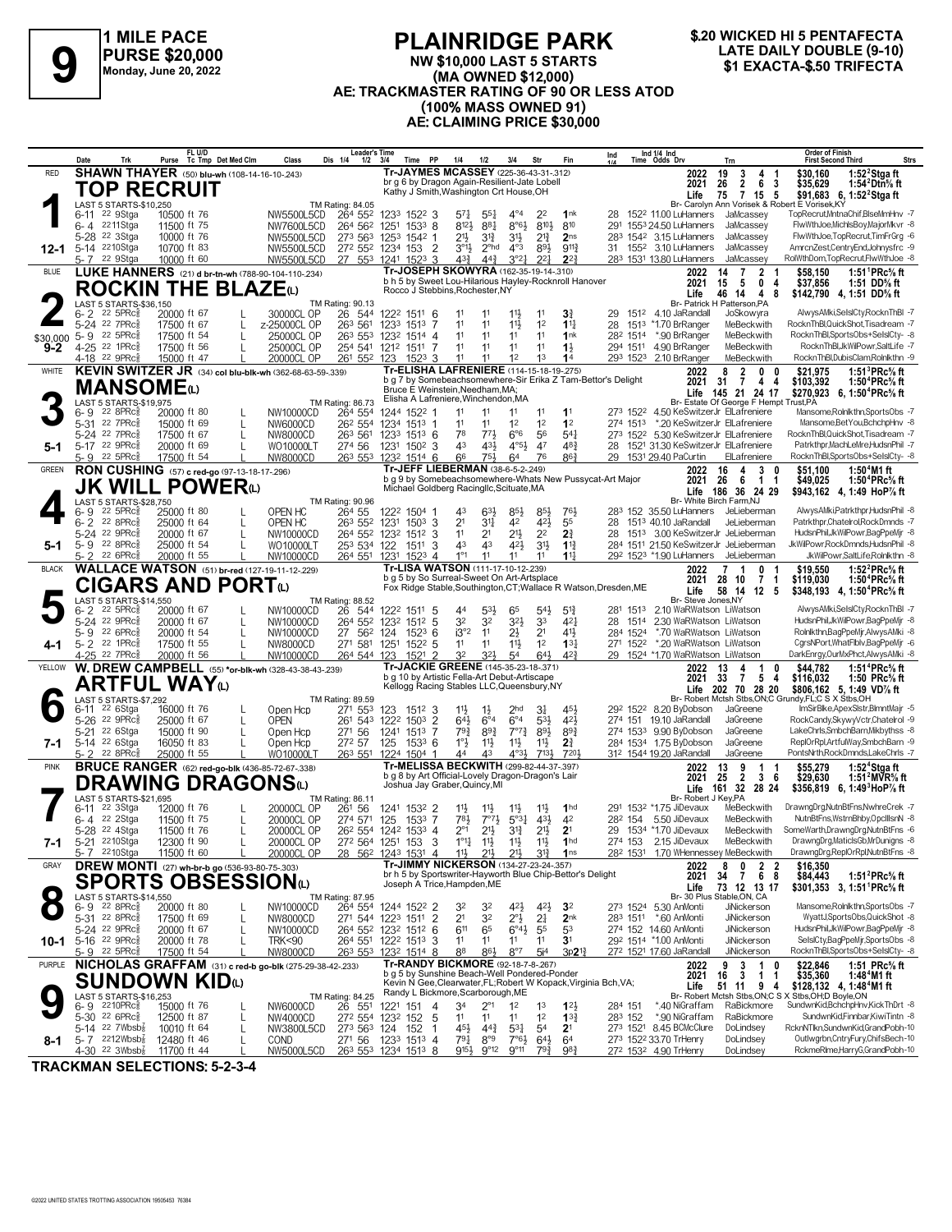

#### **PLAINRIDGE PARK NW \$10,000 LAST 5 STARTS (MA OWNED \$12,000) AE: TRACKMASTER RATING OF 90 OR LESS ATOD (100% MASS OWNED 91) AE: CLAIMING PRICE \$30,000 LATE DAILY DOUBLE (9-10)**<br>
PURSE \$20,000<br>
Monday, June 20, 2022<br> **SI EXACTA-\$.50 TRIFECTA**<br>
Monday, June 20, 2022<br> **SI EXACTA-\$.50 TRIFECTA**



|              | Trk<br>Date                                                | FL U/D<br>Purse Tc Tmp Det Med Clm                       | Dis 1/4<br>Class                                         | <b>Leader's Time</b><br>Time PP<br>$1/2$ $3/4$                                                                                                                                                   | 1/4<br>1/2                                           | 3/4<br>Str                                                          | Fin                                        | Ind                                                              | Ind 1/4 Ind<br>Time Odds Drv                                                             | Trn                                                                  | <b>Order of Finish</b><br>Strs<br><b>First Second Third</b>                                                      |
|--------------|------------------------------------------------------------|----------------------------------------------------------|----------------------------------------------------------|--------------------------------------------------------------------------------------------------------------------------------------------------------------------------------------------------|------------------------------------------------------|---------------------------------------------------------------------|--------------------------------------------|------------------------------------------------------------------|------------------------------------------------------------------------------------------|----------------------------------------------------------------------|------------------------------------------------------------------------------------------------------------------|
| RED          |                                                            | <b>SHAWN THAYER</b> (50) blu-wh (108-14-16-10-243)       |                                                          | Tr-JAYMES MCASSEY (225-36-43-31-.312)                                                                                                                                                            |                                                      |                                                                     |                                            |                                                                  | 2022                                                                                     | 3<br>19<br>4<br>-1                                                   | 1:52 $2$ Stgaft<br>\$30,160                                                                                      |
|              |                                                            | <b>TOP RECRUIT</b>                                       |                                                          | br g 6 by Dragon Again-Resilient-Jate Lobell<br>Kathy J Smith, Washington Crt House, OH                                                                                                          |                                                      |                                                                     |                                            |                                                                  | 2021<br>Life                                                                             | $\overline{2}$<br>26<br>6<br>$\overline{\mathbf{3}}$<br>75<br>7 15 5 | \$35,629<br>1:54 $^2$ Dtn $\%$ ft<br>\$91,683 6, 1:52 <sup>2</sup> Stga ft                                       |
|              | LAST 5 STARTS-\$10,250<br>6-11 <sup>22</sup> 9Stga         | 10500 ft 76                                              | TM Rating: 84.05<br>NW5500L5CD<br>264 552                | 1233 1522 3                                                                                                                                                                                      | $5^{71}$<br>$55\frac{1}{4}$                          | $4^{\circ}4$<br>2 <sup>2</sup>                                      | 1 <sup>nk</sup>                            | 28                                                               | 152 <sup>2</sup> 11.00 LuHanners                                                         | JaMcassey                                                            | Br- Carolyn Ann Vorisek & Robert E Vorisek, KY<br>TopRecrut, MntnaChif, BlseMmHnv - 7                            |
|              | 6-4 2211Stga                                               | 11500 ft 75                                              | NW7600L5CD                                               | 264 562 1251 1533 8                                                                                                                                                                              | 8123<br>881                                          | $8°6\frac{1}{2}$                                                    | 8103<br>810                                | 291                                                              | 1553 24.50 LuHanners                                                                     | JaMcassev                                                            | FlwWthJoe,MichlsBoy,MajorMkvr -8                                                                                 |
|              | 5-28 <sup>22</sup> 3Stga<br>5-14 2210Stga                  | 10000 ft 76<br>10700 ft 83                               | NW5500L5CD<br>273 563 1253                               | 1542 1<br>272 552 1234 153 2                                                                                                                                                                     | 21}<br>$3^{13}$<br>$3^{01}$<br>2 <sup>ohd</sup>      | 3 <sup>1</sup><br>$2^{13}$<br>$4^{\circ}3$<br>891                   | 2 <sub>ns</sub><br>$9^{11}\frac{3}{4}$     |                                                                  | 283 1542 3.15 LuHanners<br>31 155 <sup>2</sup> 3.10 LuHanners                            | JaMcassev<br>JaMcassey                                               | FlwWthJoe.TopRecrut.TimFrGrg -6<br>AmrcnZest,CentryEnd,Johnysfrc -9                                              |
| 12-1         | 5-7 22 9Stga                                               | 10000 ft 60                                              | NW5500L5CD<br>NW5500L5CD                                 | 27 553 1241 1523 3                                                                                                                                                                               | $4^{3}\frac{3}{4}$<br>$44\frac{3}{4}$                | 3°2 <sup>1</sup><br>$2^{2}$                                         | $2^{2}$                                    |                                                                  | 283 1531 13.80 LuHanners                                                                 | JaMcassey                                                            | RolWthDom,TopRecrut,FlwWthJoe -8                                                                                 |
| <b>BLUE</b>  |                                                            | <b>LUKE HANNERS</b> (21) d br-tn-wh (788-90-104-110-234) |                                                          | Tr-JOSEPH SKOWYRA (162-35-19-14-310)<br>b h 5 by Sweet Lou-Hilarious Hayley-Rocknroll Hanover                                                                                                    |                                                      |                                                                     |                                            |                                                                  | 2022                                                                                     | 14<br>7<br>$\mathbf{2}$                                              | 1:51 <sup>1</sup> PRc <sup>5</sup> / <sub>8</sub> ft<br>\$58,150                                                 |
|              |                                                            | <b>ROCKIN THE BLAZE(L)</b>                               |                                                          | Rocco J Stebbins, Rochester, NY                                                                                                                                                                  |                                                      |                                                                     |                                            |                                                                  | 2021<br>Life                                                                             | 15<br>5<br>$^{\circ}$<br>-4<br>46<br>8<br>14<br>4                    | \$37,856<br>1:51 DD% ft<br>\$142,790 4, 1:51 DD% ft                                                              |
|              | LAST 5 STARTS-\$36,150<br>$6 - 2$ 22 5PRc $\frac{5}{8}$    | 20000 ft 67                                              | TM Rating: 90.13<br>30000CL OP                           | 26 544 1222 1511 6                                                                                                                                                                               | 11<br>11                                             | 11}<br>11                                                           | $3\frac{3}{4}$                             | 29                                                               | 151 <sup>2</sup> 4.10 JaRandall                                                          | Br- Patrick H Patterson, PA<br>JoSkowyra                             | AlwysAMki,SelslCty,RocknThBI -7                                                                                  |
|              | 5-24 22 7PRcs                                              | 17500 ft 67                                              | 263 561<br>z-25000CL OP                                  | 1233 1513 7                                                                                                                                                                                      | 11<br>11                                             | $11\frac{1}{2}$<br>1 <sup>2</sup>                                   | $1^{11}$                                   | 28                                                               | 1513 *1.70 BrRanger                                                                      | MeBeckwith                                                           | RocknThBl,QuickShot,Tisadream -7                                                                                 |
| \$30,000     | 22 5PRc<br>$5 - 9$<br>4-25 <sup>22</sup> 1PRc <sup>5</sup> | 17500 ft 54<br>17500 ft 56                               | 25000CL OP<br>25000CL OP                                 | 263 553 1232 1514 4<br>254 541 1212 1511 7                                                                                                                                                       | 11<br>11<br>11<br>11                                 | 11<br>11<br>11<br>11                                                | 1nk<br>$1\frac{1}{2}$                      |                                                                  | 28 <sup>2</sup> 1514 *.90 BrRanger<br>294 1511 4.90 BrRanger                             | MeBeckwith<br>MeBeckwith                                             | RocknThBl,SportsObs+SelslCty- -8<br>RocknThBl,JkWilPowr,SaltLife -7                                              |
| $9 - 2$      | 4-18 <sup>22</sup> 9PRc                                    | 15000 ft 47                                              | 20000CL OP<br>261 552 123                                | $152^3$ 3                                                                                                                                                                                        | 11<br>11                                             | 1 <sup>2</sup><br>1 <sup>3</sup>                                    | 1 <sup>4</sup>                             |                                                                  | 293 1523 2.10 BrRanger                                                                   | MeBeckwith                                                           | RocknThBl.DubisClam.Rolnlkthn -9                                                                                 |
| WHITE        |                                                            |                                                          | KEVIN SWITZER JR (34) col blu-blk-wh (362-68-63-59-.339) | Tr-ELISHA LAFRENIERE (114-15-18-19-275)                                                                                                                                                          |                                                      |                                                                     |                                            | b g 7 by Somebeachsomewhere-Sir Erika Z Tam-Bettor's Delight     | 2022                                                                                     | $\overline{2}$<br>8<br>0<br>0                                        | 1:51 ${}^{3}$ PRc ${}^{5}$ s ft<br>\$21,975                                                                      |
|              | <b>MANSOME</b> 4)                                          |                                                          |                                                          | Bruce É Weinstein, Needham, MA;                                                                                                                                                                  |                                                      |                                                                     |                                            |                                                                  | 2021                                                                                     | 31 7 4<br>4<br>Life 145 21 24 17                                     | 1:50 <sup>4</sup> PRc% ft<br>\$103,392<br>\$270,923 6, 1:50 <sup>4</sup> PRc <sup>5</sup> / <sub>8</sub> ft      |
|              | LAST 5 STARTS-\$19,975<br>$22$ 8PR $c_{8}$<br>6- 9         | 20000 ft 80                                              | TM Rating: 86.73<br>NW10000CD<br>264 554                 | Elisha A Lafreniere, Winchendon, MA<br>1244 1522 1                                                                                                                                               | 11                                                   | 11<br>11                                                            | 11                                         |                                                                  | 273 1522 4.50 KeSwitzerJr ElLafreniere                                                   | Br- Estate Of George F Hempt Trust, PA                               | Mansome, Rolnlkthn, SportsObs -7                                                                                 |
|              | 22 7PRc3<br>5-31                                           | 15000 ft 69                                              | NW6000CD                                                 | 26 <sup>2</sup> 554 1234 1513 1                                                                                                                                                                  | 11<br>11                                             | 1 <sup>2</sup><br>1 <sup>2</sup>                                    | 1 <sup>2</sup>                             |                                                                  | 274 1513 *.20 KeSwitzerJr ElLafreniere                                                   |                                                                      | Mansome, Bet You, BchchpHnv -8                                                                                   |
|              | 5-24 22 7PRc <sub>8</sub><br>5-17 22 9PRc <sup>5</sup>     | 17500 ft 67                                              | 263 561<br>NW8000CD                                      | 1233 1513 6                                                                                                                                                                                      | 78<br>773<br>43<br>431                               | $6^{\circ}6$<br>56<br>$4°5\frac{1}{2}$<br>47                        | $5^{4}$<br>48 <sup>3</sup>                 |                                                                  | 273 1522 5.30 KeSwitzerJr ElLafreniere<br>28 1521 31.30 KeSwitzerJr ElLafreniere         |                                                                      | RocknThBl,QuickShot,Tisadream -7<br>Patrkthpr.MachLeMre.HudsnPhil -7                                             |
| 5-1          | 22.5PRc <sub>8</sub><br>5- 9                               | 20000 ft 69<br>17500 ft 54                               | WO10000LT<br>274 56<br>NW8000CD                          | 1231 1502 3<br>263 553 1232 1514 6                                                                                                                                                               | 751<br>66                                            | 76<br>64                                                            | $86\frac{3}{4}$                            |                                                                  | 29 1531 29.40 PaCurtin                                                                   | ElLafreniere                                                         | RocknThBl,SportsObs+SelslCty- -8                                                                                 |
| <b>GREEN</b> |                                                            | RON CUSHING (57) c red-go (97-13-18-17-296)              |                                                          | Tr-JEFF LIEBERMAN (38-6-5-2-.249)                                                                                                                                                                |                                                      |                                                                     |                                            | b g 9 by Somebeachsomewhere-Whats New Pussycat-Art Major         | 2022                                                                                     | 16<br>3<br>4<br>0                                                    | 1:50 $4$ M1 ft<br>\$51,100                                                                                       |
|              |                                                            | <b>JK WILL POWER</b> ω                                   |                                                          | Michael Goldberg Racingllc, Scituate, MA                                                                                                                                                         |                                                      |                                                                     |                                            |                                                                  | 2021                                                                                     | -26<br>$1 \quad 1$<br>- 6<br>Life 186 36 24 29                       | \$49,025<br>1:50 <sup>+</sup> PRc% ft<br>\$943,162 4, 1:49 HoP% ft                                               |
|              | LAST 5 STARTS-\$28,750<br>22 5PRc3<br>6-9                  | 25000 ft 80                                              | TM Rating: 90.96<br>OPEN HC<br>264 55                    | 1222 1504 1                                                                                                                                                                                      | $63\frac{1}{2}$<br>43                                | 85}<br>85}                                                          | 761,                                       |                                                                  | Br- White Birch Farm, NJ<br>283 152 35.50 LuHanners                                      | JeLieberman                                                          | AlwysAMki,Patrkthpr,HudsnPhil -8                                                                                 |
|              | $6 - 2$<br>$22.8$ PRc $\frac{5}{8}$                        | 25000 ft 64                                              | 263 552<br>OPEN HC                                       | 1231<br>1503<br>3                                                                                                                                                                                | 2 <sup>1</sup><br>3 <sup>11</sup>                    | 42<br>42}                                                           | 55                                         | 28                                                               | 1513 40.10 JaRandall                                                                     | JeLieberman                                                          | Patrkthpr.Chatelrol.RockDmnds -7                                                                                 |
|              | 5-24 22 9PRc<br>5-9 22 8PRc                                | 20000 ft 67<br>25000 ft 54                               | 264 552 1232<br>NW10000CD<br>WO10000LT                   | 1512 3<br>1511<br>-3                                                                                                                                                                             | 11<br>2 <sup>1</sup><br>43<br>43                     | 2 <sup>2</sup><br>2 <sup>1</sup><br>$4^{21}$<br>3 <sup>1</sup>      | $2\frac{3}{4}$<br>$1^{13}$                 |                                                                  | 28 1513 3.00 KeSwitzerJr JeLieberman<br>284 1511 21.50 KeSwitzerJr JeLieberman           |                                                                      | HudsnPhil,JkWilPowr,BagPpeMjr -8<br>JkWilPowr,RockDmnds,HudsnPhil -8                                             |
| $5 - 1$      | $5 - 2$<br>22 6PRc3                                        | 20000 ft 55                                              | 253 534 122<br>NW10000CD                                 | 264 551 1231 1523 4                                                                                                                                                                              | $1^{\circ}1$<br>11                                   | 11<br>11                                                            | $11\frac{1}{2}$                            |                                                                  | 29 <sup>2</sup> 152 <sup>3</sup> *1.90 LuHanners                                         | JeLieberman                                                          | JkWilPowr,SaltLife,Rolnlkthn -8                                                                                  |
| <b>BLACK</b> |                                                            | <b>WALLACE WATSON</b> (51) br-red (127-19-11-12-229)     |                                                          | Tr-LISA WATSON (111-17-10-12-239)<br>b g 5 by So Surreal-Sweet On Art-Artsplace                                                                                                                  |                                                      |                                                                     |                                            |                                                                  | 2022                                                                                     | $\overline{7}$<br>$\mathbf{1}$<br>0                                  | \$19.550<br>1:52 ${}^{2}$ PRc ${}^{5}_{8}$ ft                                                                    |
|              |                                                            | CIGARS AND PORTω                                         |                                                          |                                                                                                                                                                                                  |                                                      |                                                                     |                                            | Fox Ridge Stable, Southington, CT; Wallace R Watson, Dresden, ME | 2021<br>Life                                                                             | 28 10<br>7<br>$\overline{1}$<br>58 14<br>$12 \quad 5$                | \$119,030<br>1:50 ${}^4$ PRc ${}^5\!\!$ sft<br>\$348,193 4, 1:50 <sup>4</sup> PRc <sup>5</sup> / <sub>8</sub> ft |
|              | LAST 5 STARTS-\$14,550<br>22 5PRc <sup>3</sup><br>6- 2     | 20000 ft 67                                              | TM Rating: 88.52<br>NW10000CD<br>26                      | 544 1222 1511 5                                                                                                                                                                                  | $5^{3}\frac{1}{2}$<br>44                             | 65<br>$54\frac{1}{2}$                                               | $5^{13}$                                   | 281 1513                                                         | Br- Steve Jones, NY<br>2.10 WaRWatson LiWatson                                           |                                                                      | AlwysAMki,SelslCty,RocknThBI -7                                                                                  |
|              | 5-24 22 9PRcs                                              | 20000 ft 67                                              | NW10000CD                                                | 264 552 1232 1512 5                                                                                                                                                                              | 32<br>32                                             | $3^{2}\frac{1}{2}$<br>33                                            | $4^{2}$                                    | 28 1514                                                          | 2.30 WaRWatson LiWatson                                                                  |                                                                      | HudsnPhil, JkWilPowr, BagPpeMjr -8                                                                               |
|              | 5-9 22 6PRcs<br>$5 - 2$ $22$ 1PRc                          | 20000 ft 54<br>17500 ft 55                               | NW10000CD<br>27 562<br>271 581<br>NW8000CD               | 124<br>$152^3$ 6<br>1251<br>$152^2$ 5                                                                                                                                                            | i3°2<br>11<br>11<br>11                               | $2\frac{1}{2}$<br>2 <sup>1</sup><br>1 <sup>2</sup><br>11}           | 411<br>13 <sup>1</sup>                     | 284 1524<br>271 1522                                             | *.70 WaRWatson LiWatson<br>*.20 WaRWatson LiWatson                                       |                                                                      | Rolnlkthn,BagPpeMjr,AlwysAMki -8<br>CgrsNPort, WhatFlblv, BagPpeMjr -6                                           |
| 4-1          | 4-25 <sup>22</sup> 7PRc3                                   | 20000 ft 56                                              | NW10000CD<br>264 544 123                                 | $1521$ 2                                                                                                                                                                                         | 32<br>32}                                            | 54<br>64}                                                           | $42\frac{3}{4}$                            |                                                                  | 29 1524 *1.70 WaRWatson LiWatson                                                         |                                                                      | DarkEnrgy,OurMxPhct,AlwysAMki -8                                                                                 |
| YELLOW       |                                                            |                                                          | W. DREW CAMPBELL (55) *or-blk-wh (328-43-38-43-.239)     | Tr-JACKIE GREENE (145-35-23-18-.371)<br>b g 10 by Artistic Fella-Art Debut-Artiscape                                                                                                             |                                                      |                                                                     |                                            |                                                                  | 2022                                                                                     | 13<br>4<br>1<br>$\mathbf{0}$                                         | \$44,782<br>1:51 ${}^4$ PRc ${}^5\!\!$ sft                                                                       |
|              |                                                            | <b>ARTFUL WAY</b> ω                                      |                                                          | Kellogg Racing Stables LLC, Queensbury, NY                                                                                                                                                       |                                                      |                                                                     |                                            |                                                                  | 2021                                                                                     | 33<br>$\overline{7}$<br>54<br>Life 202 70 28 20                      | \$116,032<br>1:50 $PRc$ % ft<br>\$806,162 5, 1:49 VD% ft                                                         |
|              | LAST 5 STARTS-\$7,292<br>22 6Stga<br>6-11                  | 16000 ft 76                                              | TM Rating: 89.59<br>271 553<br>Open Hcp                  | 123<br>1512 3                                                                                                                                                                                    | $11\frac{1}{2}$<br>$1\frac{1}{2}$                    | 2 <sub>hd</sub>                                                     | 451                                        |                                                                  | 292 1522 8.20 ByDobson                                                                   | JaGreene                                                             | Br- Robert Mctsh Stbs, ON; C Grundy, FL; C S X Stbs, OH<br>ImSirBlke,ApexSlstr,BlmntMajr -5                      |
|              | 22 9PRc3<br>5-26                                           | 25000 ft 67                                              | <b>OPEN</b><br>261 543                                   | $\overline{2}$<br>1222<br>1503                                                                                                                                                                   | 643<br>$6^{\circ}4$                                  | $6^{\circ}4$<br>531                                                 | 421                                        |                                                                  | 274 151 19.10 JaRandall                                                                  | JaGreene                                                             | RockCandy,SkywyVctr,Chatelrol -9                                                                                 |
|              | 5-21 <sup>22</sup> 6Stga<br>5-14 22 6Stga                  | 15000 ft 90                                              | 271 56<br>Open Hcp                                       | 1241<br>1513 7                                                                                                                                                                                   | $79\frac{3}{4}$<br>$89\frac{3}{4}$                   | $7^{\circ}7^{\circ}$<br>$89\frac{1}{2}$                             | $89\frac{3}{4}$                            |                                                                  | 274 1533 9.90 ByDobson<br>284 1534 1.75 ByDobson                                         | JaGreene<br>JaGreene                                                 | LakeChrls,SmbchBarn,Mikbythss -8<br>ReplOrRpl,ArtfulWay,SmbchBarn -9                                             |
| 7-1          | $22$ $8$ PR $c_{8}$<br>$5 - 2$                             | 16050 ft 83<br>25000 ft 55                               | 272 57<br>Open Hcp<br>WO10000LT                          | 125<br>$153^3$ 6<br>263 551 1224 1504 1                                                                                                                                                          | $1^\circ \frac{1}{2}$<br>$11\frac{1}{2}$<br>44<br>43 | $11\frac{1}{2}$<br>11<br>$4^{\circ}3\frac{1}{2}$                    | $2\frac{3}{4}$<br>$713\frac{1}{2}$<br>7201 |                                                                  | 312 1544 19.20 JaRandall                                                                 | JaGreene                                                             | PontsNrth,RockDmnds,LakeChrls -7                                                                                 |
| <b>PINK</b>  |                                                            | <b>BRUCE RANGER</b> (62) red-go-blk (436-85-72-67-.338)  |                                                          | Tr-MELISSA BECKWITH (299-82-44-37-.397)<br>b g 8 by Art Official-Lovely Dragon-Dragon's Lair                                                                                                     |                                                      |                                                                     |                                            |                                                                  | 2022                                                                                     | 13<br>9<br>-1<br>-1<br>25                                            | 1:52 $4$ Stgaft<br>\$55.279                                                                                      |
|              |                                                            | <b>DRAWING DRAGONS</b> W                                 |                                                          | Joshua Jay Graber, Quincy, MI                                                                                                                                                                    |                                                      |                                                                     |                                            |                                                                  | 2021<br>Life                                                                             | 2 3 6<br>161 32 28 24                                                | \$29.630<br>1:51 <sup>2</sup> MVR% ft<br>\$356.819 6. 1:49 HoP% ft                                               |
|              | LAST 5 STARTS-\$21,695<br>22 3Stga<br>6-11                 | 12000 ft 76                                              | TM Rating: 86.11<br>20000CL OP<br>261 56                 | 1241 1532 2                                                                                                                                                                                      | $11\frac{1}{2}$<br>$11\frac{1}{2}$                   | $11\frac{1}{2}$<br>$11\frac{1}{2}$                                  | 1 <sub>hd</sub>                            |                                                                  | Br- Robert J Key, PA<br>291 1532 *1.75 JiDevaux                                          | MeBeckwith                                                           | DrawngDrg,NutnBtFns,NwhreCrek -7                                                                                 |
|              | 6-4 22 2 Stga                                              | 11500 ft 75                                              | 20000CL OP<br>274 571                                    | 125<br>1533 7                                                                                                                                                                                    | 781<br>$7^{\circ}7^{\circ}$                          | $43\frac{1}{2}$<br>$5^{\circ}3^{\frac{1}{4}}$                       | 42                                         |                                                                  | 28 <sup>2</sup> 154 5.50 JiDevaux                                                        | MeBeckwith                                                           | NutnBtFns, WstrnBhby, OpcIIIsnN -8                                                                               |
|              | 5-28 <sup>22</sup> 4Stga<br>5-21 <sup>22</sup> 10Stga      | 11500 ft 76                                              | 20000CL OP                                               | 26 <sup>2</sup> 554 1242 1533 4<br>27 <sup>2</sup> 564 1251 153 3 1°14 113                                                                                                                       | $2^{\circ}1$<br>$21\frac{1}{2}$                      | $3^{13}$<br>$21\frac{1}{2}$<br>11 <del>}</del> 11 <del>}</del> 11nd | 2 <sup>1</sup>                             |                                                                  | 29 1534 *1.70 JiDevaux                                                                   | MeBeckwith<br>MeBeckwith                                             | SomeWarth,DrawngDrg,NutnBtFns -6<br>DrawngDrg,MaticlsGb,MrDunigns -8                                             |
| 7-1          | 5-7 2210Stga                                               | 12300 ft 90<br>11500 ft 60                               | <b>20000CL OP</b><br>20000CL OP                          | $28$ 56 <sup>2</sup> 124 <sup>3</sup> 153 <sup>1</sup> 4 1 <sup>1</sup> / <sub>2</sub> 2 <sup>1</sup> / <sub>2</sub> 2 <sup>1</sup> / <sub>2</sub> 3 <sup>1</sup> / <sub>4</sub> 1 <sup>ns</sup> |                                                      |                                                                     |                                            |                                                                  | $274$ 153 $2.15$ JIDevaux<br>28 <sup>2</sup> 153 <sup>1</sup> 1.70 WHennessey MeBeckwith |                                                                      | DrawngDrg,ReplOrRpl,NutnBtFns -8                                                                                 |
| GRAY         |                                                            | <b>DREW MONTI</b> (27) wh-br-b go (536-93-80-75-.303)    |                                                          | Tr-JIMMY NICKERSON (134-27-23-24-.357)<br>br h 5 by Sportswriter-Hayworth Blue Chip-Bettor's Delight                                                                                             |                                                      |                                                                     |                                            |                                                                  | 2022                                                                                     | 8<br>$\overline{2}$<br>$\overline{\mathbf{2}}$<br>0                  | \$16,350                                                                                                         |
|              |                                                            | SPORTS OBSESSIONധ                                        |                                                          | Joseph A Trice, Hampden, ME                                                                                                                                                                      |                                                      |                                                                     |                                            |                                                                  | 2021<br>Life                                                                             | 34<br>768<br>73 12 13 17                                             | \$84,443<br>1:51 ${}^{2}$ PRc ${}^{5}_{8}$ ft<br>\$301,353 3, 1:51 PRc <sup>5</sup> / <sub>8</sub> ft            |
|              | LAST 5 STARTS-\$14,550<br>$6 - 9$ 22 8PRc $\frac{5}{8}$    | 20000 ft 80                                              | TM Rating: 87.95<br>NW10000CD                            | 264 554 1244 1522 2                                                                                                                                                                              | 32<br>32                                             | 42}                                                                 | $4^{2}\frac{1}{2}$<br>32                   |                                                                  | 273 1524 5.30 AnMonti                                                                    | Br- 30 Plus Stable, ON, CA<br>JiNickerson                            | Mansome, Rolnlkthn, SportsObs -7                                                                                 |
|              | 5-31 22 8PRc <sup>5</sup>                                  | 17500 ft 69                                              | NW8000CD                                                 | 271 544 1223 1511 2                                                                                                                                                                              | 2 <sup>1</sup><br>32                                 | $2^{\circ}$<br>2 <sup>1</sup>                                       | 2 <sub>nk</sub>                            |                                                                  | 283 1511 *.60 AnMonti                                                                    | JiNickerson                                                          | WyattJ.SportsObs.QuickShot -8                                                                                    |
|              | 5-24 22 9PRcs                                              | 20000 ft 67                                              | NW10000CD                                                | 264 552 1232 1512 6                                                                                                                                                                              | 611<br>65<br>11                                      | $6^{\circ}4\frac{1}{2}$<br>55<br>11                                 | 53                                         |                                                                  | 274 152 14.60 AnMonti<br>292 1514 *1.00 AnMonti                                          | JiNickerson<br>JiNickerson                                           | HudsnPhil.JkWilPowr.BagPpeMir -8<br>SelslCty,BagPpeMjr,SportsObs -8                                              |
|              | 10-1 5-16 22 9PRcs<br>5-9 22 5PRc                          | 20000 ft 78<br>17500 ft 54                               | <b>TRK&lt;90</b><br><b>NW8000CD</b>                      | 264 551 1222 1513 3<br>263 553 1232 1514 8                                                                                                                                                       | 11<br>86}<br>88                                      | 11<br>$8^{\circ}7$<br>5i <sup>4</sup>                               | 3 <sup>1</sup><br>$3p21\frac{3}{4}$        |                                                                  | 272 1521 17.60 JaRandall                                                                 | JiNickerson                                                          | RocknThBl,SportsObs+SelslCty- -8                                                                                 |
| PURPLE       |                                                            |                                                          | NICHOLAS GRAFFAM (31) c red-b go-blk (275-29-38-42-.233) | Tr-RANDY BICKMORE (92-18-7-8-.267)<br>b g 5 by Sunshine Beach-Well Pondered-Ponder                                                                                                               |                                                      |                                                                     |                                            |                                                                  | 2022                                                                                     | 3<br>1<br>9<br>0                                                     | \$22,846<br>\$35,360<br>1:51 PRc% ft                                                                             |
|              |                                                            | SUNDOWN KIDധ                                             |                                                          | Kevin N Gee, Clearwater, FL; Robert W Kopack, Virginia Bch, VA;                                                                                                                                  |                                                      |                                                                     |                                            |                                                                  | 2021<br>Life                                                                             | $16 \quad 3$<br>$\mathbf{1}$<br>-1<br>51 11 9 4                      | 1:48 <sup>4</sup> M1 ft<br>\$128,132 4, 1:48 <sup>4</sup> M1 ft                                                  |
|              | LAST 5 STARTS-\$16,253<br>6-9 2210PRc <sup>5</sup>         | 15000 ft 76                                              | <b>TM Rating: 84.25</b><br>NW6000CD<br>26 551            | Randy L Bickmore, Scarborough, ME<br>1221 151 4                                                                                                                                                  | 34<br>$2^{\circ}1$                                   | 1 <sup>2</sup><br>1 <sup>3</sup>                                    | $1^{2}$                                    | 284 151                                                          | *.40 NiGraffam                                                                           | RaBickmore                                                           | Br- Robert Mctsh Stbs, ON; C S X Stbs, OH; D Boyle, ON<br>SundwnKid,BchchpHnv,KickThDrt -8                       |
|              | 5-30 22 6PRc <sup>3</sup>                                  | 12500 ft 87                                              | NW4000CD                                                 | 272 554 1232 152 5                                                                                                                                                                               | 11<br>11                                             | 1 <sup>2</sup><br>11                                                | $13\frac{3}{4}$                            | 283 152                                                          | *.90 NiGraffam                                                                           | RaBickmore                                                           | SundwnKid,Finnbar,KiwiTintn -8                                                                                   |
|              | 5-14 22 $7Wbsb_8^7$<br>5-7 $2212Wbsb\frac{7}{8}$           | 10010 ft 64<br>12480 ft 46                               | NW3800L5CD<br>L<br><b>COND</b>                           | 273 563 124 152<br>-1<br>271 56 1233 1513 4                                                                                                                                                      | 45}<br>$44\frac{3}{4}$<br>791<br>8°9                 | $5^{31}$<br>5 <sup>4</sup><br>$7°6\frac{1}{2}$                      | 2 <sup>1</sup><br>$64\frac{1}{2}$<br>64    |                                                                  | 273 1521 8.45 BCMcClure<br>273 1522 33.70 TrHenry                                        | DoLindsey<br>DoLindsey                                               | RcknNTlkn,SundwnKid,GrandPobh-10<br>Outlwgrbn,CntryFury,ChifsBech-10                                             |
| 8-1          | 4-30 <sup>22</sup> 3Wbsb{                                  | 11700 ft 44                                              | NW5000L5CD 263 553 1234 1513 8                           |                                                                                                                                                                                                  | 9154                                                 | $9^{\circ}12$ $9^{\circ}11$<br>$79\frac{3}{4}$                      | 983                                        |                                                                  | 272 1532 4.90 TrHenry                                                                    | DoLindsey                                                            | RckmeRlme,HarryG,GrandPobh-10                                                                                    |

**TRACKMAN SELECTIONS: 5-2-3-4**